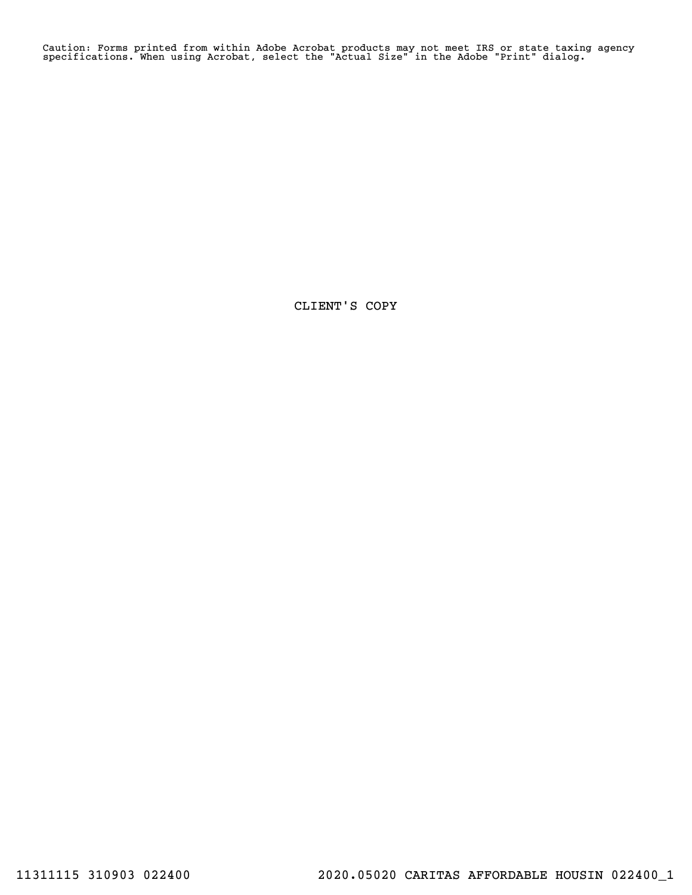Caution: Forms printed from within Adobe Acrobat products may not meet IRS or state taxing agency specifications. When using Acrobat, select the "Actual Size" in the Adobe "Print" dialog.

CLIENT'S COPY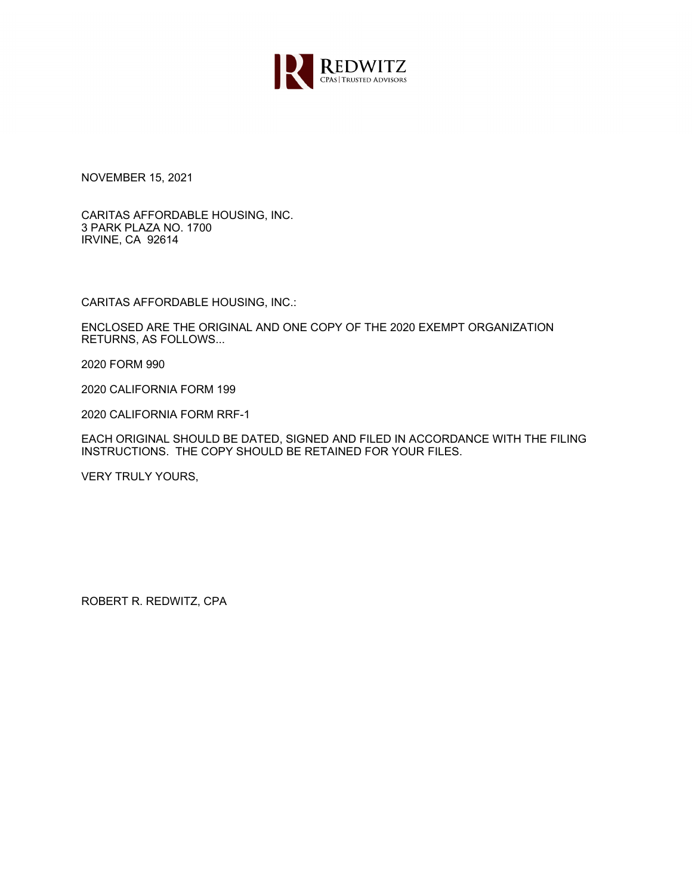

NOVEMBER 15, 2021

CARITAS AFFORDABLE HOUSING, INC. 3 PARK PLAZA NO. 1700 IRVINE, CA 92614

CARITAS AFFORDABLE HOUSING, INC.:

ENCLOSED ARE THE ORIGINAL AND ONE COPY OF THE 2020 EXEMPT ORGANIZATION RETURNS, AS FOLLOWS...

2020 FORM 990

2020 CALIFORNIA FORM 199

2020 CALIFORNIA FORM RRF-1

EACH ORIGINAL SHOULD BE DATED, SIGNED AND FILED IN ACCORDANCE WITH THE FILING INSTRUCTIONS. THE COPY SHOULD BE RETAINED FOR YOUR FILES.

VERY TRULY YOURS,

ROBERT R. REDWITZ, CPA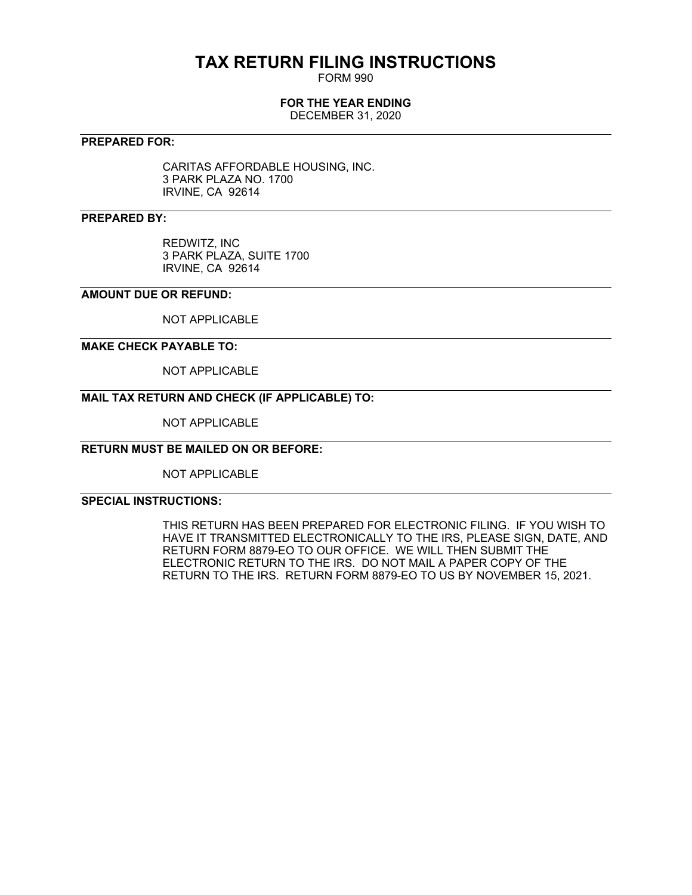# **TAX RETURN FILING INSTRUCTIONS**

FORM 990

# **FOR THE YEAR ENDING**

DECEMBER 31, 2020

# **PREPARED FOR:**

CARITAS AFFORDABLE HOUSING, INC. 3 PARK PLAZA NO. 1700 IRVINE, CA 92614

# **PREPARED BY:**

REDWITZ, INC 3 PARK PLAZA, SUITE 1700 IRVINE, CA 92614

# **AMOUNT DUE OR REFUND:**

NOT APPLICABLE

### **MAKE CHECK PAYABLE TO:**

NOT APPLICABLE

# **MAIL TAX RETURN AND CHECK (IF APPLICABLE) TO:**

NOT APPLICABLE

# **RETURN MUST BE MAILED ON OR BEFORE:**

NOT APPLICABLE

# **SPECIAL INSTRUCTIONS:**

THIS RETURN HAS BEEN PREPARED FOR ELECTRONIC FILING. IF YOU WISH TO HAVE IT TRANSMITTED ELECTRONICALLY TO THE IRS, PLEASE SIGN, DATE, AND RETURN FORM 8879-EO TO OUR OFFICE. WE WILL THEN SUBMIT THE ELECTRONIC RETURN TO THE IRS. DO NOT MAIL A PAPER COPY OF THE RETURN TO THE IRS. RETURN FORM 8879-EO TO US BY NOVEMBER 15, 2021.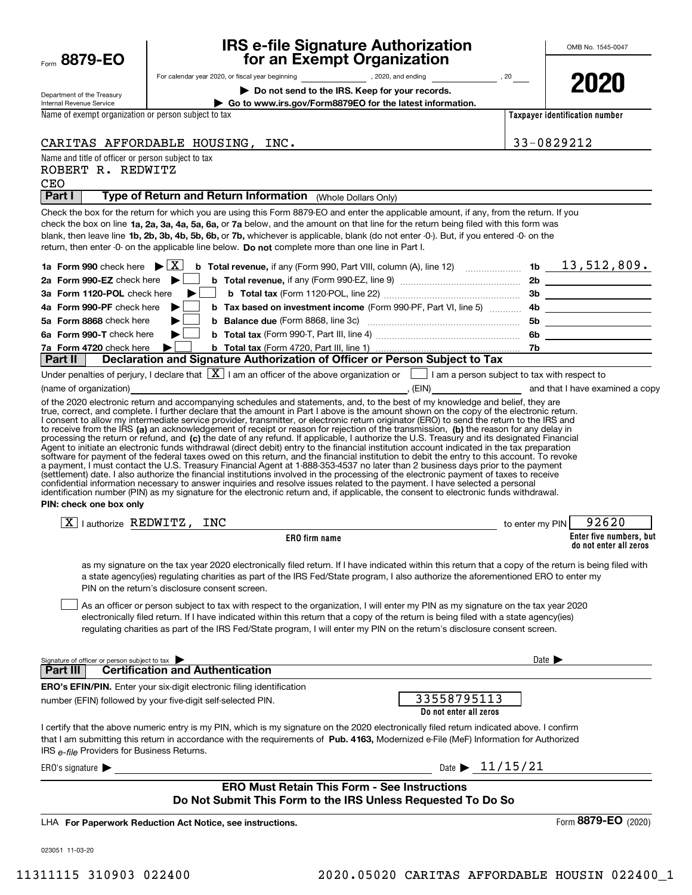| Form | 8879-1<br>F( |  |
|------|--------------|--|
|------|--------------|--|

# **IRS e-file Signature Authorization for an Exempt Organization**

Department of the Treasury

For calendar year 2020, or fiscal year beginning and the set of the set of the set of the set of the set of the set of the set of the set of the set of the set of the set of the set of the set of the set of the set of the

**| Do not send to the IRS. Keep for your records.**

**2020**

Internal Revenue Service **| Go to www.irs.gov/Form8879EO for the latest information.** Name of exempt organization or person subject to tax

**Taxpayer identification number**

CARITAS AFFORDABLE HOUSING, INC.  $\vert$  33-0829212

Name and title of officer or person subject to tax

ROBERT R. REDWITZ

Signature of officer or person subject to tax **Enter five numbers, but do not enter all zeros ERO firm name Do not enter all zeros** check the box on line **1a, 2a, 3a, 4a, 5a, 6a,** or **7a** below, and the amount on that line for the return being filed with this form was blank, then leave line **1b, 2b, 3b, 4b, 5b, 6b, or 7b,** whichever is applicable, blank (do not enter -0-). But, if you entered -0- on the return, then enter -0- on the applicable line below. **Do not** complete more than one line in Part I. **1a Form 990 | b Total revenue, 1b** check here if any (Form 990, Part VIII, column (A), line 12) ~~~~~~~ X 13,512,809. **2a Form 990-EZ** check here ▶ □ **3aForm 1120-POL** check here **4aForm 990-PF |** check here **5aForm 8868** check here **6aForm 990-T | <sup>b</sup> Total tax**  *Ta***Form 4720** check here  $\bullet$  **b Total tax 2b b Total revenue,**  if any (Form 990-EZ, line 9) ~~~~~~~~~~~~~~~ **3b b Total tax**  (Form 1120-POL, line 22) ~~~~~~~~~~~~~~~~~  $\blacktriangleright$   $\Box$  **b** Tax based on investment income (Form 990-PF, Part VI, line 5)  $\ldots$  4b **5b b Balance due**  ~~~~~~~~~~~~~~~~~~~ (Form 8868, line 3c) **6b** check here (Form 990-T, Part III, line 4) ~~~~~~~~~~~~~~~~~~ **7b||**to receive from the IRS **(a)** an acknowledgement of receipt or reason for rejection of the transmission, **(b)** the reason for any delay in processing the return or refund, and (**c)** the date of any refund. If applicable, I authorize the U.S. Treasury and its designated Financial **PIN: check one box only ERO's EFIN/PIN.** Enter your six-digit electronic filing identification that I am submitting this return in accordance with the requirements of Pub. 4163, Modernized e-File (MeF) Information for Authorized IRS <sub>e-file</sub> Providers for Business Returns. Date  $\blacktriangleright$  $ERO's$  signature  $\blacktriangleright$ **Part I** | Type of Return and Return Information (Whole Dollars Only) Check the box for the return for which you are using this Form 8879-EO and enter the applicable amount, if any, from the return. If you b Total tax (Form 4720, Part III, line 1) ... Under penalties of perjury, I declare that  $[\![\boldsymbol{\mathbf{X}}]\!]$  I am an officer of the above organization or  $[\![\;]\!]$  I am a person subject to tax with respect to (name of organization) **(a)** and that I have examined a copy (FIN) and that I have examined a copy of the 2020 electronic return and accompanying schedules and statements, and, to the best of my knowledge and belief, they are true, correct, and complete. I further declare that the amount in Part I above is the amount shown on the copy of the electronic return. I consent to allow my intermediate service provider, transmitter, or electronic return originator (ERO) to send the return to the IRS and Agent to initiate an electronic funds withdrawal (direct debit) entry to the financial institution account indicated in the tax preparation<br>software for payment of the federal taxes owed on this return, and the financial i a payment, I must contact the U.S. Treasury Financial Agent at 1-888-353-4537 no later than 2 business days prior to the payment (settlement) date. I also authorize the financial institutions involved in the processing of the electronic payment of taxes to receive<br>confidential information necessary to answer inquiries and resolve issues related to t identification number (PIN) as my signature for the electronic return and, if applicable, the consent to electronic funds withdrawal.  $\boxed{\textbf{X}}$  | authorize REDWITZ, INC  $\boxed{\textbf{X}}$  | authorize REDWITZ, INC as my signature on the tax year 2020 electronically filed return. If I have indicated within this return that a copy of the return is being filed with a state agency(ies) regulating charities as part of the IRS Fed/State program, I also authorize the aforementioned ERO to enter my PIN on the return's disclosure consent screen. As an officer or person subject to tax with respect to the organization, I will enter my PIN as my signature on the tax year 2020 electronically filed return. If I have indicated within this return that a copy of the return is being filed with a state agency(ies) regulating charities as part of the IRS Fed/State program, I will enter my PIN on the return's disclosure consent screen. **Part III Certification and Authentication** number (EFIN) followed by your five-digit self-selected PIN. I certify that the above numeric entry is my PIN, which is my signature on the 2020 electronically filed return indicated above. I confirm **Part II Declaration and Signature Authorization of Officer or Person Subject to Tax ERO Must Retain This Form - See Instructions Do Not Submit This Form to the IRS Unless Requested To Do So**  $\mathcal{L}^{\text{max}}$  $\mathcal{L}^{\text{max}}$  $\mathcal{L}^{\text{max}}$  $\mathcal{L}^{\text{max}}$  $\mathcal{L}^{\text{max}}$ CEO 33558795113 Date  $\triangleright$  11/15/21

**For Paperwork Reduction Act Notice, see instructions.** LHA

023051 11-03-20

Form (2020) **8879-EO**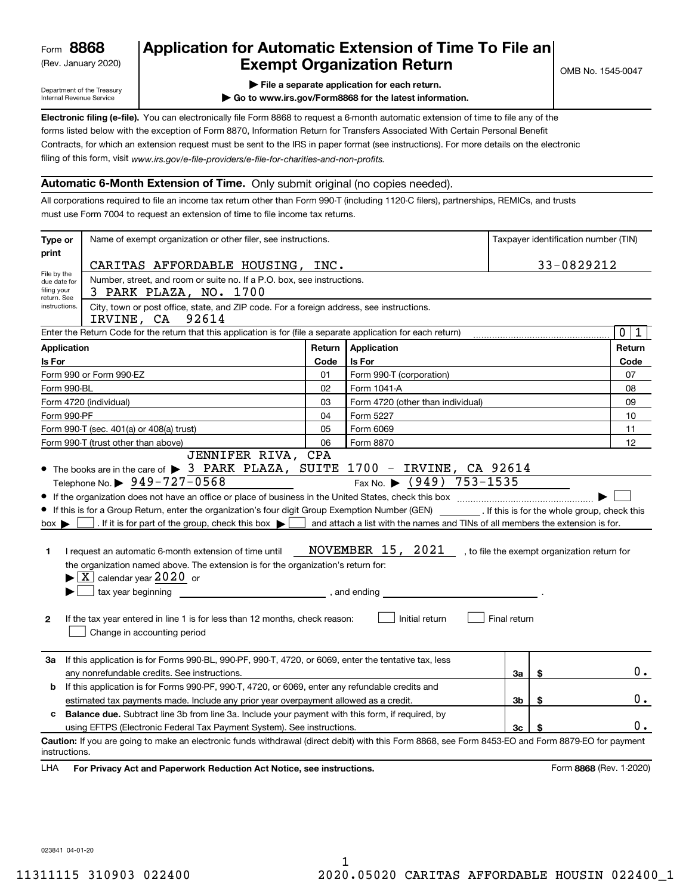(Rev. January 2020)

# **Application for Automatic Extension of Time To File an Exempt Organization Return**

Department of the Treasury Internal Revenue Service

**| File a separate application for each return.**

**| Go to www.irs.gov/Form8868 for the latest information.**

**Electronic filing (e-file).**  You can electronically file Form 8868 to request a 6-month automatic extension of time to file any of the filing of this form, visit www.irs.gov/e-file-providers/e-file-for-charities-and-non-profits. forms listed below with the exception of Form 8870, Information Return for Transfers Associated With Certain Personal Benefit Contracts, for which an extension request must be sent to the IRS in paper format (see instructions). For more details on the electronic

### **Automatic 6-Month Extension of Time.** Only submit original (no copies needed).

All corporations required to file an income tax return other than Form 990-T (including 1120-C filers), partnerships, REMICs, and trusts must use Form 7004 to request an extension of time to file income tax returns.

| Type or                                              | Name of exempt organization or other filer, see instructions.                                                                                                                                                                                                                                                                                                                                                                                                                                                                                                                                           |        |                                                                                                                                                                                                               |              |    | Taxpayer identification number (TIN) |
|------------------------------------------------------|---------------------------------------------------------------------------------------------------------------------------------------------------------------------------------------------------------------------------------------------------------------------------------------------------------------------------------------------------------------------------------------------------------------------------------------------------------------------------------------------------------------------------------------------------------------------------------------------------------|--------|---------------------------------------------------------------------------------------------------------------------------------------------------------------------------------------------------------------|--------------|----|--------------------------------------|
| print                                                | CARITAS AFFORDABLE HOUSING, INC.                                                                                                                                                                                                                                                                                                                                                                                                                                                                                                                                                                        |        |                                                                                                                                                                                                               |              |    | 33-0829212                           |
| File by the<br>due date for                          | Number, street, and room or suite no. If a P.O. box, see instructions.                                                                                                                                                                                                                                                                                                                                                                                                                                                                                                                                  |        |                                                                                                                                                                                                               |              |    |                                      |
| filing your<br>3 PARK PLAZA, NO. 1700<br>return. See |                                                                                                                                                                                                                                                                                                                                                                                                                                                                                                                                                                                                         |        |                                                                                                                                                                                                               |              |    |                                      |
| instructions.                                        | City, town or post office, state, and ZIP code. For a foreign address, see instructions.<br>IRVINE, CA 92614                                                                                                                                                                                                                                                                                                                                                                                                                                                                                            |        |                                                                                                                                                                                                               |              |    |                                      |
|                                                      | Enter the Return Code for the return that this application is for (file a separate application for each return)                                                                                                                                                                                                                                                                                                                                                                                                                                                                                         |        |                                                                                                                                                                                                               |              |    | $\mathbf 0$<br>1                     |
| <b>Application</b>                                   |                                                                                                                                                                                                                                                                                                                                                                                                                                                                                                                                                                                                         | Return | Application                                                                                                                                                                                                   |              |    | Return                               |
| Is For                                               |                                                                                                                                                                                                                                                                                                                                                                                                                                                                                                                                                                                                         | Code   | Is For                                                                                                                                                                                                        |              |    | Code                                 |
|                                                      | Form 990 or Form 990-EZ                                                                                                                                                                                                                                                                                                                                                                                                                                                                                                                                                                                 | 01     | Form 990-T (corporation)                                                                                                                                                                                      |              |    | 07                                   |
| Form 990-BL                                          |                                                                                                                                                                                                                                                                                                                                                                                                                                                                                                                                                                                                         | 02     | Form 1041-A                                                                                                                                                                                                   |              |    | 08                                   |
|                                                      | Form 4720 (individual)                                                                                                                                                                                                                                                                                                                                                                                                                                                                                                                                                                                  | 03     | Form 4720 (other than individual)                                                                                                                                                                             |              |    | 09                                   |
| Form 990-PF                                          |                                                                                                                                                                                                                                                                                                                                                                                                                                                                                                                                                                                                         | 04     | Form 5227                                                                                                                                                                                                     |              |    | 10                                   |
|                                                      | Form 990-T (sec. 401(a) or 408(a) trust)                                                                                                                                                                                                                                                                                                                                                                                                                                                                                                                                                                | 05     | Form 6069                                                                                                                                                                                                     |              |    | 11                                   |
|                                                      | Form 990-T (trust other than above)<br>JENNIFER RIVA, CPA                                                                                                                                                                                                                                                                                                                                                                                                                                                                                                                                               | 06     | Form 8870                                                                                                                                                                                                     |              |    | 12                                   |
| $box \blacktriangleright$<br>1<br>$\mathbf{2}$       | Telephone No. $\triangleright$ 949-727-0568<br>If this is for a Group Return, enter the organization's four digit Group Exemption Number (GEN) [16] If this is for the whole group, check this<br>. If it is for part of the group, check this box $\blacktriangleright$<br>I request an automatic 6-month extension of time until<br>the organization named above. The extension is for the organization's return for:<br>$\blacktriangleright$ $\boxed{\text{X}}$ calendar year 2020 or<br>If the tax year entered in line 1 is for less than 12 months, check reason:<br>Change in accounting period |        | Fax No. $\triangleright$ (949) 753-1535<br>and attach a list with the names and TINs of all members the extension is for.<br>NOVEMBER 15, 2021 , to file the exempt organization return for<br>Initial return | Final return |    |                                      |
| За                                                   | If this application is for Forms 990-BL, 990-PF, 990-T, 4720, or 6069, enter the tentative tax, less<br>any nonrefundable credits. See instructions.                                                                                                                                                                                                                                                                                                                                                                                                                                                    |        |                                                                                                                                                                                                               | За           | \$ | $0$ .                                |
| b                                                    | If this application is for Forms 990-PF, 990-T, 4720, or 6069, enter any refundable credits and                                                                                                                                                                                                                                                                                                                                                                                                                                                                                                         |        |                                                                                                                                                                                                               |              |    |                                      |
|                                                      | estimated tax payments made. Include any prior year overpayment allowed as a credit.                                                                                                                                                                                                                                                                                                                                                                                                                                                                                                                    |        |                                                                                                                                                                                                               | Зb           | \$ | 0.                                   |
| c                                                    | <b>Balance due.</b> Subtract line 3b from line 3a. Include your payment with this form, if required, by                                                                                                                                                                                                                                                                                                                                                                                                                                                                                                 |        |                                                                                                                                                                                                               |              |    |                                      |
|                                                      | using EFTPS (Electronic Federal Tax Payment System). See instructions.                                                                                                                                                                                                                                                                                                                                                                                                                                                                                                                                  |        |                                                                                                                                                                                                               | 3c           | \$ | 0.                                   |
| instructions.<br>LHA                                 | Caution: If you are going to make an electronic funds withdrawal (direct debit) with this Form 8868, see Form 8453-EO and Form 8879-EO for payment<br>For Privacy Act and Paperwork Reduction Act Notice, see instructions.                                                                                                                                                                                                                                                                                                                                                                             |        |                                                                                                                                                                                                               |              |    | Form 8868 (Rev. 1-2020)              |

023841 04-01-20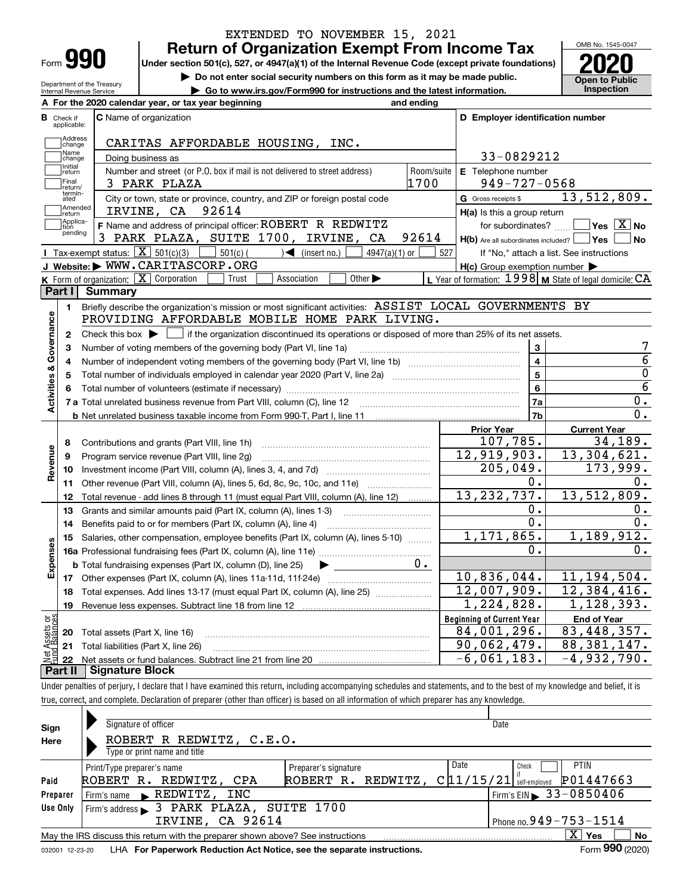| Form |  |
|------|--|

Department of the Treasury Internal Revenue Service

# **Return of Organization Exempt From Income Tax** EXTENDED TO NOVEMBER 15, 2021

**Under section 501(c), 527, or 4947(a)(1) of the Internal Revenue Code (except private foundations) 2020**

**| Do not enter social security numbers on this form as it may be made public.**

**| Go to www.irs.gov/Form990 for instructions and the latest information. Inspection**



|                         |                             | A For the 2020 calendar year, or tax year beginning                                                                                                 | and ending |                                                         |                                                           |
|-------------------------|-----------------------------|-----------------------------------------------------------------------------------------------------------------------------------------------------|------------|---------------------------------------------------------|-----------------------------------------------------------|
| В                       | Check if<br>applicable:     | C Name of organization                                                                                                                              |            | D Employer identification number                        |                                                           |
|                         | Address<br>change           | CARITAS AFFORDABLE HOUSING, INC.                                                                                                                    |            |                                                         |                                                           |
|                         | Name<br>change              | Doing business as                                                                                                                                   |            | 33-0829212                                              |                                                           |
|                         | Initial<br>return           | Number and street (or P.O. box if mail is not delivered to street address)                                                                          | Room/suite | E Telephone number                                      |                                                           |
|                         | Final<br>return/            | 3 PARK PLAZA                                                                                                                                        | 1700       | $949 - 727 - 0568$                                      |                                                           |
|                         | termin-<br>ated             | City or town, state or province, country, and ZIP or foreign postal code                                                                            |            | G Gross receipts \$                                     | 13,512,809.                                               |
|                         | Amended<br>return           | 92614<br>IRVINE, CA                                                                                                                                 |            | $H(a)$ is this a group return                           |                                                           |
|                         | Applica-<br>tion<br>pending | F Name and address of principal officer: ROBERT R REDWITZ                                                                                           |            | for subordinates?                                       | $\boxed{\phantom{1}}$ Yes $\boxed{\mathrm{X}}$ No         |
|                         |                             | PARK PLAZA, SUITE 1700, IRVINE, CA<br>3.                                                                                                            | 92614      | $H(b)$ Are all subordinates included? $\Box$ Yes $\Box$ | ∣No                                                       |
|                         |                             | Tax-exempt status: $\boxed{\mathbf{X}}$ 501(c)(3) $\boxed{\phantom{0}}$ 501(c)(<br>$\sqrt{\frac{1}{1}}$ (insert no.)<br>4947(a)(1) or               | 527        |                                                         | If "No," attach a list. See instructions                  |
|                         |                             | J Website: WWW.CARITASCORP.ORG                                                                                                                      |            | $H(c)$ Group exemption number $\blacktriangleright$     |                                                           |
|                         |                             | <b>K</b> Form of organization: $\boxed{\mathbf{X}}$ Corporation<br>Other $\blacktriangleright$<br>Trust<br>Association                              |            |                                                         | L Year of formation: $1998$ M State of legal domicile: CA |
|                         | Part I                      | <b>Summary</b>                                                                                                                                      |            |                                                         |                                                           |
|                         | 1.                          | Briefly describe the organization's mission or most significant activities: ASSIST LOCAL GOVERNMENTS BY                                             |            |                                                         |                                                           |
| Activities & Governance |                             | PROVIDING AFFORDABLE MOBILE HOME PARK LIVING.                                                                                                       |            |                                                         |                                                           |
|                         | 2                           | Check this box $\blacktriangleright$ $\blacksquare$ if the organization discontinued its operations or disposed of more than 25% of its net assets. |            |                                                         |                                                           |
|                         | 3                           | Number of voting members of the governing body (Part VI, line 1a)                                                                                   |            | 3<br>$\overline{\mathbf{4}}$                            | 7<br>$\overline{6}$                                       |
|                         | 4                           |                                                                                                                                                     |            |                                                         | 0                                                         |
|                         | 5                           |                                                                                                                                                     | 5          | $\overline{6}$                                          |                                                           |
|                         |                             |                                                                                                                                                     |            | 6                                                       | $\overline{0}$ .                                          |
|                         |                             | 7 a Total unrelated business revenue from Part VIII, column (C), line 12                                                                            |            | 7a<br>7 <sub>b</sub>                                    | $\overline{0}$ .                                          |
|                         |                             |                                                                                                                                                     |            | Prior Year                                              |                                                           |
|                         |                             |                                                                                                                                                     |            | 107,785.                                                | <b>Current Year</b><br>34,189.                            |
|                         | 8                           | Contributions and grants (Part VIII, line 1h)<br>Program service revenue (Part VIII, line 2g)                                                       |            | 12,919,903.                                             | 13,304,621.                                               |
| Revenue                 | 9<br>10                     |                                                                                                                                                     |            | 205,049.                                                | 173,999.                                                  |
|                         | 11                          | Other revenue (Part VIII, column (A), lines 5, 6d, 8c, 9c, 10c, and 11e)                                                                            |            | 0.                                                      | 0.                                                        |
|                         | 12                          | Total revenue - add lines 8 through 11 (must equal Part VIII, column (A), line 12)                                                                  |            | 13, 232, 737.                                           | 13,512,809.                                               |
|                         | 13                          | Grants and similar amounts paid (Part IX, column (A), lines 1-3)                                                                                    |            | 0.                                                      | 0.                                                        |
|                         | 14                          | Benefits paid to or for members (Part IX, column (A), line 4)                                                                                       |            | 0.                                                      | 0.                                                        |
|                         | 15                          | Salaries, other compensation, employee benefits (Part IX, column (A), lines 5-10)                                                                   |            | 1,171,865.                                              | 1,189,912.                                                |
| Expenses                |                             |                                                                                                                                                     |            | 0.                                                      | 0.                                                        |
|                         |                             | <b>b</b> Total fundraising expenses (Part IX, column (D), line 25)<br>$\blacktriangleright$                                                         | $0 \cdot$  |                                                         |                                                           |
|                         |                             |                                                                                                                                                     |            | 10,836,044.                                             | 11, 194, 504.                                             |
|                         | 18                          | Total expenses. Add lines 13-17 (must equal Part IX, column (A), line 25)                                                                           |            | 12,007,909.                                             | 12,384,416.                                               |
|                         | 19                          |                                                                                                                                                     |            | 1,224,828.                                              | 1,128,393.                                                |
| ងខ្ព                    |                             |                                                                                                                                                     |            | <b>Beginning of Current Year</b>                        | <b>End of Year</b>                                        |
| Assets                  |                             | 20 Total assets (Part X, line 16)                                                                                                                   |            | 84,001,296.                                             | 83,448,357.                                               |
|                         |                             | 21 Total liabilities (Part X, line 26)                                                                                                              |            | 90,062,479.                                             | 88, 381, 147.                                             |
|                         |                             |                                                                                                                                                     |            | $-6,061,183.$                                           | $-4,932,790.$                                             |
|                         |                             |                                                                                                                                                     |            |                                                         |                                                           |

**Part II Signature Block**

Under penalties of perjury, I declare that I have examined this return, including accompanying schedules and statements, and to the best of my knowledge and belief, it is true, correct, and complete. Declaration of preparer (other than officer) is based on all information of which preparer has any knowledge.

| Sign            | Signature of officer                                                                                         |                                                | Date                                       |  |  |  |  |  |
|-----------------|--------------------------------------------------------------------------------------------------------------|------------------------------------------------|--------------------------------------------|--|--|--|--|--|
| Here            | ROBERT R REDWITZ, C.E.O.                                                                                     |                                                |                                            |  |  |  |  |  |
|                 | Type or print name and title                                                                                 |                                                |                                            |  |  |  |  |  |
|                 | Print/Type preparer's name                                                                                   | Preparer's signature                           | Date<br><b>PTIN</b><br>Check               |  |  |  |  |  |
| Paid            | ROBERT R. REDWITZ, CPA                                                                                       | ROBERT R. REDWITZ, $C 11/15/21 $ self-employed | P01447663                                  |  |  |  |  |  |
| Preparer        | $\blacktriangleright$ REDWITZ, INC<br>Firm's name                                                            |                                                | $1$ Firm's EIN $\triangleright$ 33-0850406 |  |  |  |  |  |
| Use Only        | Firm's address 3 PARK PLAZA, SUITE 1700                                                                      |                                                |                                            |  |  |  |  |  |
|                 | Phone no. $949 - 753 - 1514$<br>IRVINE, CA 92614                                                             |                                                |                                            |  |  |  |  |  |
|                 | $\mathbf{X}$<br>No<br>Yes<br>May the IRS discuss this return with the preparer shown above? See instructions |                                                |                                            |  |  |  |  |  |
| 032001 12-23-20 | LHA For Paperwork Reduction Act Notice, see the separate instructions.                                       |                                                | Form 990 (2020)                            |  |  |  |  |  |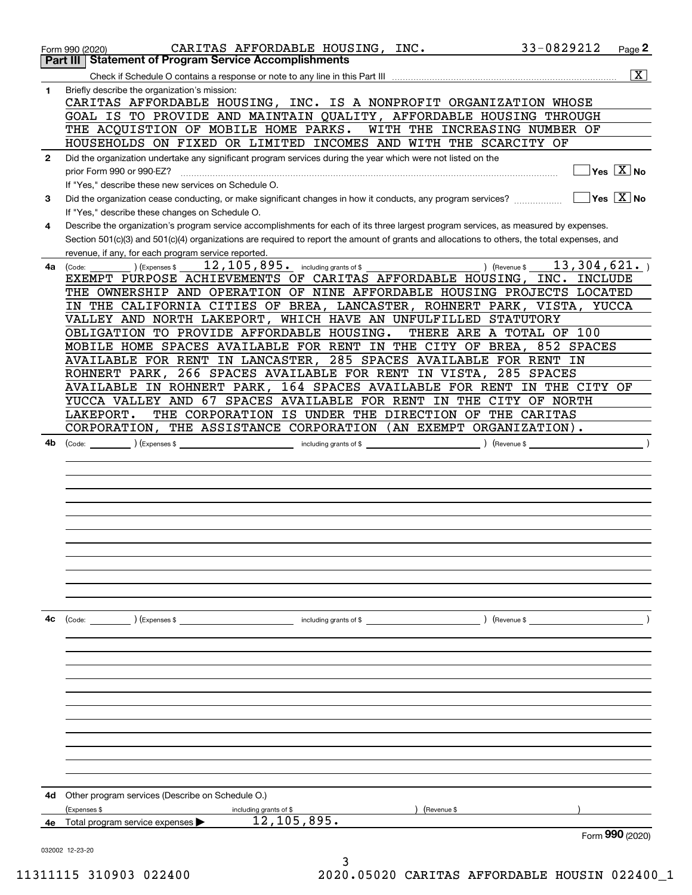|              | 33-0829212<br>CARITAS AFFORDABLE HOUSING, INC.<br>Page 2<br>Form 990 (2020)<br><b>Statement of Program Service Accomplishments</b><br>Part III                                             |
|--------------|--------------------------------------------------------------------------------------------------------------------------------------------------------------------------------------------|
|              |                                                                                                                                                                                            |
| 1            | $\overline{\mathbf{X}}$<br>Briefly describe the organization's mission:                                                                                                                    |
|              | CARITAS AFFORDABLE HOUSING, INC. IS A NONPROFIT ORGANIZATION WHOSE                                                                                                                         |
|              | GOAL IS TO PROVIDE AND MAINTAIN QUALITY, AFFORDABLE HOUSING THROUGH                                                                                                                        |
|              | THE ACQUISTION OF MOBILE HOME PARKS.<br>WITH THE INCREASING NUMBER OF<br>HOUSEHOLDS ON FIXED OR LIMITED INCOMES AND WITH THE SCARCITY OF                                                   |
| $\mathbf{2}$ | Did the organization undertake any significant program services during the year which were not listed on the                                                                               |
|              | Yes $\boxed{X}$ No<br>prior Form 990 or 990-EZ?                                                                                                                                            |
|              | If "Yes," describe these new services on Schedule O.                                                                                                                                       |
| 3            | $Yes \ \overline{X}$ No<br>Did the organization cease conducting, or make significant changes in how it conducts, any program services?<br>If "Yes," describe these changes on Schedule O. |
| 4            | Describe the organization's program service accomplishments for each of its three largest program services, as measured by expenses.                                                       |
|              | Section 501(c)(3) and 501(c)(4) organizations are required to report the amount of grants and allocations to others, the total expenses, and                                               |
|              | revenue, if any, for each program service reported.                                                                                                                                        |
| 4a l         | $\overline{12}$ , $105$ , $895$ . including grants of \$<br>13,304,621.<br>) (Revenue \$<br>(Code:<br>(Expenses \$                                                                         |
|              | EXEMPT PURPOSE ACHIEVEMENTS OF CARITAS AFFORDABLE HOUSING, INC. INCLUDE                                                                                                                    |
|              | THE OWNERSHIP AND OPERATION OF NINE AFFORDABLE HOUSING PROJECTS LOCATED                                                                                                                    |
|              | IN THE CALIFORNIA CITIES OF BREA, LANCASTER, ROHNERT PARK, VISTA, YUCCA                                                                                                                    |
|              | VALLEY AND NORTH LAKEPORT, WHICH HAVE AN UNFULFILLED STATUTORY                                                                                                                             |
|              | OBLIGATION TO PROVIDE AFFORDABLE HOUSING.<br>THERE ARE A TOTAL OF 100                                                                                                                      |
|              | MOBILE HOME SPACES AVAILABLE FOR RENT IN THE CITY OF BREA, 852 SPACES                                                                                                                      |
|              | AVAILABLE FOR RENT IN LANCASTER, 285 SPACES AVAILABLE FOR RENT IN                                                                                                                          |
|              | ROHNERT PARK, 266 SPACES AVAILABLE FOR RENT IN VISTA, 285 SPACES                                                                                                                           |
|              | AVAILABLE IN ROHNERT PARK, 164 SPACES AVAILABLE FOR RENT IN THE CITY OF                                                                                                                    |
|              | YUCCA VALLEY AND 67 SPACES AVAILABLE FOR RENT IN THE CITY OF NORTH                                                                                                                         |
|              | THE CORPORATION IS UNDER THE DIRECTION OF THE CARITAS<br>LAKEPORT.                                                                                                                         |
|              | CORPORATION, THE ASSISTANCE CORPORATION (AN EXEMPT ORGANIZATION).                                                                                                                          |
| 4b           | (Expenses \$<br>(Revenue \$<br>(Code:<br>including grants of $$$                                                                                                                           |
|              |                                                                                                                                                                                            |
|              |                                                                                                                                                                                            |
|              |                                                                                                                                                                                            |
|              |                                                                                                                                                                                            |
|              |                                                                                                                                                                                            |
|              |                                                                                                                                                                                            |
|              |                                                                                                                                                                                            |
|              |                                                                                                                                                                                            |
|              |                                                                                                                                                                                            |
|              |                                                                                                                                                                                            |
|              |                                                                                                                                                                                            |
| 4с           | $($ Revenue \$                                                                                                                                                                             |
|              |                                                                                                                                                                                            |
|              |                                                                                                                                                                                            |
|              |                                                                                                                                                                                            |
|              |                                                                                                                                                                                            |
|              |                                                                                                                                                                                            |
|              |                                                                                                                                                                                            |
|              |                                                                                                                                                                                            |
|              |                                                                                                                                                                                            |
|              |                                                                                                                                                                                            |
|              |                                                                                                                                                                                            |
|              |                                                                                                                                                                                            |
| 4d           | Other program services (Describe on Schedule O.)                                                                                                                                           |
|              | (Expenses \$<br>including grants of \$<br>Revenue \$                                                                                                                                       |
| 4e           | 12, 105, 895.<br>Total program service expenses                                                                                                                                            |
|              | Form 990 (2020)                                                                                                                                                                            |
|              | 032002 12-23-20                                                                                                                                                                            |

3 11311115 310903 022400 2020.05020 CARITAS AFFORDABLE HOUSIN 022400\_1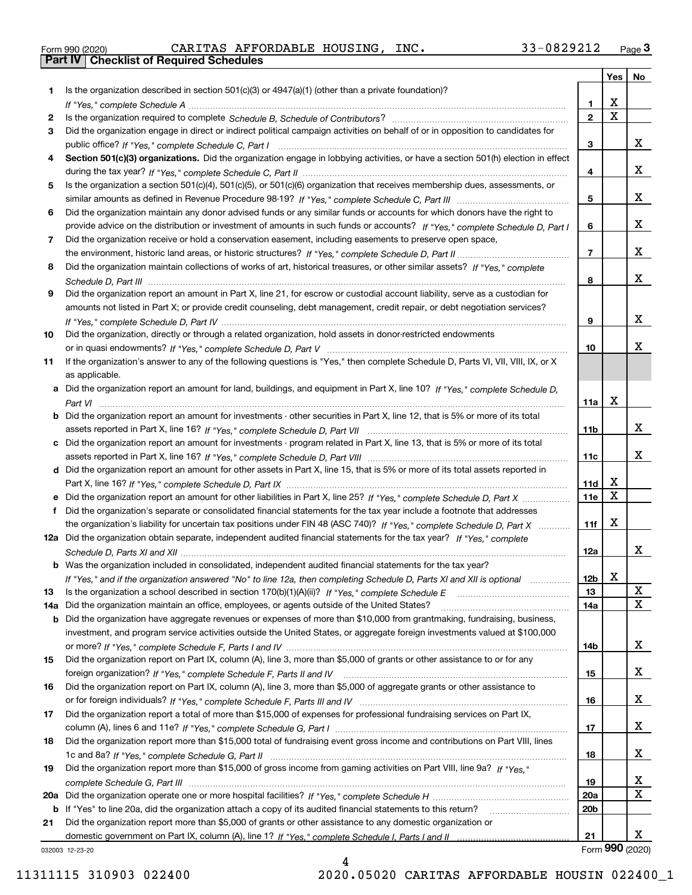|  | Form 990 (2020) |
|--|-----------------|

Form 990 (2020) CARITAS AFFORDABLE HOUSING,INC. 33-0829212 <sub>Page</sub> 3<br>**Part IV | Checklist of Required Schedules** 

|     |                                                                                                                                                                                                                                                   |                | Yes                   | No                      |
|-----|---------------------------------------------------------------------------------------------------------------------------------------------------------------------------------------------------------------------------------------------------|----------------|-----------------------|-------------------------|
| 1   | Is the organization described in section $501(c)(3)$ or $4947(a)(1)$ (other than a private foundation)?                                                                                                                                           |                |                       |                         |
|     |                                                                                                                                                                                                                                                   | 1.             | х                     |                         |
| 2   |                                                                                                                                                                                                                                                   | $\mathbf{2}$   | $\overline{\text{x}}$ |                         |
| 3   | Did the organization engage in direct or indirect political campaign activities on behalf of or in opposition to candidates for                                                                                                                   |                |                       |                         |
|     |                                                                                                                                                                                                                                                   | 3              |                       | x                       |
| 4   | Section 501(c)(3) organizations. Did the organization engage in lobbying activities, or have a section 501(h) election in effect                                                                                                                  |                |                       |                         |
|     |                                                                                                                                                                                                                                                   | 4              |                       | x                       |
| 5   | Is the organization a section 501(c)(4), 501(c)(5), or 501(c)(6) organization that receives membership dues, assessments, or                                                                                                                      |                |                       |                         |
|     |                                                                                                                                                                                                                                                   | 5              |                       | x                       |
| 6   | Did the organization maintain any donor advised funds or any similar funds or accounts for which donors have the right to                                                                                                                         |                |                       | x                       |
| 7   | provide advice on the distribution or investment of amounts in such funds or accounts? If "Yes," complete Schedule D, Part I                                                                                                                      | 6              |                       |                         |
|     | Did the organization receive or hold a conservation easement, including easements to preserve open space,                                                                                                                                         | $\overline{7}$ |                       | x                       |
| 8   | Did the organization maintain collections of works of art, historical treasures, or other similar assets? If "Yes," complete                                                                                                                      |                |                       |                         |
|     |                                                                                                                                                                                                                                                   | 8              |                       | x                       |
| 9   | Did the organization report an amount in Part X, line 21, for escrow or custodial account liability, serve as a custodian for                                                                                                                     |                |                       |                         |
|     | amounts not listed in Part X; or provide credit counseling, debt management, credit repair, or debt negotiation services?                                                                                                                         |                |                       |                         |
|     |                                                                                                                                                                                                                                                   | 9              |                       | x                       |
| 10  | Did the organization, directly or through a related organization, hold assets in donor-restricted endowments                                                                                                                                      |                |                       |                         |
|     |                                                                                                                                                                                                                                                   | 10             |                       | x                       |
| 11  | If the organization's answer to any of the following questions is "Yes," then complete Schedule D, Parts VI, VII, VIII, IX, or X                                                                                                                  |                |                       |                         |
|     | as applicable.                                                                                                                                                                                                                                    |                |                       |                         |
|     | a Did the organization report an amount for land, buildings, and equipment in Part X, line 10? If "Yes," complete Schedule D,                                                                                                                     |                |                       |                         |
|     |                                                                                                                                                                                                                                                   | 11a            | X                     |                         |
|     | <b>b</b> Did the organization report an amount for investments - other securities in Part X, line 12, that is 5% or more of its total                                                                                                             |                |                       |                         |
|     |                                                                                                                                                                                                                                                   | 11b            |                       | x                       |
|     | c Did the organization report an amount for investments - program related in Part X, line 13, that is 5% or more of its total                                                                                                                     |                |                       |                         |
|     |                                                                                                                                                                                                                                                   | 11c            |                       | x                       |
|     | d Did the organization report an amount for other assets in Part X, line 15, that is 5% or more of its total assets reported in                                                                                                                   |                |                       |                         |
|     |                                                                                                                                                                                                                                                   | 11d            | х<br>X                |                         |
|     |                                                                                                                                                                                                                                                   | <b>11e</b>     |                       |                         |
| f   | Did the organization's separate or consolidated financial statements for the tax year include a footnote that addresses<br>the organization's liability for uncertain tax positions under FIN 48 (ASC 740)? If "Yes," complete Schedule D, Part X | 11f            | X                     |                         |
|     | 12a Did the organization obtain separate, independent audited financial statements for the tax year? If "Yes," complete                                                                                                                           |                |                       |                         |
|     |                                                                                                                                                                                                                                                   | 12a            |                       | X                       |
|     | <b>b</b> Was the organization included in consolidated, independent audited financial statements for the tax year?                                                                                                                                |                |                       |                         |
|     | If "Yes," and if the organization answered "No" to line 12a, then completing Schedule D, Parts XI and XII is optional                                                                                                                             | 12b            | х                     |                         |
| 13  |                                                                                                                                                                                                                                                   | 13             |                       | $\mathbf{X}$            |
| 14a | Did the organization maintain an office, employees, or agents outside of the United States?                                                                                                                                                       | 14a            |                       | $\overline{\text{x}}$   |
| b   | Did the organization have aggregate revenues or expenses of more than \$10,000 from grantmaking, fundraising, business,                                                                                                                           |                |                       |                         |
|     | investment, and program service activities outside the United States, or aggregate foreign investments valued at \$100,000                                                                                                                        |                |                       |                         |
|     |                                                                                                                                                                                                                                                   | 14b            |                       | x                       |
| 15  | Did the organization report on Part IX, column (A), line 3, more than \$5,000 of grants or other assistance to or for any                                                                                                                         |                |                       |                         |
|     |                                                                                                                                                                                                                                                   | 15             |                       | x                       |
| 16  | Did the organization report on Part IX, column (A), line 3, more than \$5,000 of aggregate grants or other assistance to                                                                                                                          |                |                       |                         |
|     |                                                                                                                                                                                                                                                   | 16             |                       | x                       |
| 17  | Did the organization report a total of more than \$15,000 of expenses for professional fundraising services on Part IX,                                                                                                                           |                |                       |                         |
|     |                                                                                                                                                                                                                                                   | 17             |                       | X                       |
| 18  | Did the organization report more than \$15,000 total of fundraising event gross income and contributions on Part VIII, lines                                                                                                                      |                |                       |                         |
|     |                                                                                                                                                                                                                                                   | 18             |                       | x                       |
| 19  | Did the organization report more than \$15,000 of gross income from gaming activities on Part VIII, line 9a? If "Yes."                                                                                                                            |                |                       | $\overline{\mathbf{x}}$ |
| 20a |                                                                                                                                                                                                                                                   | 19<br>20a      |                       | $\overline{\mathbf{x}}$ |
| b   | If "Yes" to line 20a, did the organization attach a copy of its audited financial statements to this return?                                                                                                                                      | 20b            |                       |                         |
| 21  | Did the organization report more than \$5,000 of grants or other assistance to any domestic organization or                                                                                                                                       |                |                       |                         |
|     |                                                                                                                                                                                                                                                   | 21             |                       | x                       |
|     | 032003 12-23-20                                                                                                                                                                                                                                   |                |                       | Form 990 (2020)         |

032003 12-23-20

4 11311115 310903 022400 2020.05020 CARITAS AFFORDABLE HOUSIN 022400\_1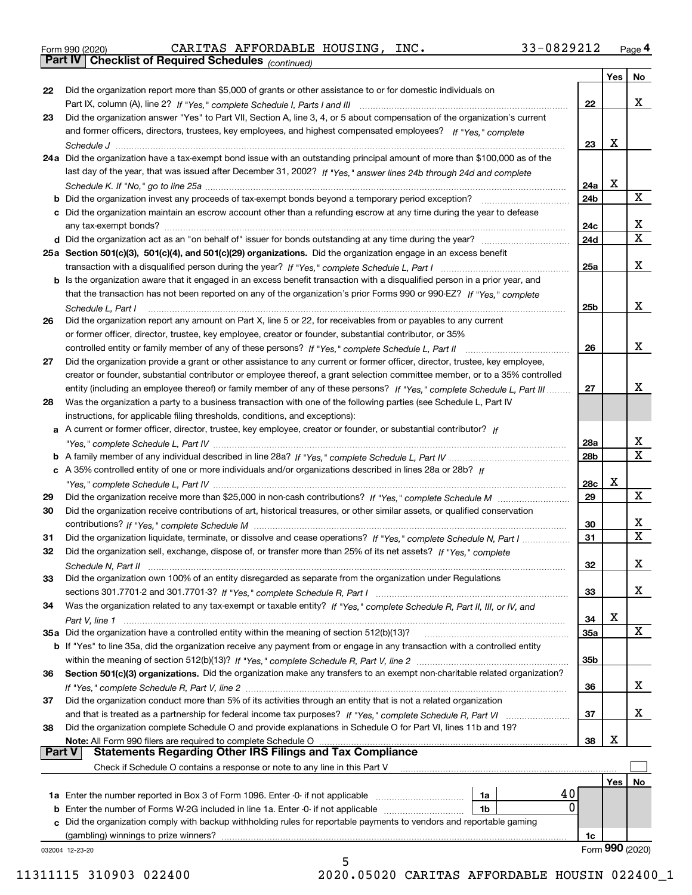|  | Form 990 (2020) |
|--|-----------------|
|  |                 |

*(continued)* Form 990 (2020) CARITAS AFFORDABLE HOUSING,INC. 33-0829212 <sub>Page</sub> 4<br>**Part IV | Checklist of Required Schedules** <sub>(continued)</sub>

|               |                                                                                                                                                                                             |                 | Yes | No                           |
|---------------|---------------------------------------------------------------------------------------------------------------------------------------------------------------------------------------------|-----------------|-----|------------------------------|
| 22            | Did the organization report more than \$5,000 of grants or other assistance to or for domestic individuals on                                                                               |                 |     |                              |
|               |                                                                                                                                                                                             | 22              |     | x                            |
| 23            | Did the organization answer "Yes" to Part VII, Section A, line 3, 4, or 5 about compensation of the organization's current                                                                  |                 |     |                              |
|               | and former officers, directors, trustees, key employees, and highest compensated employees? If "Yes," complete                                                                              |                 |     |                              |
|               |                                                                                                                                                                                             | 23              | х   |                              |
|               | 24a Did the organization have a tax-exempt bond issue with an outstanding principal amount of more than \$100,000 as of the                                                                 |                 |     |                              |
|               | last day of the year, that was issued after December 31, 2002? If "Yes," answer lines 24b through 24d and complete                                                                          |                 |     |                              |
|               |                                                                                                                                                                                             | 24a             | х   |                              |
|               | <b>b</b> Did the organization invest any proceeds of tax-exempt bonds beyond a temporary period exception?                                                                                  | 24b             |     | X                            |
|               | c Did the organization maintain an escrow account other than a refunding escrow at any time during the year to defease                                                                      |                 |     |                              |
|               |                                                                                                                                                                                             | 24c             |     | x                            |
|               |                                                                                                                                                                                             | 24d             |     | $\overline{\text{x}}$        |
|               | 25a Section 501(c)(3), 501(c)(4), and 501(c)(29) organizations. Did the organization engage in an excess benefit                                                                            |                 |     |                              |
|               | transaction with a disqualified person during the year? If "Yes," complete Schedule L, Part I manufaction with a disqualified person during the year? If "Yes," complete Schedule L, Part I | 25a             |     | X                            |
|               | b Is the organization aware that it engaged in an excess benefit transaction with a disqualified person in a prior year, and                                                                |                 |     |                              |
|               | that the transaction has not been reported on any of the organization's prior Forms 990 or 990-EZ? If "Yes," complete                                                                       |                 |     |                              |
|               | Schedule L, Part I                                                                                                                                                                          | 25 <sub>b</sub> |     | X                            |
| 26            | Did the organization report any amount on Part X, line 5 or 22, for receivables from or payables to any current                                                                             |                 |     |                              |
|               | or former officer, director, trustee, key employee, creator or founder, substantial contributor, or 35%                                                                                     |                 |     |                              |
|               | controlled entity or family member of any of these persons? If "Yes," complete Schedule L, Part II                                                                                          | 26              |     | x                            |
| 27            | Did the organization provide a grant or other assistance to any current or former officer, director, trustee, key employee,                                                                 |                 |     |                              |
|               | creator or founder, substantial contributor or employee thereof, a grant selection committee member, or to a 35% controlled                                                                 |                 |     |                              |
|               | entity (including an employee thereof) or family member of any of these persons? If "Yes," complete Schedule L, Part III                                                                    | 27              |     | х                            |
| 28            | Was the organization a party to a business transaction with one of the following parties (see Schedule L, Part IV                                                                           |                 |     |                              |
|               | instructions, for applicable filing thresholds, conditions, and exceptions):                                                                                                                |                 |     |                              |
|               | A current or former officer, director, trustee, key employee, creator or founder, or substantial contributor? If                                                                            |                 |     |                              |
| а             |                                                                                                                                                                                             | 28a             |     |                              |
|               |                                                                                                                                                                                             |                 |     | $\frac{X}{X}$                |
|               |                                                                                                                                                                                             | 28b             |     |                              |
|               | c A 35% controlled entity of one or more individuals and/or organizations described in lines 28a or 28b? If                                                                                 |                 | х   |                              |
|               |                                                                                                                                                                                             | 28c             |     | X                            |
| 29            |                                                                                                                                                                                             | 29              |     |                              |
| 30            | Did the organization receive contributions of art, historical treasures, or other similar assets, or qualified conservation                                                                 |                 |     |                              |
|               |                                                                                                                                                                                             | 30              |     | X<br>$\overline{\textbf{x}}$ |
| 31            | Did the organization liquidate, terminate, or dissolve and cease operations? If "Yes," complete Schedule N, Part I                                                                          | 31              |     |                              |
| 32            | Did the organization sell, exchange, dispose of, or transfer more than 25% of its net assets? If "Yes," complete                                                                            |                 |     |                              |
|               |                                                                                                                                                                                             | 32              |     | X                            |
| 33            | Did the organization own 100% of an entity disregarded as separate from the organization under Regulations                                                                                  |                 |     |                              |
|               |                                                                                                                                                                                             | 33              |     | x                            |
| 34            | Was the organization related to any tax-exempt or taxable entity? If "Yes," complete Schedule R, Part II, III, or IV, and                                                                   |                 |     |                              |
|               |                                                                                                                                                                                             | 34              | x   |                              |
|               | 35a Did the organization have a controlled entity within the meaning of section 512(b)(13)?                                                                                                 | <b>35a</b>      |     | X                            |
|               | b If "Yes" to line 35a, did the organization receive any payment from or engage in any transaction with a controlled entity                                                                 |                 |     |                              |
|               |                                                                                                                                                                                             | 35b             |     |                              |
| 36            | Section 501(c)(3) organizations. Did the organization make any transfers to an exempt non-charitable related organization?                                                                  |                 |     |                              |
|               |                                                                                                                                                                                             | 36              |     | x                            |
| 37            | Did the organization conduct more than 5% of its activities through an entity that is not a related organization                                                                            |                 |     |                              |
|               |                                                                                                                                                                                             | 37              |     | x                            |
| 38            | Did the organization complete Schedule O and provide explanations in Schedule O for Part VI, lines 11b and 19?                                                                              |                 |     |                              |
|               | Note: All Form 990 filers are required to complete Schedule O                                                                                                                               | 38              | x   |                              |
| <b>Part V</b> | <b>Statements Regarding Other IRS Filings and Tax Compliance</b>                                                                                                                            |                 |     |                              |
|               | Check if Schedule O contains a response or note to any line in this Part V                                                                                                                  |                 |     |                              |
|               |                                                                                                                                                                                             |                 | Yes | No                           |
|               | 40<br>1a                                                                                                                                                                                    |                 |     |                              |
| b             | 0<br>Enter the number of Forms W-2G included in line 1a. Enter -0- if not applicable<br>1b                                                                                                  |                 |     |                              |
| c             | Did the organization comply with backup withholding rules for reportable payments to vendors and reportable gaming                                                                          |                 |     |                              |
|               | (gambling) winnings to prize winners?                                                                                                                                                       | 1c              |     |                              |
|               | 032004 12-23-20                                                                                                                                                                             |                 |     | Form 990 (2020)              |
|               | 5                                                                                                                                                                                           |                 |     |                              |

11311115 310903 022400 2020.05020 CARITAS AFFORDABLE HOUSIN 022400\_1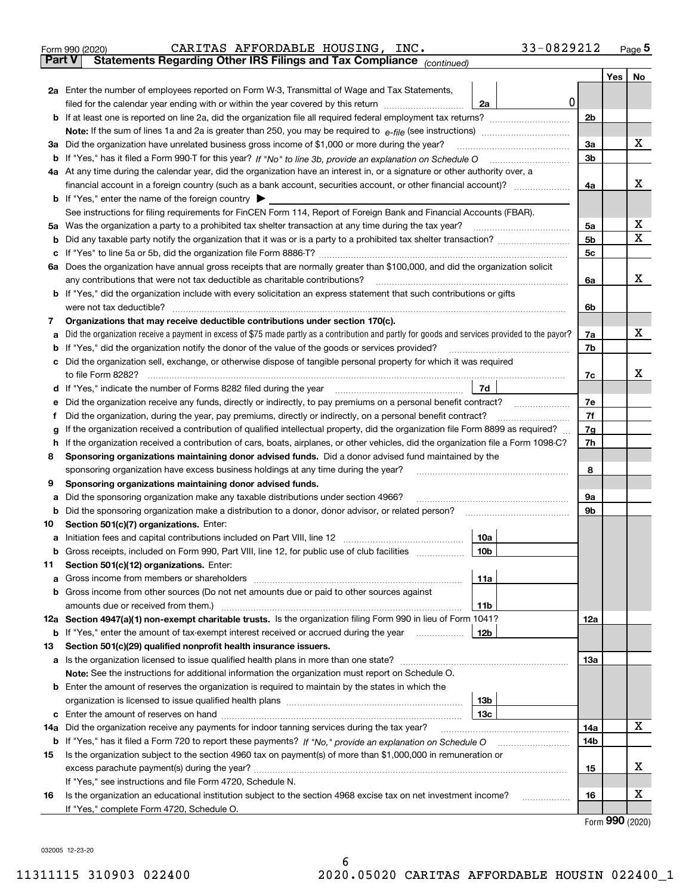| Form 990 (2020) |  | CARITAS AFFORDABLE HOUSING, INC.                                                               |  | 33-0829212 | Page $5$ |
|-----------------|--|------------------------------------------------------------------------------------------------|--|------------|----------|
|                 |  | <b>Part V</b> Statements Regarding Other IRS Filings and Tax Compliance <sub>(continued)</sub> |  |            |          |

| Part V | Statements Regarding Other IRS Fillings and Tax Compilance<br>(continued)                                                                                                                                                                  |                |     |             |  |  |  |
|--------|--------------------------------------------------------------------------------------------------------------------------------------------------------------------------------------------------------------------------------------------|----------------|-----|-------------|--|--|--|
|        |                                                                                                                                                                                                                                            |                | Yes | No          |  |  |  |
|        | 2a Enter the number of employees reported on Form W-3, Transmittal of Wage and Tax Statements,                                                                                                                                             |                |     |             |  |  |  |
|        | 0<br>filed for the calendar year ending with or within the year covered by this return <i>manumumumum</i><br>2a                                                                                                                            |                |     |             |  |  |  |
|        |                                                                                                                                                                                                                                            | 2b             |     |             |  |  |  |
|        |                                                                                                                                                                                                                                            |                |     |             |  |  |  |
|        | 3a Did the organization have unrelated business gross income of \$1,000 or more during the year?                                                                                                                                           | За             |     | x           |  |  |  |
|        |                                                                                                                                                                                                                                            |                |     |             |  |  |  |
|        | 4a At any time during the calendar year, did the organization have an interest in, or a signature or other authority over, a                                                                                                               |                |     |             |  |  |  |
|        |                                                                                                                                                                                                                                            | 4a             |     | x           |  |  |  |
|        | <b>b</b> If "Yes," enter the name of the foreign country                                                                                                                                                                                   |                |     |             |  |  |  |
|        | See instructions for filing requirements for FinCEN Form 114, Report of Foreign Bank and Financial Accounts (FBAR).                                                                                                                        |                |     |             |  |  |  |
|        | 5a Was the organization a party to a prohibited tax shelter transaction at any time during the tax year?                                                                                                                                   | 5a             |     | х           |  |  |  |
|        |                                                                                                                                                                                                                                            | 5 <sub>b</sub> |     | $\mathbf X$ |  |  |  |
| c      |                                                                                                                                                                                                                                            | 5 <sub>c</sub> |     |             |  |  |  |
|        | 6a Does the organization have annual gross receipts that are normally greater than \$100,000, and did the organization solicit                                                                                                             |                |     |             |  |  |  |
|        | any contributions that were not tax deductible as charitable contributions?                                                                                                                                                                | 6a             |     | x           |  |  |  |
|        | <b>b</b> If "Yes," did the organization include with every solicitation an express statement that such contributions or gifts                                                                                                              |                |     |             |  |  |  |
|        | were not tax deductible?                                                                                                                                                                                                                   | 6b             |     |             |  |  |  |
| 7      | Organizations that may receive deductible contributions under section 170(c).                                                                                                                                                              |                |     |             |  |  |  |
| а      | Did the organization receive a payment in excess of \$75 made partly as a contribution and partly for goods and services provided to the payor?                                                                                            | 7a             |     | х           |  |  |  |
|        | <b>b</b> If "Yes," did the organization notify the donor of the value of the goods or services provided?                                                                                                                                   | 7b             |     |             |  |  |  |
|        | c Did the organization sell, exchange, or otherwise dispose of tangible personal property for which it was required                                                                                                                        |                |     |             |  |  |  |
|        | to file Form 8282?                                                                                                                                                                                                                         | 7с             |     | x           |  |  |  |
|        | 7d<br>d If "Yes," indicate the number of Forms 8282 filed during the year                                                                                                                                                                  |                |     |             |  |  |  |
| е      | Did the organization receive any funds, directly or indirectly, to pay premiums on a personal benefit contract?                                                                                                                            | 7е             |     |             |  |  |  |
| f      | Did the organization, during the year, pay premiums, directly or indirectly, on a personal benefit contract?                                                                                                                               | 7f             |     |             |  |  |  |
| g      | If the organization received a contribution of qualified intellectual property, did the organization file Form 8899 as required?                                                                                                           | 7g             |     |             |  |  |  |
| h.     | If the organization received a contribution of cars, boats, airplanes, or other vehicles, did the organization file a Form 1098-C?<br>Sponsoring organizations maintaining donor advised funds. Did a donor advised fund maintained by the | 7h             |     |             |  |  |  |
| 8      | sponsoring organization have excess business holdings at any time during the year?                                                                                                                                                         | 8              |     |             |  |  |  |
| 9      | Sponsoring organizations maintaining donor advised funds.                                                                                                                                                                                  |                |     |             |  |  |  |
| а      | Did the sponsoring organization make any taxable distributions under section 4966?                                                                                                                                                         | 9а             |     |             |  |  |  |
|        | <b>b</b> Did the sponsoring organization make a distribution to a donor, donor advisor, or related person?                                                                                                                                 | 9b             |     |             |  |  |  |
| 10     | Section 501(c)(7) organizations. Enter:                                                                                                                                                                                                    |                |     |             |  |  |  |
| а      | 10a<br>Initiation fees and capital contributions included on Part VIII, line 12 <i>manorana controllering</i>                                                                                                                              |                |     |             |  |  |  |
|        | b Gross receipts, included on Form 990, Part VIII, line 12, for public use of club facilities<br>10b                                                                                                                                       |                |     |             |  |  |  |
| 11.    | Section 501(c)(12) organizations. Enter:                                                                                                                                                                                                   |                |     |             |  |  |  |
|        | 11a                                                                                                                                                                                                                                        |                |     |             |  |  |  |
|        | <b>b</b> Gross income from other sources (Do not net amounts due or paid to other sources against                                                                                                                                          |                |     |             |  |  |  |
|        | 11b                                                                                                                                                                                                                                        |                |     |             |  |  |  |
|        | 12a Section 4947(a)(1) non-exempt charitable trusts. Is the organization filing Form 990 in lieu of Form 1041?                                                                                                                             | 12a            |     |             |  |  |  |
|        | 12b<br><b>b</b> If "Yes," enter the amount of tax-exempt interest received or accrued during the year                                                                                                                                      |                |     |             |  |  |  |
| 13     | Section 501(c)(29) qualified nonprofit health insurance issuers.                                                                                                                                                                           |                |     |             |  |  |  |
|        | a Is the organization licensed to issue qualified health plans in more than one state?                                                                                                                                                     | 13а            |     |             |  |  |  |
|        | Note: See the instructions for additional information the organization must report on Schedule O.                                                                                                                                          |                |     |             |  |  |  |
|        | <b>b</b> Enter the amount of reserves the organization is required to maintain by the states in which the                                                                                                                                  |                |     |             |  |  |  |
|        | 13 <sub>b</sub>                                                                                                                                                                                                                            |                |     |             |  |  |  |
|        | 13 <sub>c</sub>                                                                                                                                                                                                                            |                |     |             |  |  |  |
|        | <b>14a</b> Did the organization receive any payments for indoor tanning services during the tax year?                                                                                                                                      | 14a            |     | x           |  |  |  |
|        |                                                                                                                                                                                                                                            | 14b            |     |             |  |  |  |
| 15     | Is the organization subject to the section 4960 tax on payment(s) of more than \$1,000,000 in remuneration or                                                                                                                              |                |     |             |  |  |  |
|        |                                                                                                                                                                                                                                            | 15             |     | х           |  |  |  |
|        | If "Yes," see instructions and file Form 4720, Schedule N.                                                                                                                                                                                 |                |     |             |  |  |  |
| 16     | Is the organization an educational institution subject to the section 4968 excise tax on net investment income?                                                                                                                            | 16             |     | х           |  |  |  |
|        | If "Yes," complete Form 4720, Schedule O.                                                                                                                                                                                                  |                |     |             |  |  |  |

Form (2020) **990**

032005 12-23-20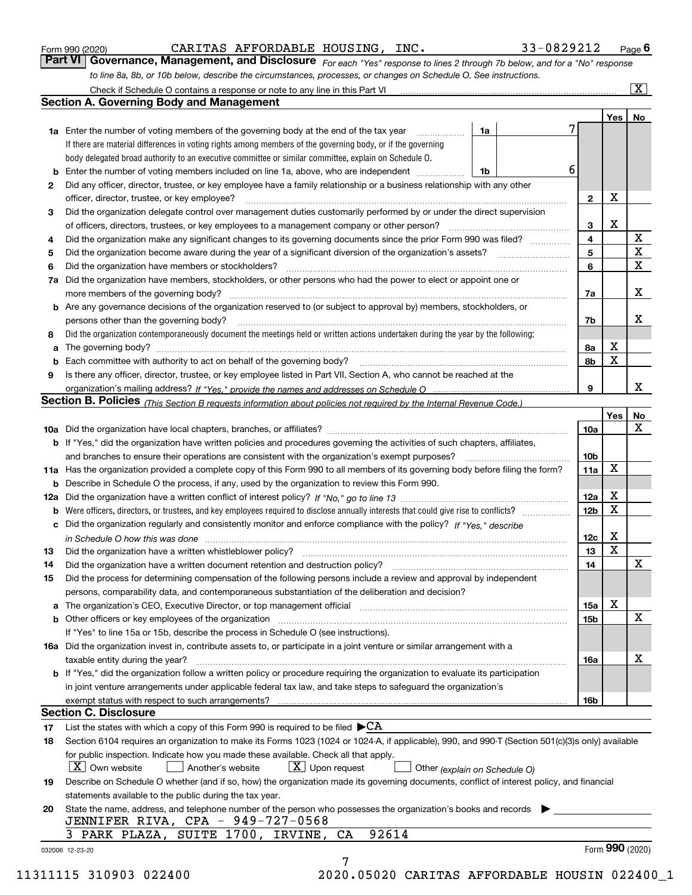|  | Form 990 (2020) |
|--|-----------------|
|  |                 |

CARITAS AFFORDABLE HOUSING, INC. 33-0829212

*For each "Yes" response to lines 2 through 7b below, and for a "No" response to line 8a, 8b, or 10b below, describe the circumstances, processes, or changes on Schedule O. See instructions.* Form 990 (2020) **CARITAS AFFORDABLE HOUSING, INC.** 33-0829212 Page 6<br>**Part VI Governance, Management, and Disclosure** For each "Yes" response to lines 2 through 7b below, and for a "No" response

|     | Check if Schedule O contains a response or note to any line in this Part VI                                                                                                                                                   |    |  |                 |             | $\overline{\mathbf{X}}$ |  |
|-----|-------------------------------------------------------------------------------------------------------------------------------------------------------------------------------------------------------------------------------|----|--|-----------------|-------------|-------------------------|--|
|     | <b>Section A. Governing Body and Management</b>                                                                                                                                                                               |    |  |                 |             |                         |  |
|     |                                                                                                                                                                                                                               |    |  |                 | Yes         | No                      |  |
|     | <b>1a</b> Enter the number of voting members of the governing body at the end of the tax year                                                                                                                                 | 1a |  |                 |             |                         |  |
|     | If there are material differences in voting rights among members of the governing body, or if the governing                                                                                                                   |    |  |                 |             |                         |  |
|     | body delegated broad authority to an executive committee or similar committee, explain on Schedule O.                                                                                                                         |    |  |                 |             |                         |  |
| b   | Enter the number of voting members included on line 1a, above, who are independent                                                                                                                                            | 1b |  | 6               |             |                         |  |
| 2   | Did any officer, director, trustee, or key employee have a family relationship or a business relationship with any other                                                                                                      |    |  |                 |             |                         |  |
|     | officer, director, trustee, or key employee?                                                                                                                                                                                  |    |  | $\mathbf{2}$    | X           |                         |  |
| 3   | Did the organization delegate control over management duties customarily performed by or under the direct supervision                                                                                                         |    |  |                 |             |                         |  |
|     | of officers, directors, trustees, or key employees to a management company or other person?                                                                                                                                   |    |  |                 |             |                         |  |
| 4   | Did the organization make any significant changes to its governing documents since the prior Form 990 was filed?                                                                                                              |    |  | 4               |             | X                       |  |
| 5   | Did the organization become aware during the year of a significant diversion of the organization's assets?                                                                                                                    |    |  | 5               |             | $\mathbf{x}$            |  |
| 6   | Did the organization have members or stockholders?                                                                                                                                                                            |    |  | 6               |             | X                       |  |
| 7a  | Did the organization have members, stockholders, or other persons who had the power to elect or appoint one or                                                                                                                |    |  |                 |             |                         |  |
|     | more members of the governing body?                                                                                                                                                                                           |    |  | 7a              |             | X                       |  |
|     | <b>b</b> Are any governance decisions of the organization reserved to (or subject to approval by) members, stockholders, or                                                                                                   |    |  |                 |             |                         |  |
|     | persons other than the governing body?                                                                                                                                                                                        |    |  | 7b              |             | x                       |  |
| 8   | Did the organization contemporaneously document the meetings held or written actions undertaken during the year by the following:                                                                                             |    |  |                 |             |                         |  |
| a   |                                                                                                                                                                                                                               |    |  | 8а              | X           |                         |  |
| b   |                                                                                                                                                                                                                               |    |  | 8b              | X           |                         |  |
| 9   | Is there any officer, director, trustee, or key employee listed in Part VII, Section A, who cannot be reached at the                                                                                                          |    |  |                 |             |                         |  |
|     |                                                                                                                                                                                                                               |    |  | 9               |             | x                       |  |
|     | Section B. Policies <sub>(This Section B requests information about policies not required by the Internal Revenue Code.)</sub>                                                                                                |    |  |                 |             |                         |  |
|     |                                                                                                                                                                                                                               |    |  |                 | Yes         | No                      |  |
|     |                                                                                                                                                                                                                               |    |  | 10a             |             | X                       |  |
|     |                                                                                                                                                                                                                               |    |  |                 |             |                         |  |
|     | <b>b</b> If "Yes," did the organization have written policies and procedures governing the activities of such chapters, affiliates,                                                                                           |    |  |                 |             |                         |  |
|     | and branches to ensure their operations are consistent with the organization's exempt purposes?                                                                                                                               |    |  | 10 <sub>b</sub> | $\mathbf X$ |                         |  |
|     | 11a Has the organization provided a complete copy of this Form 990 to all members of its governing body before filing the form?                                                                                               |    |  | 11a             |             |                         |  |
| b   | Describe in Schedule O the process, if any, used by the organization to review this Form 990.                                                                                                                                 |    |  |                 |             |                         |  |
| 12a |                                                                                                                                                                                                                               |    |  | 12a             | X           |                         |  |
| b   | Were officers, directors, or trustees, and key employees required to disclose annually interests that could give rise to conflicts?                                                                                           |    |  | 12 <sub>b</sub> | $\mathbf X$ |                         |  |
| с   | Did the organization regularly and consistently monitor and enforce compliance with the policy? If "Yes." describe                                                                                                            |    |  |                 |             |                         |  |
|     | in Schedule O how this was done measured and the control of the control of the state of the control of the cont                                                                                                               |    |  | 12c             | X           |                         |  |
| 13  | Did the organization have a written whistleblower policy?                                                                                                                                                                     |    |  | 13              | $\mathbf X$ |                         |  |
| 14  | Did the organization have a written document retention and destruction policy?                                                                                                                                                |    |  | 14              |             | х                       |  |
| 15  | Did the process for determining compensation of the following persons include a review and approval by independent                                                                                                            |    |  |                 |             |                         |  |
|     | persons, comparability data, and contemporaneous substantiation of the deliberation and decision?                                                                                                                             |    |  |                 |             |                         |  |
|     | The organization's CEO, Executive Director, or top management official manufactured contains and contained a support of the Director, or top management official manufactured and contain a support of the state of the state |    |  | 15a             | X           |                         |  |
| b   | Other officers or key employees of the organization                                                                                                                                                                           |    |  | 15b             |             | X                       |  |
|     | If "Yes" to line 15a or 15b, describe the process in Schedule O (see instructions).                                                                                                                                           |    |  |                 |             |                         |  |
|     | 16a Did the organization invest in, contribute assets to, or participate in a joint venture or similar arrangement with a                                                                                                     |    |  |                 |             |                         |  |
|     | taxable entity during the year?                                                                                                                                                                                               |    |  | 16a             |             | х                       |  |
|     | b If "Yes," did the organization follow a written policy or procedure requiring the organization to evaluate its participation                                                                                                |    |  |                 |             |                         |  |
|     | in joint venture arrangements under applicable federal tax law, and take steps to safeguard the organization's                                                                                                                |    |  |                 |             |                         |  |
|     | exempt status with respect to such arrangements?                                                                                                                                                                              |    |  | 16b             |             |                         |  |
|     | <b>Section C. Disclosure</b>                                                                                                                                                                                                  |    |  |                 |             |                         |  |
| 17  | List the states with which a copy of this Form 990 is required to be filed $\blacktriangleright$ CA                                                                                                                           |    |  |                 |             |                         |  |
| 18  | Section 6104 requires an organization to make its Forms 1023 (1024 or 1024-A, if applicable), 990, and 990-T (Section 501(c)(3)s only) available                                                                              |    |  |                 |             |                         |  |
|     | for public inspection. Indicate how you made these available. Check all that apply.                                                                                                                                           |    |  |                 |             |                         |  |
|     | $X$ Own website<br>$X$ Upon request<br>Another's website<br>Other (explain on Schedule O)                                                                                                                                     |    |  |                 |             |                         |  |
| 19  | Describe on Schedule O whether (and if so, how) the organization made its governing documents, conflict of interest policy, and financial                                                                                     |    |  |                 |             |                         |  |
|     | statements available to the public during the tax year.                                                                                                                                                                       |    |  |                 |             |                         |  |
| 20  | State the name, address, and telephone number of the person who possesses the organization's books and records                                                                                                                |    |  |                 |             |                         |  |
|     | JENNIFER RIVA, CPA - 949-727-0568                                                                                                                                                                                             |    |  |                 |             |                         |  |
|     | 92614<br>PARK PLAZA, SUITE 1700, IRVINE,<br>CA                                                                                                                                                                                |    |  |                 |             |                         |  |
|     | 032006 12-23-20                                                                                                                                                                                                               |    |  |                 |             | Form 990 (2020)         |  |
|     | 7                                                                                                                                                                                                                             |    |  |                 |             |                         |  |
|     |                                                                                                                                                                                                                               |    |  |                 |             |                         |  |

11311115 310903 022400 2020.05020 CARITAS AFFORDABLE HOUSIN 022400\_1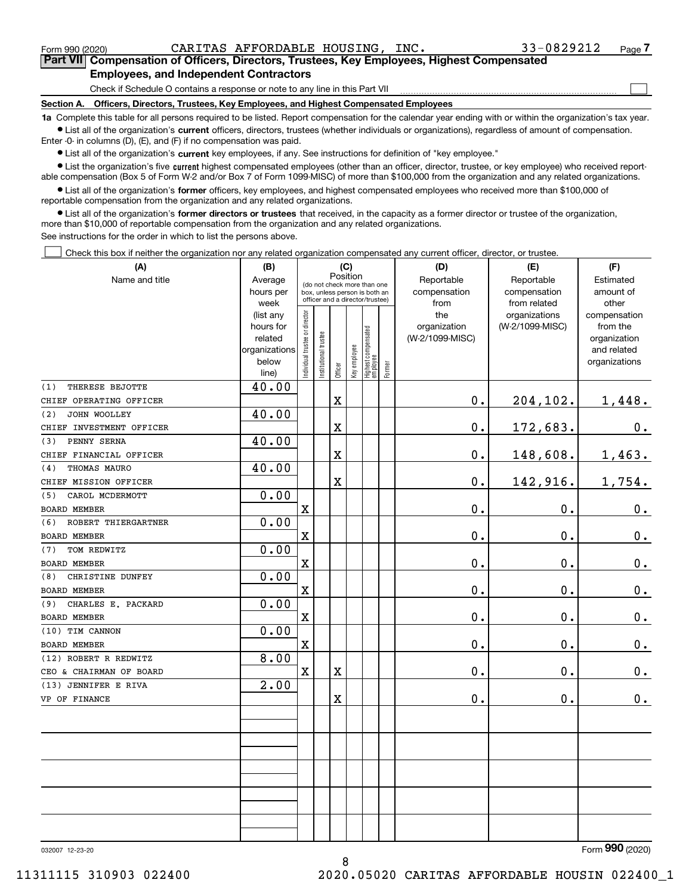$\mathcal{L}^{\text{max}}$ 

**7Part VII Compensation of Officers, Directors, Trustees, Key Employees, Highest Compensated Employees, and Independent Contractors**

Check if Schedule O contains a response or note to any line in this Part VII

**Section A. Officers, Directors, Trustees, Key Employees, and Highest Compensated Employees**

**1a**  Complete this table for all persons required to be listed. Report compensation for the calendar year ending with or within the organization's tax year. **•** List all of the organization's current officers, directors, trustees (whether individuals or organizations), regardless of amount of compensation.

Enter -0- in columns (D), (E), and (F) if no compensation was paid.

 $\bullet$  List all of the organization's  $\,$ current key employees, if any. See instructions for definition of "key employee."

**•** List the organization's five current highest compensated employees (other than an officer, director, trustee, or key employee) who received reportable compensation (Box 5 of Form W-2 and/or Box 7 of Form 1099-MISC) of more than \$100,000 from the organization and any related organizations.

**•** List all of the organization's former officers, key employees, and highest compensated employees who received more than \$100,000 of reportable compensation from the organization and any related organizations.

**former directors or trustees**  ¥ List all of the organization's that received, in the capacity as a former director or trustee of the organization, more than \$10,000 of reportable compensation from the organization and any related organizations.

See instructions for the order in which to list the persons above.

Check this box if neither the organization nor any related organization compensated any current officer, director, or trustee.  $\mathcal{L}^{\text{max}}$ 

| (A)                        | (B)                    | (C)                                     |                                 | (D)        | (E)          | (F)                               |           |                 |                 |                             |
|----------------------------|------------------------|-----------------------------------------|---------------------------------|------------|--------------|-----------------------------------|-----------|-----------------|-----------------|-----------------------------|
| Name and title             | Average                | Position<br>(do not check more than one |                                 | Reportable | Reportable   | Estimated                         |           |                 |                 |                             |
|                            | hours per              |                                         | box, unless person is both an   |            | compensation | compensation                      | amount of |                 |                 |                             |
|                            | week                   |                                         | officer and a director/trustee) |            | from         | from related                      | other     |                 |                 |                             |
|                            | (list any              |                                         |                                 |            |              |                                   |           | the             | organizations   | compensation                |
|                            | hours for              |                                         |                                 |            |              |                                   |           | organization    | (W-2/1099-MISC) | from the                    |
|                            | related                |                                         |                                 |            |              |                                   |           | (W-2/1099-MISC) |                 | organization<br>and related |
|                            | organizations<br>below |                                         |                                 |            |              |                                   |           |                 |                 | organizations               |
|                            | line)                  | Individual trustee or director          | Institutional trustee           | Officer    | Key employee | Highest compensated<br>  employee | Former    |                 |                 |                             |
| THERESE BEJOTTE<br>(1)     | 40.00                  |                                         |                                 |            |              |                                   |           |                 |                 |                             |
| CHIEF OPERATING OFFICER    |                        |                                         |                                 | X          |              |                                   |           | 0.              | 204,102.        | 1,448.                      |
| JOHN WOOLLEY<br>(2)        | 40.00                  |                                         |                                 |            |              |                                   |           |                 |                 |                             |
| CHIEF INVESTMENT OFFICER   |                        |                                         |                                 | X          |              |                                   |           | $0$ .           | 172,683.        | 0.                          |
| PENNY SERNA<br>(3)         | 40.00                  |                                         |                                 |            |              |                                   |           |                 |                 |                             |
| CHIEF FINANCIAL OFFICER    |                        |                                         |                                 | X          |              |                                   |           | 0.              | 148,608.        | 1,463.                      |
| THOMAS MAURO<br>(4)        | 40.00                  |                                         |                                 |            |              |                                   |           |                 |                 |                             |
| CHIEF MISSION OFFICER      |                        |                                         |                                 | X          |              |                                   |           | 0.              | 142,916.        | 1,754.                      |
| CAROL MCDERMOTT<br>(5)     | 0.00                   |                                         |                                 |            |              |                                   |           |                 |                 |                             |
| <b>BOARD MEMBER</b>        |                        | $\mathbf X$                             |                                 |            |              |                                   |           | 0.              | 0.              | $0_{\cdot}$                 |
| ROBERT THIERGARTNER<br>(6) | 0.00                   |                                         |                                 |            |              |                                   |           |                 |                 |                             |
| <b>BOARD MEMBER</b>        |                        | $\mathbf X$                             |                                 |            |              |                                   |           | 0.              | 0.              | $0_{.}$                     |
| TOM REDWITZ<br>(7)         | 0.00                   |                                         |                                 |            |              |                                   |           |                 |                 |                             |
| <b>BOARD MEMBER</b>        |                        | $\mathbf x$                             |                                 |            |              |                                   |           | $0$ .           | $0$ .           | $\mathbf 0$ .               |
| CHRISTINE DUNFEY<br>(8)    | 0.00                   |                                         |                                 |            |              |                                   |           |                 |                 |                             |
| BOARD MEMBER               |                        | $\overline{\textbf{X}}$                 |                                 |            |              |                                   |           | 0.              | 0.              | $\mathbf 0$ .               |
| CHARLES E. PACKARD<br>(9)  | 0.00                   |                                         |                                 |            |              |                                   |           |                 |                 |                             |
| <b>BOARD MEMBER</b>        |                        | $\mathbf X$                             |                                 |            |              |                                   |           | 0.              | 0.              | $0_{.}$                     |
| (10) TIM CANNON            | 0.00                   |                                         |                                 |            |              |                                   |           |                 |                 |                             |
| <b>BOARD MEMBER</b>        |                        | $\mathbf x$                             |                                 |            |              |                                   |           | 0.              | 0.              | $0_{.}$                     |
| (12) ROBERT R REDWITZ      | 8.00                   |                                         |                                 |            |              |                                   |           |                 |                 |                             |
| CEO & CHAIRMAN OF BOARD    |                        | $\mathbf X$                             |                                 | X          |              |                                   |           | 0.              | 0.              | $0_{.}$                     |
| (13) JENNIFER E RIVA       | 2.00                   |                                         |                                 |            |              |                                   |           |                 |                 |                             |
| VP OF FINANCE              |                        |                                         |                                 | X          |              |                                   |           | 0.              | 0.              | $\mathbf 0$ .               |
|                            |                        |                                         |                                 |            |              |                                   |           |                 |                 |                             |
|                            |                        |                                         |                                 |            |              |                                   |           |                 |                 |                             |
|                            |                        |                                         |                                 |            |              |                                   |           |                 |                 |                             |
|                            |                        |                                         |                                 |            |              |                                   |           |                 |                 |                             |
|                            |                        |                                         |                                 |            |              |                                   |           |                 |                 |                             |
|                            |                        |                                         |                                 |            |              |                                   |           |                 |                 |                             |
|                            |                        |                                         |                                 |            |              |                                   |           |                 |                 |                             |
|                            |                        |                                         |                                 |            |              |                                   |           |                 |                 |                             |
|                            |                        |                                         |                                 |            |              |                                   |           |                 |                 |                             |
|                            |                        |                                         |                                 |            |              |                                   |           |                 |                 | <b>non</b>                  |

032007 12-23-20

Form (2020) **990**

8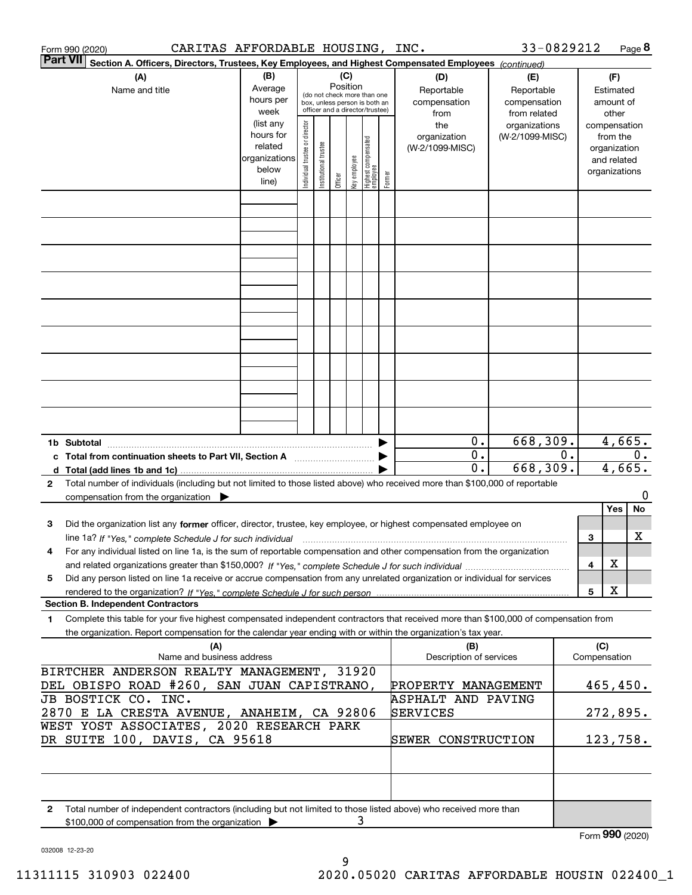| Form 990 (2020)                            | CARITAS AFFORDABLE HOUSING, INC.                                                                                                        |                      |                                |                           |                    |                     |                                                                  |          |                             | 33-0829212                   |                  |     |                    | Page 8 |
|--------------------------------------------|-----------------------------------------------------------------------------------------------------------------------------------------|----------------------|--------------------------------|---------------------------|--------------------|---------------------|------------------------------------------------------------------|----------|-----------------------------|------------------------------|------------------|-----|--------------------|--------|
| <b>Part VII</b>                            | Section A. Officers, Directors, Trustees, Key Employees, and Highest Compensated Employees (continued)                                  |                      |                                |                           |                    |                     |                                                                  |          |                             |                              |                  |     |                    |        |
|                                            | (A)                                                                                                                                     | (B)                  |                                |                           | (C)<br>Position    |                     |                                                                  |          | (D)                         | (E)                          |                  |     | (F)                |        |
|                                            | Name and title                                                                                                                          | Average<br>hours per |                                |                           |                    |                     | (do not check more than one                                      |          | Reportable                  | Reportable                   |                  |     | Estimated          |        |
|                                            |                                                                                                                                         | week                 |                                |                           |                    |                     | box, unless person is both an<br>officer and a director/trustee) |          | compensation<br>from        | compensation<br>from related |                  |     | amount of<br>other |        |
|                                            |                                                                                                                                         | (list any            |                                |                           |                    |                     |                                                                  |          | the                         | organizations                |                  |     | compensation       |        |
|                                            |                                                                                                                                         | hours for            |                                |                           |                    |                     |                                                                  |          | organization                | (W-2/1099-MISC)              |                  |     | from the           |        |
|                                            |                                                                                                                                         | related              |                                |                           |                    |                     |                                                                  |          | (W-2/1099-MISC)             |                              |                  |     | organization       |        |
|                                            |                                                                                                                                         | organizations        |                                |                           |                    |                     |                                                                  |          |                             |                              |                  |     | and related        |        |
|                                            |                                                                                                                                         | below                | Individual trustee or director | In stitutional trustee    | Officer            | key employee        | Highest compensated<br>employee                                  | Former   |                             |                              |                  |     | organizations      |        |
|                                            |                                                                                                                                         | line)                |                                |                           |                    |                     |                                                                  |          |                             |                              |                  |     |                    |        |
|                                            |                                                                                                                                         |                      |                                |                           |                    |                     |                                                                  |          |                             |                              |                  |     |                    |        |
|                                            |                                                                                                                                         |                      |                                |                           |                    |                     |                                                                  |          |                             |                              |                  |     |                    |        |
|                                            |                                                                                                                                         |                      |                                |                           |                    |                     |                                                                  |          |                             |                              |                  |     |                    |        |
|                                            |                                                                                                                                         |                      |                                |                           |                    |                     |                                                                  |          |                             |                              |                  |     |                    |        |
|                                            |                                                                                                                                         |                      |                                |                           |                    |                     |                                                                  |          |                             |                              |                  |     |                    |        |
|                                            |                                                                                                                                         |                      |                                |                           |                    |                     |                                                                  |          |                             |                              |                  |     |                    |        |
|                                            |                                                                                                                                         |                      |                                |                           |                    |                     |                                                                  |          |                             |                              |                  |     |                    |        |
|                                            |                                                                                                                                         |                      |                                |                           |                    |                     |                                                                  |          |                             |                              |                  |     |                    |        |
|                                            |                                                                                                                                         |                      |                                |                           |                    |                     |                                                                  |          |                             |                              |                  |     |                    |        |
|                                            |                                                                                                                                         |                      |                                |                           |                    |                     |                                                                  |          |                             |                              |                  |     |                    |        |
|                                            |                                                                                                                                         |                      |                                |                           |                    |                     |                                                                  |          |                             |                              |                  |     |                    |        |
|                                            |                                                                                                                                         |                      |                                |                           |                    |                     |                                                                  |          |                             |                              |                  |     |                    |        |
| 1b Subtotal                                |                                                                                                                                         |                      |                                |                           |                    |                     |                                                                  |          | 0.                          | 668, 309.                    |                  |     | 4,665.             |        |
|                                            | c Total from continuation sheets to Part VII, Section A                                                                                 |                      |                                |                           |                    |                     |                                                                  |          | $\overline{0}$ .            |                              | $\overline{0}$ . |     |                    | 0.     |
|                                            |                                                                                                                                         |                      |                                |                           |                    |                     |                                                                  |          | $\overline{\mathfrak{o}}$ . | 668, 309.                    |                  |     | 4,665.             |        |
| 2                                          | Total number of individuals (including but not limited to those listed above) who received more than \$100,000 of reportable            |                      |                                |                           |                    |                     |                                                                  |          |                             |                              |                  |     |                    |        |
|                                            | compensation from the organization                                                                                                      |                      |                                |                           |                    |                     |                                                                  |          |                             |                              |                  |     |                    | 0      |
|                                            |                                                                                                                                         |                      |                                |                           |                    |                     |                                                                  |          |                             |                              |                  |     | Yes                | No     |
| з                                          | Did the organization list any former officer, director, trustee, key employee, or highest compensated employee on                       |                      |                                |                           |                    |                     |                                                                  |          |                             |                              |                  |     |                    |        |
|                                            | line 1a? If "Yes," complete Schedule J for such individual manufactured contained and the Yes," complete Schedule J for such individual |                      |                                |                           |                    |                     |                                                                  |          |                             |                              |                  | 3   |                    | х      |
| 4                                          | For any individual listed on line 1a, is the sum of reportable compensation and other compensation from the organization                |                      |                                |                           |                    |                     |                                                                  |          |                             |                              |                  |     |                    |        |
|                                            |                                                                                                                                         |                      |                                |                           |                    |                     |                                                                  |          |                             |                              |                  | 4   | X                  |        |
| 5                                          | Did any person listed on line 1a receive or accrue compensation from any unrelated organization or individual for services              |                      |                                |                           |                    |                     |                                                                  |          |                             |                              |                  |     | X                  |        |
|                                            | <b>Section B. Independent Contractors</b>                                                                                               |                      |                                |                           |                    |                     |                                                                  |          |                             |                              |                  | 5   |                    |        |
| 1                                          | Complete this table for your five highest compensated independent contractors that received more than \$100,000 of compensation from    |                      |                                |                           |                    |                     |                                                                  |          |                             |                              |                  |     |                    |        |
|                                            | the organization. Report compensation for the calendar year ending with or within the organization's tax year.                          |                      |                                |                           |                    |                     |                                                                  |          |                             |                              |                  |     |                    |        |
|                                            | (A)                                                                                                                                     |                      |                                |                           |                    |                     |                                                                  |          | (B)                         |                              |                  | (C) |                    |        |
|                                            | Name and business address                                                                                                               |                      |                                |                           |                    |                     |                                                                  |          | Description of services     |                              |                  |     | Compensation       |        |
|                                            | BIRTCHER ANDERSON REALTY MANAGEMENT, 31920<br>DEL OBISPO ROAD #260, SAN JUAN CAPISTRANO,                                                |                      |                                |                           |                    | PROPERTY MANAGEMENT |                                                                  |          |                             | 465,450.                     |                  |     |                    |        |
| JB BOSTICK CO. INC.                        |                                                                                                                                         |                      |                                | <b>ASPHALT AND PAVING</b> |                    |                     |                                                                  |          |                             |                              |                  |     |                    |        |
| 2870 E LA CRESTA AVENUE, ANAHEIM, CA 92806 |                                                                                                                                         |                      |                                | SERVICES                  |                    |                     |                                                                  | 272,895. |                             |                              |                  |     |                    |        |
| WEST YOST ASSOCIATES, 2020 RESEARCH PARK   |                                                                                                                                         |                      |                                |                           |                    |                     |                                                                  |          |                             |                              |                  |     |                    |        |
| DR SUITE 100, DAVIS, CA 95618              |                                                                                                                                         |                      |                                |                           | SEWER CONSTRUCTION |                     |                                                                  |          | 123,758.                    |                              |                  |     |                    |        |
|                                            |                                                                                                                                         |                      |                                |                           |                    |                     |                                                                  |          |                             |                              |                  |     |                    |        |
|                                            |                                                                                                                                         |                      |                                |                           |                    |                     |                                                                  |          |                             |                              |                  |     |                    |        |
|                                            |                                                                                                                                         |                      |                                |                           |                    |                     |                                                                  |          |                             |                              |                  |     |                    |        |
| $\mathbf{2}$                               | Total number of independent contractors (including but not limited to those listed above) who received more than                        |                      |                                |                           |                    |                     |                                                                  |          |                             |                              |                  |     |                    |        |
|                                            | \$100,000 of compensation from the organization                                                                                         |                      |                                |                           |                    | 3                   |                                                                  |          |                             |                              |                  |     | Form 990 (2020)    |        |

032008 12-23-20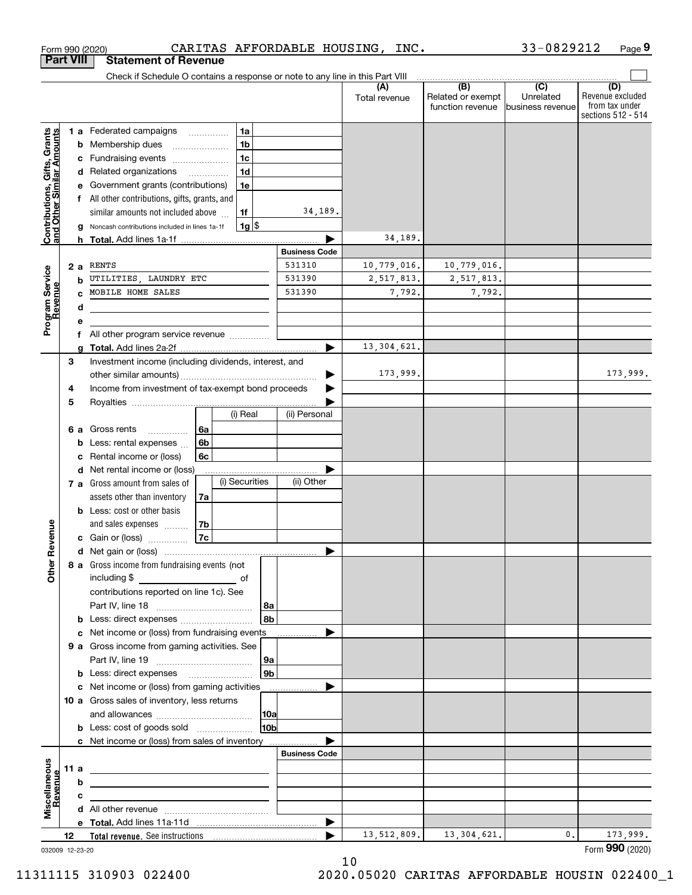|                                               | <b>Part VIII</b> | <b>Statement of Revenue</b>                                                   |                    |                      |                      |                                              |                                                 |                                                                 |
|-----------------------------------------------|------------------|-------------------------------------------------------------------------------|--------------------|----------------------|----------------------|----------------------------------------------|-------------------------------------------------|-----------------------------------------------------------------|
|                                               |                  | Check if Schedule O contains a response or note to any line in this Part VIII |                    |                      |                      |                                              |                                                 |                                                                 |
|                                               |                  |                                                                               |                    |                      | (A)<br>Total revenue | (B)<br>Related or exempt<br>function revenue | $\overline{C}$<br>Unrelated<br>business revenue | (D)<br>Revenue excluded<br>from tax under<br>sections 512 - 514 |
|                                               |                  | <b>1 a</b> Federated campaigns                                                | 1a<br>.            |                      |                      |                                              |                                                 |                                                                 |
| i, Grants<br>Imounts                          |                  | <b>b</b> Membership dues                                                      | 1 <sub>b</sub>     |                      |                      |                                              |                                                 |                                                                 |
|                                               | c                | Fundraising events                                                            | 1 <sub>c</sub>     |                      |                      |                                              |                                                 |                                                                 |
|                                               |                  | d Related organizations                                                       | 1 <sub>d</sub>     |                      |                      |                                              |                                                 |                                                                 |
|                                               | е                | Government grants (contributions)                                             | 1e                 |                      |                      |                                              |                                                 |                                                                 |
|                                               | f                | All other contributions, gifts, grants, and                                   |                    |                      |                      |                                              |                                                 |                                                                 |
|                                               |                  | similar amounts not included above                                            | 1f                 | 34,189.              |                      |                                              |                                                 |                                                                 |
| Contributions, Gifts,<br>and Other Similar Ar |                  | Noncash contributions included in lines 1a-1f                                 | $1g$ $\frac{1}{3}$ |                      |                      |                                              |                                                 |                                                                 |
|                                               |                  |                                                                               |                    |                      | 34,189.              |                                              |                                                 |                                                                 |
|                                               |                  |                                                                               |                    | <b>Business Code</b> |                      |                                              |                                                 |                                                                 |
|                                               | 2a               | RENTS<br>UTILITIES, LAUNDRY ETC                                               |                    | 531310<br>531390     | 10,779,016.          | 10,779,016.<br>2,517,813.                    |                                                 |                                                                 |
|                                               | b<br>C.          | MOBILE HOME SALES                                                             |                    | 531390               | 2,517,813.<br>7,792. | 7,792.                                       |                                                 |                                                                 |
|                                               | d                |                                                                               |                    |                      |                      |                                              |                                                 |                                                                 |
| Program Service<br>Revenue                    | e                |                                                                               |                    |                      |                      |                                              |                                                 |                                                                 |
|                                               | f                | All other program service revenue                                             |                    |                      |                      |                                              |                                                 |                                                                 |
|                                               | q                |                                                                               |                    | ▶                    | 13, 304, 621.        |                                              |                                                 |                                                                 |
|                                               | 3                | Investment income (including dividends, interest, and                         |                    |                      |                      |                                              |                                                 |                                                                 |
|                                               |                  |                                                                               |                    |                      | 173,999.             |                                              |                                                 | 173,999.                                                        |
|                                               | 4                | Income from investment of tax-exempt bond proceeds                            |                    |                      |                      |                                              |                                                 |                                                                 |
|                                               | 5                |                                                                               |                    |                      |                      |                                              |                                                 |                                                                 |
|                                               |                  |                                                                               | (i) Real           | (ii) Personal        |                      |                                              |                                                 |                                                                 |
|                                               | 6а               | Gross rents<br>6a<br>.                                                        |                    |                      |                      |                                              |                                                 |                                                                 |
|                                               | b                | 6 <sub>b</sub><br>Less: rental expenses                                       |                    |                      |                      |                                              |                                                 |                                                                 |
|                                               | c                | Rental income or (loss)<br>6с                                                 |                    |                      |                      |                                              |                                                 |                                                                 |
|                                               |                  | d Net rental income or (loss)                                                 | (i) Securities     | (ii) Other           |                      |                                              |                                                 |                                                                 |
|                                               |                  | 7 a Gross amount from sales of                                                |                    |                      |                      |                                              |                                                 |                                                                 |
|                                               |                  | assets other than inventory<br>7a<br><b>b</b> Less: cost or other basis       |                    |                      |                      |                                              |                                                 |                                                                 |
|                                               |                  | 7b<br>and sales expenses                                                      |                    |                      |                      |                                              |                                                 |                                                                 |
| Revenue                                       |                  | 7c<br>c Gain or (loss)                                                        |                    |                      |                      |                                              |                                                 |                                                                 |
|                                               |                  |                                                                               |                    |                      |                      |                                              |                                                 |                                                                 |
|                                               |                  | 8 a Gross income from fundraising events (not                                 |                    |                      |                      |                                              |                                                 |                                                                 |
| Othe                                          |                  | including \$<br><u>of</u> of                                                  |                    |                      |                      |                                              |                                                 |                                                                 |
|                                               |                  | contributions reported on line 1c). See                                       |                    |                      |                      |                                              |                                                 |                                                                 |
|                                               |                  |                                                                               |                    | 8a                   |                      |                                              |                                                 |                                                                 |
|                                               |                  |                                                                               |                    | 8b                   |                      |                                              |                                                 |                                                                 |
|                                               |                  | c Net income or (loss) from fundraising events                                |                    |                      |                      |                                              |                                                 |                                                                 |
|                                               |                  | 9 a Gross income from gaming activities. See                                  |                    |                      |                      |                                              |                                                 |                                                                 |
|                                               |                  |                                                                               |                    | 9a                   |                      |                                              |                                                 |                                                                 |
|                                               |                  | <b>b</b> Less: direct expenses <b>manually</b>                                |                    | 9 <sub>b</sub>       |                      |                                              |                                                 |                                                                 |
|                                               |                  | c Net income or (loss) from gaming activities _______________                 |                    |                      |                      |                                              |                                                 |                                                                 |
|                                               |                  | 10 a Gross sales of inventory, less returns                                   |                    |                      |                      |                                              |                                                 |                                                                 |
|                                               |                  | <b>b</b> Less: cost of goods sold                                             |                    | 10a<br>10bl          |                      |                                              |                                                 |                                                                 |
|                                               |                  | c Net income or (loss) from sales of inventory                                |                    |                      |                      |                                              |                                                 |                                                                 |
|                                               |                  |                                                                               |                    | <b>Business Code</b> |                      |                                              |                                                 |                                                                 |
|                                               | 11 a             | <u> 1989 - Johann Barbara, martxa alemaniar a</u>                             |                    |                      |                      |                                              |                                                 |                                                                 |
| evenue                                        | b                |                                                                               |                    |                      |                      |                                              |                                                 |                                                                 |
|                                               | с                |                                                                               |                    |                      |                      |                                              |                                                 |                                                                 |
| Miscellaneous                                 |                  |                                                                               |                    |                      |                      |                                              |                                                 |                                                                 |
|                                               |                  |                                                                               |                    | ▶                    |                      |                                              |                                                 |                                                                 |
|                                               | 12               |                                                                               |                    |                      | 13,512,809.          | 13, 304, 621.                                | 0.                                              | 173,999.                                                        |
|                                               | 032009 12-23-20  |                                                                               |                    |                      |                      |                                              |                                                 | Form 990 (2020)                                                 |

Form 990 (2020) CARITAS AFFORDABLE HOUSING, INC. 33-0829212 Page

**9**

33-0829212

10 11311115 310903 022400 2020.05020 CARITAS AFFORDABLE HOUSIN 022400\_1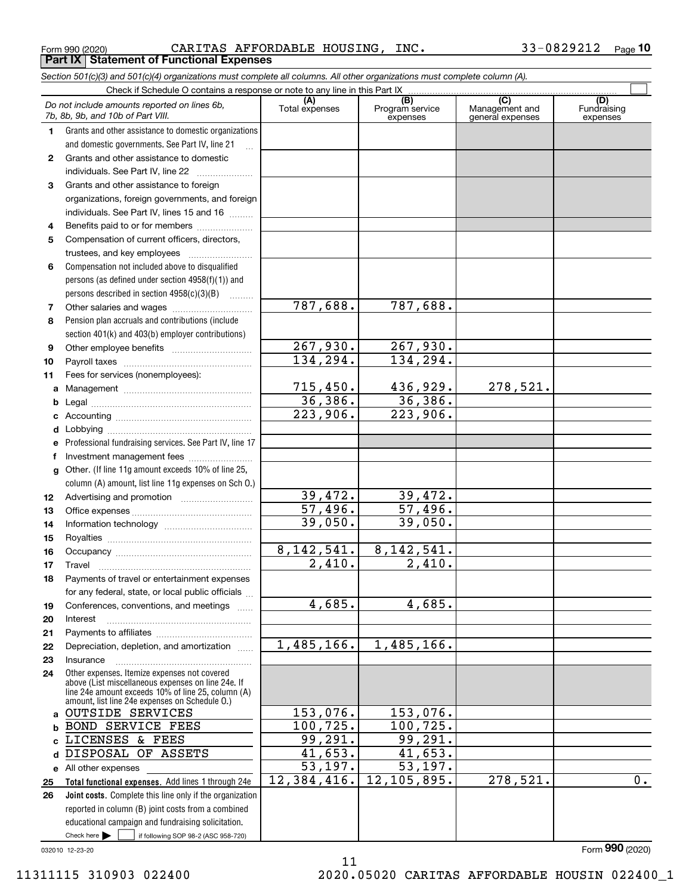Form 990 (2020) Page **Part IX Statement of Functional Expenses** CARITAS AFFORDABLE HOUSING, INC. 33-0829212

*Section 501(c)(3) and 501(c)(4) organizations must complete all columns. All other organizations must complete column (A).*

|              | Do not include amounts reported on lines 6b,<br>7b, 8b, 9b, and 10b of Part VIII.                              | (A)<br>Total expenses  | (B)<br>Program service<br>expenses | $\overline{C}$<br>Management and<br>general expenses | (D)<br>Fundraising<br>expenses |
|--------------|----------------------------------------------------------------------------------------------------------------|------------------------|------------------------------------|------------------------------------------------------|--------------------------------|
| 1.           | Grants and other assistance to domestic organizations                                                          |                        |                                    |                                                      |                                |
|              | and domestic governments. See Part IV, line 21                                                                 |                        |                                    |                                                      |                                |
| $\mathbf{2}$ | Grants and other assistance to domestic                                                                        |                        |                                    |                                                      |                                |
|              | individuals. See Part IV, line 22                                                                              |                        |                                    |                                                      |                                |
| З.           | Grants and other assistance to foreign                                                                         |                        |                                    |                                                      |                                |
|              | organizations, foreign governments, and foreign                                                                |                        |                                    |                                                      |                                |
|              | individuals. See Part IV, lines 15 and 16                                                                      |                        |                                    |                                                      |                                |
| 4            | Benefits paid to or for members                                                                                |                        |                                    |                                                      |                                |
| 5            | Compensation of current officers, directors,                                                                   |                        |                                    |                                                      |                                |
|              |                                                                                                                |                        |                                    |                                                      |                                |
| 6            | Compensation not included above to disqualified                                                                |                        |                                    |                                                      |                                |
|              | persons (as defined under section 4958(f)(1)) and                                                              |                        |                                    |                                                      |                                |
|              | persons described in section 4958(c)(3)(B)                                                                     |                        |                                    |                                                      |                                |
| 7            |                                                                                                                | 787,688.               | 787,688.                           |                                                      |                                |
| 8            | Pension plan accruals and contributions (include                                                               |                        |                                    |                                                      |                                |
|              | section 401(k) and 403(b) employer contributions)                                                              |                        |                                    |                                                      |                                |
| 9            |                                                                                                                | $\overline{267,930}$ . | 267,930.                           |                                                      |                                |
| 10           |                                                                                                                | 134, 294.              | 134, 294.                          |                                                      |                                |
| 11           | Fees for services (nonemployees):                                                                              |                        |                                    |                                                      |                                |
| a            |                                                                                                                | 715,450.               | 436,929.                           | 278,521.                                             |                                |
| b            |                                                                                                                | 36,386.                | 36,386.                            |                                                      |                                |
| c            |                                                                                                                | 223,906.               | $\overline{223,906}$ .             |                                                      |                                |
| d            |                                                                                                                |                        |                                    |                                                      |                                |
| е            | Professional fundraising services. See Part IV, line 17                                                        |                        |                                    |                                                      |                                |
| f            | Investment management fees                                                                                     |                        |                                    |                                                      |                                |
| g            | Other. (If line 11g amount exceeds 10% of line 25,                                                             |                        |                                    |                                                      |                                |
|              | column (A) amount, list line 11g expenses on Sch 0.)                                                           |                        |                                    |                                                      |                                |
| 12           |                                                                                                                | 39,472.                | 39,472.                            |                                                      |                                |
| 13           |                                                                                                                | 57,496.                | 57,496.                            |                                                      |                                |
| 14           |                                                                                                                | 39,050.                | 39,050.                            |                                                      |                                |
| 15           |                                                                                                                |                        |                                    |                                                      |                                |
| 16           |                                                                                                                | 8, 142, 541.           | 8, 142, 541.                       |                                                      |                                |
| 17           | Travel                                                                                                         | $\overline{2,410}$ .   | $\overline{2,410}$ .               |                                                      |                                |
| 18           | Payments of travel or entertainment expenses                                                                   |                        |                                    |                                                      |                                |
|              | for any federal, state, or local public officials                                                              |                        |                                    |                                                      |                                |
| 19           | Conferences, conventions, and meetings                                                                         | 4,685.                 | 4,685.                             |                                                      |                                |
| 20           | Interest                                                                                                       |                        |                                    |                                                      |                                |
| 21           |                                                                                                                |                        |                                    |                                                      |                                |
| 22           | Depreciation, depletion, and amortization                                                                      | 1,485,166.             | 1,485,166.                         |                                                      |                                |
| 23           | Insurance                                                                                                      |                        |                                    |                                                      |                                |
| 24           | Other expenses. Itemize expenses not covered<br>above (List miscellaneous expenses on line 24e. If             |                        |                                    |                                                      |                                |
|              | line 24e amount exceeds 10% of line 25, column (A)                                                             |                        |                                    |                                                      |                                |
|              | amount, list line 24e expenses on Schedule O.)<br>a OUTSIDE SERVICES                                           | 153,076.               | 153,076.                           |                                                      |                                |
|              | <b>BOND SERVICE FEES</b>                                                                                       | 100, 725.              | 100, 725.                          |                                                      |                                |
| b            | LICENSES & FEES                                                                                                | 99,291.                | 99,291.                            |                                                      |                                |
| c.           | DISPOSAL OF ASSETS                                                                                             | 41,653.                | 41,653.                            |                                                      |                                |
| d            |                                                                                                                | 53,197.                | 53, 197.                           |                                                      |                                |
|              | e All other expenses                                                                                           | 12,384,416.            | 12, 105, 895.                      | 278,521.                                             | $\overline{0}$ .               |
| 25<br>26     | Total functional expenses. Add lines 1 through 24e<br>Joint costs. Complete this line only if the organization |                        |                                    |                                                      |                                |
|              | reported in column (B) joint costs from a combined                                                             |                        |                                    |                                                      |                                |
|              | educational campaign and fundraising solicitation.                                                             |                        |                                    |                                                      |                                |
|              | Check here $\blacktriangleright$<br>if following SOP 98-2 (ASC 958-720)                                        |                        |                                    |                                                      |                                |
|              |                                                                                                                |                        |                                    |                                                      |                                |

11

032010 12-23-20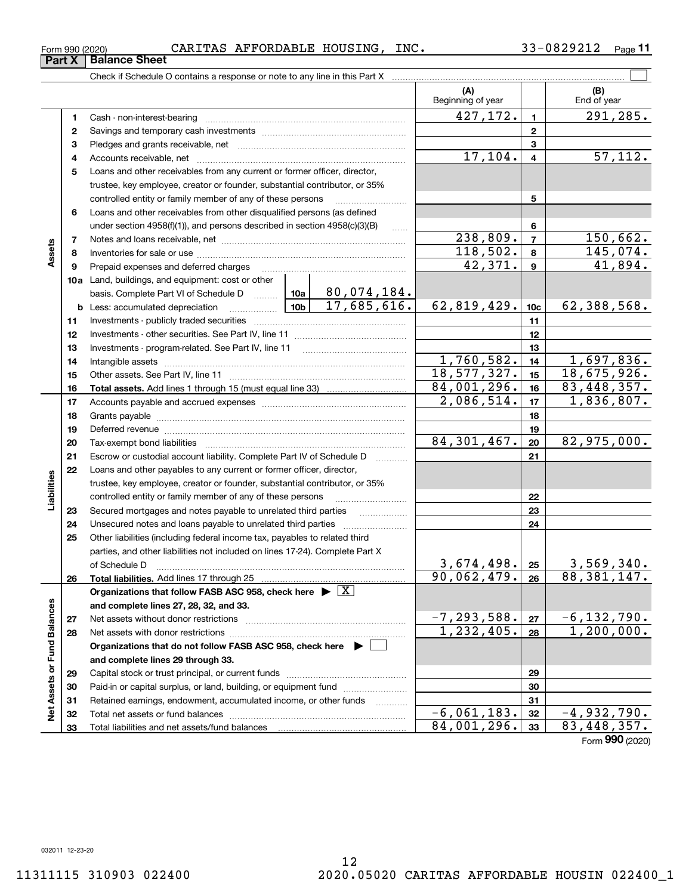|                             |    |                                                                                           |            |          | (A)<br>Beginning of year |                         | (B)<br>End of year               |
|-----------------------------|----|-------------------------------------------------------------------------------------------|------------|----------|--------------------------|-------------------------|----------------------------------|
|                             | 1  |                                                                                           |            |          | 427,172.                 | $\mathbf{1}$            | $\overline{291,285}$ .           |
|                             | 2  |                                                                                           |            |          |                          | $\mathbf{2}$            |                                  |
|                             | з  |                                                                                           |            |          |                          | 3                       |                                  |
|                             | 4  |                                                                                           |            |          | 17,104.                  | $\overline{\mathbf{4}}$ | $\overline{57,112.}$             |
|                             | 5  | Loans and other receivables from any current or former officer, director,                 |            |          |                          |                         |                                  |
|                             |    | trustee, key employee, creator or founder, substantial contributor, or 35%                |            |          |                          |                         |                                  |
|                             |    | controlled entity or family member of any of these persons                                |            |          |                          | 5                       |                                  |
|                             | 6  | Loans and other receivables from other disqualified persons (as defined                   |            |          |                          |                         |                                  |
|                             |    | under section 4958(f)(1)), and persons described in section 4958(c)(3)(B)                 |            |          |                          | 6                       |                                  |
|                             | 7  |                                                                                           |            | $\ldots$ | 238,809.                 | $\overline{7}$          | 150,662.                         |
| Assets                      | 8  |                                                                                           |            |          | 118,502.                 | 8                       | 145,074.                         |
|                             | 9  | Prepaid expenses and deferred charges                                                     |            |          | 42,371.                  | $\boldsymbol{9}$        | 41,894.                          |
|                             |    | 10a Land, buildings, and equipment: cost or other                                         |            |          |                          |                         |                                  |
|                             |    |                                                                                           |            |          |                          |                         |                                  |
|                             |    | <b>b</b> Less: accumulated depreciation                                                   |            |          | 62,819,429.              | 10 <sub>c</sub>         | 62,388,568.                      |
|                             | 11 |                                                                                           |            |          |                          | 11                      |                                  |
|                             | 12 |                                                                                           |            |          |                          | 12                      |                                  |
|                             | 13 |                                                                                           |            |          |                          | 13                      |                                  |
|                             | 14 |                                                                                           |            |          | 1,760,582.               | 14                      | 1,697,836.                       |
|                             | 15 |                                                                                           |            |          | 18,577,327.              | 15                      | 18,675,926.                      |
|                             | 16 |                                                                                           |            |          | 84,001,296.              | 16                      | 83, 448, 357.                    |
|                             | 17 |                                                                                           |            |          | 2,086,514.               | 17                      | 1,836,807.                       |
|                             | 18 |                                                                                           |            |          |                          | 18                      |                                  |
|                             | 19 |                                                                                           |            |          |                          | 19                      |                                  |
|                             | 20 |                                                                                           |            |          | 84, 301, 467.            | 20                      | 82,975,000.                      |
|                             | 21 | Escrow or custodial account liability. Complete Part IV of Schedule D                     |            |          |                          | 21                      |                                  |
|                             | 22 | Loans and other payables to any current or former officer, director,                      |            |          |                          |                         |                                  |
| Liabilities                 |    | trustee, key employee, creator or founder, substantial contributor, or 35%                |            |          |                          |                         |                                  |
|                             |    | controlled entity or family member of any of these persons                                |            |          |                          | 22                      |                                  |
|                             | 23 | Secured mortgages and notes payable to unrelated third parties                            |            |          |                          | 23                      |                                  |
|                             | 24 | Unsecured notes and loans payable to unrelated third parties                              |            |          |                          | 24                      |                                  |
|                             | 25 | Other liabilities (including federal income tax, payables to related third                |            |          |                          |                         |                                  |
|                             |    | parties, and other liabilities not included on lines 17-24). Complete Part X              |            |          |                          |                         |                                  |
|                             |    | of Schedule D                                                                             |            |          | 3,674,498.               | 25                      | 3,569,340.                       |
|                             | 26 |                                                                                           |            |          | 90,062,479.              | 26                      | 88,381,147.                      |
|                             |    | Organizations that follow FASB ASC 958, check here $\blacktriangleright \boxed{\text{X}}$ |            |          |                          |                         |                                  |
|                             |    | and complete lines 27, 28, 32, and 33.                                                    |            |          |                          |                         |                                  |
|                             | 27 | Net assets without donor restrictions                                                     |            |          | $-7, 293, 588.$          | 27                      | $-6, 132, 790.$                  |
|                             | 28 |                                                                                           | 1,232,405. | 28       | 1,200,000.               |                         |                                  |
|                             |    | Organizations that do not follow FASB ASC 958, check here $\blacktriangleright$           |            |          |                          |                         |                                  |
|                             |    | and complete lines 29 through 33.                                                         |            |          |                          |                         |                                  |
|                             | 29 |                                                                                           |            |          | 29                       |                         |                                  |
|                             | 30 | Paid-in or capital surplus, or land, building, or equipment fund                          |            |          |                          | 30                      |                                  |
| Net Assets or Fund Balances | 31 | Retained earnings, endowment, accumulated income, or other funds                          |            |          |                          | 31                      |                                  |
|                             | 32 | Total net assets or fund balances                                                         |            |          | $-6,061,183.$            | 32                      | $-4,932,790.$                    |
|                             | 33 | Total liabilities and net assets/fund balances                                            |            |          | 84,001,296.              | 33                      | 83, 448, 357.<br>Form 990 (2020) |

Form 990 (2020) CARITAS AFFORDABLE HOUSING, INC.  $33-0829212$   $_{\rm Page}$ 

Check if Schedule O contains a response or note to any line in this Part X

**11**

 $\mathcal{L}^{\text{max}}$ 

**Part X Balance Sheet**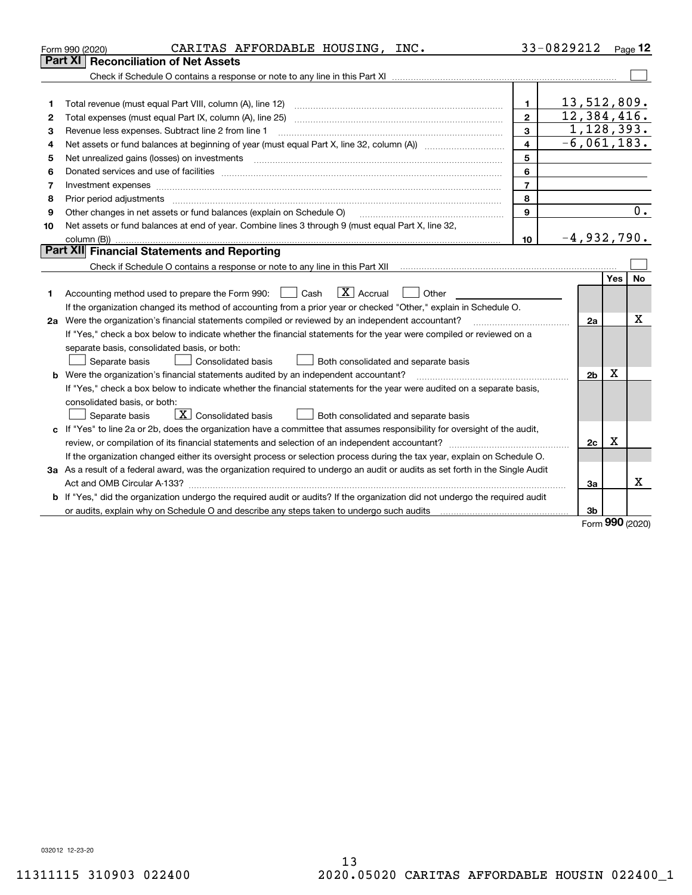|    | CARITAS AFFORDABLE HOUSING, INC.<br>Form 990 (2020)                                                                             |                | 33-0829212     |            | $P_{aqe}$ 12 |  |  |  |  |
|----|---------------------------------------------------------------------------------------------------------------------------------|----------------|----------------|------------|--------------|--|--|--|--|
|    | Part XI   Reconciliation of Net Assets                                                                                          |                |                |            |              |  |  |  |  |
|    |                                                                                                                                 |                |                |            |              |  |  |  |  |
|    |                                                                                                                                 |                |                |            |              |  |  |  |  |
| 1  | Total revenue (must equal Part VIII, column (A), line 12)                                                                       | $\mathbf{1}$   | 13,512,809.    |            |              |  |  |  |  |
| 2  | 12,384,416.<br>$\mathbf{2}$<br>Total expenses (must equal Part IX, column (A), line 25)                                         |                |                |            |              |  |  |  |  |
| з  | 1,128,393.<br>3<br>Revenue less expenses. Subtract line 2 from line 1                                                           |                |                |            |              |  |  |  |  |
| 4  |                                                                                                                                 | $\overline{4}$ | $-6,061,183.$  |            |              |  |  |  |  |
| 5  | Net unrealized gains (losses) on investments                                                                                    | 5              |                |            |              |  |  |  |  |
| 6  |                                                                                                                                 | 6              |                |            |              |  |  |  |  |
| 7  | Investment expenses www.communication.com/www.communication.com/www.communication.com/www.communication.com                     | $\overline{7}$ |                |            |              |  |  |  |  |
| 8  | Prior period adjustments                                                                                                        | 8              |                |            |              |  |  |  |  |
| 9  | Other changes in net assets or fund balances (explain on Schedule O)                                                            | 9              |                |            | 0.           |  |  |  |  |
| 10 | Net assets or fund balances at end of year. Combine lines 3 through 9 (must equal Part X, line 32,                              |                |                |            |              |  |  |  |  |
|    | $-4,932,790.$<br>10                                                                                                             |                |                |            |              |  |  |  |  |
|    | Part XII Financial Statements and Reporting                                                                                     |                |                |            |              |  |  |  |  |
|    |                                                                                                                                 |                |                |            |              |  |  |  |  |
|    |                                                                                                                                 |                |                | Yes        | No           |  |  |  |  |
| 1  | $\boxed{\mathbf{X}}$ Accrual<br>Accounting method used to prepare the Form 990: <u>I</u> Cash<br>Other                          |                |                |            |              |  |  |  |  |
|    | If the organization changed its method of accounting from a prior year or checked "Other," explain in Schedule O.               |                |                |            |              |  |  |  |  |
|    | 2a Were the organization's financial statements compiled or reviewed by an independent accountant?                              |                | 2a             |            | x            |  |  |  |  |
|    | If "Yes," check a box below to indicate whether the financial statements for the year were compiled or reviewed on a            |                |                |            |              |  |  |  |  |
|    | separate basis, consolidated basis, or both:                                                                                    |                |                |            |              |  |  |  |  |
|    | Separate basis<br><b>Consolidated basis</b><br>Both consolidated and separate basis                                             |                |                |            |              |  |  |  |  |
|    | <b>b</b> Were the organization's financial statements audited by an independent accountant?                                     |                | 2 <sub>b</sub> | Х          |              |  |  |  |  |
|    | If "Yes," check a box below to indicate whether the financial statements for the year were audited on a separate basis,         |                |                |            |              |  |  |  |  |
|    | consolidated basis, or both:                                                                                                    |                |                |            |              |  |  |  |  |
|    | $\overline{X}$ Consolidated basis<br>Separate basis<br>Both consolidated and separate basis                                     |                |                |            |              |  |  |  |  |
|    | c If "Yes" to line 2a or 2b, does the organization have a committee that assumes responsibility for oversight of the audit,     |                |                | x          |              |  |  |  |  |
|    | 2c                                                                                                                              |                |                |            |              |  |  |  |  |
|    | If the organization changed either its oversight process or selection process during the tax year, explain on Schedule O.       |                |                |            |              |  |  |  |  |
|    | 3a As a result of a federal award, was the organization required to undergo an audit or audits as set forth in the Single Audit |                |                |            |              |  |  |  |  |
|    |                                                                                                                                 |                | Зa             |            | х            |  |  |  |  |
| b  | If "Yes," did the organization undergo the required audit or audits? If the organization did not undergo the required audit     |                |                |            |              |  |  |  |  |
|    |                                                                                                                                 |                | 3b             | <u>nnn</u> |              |  |  |  |  |

Form (2020) **990**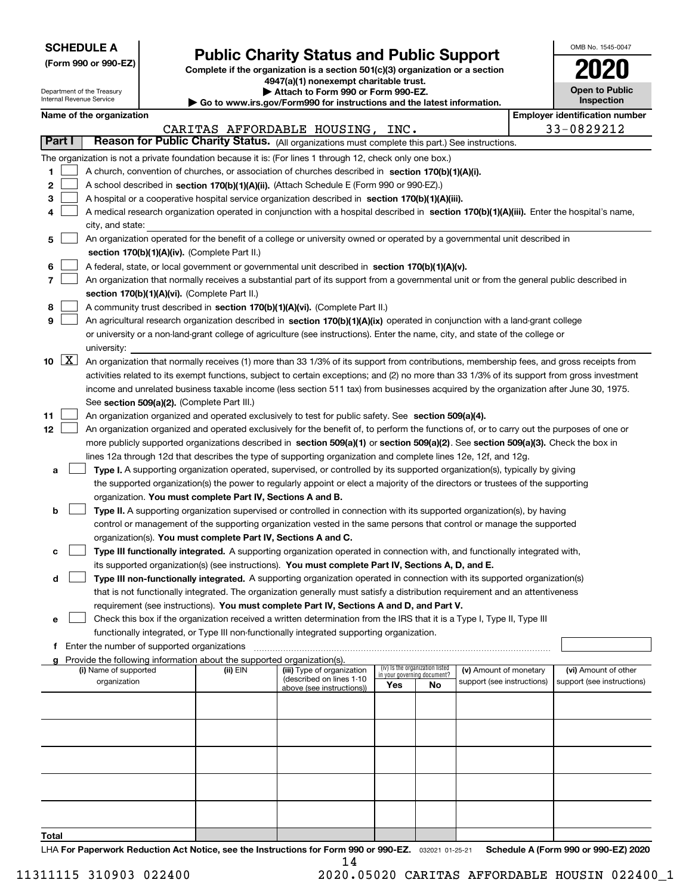| <b>SCHEDULE A</b> |
|-------------------|
|-------------------|

Department of the Treasury Internal Revenue Service

**(Form 990 or 990-EZ)**

# **Public Charity Status and Public Support**

**Complete if the organization is a section 501(c)(3) organization or a section 4947(a)(1) nonexempt charitable trust. | Attach to Form 990 or Form 990-EZ.** 

| <b>P</b> AUGUI IV I VIIII 330 VI I VIIII 330-LL.                         |  |
|--------------------------------------------------------------------------|--|
| ► Go to www.irs.gov/Form990 for instructions and the latest information. |  |
|                                                                          |  |

| OMB No. 1545-0047                   |
|-------------------------------------|
| 2020                                |
| <b>Open to Public</b><br>Inspection |

|  | Name of the organization |
|--|--------------------------|
|--|--------------------------|

|              |                    | Name of the organization                                                                                                                                                                                             |          |                                                       |                             |                                 |                            |  | <b>Employer identification number</b> |
|--------------|--------------------|----------------------------------------------------------------------------------------------------------------------------------------------------------------------------------------------------------------------|----------|-------------------------------------------------------|-----------------------------|---------------------------------|----------------------------|--|---------------------------------------|
|              |                    |                                                                                                                                                                                                                      |          | CARITAS AFFORDABLE HOUSING, INC.                      |                             |                                 |                            |  | 33-0829212                            |
| Part I       |                    | Reason for Public Charity Status. (All organizations must complete this part.) See instructions.                                                                                                                     |          |                                                       |                             |                                 |                            |  |                                       |
|              |                    | The organization is not a private foundation because it is: (For lines 1 through 12, check only one box.)                                                                                                            |          |                                                       |                             |                                 |                            |  |                                       |
| 1.           |                    | A church, convention of churches, or association of churches described in section 170(b)(1)(A)(i).                                                                                                                   |          |                                                       |                             |                                 |                            |  |                                       |
| 2            |                    | A school described in section 170(b)(1)(A)(ii). (Attach Schedule E (Form 990 or 990-EZ).)                                                                                                                            |          |                                                       |                             |                                 |                            |  |                                       |
| 3            |                    | A hospital or a cooperative hospital service organization described in section $170(b)(1)(A)(iii)$ .                                                                                                                 |          |                                                       |                             |                                 |                            |  |                                       |
| 4            |                    | A medical research organization operated in conjunction with a hospital described in section 170(b)(1)(A)(iii). Enter the hospital's name,                                                                           |          |                                                       |                             |                                 |                            |  |                                       |
|              |                    | city, and state:                                                                                                                                                                                                     |          |                                                       |                             |                                 |                            |  |                                       |
| 5            |                    | An organization operated for the benefit of a college or university owned or operated by a governmental unit described in                                                                                            |          |                                                       |                             |                                 |                            |  |                                       |
|              |                    | section 170(b)(1)(A)(iv). (Complete Part II.)                                                                                                                                                                        |          |                                                       |                             |                                 |                            |  |                                       |
| 6            |                    | A federal, state, or local government or governmental unit described in section 170(b)(1)(A)(v).                                                                                                                     |          |                                                       |                             |                                 |                            |  |                                       |
| 7            |                    | An organization that normally receives a substantial part of its support from a governmental unit or from the general public described in                                                                            |          |                                                       |                             |                                 |                            |  |                                       |
| 8            |                    | section 170(b)(1)(A)(vi). (Complete Part II.)<br>A community trust described in section 170(b)(1)(A)(vi). (Complete Part II.)                                                                                        |          |                                                       |                             |                                 |                            |  |                                       |
| 9            |                    | An agricultural research organization described in section 170(b)(1)(A)(ix) operated in conjunction with a land-grant college                                                                                        |          |                                                       |                             |                                 |                            |  |                                       |
|              |                    | or university or a non-land-grant college of agriculture (see instructions). Enter the name, city, and state of the college or                                                                                       |          |                                                       |                             |                                 |                            |  |                                       |
|              |                    | university:                                                                                                                                                                                                          |          |                                                       |                             |                                 |                            |  |                                       |
| 10           | $\boxed{\text{X}}$ | An organization that normally receives (1) more than 33 1/3% of its support from contributions, membership fees, and gross receipts from                                                                             |          |                                                       |                             |                                 |                            |  |                                       |
|              |                    | activities related to its exempt functions, subject to certain exceptions; and (2) no more than 33 1/3% of its support from gross investment                                                                         |          |                                                       |                             |                                 |                            |  |                                       |
|              |                    | income and unrelated business taxable income (less section 511 tax) from businesses acquired by the organization after June 30, 1975.                                                                                |          |                                                       |                             |                                 |                            |  |                                       |
|              |                    | See section 509(a)(2). (Complete Part III.)                                                                                                                                                                          |          |                                                       |                             |                                 |                            |  |                                       |
| 11           |                    | An organization organized and operated exclusively to test for public safety. See section 509(a)(4).                                                                                                                 |          |                                                       |                             |                                 |                            |  |                                       |
| 12           |                    | An organization organized and operated exclusively for the benefit of, to perform the functions of, or to carry out the purposes of one or                                                                           |          |                                                       |                             |                                 |                            |  |                                       |
|              |                    | more publicly supported organizations described in section 509(a)(1) or section 509(a)(2). See section 509(a)(3). Check the box in                                                                                   |          |                                                       |                             |                                 |                            |  |                                       |
|              |                    | lines 12a through 12d that describes the type of supporting organization and complete lines 12e, 12f, and 12g.                                                                                                       |          |                                                       |                             |                                 |                            |  |                                       |
| а            |                    | Type I. A supporting organization operated, supervised, or controlled by its supported organization(s), typically by giving                                                                                          |          |                                                       |                             |                                 |                            |  |                                       |
|              |                    | the supported organization(s) the power to regularly appoint or elect a majority of the directors or trustees of the supporting                                                                                      |          |                                                       |                             |                                 |                            |  |                                       |
|              |                    | organization. You must complete Part IV, Sections A and B.                                                                                                                                                           |          |                                                       |                             |                                 |                            |  |                                       |
| b            |                    | Type II. A supporting organization supervised or controlled in connection with its supported organization(s), by having                                                                                              |          |                                                       |                             |                                 |                            |  |                                       |
|              |                    | control or management of the supporting organization vested in the same persons that control or manage the supported                                                                                                 |          |                                                       |                             |                                 |                            |  |                                       |
|              |                    | organization(s). You must complete Part IV, Sections A and C.                                                                                                                                                        |          |                                                       |                             |                                 |                            |  |                                       |
| с            |                    | Type III functionally integrated. A supporting organization operated in connection with, and functionally integrated with,                                                                                           |          |                                                       |                             |                                 |                            |  |                                       |
|              |                    | its supported organization(s) (see instructions). You must complete Part IV, Sections A, D, and E.                                                                                                                   |          |                                                       |                             |                                 |                            |  |                                       |
| d            |                    | Type III non-functionally integrated. A supporting organization operated in connection with its supported organization(s)                                                                                            |          |                                                       |                             |                                 |                            |  |                                       |
|              |                    | that is not functionally integrated. The organization generally must satisfy a distribution requirement and an attentiveness                                                                                         |          |                                                       |                             |                                 |                            |  |                                       |
|              |                    | requirement (see instructions). You must complete Part IV, Sections A and D, and Part V.                                                                                                                             |          |                                                       |                             |                                 |                            |  |                                       |
|              |                    | Check this box if the organization received a written determination from the IRS that it is a Type I, Type II, Type III<br>functionally integrated, or Type III non-functionally integrated supporting organization. |          |                                                       |                             |                                 |                            |  |                                       |
|              |                    | f Enter the number of supported organizations                                                                                                                                                                        |          |                                                       |                             |                                 |                            |  |                                       |
|              |                    | g Provide the following information about the supported organization(s).                                                                                                                                             |          |                                                       |                             |                                 |                            |  |                                       |
|              |                    | (i) Name of supported                                                                                                                                                                                                | (ii) EIN | (iii) Type of organization                            | in your governing document? | (iv) Is the organization listed | (v) Amount of monetary     |  | (vi) Amount of other                  |
|              |                    | organization                                                                                                                                                                                                         |          | (described on lines 1-10<br>above (see instructions)) | Yes                         | No                              | support (see instructions) |  | support (see instructions)            |
|              |                    |                                                                                                                                                                                                                      |          |                                                       |                             |                                 |                            |  |                                       |
|              |                    |                                                                                                                                                                                                                      |          |                                                       |                             |                                 |                            |  |                                       |
|              |                    |                                                                                                                                                                                                                      |          |                                                       |                             |                                 |                            |  |                                       |
|              |                    |                                                                                                                                                                                                                      |          |                                                       |                             |                                 |                            |  |                                       |
|              |                    |                                                                                                                                                                                                                      |          |                                                       |                             |                                 |                            |  |                                       |
|              |                    |                                                                                                                                                                                                                      |          |                                                       |                             |                                 |                            |  |                                       |
|              |                    |                                                                                                                                                                                                                      |          |                                                       |                             |                                 |                            |  |                                       |
|              |                    |                                                                                                                                                                                                                      |          |                                                       |                             |                                 |                            |  |                                       |
|              |                    |                                                                                                                                                                                                                      |          |                                                       |                             |                                 |                            |  |                                       |
|              |                    |                                                                                                                                                                                                                      |          |                                                       |                             |                                 |                            |  |                                       |
| <b>Total</b> |                    |                                                                                                                                                                                                                      |          |                                                       |                             |                                 |                            |  |                                       |

LHA For Paperwork Reduction Act Notice, see the Instructions for Form 990 or 990-EZ. <sub>032021</sub> o1-25-21 Schedule A (Form 990 or 990-EZ) 2020 14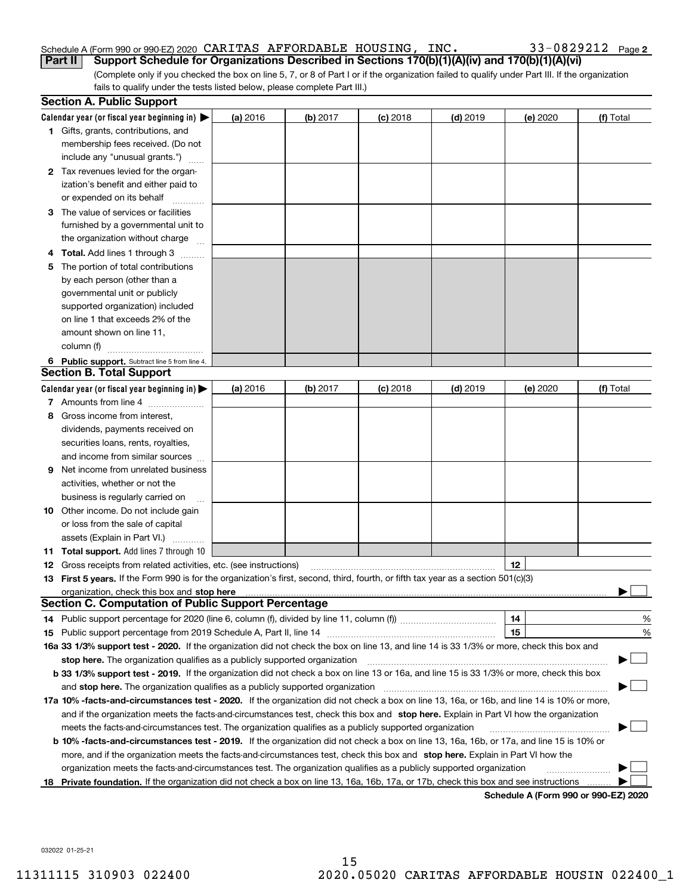#### Schedule A (Form 990 or 990-EZ) 2020 CARITAS AFFORDABLE HOUSING,INC。 33-0829212 Page **Part II Support Schedule for Organizations Described in Sections 170(b)(1)(A)(iv) and 170(b)(1)(A)(vi)** CARITAS AFFORDABLE HOUSING, INC. 33-0829212

|  |  |  |  |  |  |  | 33-0829212 Page 2 |
|--|--|--|--|--|--|--|-------------------|
|--|--|--|--|--|--|--|-------------------|

(Complete only if you checked the box on line 5, 7, or 8 of Part I or if the organization failed to qualify under Part III. If the organization fails to qualify under the tests listed below, please complete Part III.)

|    | <b>Section A. Public Support</b>                                                                                                               |          |            |            |            |          |           |
|----|------------------------------------------------------------------------------------------------------------------------------------------------|----------|------------|------------|------------|----------|-----------|
|    | Calendar year (or fiscal year beginning in) $\blacktriangleright$                                                                              | (a) 2016 | $(b)$ 2017 | $(c)$ 2018 | $(d)$ 2019 | (e) 2020 | (f) Total |
|    | <b>1</b> Gifts, grants, contributions, and                                                                                                     |          |            |            |            |          |           |
|    | membership fees received. (Do not                                                                                                              |          |            |            |            |          |           |
|    | include any "unusual grants.")                                                                                                                 |          |            |            |            |          |           |
|    | 2 Tax revenues levied for the organ-                                                                                                           |          |            |            |            |          |           |
|    | ization's benefit and either paid to                                                                                                           |          |            |            |            |          |           |
|    | or expended on its behalf                                                                                                                      |          |            |            |            |          |           |
|    | 3 The value of services or facilities                                                                                                          |          |            |            |            |          |           |
|    | furnished by a governmental unit to                                                                                                            |          |            |            |            |          |           |
|    | the organization without charge                                                                                                                |          |            |            |            |          |           |
|    | 4 Total. Add lines 1 through 3                                                                                                                 |          |            |            |            |          |           |
| 5. | The portion of total contributions                                                                                                             |          |            |            |            |          |           |
|    | by each person (other than a                                                                                                                   |          |            |            |            |          |           |
|    | governmental unit or publicly                                                                                                                  |          |            |            |            |          |           |
|    | supported organization) included                                                                                                               |          |            |            |            |          |           |
|    | on line 1 that exceeds 2% of the                                                                                                               |          |            |            |            |          |           |
|    | amount shown on line 11,                                                                                                                       |          |            |            |            |          |           |
|    | column (f)                                                                                                                                     |          |            |            |            |          |           |
|    | 6 Public support. Subtract line 5 from line 4.                                                                                                 |          |            |            |            |          |           |
|    | <b>Section B. Total Support</b>                                                                                                                |          |            |            |            |          |           |
|    | Calendar year (or fiscal year beginning in) $\blacktriangleright$                                                                              | (a) 2016 | (b) 2017   | $(c)$ 2018 | $(d)$ 2019 | (e) 2020 | (f) Total |
|    | 7 Amounts from line 4                                                                                                                          |          |            |            |            |          |           |
|    | 8 Gross income from interest,                                                                                                                  |          |            |            |            |          |           |
|    | dividends, payments received on                                                                                                                |          |            |            |            |          |           |
|    | securities loans, rents, royalties,                                                                                                            |          |            |            |            |          |           |
|    | and income from similar sources                                                                                                                |          |            |            |            |          |           |
| 9. | Net income from unrelated business                                                                                                             |          |            |            |            |          |           |
|    | activities, whether or not the                                                                                                                 |          |            |            |            |          |           |
|    | business is regularly carried on                                                                                                               |          |            |            |            |          |           |
|    | <b>10</b> Other income. Do not include gain                                                                                                    |          |            |            |            |          |           |
|    | or loss from the sale of capital                                                                                                               |          |            |            |            |          |           |
|    | assets (Explain in Part VI.)                                                                                                                   |          |            |            |            |          |           |
|    | 11 Total support. Add lines 7 through 10                                                                                                       |          |            |            |            |          |           |
|    | <b>12</b> Gross receipts from related activities, etc. (see instructions)                                                                      |          |            |            |            | 12       |           |
|    | 13 First 5 years. If the Form 990 is for the organization's first, second, third, fourth, or fifth tax year as a section 501(c)(3)             |          |            |            |            |          |           |
|    |                                                                                                                                                |          |            |            |            |          |           |
|    | <b>Section C. Computation of Public Support Percentage</b>                                                                                     |          |            |            |            |          |           |
|    | 14 Public support percentage for 2020 (line 6, column (f), divided by line 11, column (f) <i>manumumumumum</i>                                 |          |            |            |            | 14       | %         |
|    |                                                                                                                                                |          |            |            |            | 15       | %         |
|    | 16a 33 1/3% support test - 2020. If the organization did not check the box on line 13, and line 14 is 33 1/3% or more, check this box and      |          |            |            |            |          |           |
|    | stop here. The organization qualifies as a publicly supported organization                                                                     |          |            |            |            |          | ▔▁▏       |
|    | b 33 1/3% support test - 2019. If the organization did not check a box on line 13 or 16a, and line 15 is 33 1/3% or more, check this box       |          |            |            |            |          |           |
|    | and stop here. The organization qualifies as a publicly supported organization                                                                 |          |            |            |            |          |           |
|    | 17a 10% -facts-and-circumstances test - 2020. If the organization did not check a box on line 13, 16a, or 16b, and line 14 is 10% or more,     |          |            |            |            |          |           |
|    | and if the organization meets the facts-and-circumstances test, check this box and stop here. Explain in Part VI how the organization          |          |            |            |            |          |           |
|    | meets the facts-and-circumstances test. The organization qualifies as a publicly supported organization                                        |          |            |            |            |          |           |
|    | <b>b 10% -facts-and-circumstances test - 2019.</b> If the organization did not check a box on line 13, 16a, 16b, or 17a, and line 15 is 10% or |          |            |            |            |          |           |
|    | more, and if the organization meets the facts-and-circumstances test, check this box and stop here. Explain in Part VI how the                 |          |            |            |            |          |           |
|    | organization meets the facts-and-circumstances test. The organization qualifies as a publicly supported organization                           |          |            |            |            |          |           |
| 18 | Private foundation. If the organization did not check a box on line 13, 16a, 16b, 17a, or 17b, check this box and see instructions             |          |            |            |            |          |           |

**Schedule A (Form 990 or 990-EZ) 2020**

032022 01-25-21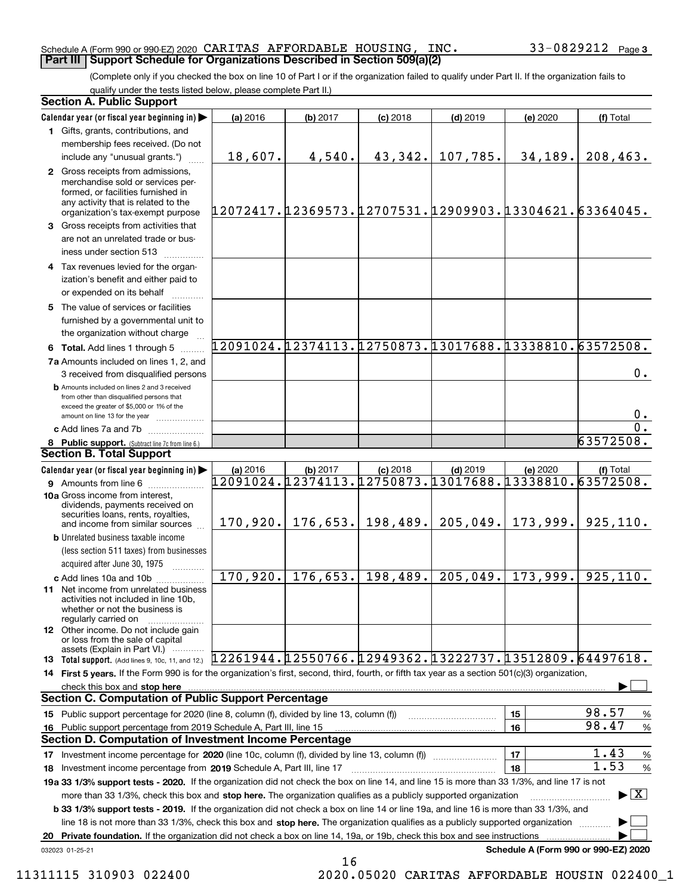#### Schedule A (Form 990 or 990-EZ) 2020 Page CARITAS AFFORDABLE HOUSING, INC. 33-0829212 **Part III Support Schedule for Organizations Described in Section 509(a)(2)**

(Complete only if you checked the box on line 10 of Part I or if the organization failed to qualify under Part II. If the organization fails to qualify under the tests listed below, please complete Part II.)

|     | <b>Section A. Public Support</b>                                                                                                                                                                                                   |          |                      |            |            |                                                        |                                         |  |
|-----|------------------------------------------------------------------------------------------------------------------------------------------------------------------------------------------------------------------------------------|----------|----------------------|------------|------------|--------------------------------------------------------|-----------------------------------------|--|
|     | Calendar year (or fiscal year beginning in)                                                                                                                                                                                        | (a) 2016 | (b) 2017             | $(c)$ 2018 | $(d)$ 2019 | (e) 2020                                               | (f) Total                               |  |
|     | 1 Gifts, grants, contributions, and                                                                                                                                                                                                |          |                      |            |            |                                                        |                                         |  |
|     | membership fees received. (Do not                                                                                                                                                                                                  |          |                      |            |            |                                                        |                                         |  |
|     | include any "unusual grants.")                                                                                                                                                                                                     | 18,607.  | 4,540.               | 43,342.    | 107,785.   | 34,189.                                                | 208, 463.                               |  |
|     | 2 Gross receipts from admissions,<br>merchandise sold or services per-<br>formed, or facilities furnished in<br>any activity that is related to the<br>organization's tax-exempt purpose                                           |          |                      |            |            | 12072417.12369573.12707531.12909903.13304621.63364045. |                                         |  |
|     | 3 Gross receipts from activities that<br>are not an unrelated trade or bus-<br>iness under section 513                                                                                                                             |          |                      |            |            |                                                        |                                         |  |
|     | 4 Tax revenues levied for the organ-                                                                                                                                                                                               |          |                      |            |            |                                                        |                                         |  |
|     | ization's benefit and either paid to<br>or expended on its behalf                                                                                                                                                                  |          |                      |            |            |                                                        |                                         |  |
|     | 5 The value of services or facilities                                                                                                                                                                                              |          |                      |            |            |                                                        |                                         |  |
|     | furnished by a governmental unit to<br>the organization without charge                                                                                                                                                             |          |                      |            |            |                                                        |                                         |  |
|     | 6 Total. Add lines 1 through 5                                                                                                                                                                                                     |          |                      |            |            | 12091024.12374113.12750873.13017688.13338810.63572508. |                                         |  |
|     | 7a Amounts included on lines 1, 2, and                                                                                                                                                                                             |          |                      |            |            |                                                        |                                         |  |
|     | 3 received from disqualified persons                                                                                                                                                                                               |          |                      |            |            |                                                        | $0$ .                                   |  |
|     | <b>b</b> Amounts included on lines 2 and 3 received<br>from other than disqualified persons that<br>exceed the greater of \$5,000 or 1% of the                                                                                     |          |                      |            |            |                                                        | $0$ .                                   |  |
|     | amount on line 13 for the year<br>c Add lines 7a and 7b                                                                                                                                                                            |          |                      |            |            |                                                        | 0.                                      |  |
|     |                                                                                                                                                                                                                                    |          |                      |            |            |                                                        | 63572508.                               |  |
|     | 8 Public support. (Subtract line 7c from line 6.)<br>Section B. Total Support                                                                                                                                                      |          |                      |            |            |                                                        |                                         |  |
|     | Calendar year (or fiscal year beginning in)                                                                                                                                                                                        | (a) 2016 | (b) 2017             | $(c)$ 2018 | $(d)$ 2019 | (e) 2020                                               | (f) Total                               |  |
|     | <b>9</b> Amounts from line 6                                                                                                                                                                                                       |          |                      |            |            | 12091024.12374113.12750873.13017688.13338810.63572508. |                                         |  |
|     | 10a Gross income from interest,<br>dividends, payments received on<br>securities loans, rents, royalties,<br>and income from similar sources                                                                                       |          | $170, 920.$ 176,653. | 198,489.   |            | $205, 049.$ 173, 999.                                  | 925, 110.                               |  |
|     | <b>b</b> Unrelated business taxable income                                                                                                                                                                                         |          |                      |            |            |                                                        |                                         |  |
|     | (less section 511 taxes) from businesses                                                                                                                                                                                           |          |                      |            |            |                                                        |                                         |  |
|     | acquired after June 30, 1975                                                                                                                                                                                                       |          |                      |            |            |                                                        |                                         |  |
|     | c Add lines 10a and 10b                                                                                                                                                                                                            | 170,920. | 176,653.             | 198,489.   | 205,049.   | 173,999.                                               | 925, 110.                               |  |
|     | <b>11</b> Net income from unrelated business<br>activities not included in line 10b,<br>whether or not the business is<br>regularly carried on                                                                                     |          |                      |            |            |                                                        |                                         |  |
|     | <b>12</b> Other income. Do not include gain<br>or loss from the sale of capital<br>assets (Explain in Part VI.)                                                                                                                    |          |                      |            |            |                                                        |                                         |  |
|     | 13 Total support. (Add lines 9, 10c, 11, and 12.) $12261944.12550766.12949362.13222737.13512809.64497618.$                                                                                                                         |          |                      |            |            |                                                        |                                         |  |
|     | 14 First 5 years. If the Form 990 is for the organization's first, second, third, fourth, or fifth tax year as a section 501(c)(3) organization,                                                                                   |          |                      |            |            |                                                        |                                         |  |
|     | check this box and <b>stop here</b> enconvenience and announced contract the state of the contract of the state of the contract of the contract of the contract of the contract of the contract of the contract of the contract of |          |                      |            |            |                                                        |                                         |  |
|     | <b>Section C. Computation of Public Support Percentage</b>                                                                                                                                                                         |          |                      |            |            |                                                        |                                         |  |
|     | 15 Public support percentage for 2020 (line 8, column (f), divided by line 13, column (f))                                                                                                                                         |          |                      |            |            | 15                                                     | 98.57<br>%                              |  |
| 16. | Public support percentage from 2019 Schedule A, Part III, line 15                                                                                                                                                                  |          |                      |            |            | 16                                                     | 98.47<br>%                              |  |
|     | <b>Section D. Computation of Investment Income Percentage</b>                                                                                                                                                                      |          |                      |            |            |                                                        |                                         |  |
|     | 17 Investment income percentage for 2020 (line 10c, column (f), divided by line 13, column (f))                                                                                                                                    |          |                      |            |            | 17                                                     | 1.43<br>$\%$                            |  |
|     | 18 Investment income percentage from 2019 Schedule A, Part III, line 17                                                                                                                                                            |          |                      |            |            | 18                                                     | 1.53<br>%                               |  |
|     | 19a 33 1/3% support tests - 2020. If the organization did not check the box on line 14, and line 15 is more than 33 1/3%, and line 17 is not                                                                                       |          |                      |            |            |                                                        |                                         |  |
|     | more than 33 1/3%, check this box and stop here. The organization qualifies as a publicly supported organization                                                                                                                   |          |                      |            |            |                                                        | $\blacktriangleright$ $\vert$ X $\vert$ |  |
|     | b 33 1/3% support tests - 2019. If the organization did not check a box on line 14 or line 19a, and line 16 is more than 33 1/3%, and                                                                                              |          |                      |            |            |                                                        |                                         |  |
|     | line 18 is not more than 33 1/3%, check this box and stop here. The organization qualifies as a publicly supported organization                                                                                                    |          |                      |            |            |                                                        |                                         |  |
| 20  | Private foundation. If the organization did not check a box on line 14, 19a, or 19b, check this box and see instructions                                                                                                           |          |                      |            |            |                                                        |                                         |  |
|     | 032023 01-25-21                                                                                                                                                                                                                    |          |                      |            |            |                                                        | Schedule A (Form 990 or 990-EZ) 2020    |  |

<sup>16</sup> 11311115 310903 022400 2020.05020 CARITAS AFFORDABLE HOUSIN 022400\_1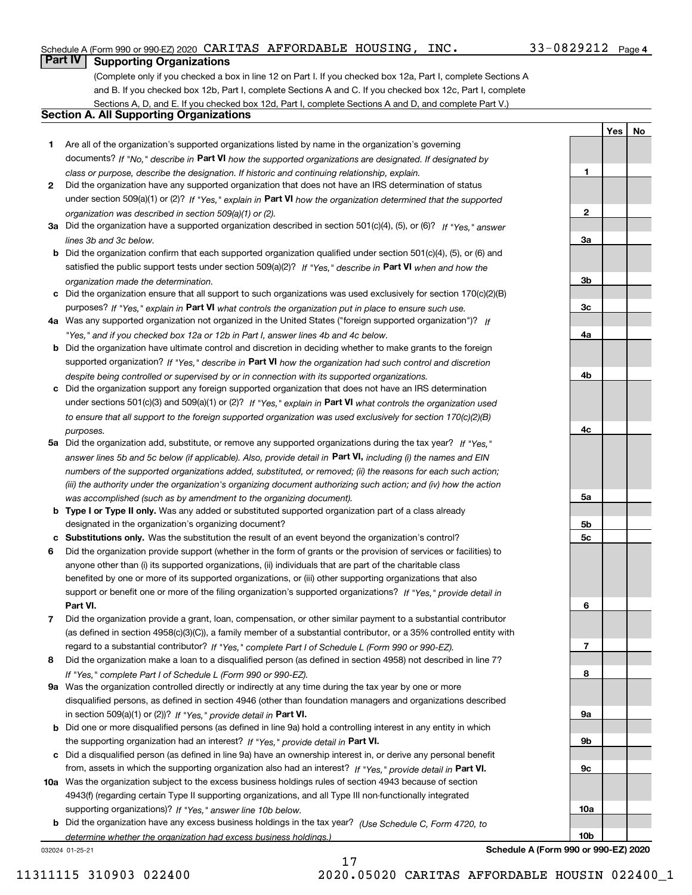## Schedule A (Form 990 or 990-EZ) 2020 Page CARITAS AFFORDABLE HOUSING, INC. 33-0829212

## 33-0829212 Page 4

**1**

**YesNo**

# **Part IV Supporting Organizations**

(Complete only if you checked a box in line 12 on Part I. If you checked box 12a, Part I, complete Sections A and B. If you checked box 12b, Part I, complete Sections A and C. If you checked box 12c, Part I, complete Sections A, D, and E. If you checked box 12d, Part I, complete Sections A and D, and complete Part V.)

# **Section A. All Supporting Organizations**

- **1** Are all of the organization's supported organizations listed by name in the organization's governing documents? If "No," describe in **Part VI** how the supported organizations are designated. If designated by *class or purpose, describe the designation. If historic and continuing relationship, explain.*
- **2** Did the organization have any supported organization that does not have an IRS determination of status under section 509(a)(1) or (2)? If "Yes," explain in Part VI how the organization determined that the supported *organization was described in section 509(a)(1) or (2).*
- **3a** Did the organization have a supported organization described in section 501(c)(4), (5), or (6)? If "Yes," answer *lines 3b and 3c below.*
- **b** Did the organization confirm that each supported organization qualified under section 501(c)(4), (5), or (6) and satisfied the public support tests under section 509(a)(2)? If "Yes," describe in **Part VI** when and how the *organization made the determination.*
- **c**Did the organization ensure that all support to such organizations was used exclusively for section 170(c)(2)(B) purposes? If "Yes," explain in **Part VI** what controls the organization put in place to ensure such use.
- **4a***If* Was any supported organization not organized in the United States ("foreign supported organization")? *"Yes," and if you checked box 12a or 12b in Part I, answer lines 4b and 4c below.*
- **b** Did the organization have ultimate control and discretion in deciding whether to make grants to the foreign supported organization? If "Yes," describe in **Part VI** how the organization had such control and discretion *despite being controlled or supervised by or in connection with its supported organizations.*
- **c** Did the organization support any foreign supported organization that does not have an IRS determination under sections 501(c)(3) and 509(a)(1) or (2)? If "Yes," explain in **Part VI** what controls the organization used *to ensure that all support to the foreign supported organization was used exclusively for section 170(c)(2)(B) purposes.*
- **5a** Did the organization add, substitute, or remove any supported organizations during the tax year? If "Yes," answer lines 5b and 5c below (if applicable). Also, provide detail in **Part VI,** including (i) the names and EIN *numbers of the supported organizations added, substituted, or removed; (ii) the reasons for each such action; (iii) the authority under the organization's organizing document authorizing such action; and (iv) how the action was accomplished (such as by amendment to the organizing document).*
- **b** Type I or Type II only. Was any added or substituted supported organization part of a class already designated in the organization's organizing document?
- **cSubstitutions only.**  Was the substitution the result of an event beyond the organization's control?
- **6** Did the organization provide support (whether in the form of grants or the provision of services or facilities) to **Part VI.** *If "Yes," provide detail in* support or benefit one or more of the filing organization's supported organizations? anyone other than (i) its supported organizations, (ii) individuals that are part of the charitable class benefited by one or more of its supported organizations, or (iii) other supporting organizations that also
- **7**Did the organization provide a grant, loan, compensation, or other similar payment to a substantial contributor *If "Yes," complete Part I of Schedule L (Form 990 or 990-EZ).* regard to a substantial contributor? (as defined in section 4958(c)(3)(C)), a family member of a substantial contributor, or a 35% controlled entity with
- **8** Did the organization make a loan to a disqualified person (as defined in section 4958) not described in line 7? *If "Yes," complete Part I of Schedule L (Form 990 or 990-EZ).*
- **9a** Was the organization controlled directly or indirectly at any time during the tax year by one or more in section 509(a)(1) or (2))? If "Yes," *provide detail in* <code>Part VI.</code> disqualified persons, as defined in section 4946 (other than foundation managers and organizations described
- **b** Did one or more disqualified persons (as defined in line 9a) hold a controlling interest in any entity in which the supporting organization had an interest? If "Yes," provide detail in P**art VI**.
- **c**Did a disqualified person (as defined in line 9a) have an ownership interest in, or derive any personal benefit from, assets in which the supporting organization also had an interest? If "Yes," provide detail in P**art VI.**
- **10a** Was the organization subject to the excess business holdings rules of section 4943 because of section supporting organizations)? If "Yes," answer line 10b below. 4943(f) (regarding certain Type II supporting organizations, and all Type III non-functionally integrated
- **b** Did the organization have any excess business holdings in the tax year? (Use Schedule C, Form 4720, to *determine whether the organization had excess business holdings.)*

032024 01-25-21



**Schedule A (Form 990 or 990-EZ) 2020**

11311115 310903 022400 2020.05020 CARITAS AFFORDABLE HOUSIN 022400\_1

17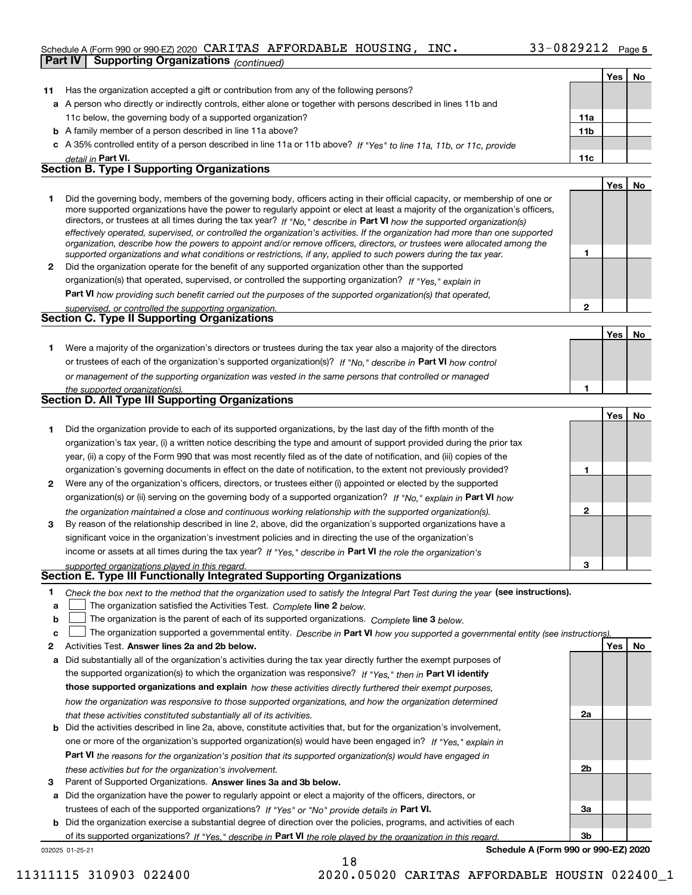## Schedule A (Form 990 or 990-EZ) 2020 Page CARITAS AFFORDABLE HOUSING, INC. 33-0829212 **Part IV Supporting Organizations** *(continued)*

|              |                                                                                                                                                                                                                                              |              | Yes   No |    |
|--------------|----------------------------------------------------------------------------------------------------------------------------------------------------------------------------------------------------------------------------------------------|--------------|----------|----|
| 11           | Has the organization accepted a gift or contribution from any of the following persons?                                                                                                                                                      |              |          |    |
|              | a A person who directly or indirectly controls, either alone or together with persons described in lines 11b and                                                                                                                             |              |          |    |
|              | 11c below, the governing body of a supported organization?                                                                                                                                                                                   | 11a          |          |    |
|              | <b>b</b> A family member of a person described in line 11a above?                                                                                                                                                                            | 11b          |          |    |
|              | c A 35% controlled entity of a person described in line 11a or 11b above? If "Yes" to line 11a, 11b, or 11c, provide                                                                                                                         |              |          |    |
|              | detail in Part VI.                                                                                                                                                                                                                           | 11c          |          |    |
|              | <b>Section B. Type I Supporting Organizations</b>                                                                                                                                                                                            |              |          |    |
|              |                                                                                                                                                                                                                                              |              | Yes      | No |
| 1.           | Did the governing body, members of the governing body, officers acting in their official capacity, or membership of one or                                                                                                                   |              |          |    |
|              | more supported organizations have the power to regularly appoint or elect at least a majority of the organization's officers,                                                                                                                |              |          |    |
|              | directors, or trustees at all times during the tax year? If "No," describe in Part VI how the supported organization(s)                                                                                                                      |              |          |    |
|              | effectively operated, supervised, or controlled the organization's activities. If the organization had more than one supported                                                                                                               |              |          |    |
|              | organization, describe how the powers to appoint and/or remove officers, directors, or trustees were allocated among the<br>supported organizations and what conditions or restrictions, if any, applied to such powers during the tax year. | 1            |          |    |
| $\mathbf{2}$ | Did the organization operate for the benefit of any supported organization other than the supported                                                                                                                                          |              |          |    |
|              | organization(s) that operated, supervised, or controlled the supporting organization? If "Yes," explain in                                                                                                                                   |              |          |    |
|              | Part VI how providing such benefit carried out the purposes of the supported organization(s) that operated,                                                                                                                                  |              |          |    |
|              | supervised, or controlled the supporting organization.                                                                                                                                                                                       | $\mathbf{2}$ |          |    |
|              | <b>Section C. Type II Supporting Organizations</b>                                                                                                                                                                                           |              |          |    |
|              |                                                                                                                                                                                                                                              |              | Yes      | No |
| 1.           | Were a majority of the organization's directors or trustees during the tax year also a majority of the directors                                                                                                                             |              |          |    |
|              | or trustees of each of the organization's supported organization(s)? If "No." describe in Part VI how control                                                                                                                                |              |          |    |
|              | or management of the supporting organization was vested in the same persons that controlled or managed                                                                                                                                       |              |          |    |
|              | the supported organization(s).                                                                                                                                                                                                               | 1            |          |    |
|              | <b>Section D. All Type III Supporting Organizations</b>                                                                                                                                                                                      |              |          |    |
|              |                                                                                                                                                                                                                                              |              | Yes      | No |
| 1            | Did the organization provide to each of its supported organizations, by the last day of the fifth month of the                                                                                                                               |              |          |    |
|              | organization's tax year, (i) a written notice describing the type and amount of support provided during the prior tax                                                                                                                        |              |          |    |
|              | year, (ii) a copy of the Form 990 that was most recently filed as of the date of notification, and (iii) copies of the                                                                                                                       |              |          |    |
|              | organization's governing documents in effect on the date of notification, to the extent not previously provided?                                                                                                                             | 1            |          |    |
| 2            | Were any of the organization's officers, directors, or trustees either (i) appointed or elected by the supported                                                                                                                             |              |          |    |
|              | organization(s) or (ii) serving on the governing body of a supported organization? If "No," explain in Part VI how                                                                                                                           |              |          |    |
|              | the organization maintained a close and continuous working relationship with the supported organization(s).                                                                                                                                  | $\mathbf{2}$ |          |    |
| 3            | By reason of the relationship described in line 2, above, did the organization's supported organizations have a                                                                                                                              |              |          |    |
|              | significant voice in the organization's investment policies and in directing the use of the organization's                                                                                                                                   |              |          |    |
|              | income or assets at all times during the tax year? If "Yes," describe in Part VI the role the organization's                                                                                                                                 |              |          |    |
|              | supported organizations played in this regard.                                                                                                                                                                                               | з            |          |    |
|              | Section E. Type III Functionally Integrated Supporting Organizations                                                                                                                                                                         |              |          |    |
| 1            | Check the box next to the method that the organization used to satisfy the Integral Part Test during the year (see instructions).                                                                                                            |              |          |    |
| a            | The organization satisfied the Activities Test. Complete line 2 below.                                                                                                                                                                       |              |          |    |
| b            | The organization is the parent of each of its supported organizations. Complete line 3 below.                                                                                                                                                |              |          |    |
| c            | The organization supported a governmental entity. Describe in Part VI how you supported a governmental entity (see instructions)                                                                                                             |              |          |    |
| 2            | Activities Test. Answer lines 2a and 2b below.                                                                                                                                                                                               |              | Yes      | No |
| a            | Did substantially all of the organization's activities during the tax year directly further the exempt purposes of                                                                                                                           |              |          |    |
|              | the supported organization(s) to which the organization was responsive? If "Yes." then in Part VI identify                                                                                                                                   |              |          |    |
|              | those supported organizations and explain how these activities directly furthered their exempt purposes,                                                                                                                                     |              |          |    |
|              | how the organization was responsive to those supported organizations, and how the organization determined                                                                                                                                    |              |          |    |
|              | that these activities constituted substantially all of its activities.                                                                                                                                                                       | 2a           |          |    |
|              | <b>b</b> Did the activities described in line 2a, above, constitute activities that, but for the organization's involvement,                                                                                                                 |              |          |    |
|              | one or more of the organization's supported organization(s) would have been engaged in? If "Yes," explain in                                                                                                                                 |              |          |    |
|              | Part VI the reasons for the organization's position that its supported organization(s) would have engaged in                                                                                                                                 |              |          |    |
|              | these activities but for the organization's involvement.                                                                                                                                                                                     | 2b           |          |    |
| 3            | Parent of Supported Organizations. Answer lines 3a and 3b below.                                                                                                                                                                             |              |          |    |
|              | a Did the organization have the power to regularly appoint or elect a majority of the officers, directors, or                                                                                                                                |              |          |    |
|              | trustees of each of the supported organizations? If "Yes" or "No" provide details in Part VI.                                                                                                                                                | За           |          |    |
|              | <b>b</b> Did the organization exercise a substantial degree of direction over the policies, programs, and activities of each                                                                                                                 |              |          |    |
|              | of its supported organizations? If "Yes." describe in Part VI the role played by the organization in this regard.                                                                                                                            | 3b           |          |    |

of its supported organizations? If "Yes," describe in Part VI the role played by the organization in this regard.

18

032025 01-25-21

**Schedule A (Form 990 or 990-EZ) 2020**

11311115 310903 022400 2020.05020 CARITAS AFFORDABLE HOUSIN 022400\_1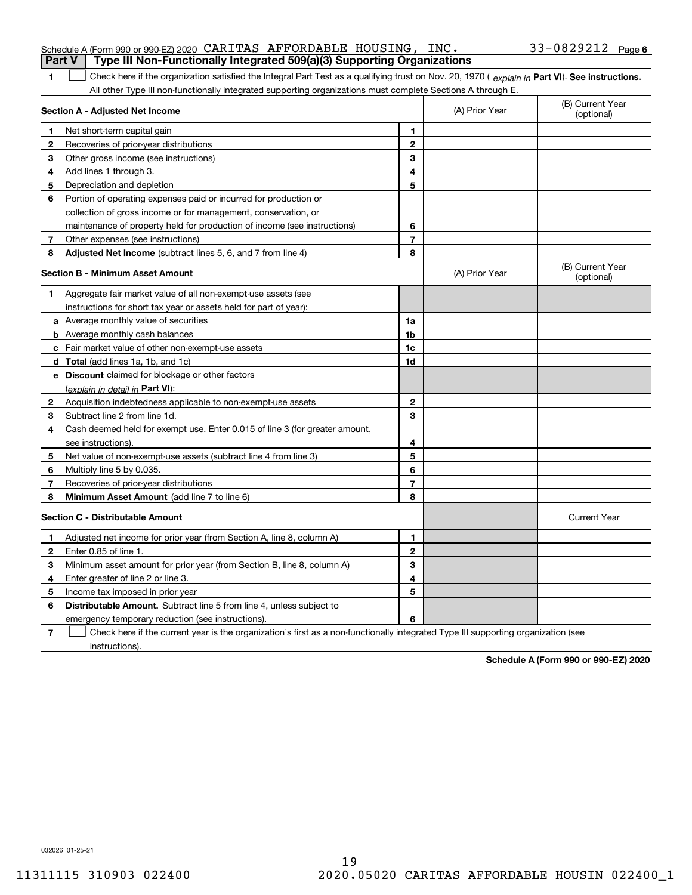| <b>Part V</b> | Schedule A (Form 990 or 990-EZ) 2020 CARITAS AFFORDABLE HOUSING, $INC$ .<br>Type III Non-Functionally Integrated 509(a)(3) Supporting Organizations                                                                                                           |                |                | 33-0829212 Page 6              |
|---------------|---------------------------------------------------------------------------------------------------------------------------------------------------------------------------------------------------------------------------------------------------------------|----------------|----------------|--------------------------------|
|               |                                                                                                                                                                                                                                                               |                |                |                                |
| 1             | Check here if the organization satisfied the Integral Part Test as a qualifying trust on Nov. 20, 1970 (explain in Part VI). See instructions.<br>All other Type III non-functionally integrated supporting organizations must complete Sections A through E. |                |                |                                |
|               | Section A - Adjusted Net Income                                                                                                                                                                                                                               |                | (A) Prior Year | (B) Current Year<br>(optional) |
| 1             | Net short-term capital gain                                                                                                                                                                                                                                   | 1              |                |                                |
| 2             | Recoveries of prior-year distributions                                                                                                                                                                                                                        | $\mathbf{2}$   |                |                                |
| З             | Other gross income (see instructions)                                                                                                                                                                                                                         | 3              |                |                                |
| 4             | Add lines 1 through 3.                                                                                                                                                                                                                                        | 4              |                |                                |
| 5             | Depreciation and depletion                                                                                                                                                                                                                                    | 5              |                |                                |
| 6             | Portion of operating expenses paid or incurred for production or                                                                                                                                                                                              |                |                |                                |
|               | collection of gross income or for management, conservation, or                                                                                                                                                                                                |                |                |                                |
|               | maintenance of property held for production of income (see instructions)                                                                                                                                                                                      | 6              |                |                                |
| 7             | Other expenses (see instructions)                                                                                                                                                                                                                             | $\overline{7}$ |                |                                |
| 8             | Adjusted Net Income (subtract lines 5, 6, and 7 from line 4)                                                                                                                                                                                                  | 8              |                |                                |
|               | <b>Section B - Minimum Asset Amount</b>                                                                                                                                                                                                                       |                | (A) Prior Year | (B) Current Year<br>(optional) |
| 1             | Aggregate fair market value of all non-exempt-use assets (see                                                                                                                                                                                                 |                |                |                                |
|               | instructions for short tax year or assets held for part of year):                                                                                                                                                                                             |                |                |                                |
|               | <b>a</b> Average monthly value of securities                                                                                                                                                                                                                  | 1a             |                |                                |
|               | <b>b</b> Average monthly cash balances                                                                                                                                                                                                                        | 1b             |                |                                |
|               | c Fair market value of other non-exempt-use assets                                                                                                                                                                                                            | 1c             |                |                                |
|               | d Total (add lines 1a, 1b, and 1c)                                                                                                                                                                                                                            | 1d             |                |                                |
|               | <b>e</b> Discount claimed for blockage or other factors                                                                                                                                                                                                       |                |                |                                |
|               | (explain in detail in Part VI):                                                                                                                                                                                                                               |                |                |                                |
| 2             | Acquisition indebtedness applicable to non-exempt-use assets                                                                                                                                                                                                  | $\mathbf{2}$   |                |                                |
| 3             | Subtract line 2 from line 1d.                                                                                                                                                                                                                                 | 3              |                |                                |
| 4             | Cash deemed held for exempt use. Enter 0.015 of line 3 (for greater amount,                                                                                                                                                                                   |                |                |                                |
|               | see instructions).                                                                                                                                                                                                                                            | 4              |                |                                |
| 5             | Net value of non-exempt-use assets (subtract line 4 from line 3)                                                                                                                                                                                              | 5              |                |                                |
| 6             | Multiply line 5 by 0.035.                                                                                                                                                                                                                                     | 6              |                |                                |
| 7             | Recoveries of prior-year distributions                                                                                                                                                                                                                        | $\overline{7}$ |                |                                |
| 8             | Minimum Asset Amount (add line 7 to line 6)                                                                                                                                                                                                                   | 8              |                |                                |
|               | <b>Section C - Distributable Amount</b>                                                                                                                                                                                                                       |                |                | <b>Current Year</b>            |
|               | Adjusted net income for prior year (from Section A, line 8, column A)                                                                                                                                                                                         | 1              |                |                                |
|               | Enter 0.85 of line 1.                                                                                                                                                                                                                                         | 2              |                |                                |
| 3.            | Minimum asset amount for prior year (from Section B, line 8, column A)                                                                                                                                                                                        | 3              |                |                                |
| 4             | Enter greater of line 2 or line 3.                                                                                                                                                                                                                            | 4              |                |                                |
| 5             | Income tax imposed in prior year                                                                                                                                                                                                                              | 5              |                |                                |
| 6             | <b>Distributable Amount.</b> Subtract line 5 from line 4, unless subject to                                                                                                                                                                                   |                |                |                                |
|               | emergency temporary reduction (see instructions).                                                                                                                                                                                                             | 6              |                |                                |
| 7             | Check here if the current year is the organization's first as a non-functionally integrated Type III supporting organization (see                                                                                                                             |                |                |                                |

instructions).

**Schedule A (Form 990 or 990-EZ) 2020**

032026 01-25-21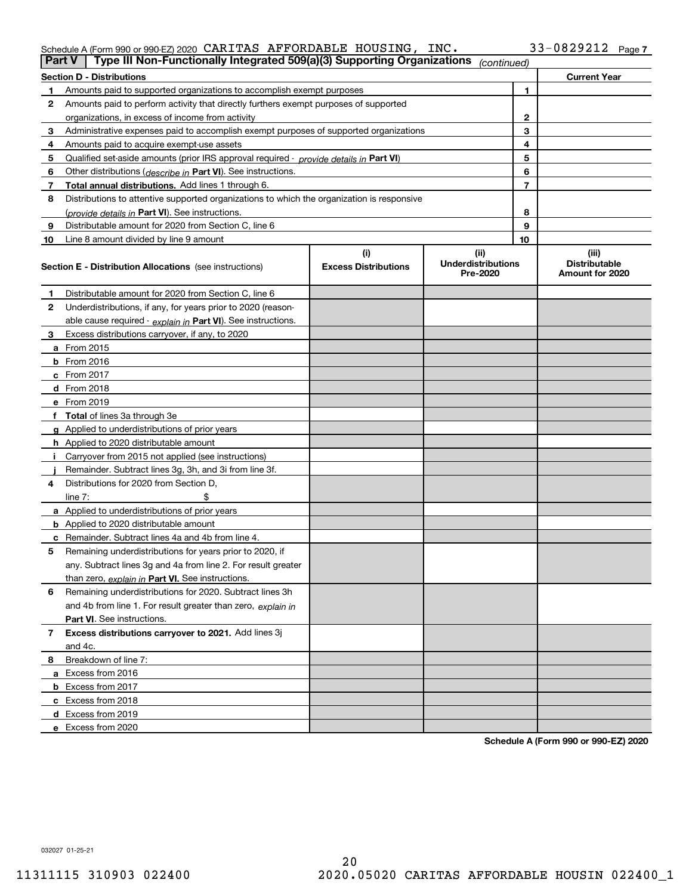# Schedule A (Form 990 or 990-EZ) 2020 Page CARITAS AFFORDABLE HOUSING, INC. 33-0829212

| Part V         | Type III Non-Functionally Integrated 509(a)(3) Supporting Organizations                    |                             | (continued)                           |    |                                         |
|----------------|--------------------------------------------------------------------------------------------|-----------------------------|---------------------------------------|----|-----------------------------------------|
|                | <b>Section D - Distributions</b>                                                           |                             |                                       |    | <b>Current Year</b>                     |
| 1.             | Amounts paid to supported organizations to accomplish exempt purposes                      |                             | 1                                     |    |                                         |
| 2              | Amounts paid to perform activity that directly furthers exempt purposes of supported       |                             |                                       |    |                                         |
|                | organizations, in excess of income from activity                                           |                             |                                       | 2  |                                         |
| 3              | Administrative expenses paid to accomplish exempt purposes of supported organizations      |                             |                                       | 3  |                                         |
| 4              | Amounts paid to acquire exempt-use assets                                                  |                             |                                       | 4  |                                         |
| 5              | Qualified set-aside amounts (prior IRS approval required - provide details in Part VI)     |                             |                                       | 5  |                                         |
| 6              | Other distributions ( <i>describe in</i> Part VI). See instructions.                       |                             |                                       | 6  |                                         |
| 7              | Total annual distributions. Add lines 1 through 6.                                         |                             |                                       | 7  |                                         |
| 8              | Distributions to attentive supported organizations to which the organization is responsive |                             |                                       |    |                                         |
|                | (provide details in Part VI). See instructions.                                            |                             |                                       | 8  |                                         |
| 9              | Distributable amount for 2020 from Section C, line 6                                       |                             |                                       | 9  |                                         |
| 10             | Line 8 amount divided by line 9 amount                                                     |                             |                                       | 10 |                                         |
|                |                                                                                            | (i)                         | (ii)                                  |    | (iii)                                   |
|                | <b>Section E - Distribution Allocations</b> (see instructions)                             | <b>Excess Distributions</b> | <b>Underdistributions</b><br>Pre-2020 |    | <b>Distributable</b><br>Amount for 2020 |
| 1              | Distributable amount for 2020 from Section C, line 6                                       |                             |                                       |    |                                         |
| 2              | Underdistributions, if any, for years prior to 2020 (reason-                               |                             |                                       |    |                                         |
|                | able cause required - explain in Part VI). See instructions.                               |                             |                                       |    |                                         |
| 3              | Excess distributions carryover, if any, to 2020                                            |                             |                                       |    |                                         |
|                | a From 2015                                                                                |                             |                                       |    |                                         |
|                | <b>b</b> From 2016                                                                         |                             |                                       |    |                                         |
|                | $c$ From 2017                                                                              |                             |                                       |    |                                         |
|                | <b>d</b> From 2018                                                                         |                             |                                       |    |                                         |
|                | e From 2019                                                                                |                             |                                       |    |                                         |
|                | f Total of lines 3a through 3e                                                             |                             |                                       |    |                                         |
|                | g Applied to underdistributions of prior years                                             |                             |                                       |    |                                         |
|                | <b>h</b> Applied to 2020 distributable amount                                              |                             |                                       |    |                                         |
|                | Carryover from 2015 not applied (see instructions)                                         |                             |                                       |    |                                         |
|                | Remainder. Subtract lines 3g, 3h, and 3i from line 3f.                                     |                             |                                       |    |                                         |
| 4              | Distributions for 2020 from Section D,                                                     |                             |                                       |    |                                         |
|                | line $7:$                                                                                  |                             |                                       |    |                                         |
|                | a Applied to underdistributions of prior years                                             |                             |                                       |    |                                         |
|                | <b>b</b> Applied to 2020 distributable amount                                              |                             |                                       |    |                                         |
|                | c Remainder. Subtract lines 4a and 4b from line 4.                                         |                             |                                       |    |                                         |
| 5              | Remaining underdistributions for years prior to 2020, if                                   |                             |                                       |    |                                         |
|                | any. Subtract lines 3g and 4a from line 2. For result greater                              |                             |                                       |    |                                         |
|                | than zero, explain in Part VI. See instructions.                                           |                             |                                       |    |                                         |
| 6              | Remaining underdistributions for 2020. Subtract lines 3h                                   |                             |                                       |    |                                         |
|                | and 4b from line 1. For result greater than zero, explain in                               |                             |                                       |    |                                         |
|                | Part VI. See instructions.                                                                 |                             |                                       |    |                                         |
| $\overline{7}$ | Excess distributions carryover to 2021. Add lines 3j                                       |                             |                                       |    |                                         |
|                | and 4c.                                                                                    |                             |                                       |    |                                         |
| 8              | Breakdown of line 7:                                                                       |                             |                                       |    |                                         |
|                | a Excess from 2016                                                                         |                             |                                       |    |                                         |
|                | <b>b</b> Excess from 2017                                                                  |                             |                                       |    |                                         |
|                | c Excess from 2018                                                                         |                             |                                       |    |                                         |
|                | d Excess from 2019                                                                         |                             |                                       |    |                                         |
|                | e Excess from 2020                                                                         |                             |                                       |    |                                         |
|                |                                                                                            |                             |                                       |    |                                         |

**Schedule A (Form 990 or 990-EZ) 2020**

032027 01-25-21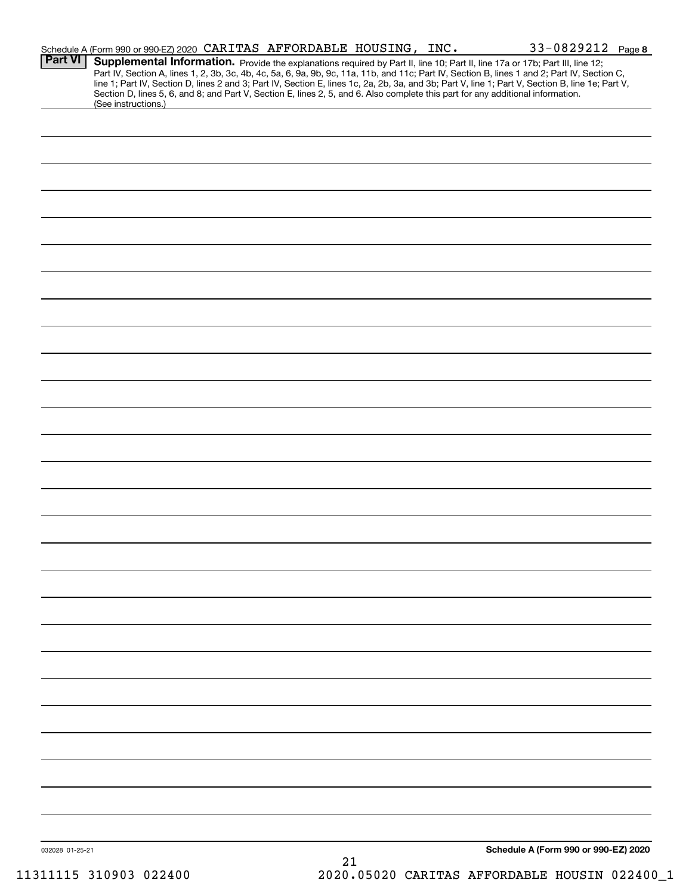|                 | Schedule A (Form 990 or 990-EZ) 2020 CARITAS AFFORDABLE HOUSING, INC.                                                                                                                                                                                                                                                                                                                                                                                                                                                                                                |    | $33 - 0829212$ Page 8                |  |
|-----------------|----------------------------------------------------------------------------------------------------------------------------------------------------------------------------------------------------------------------------------------------------------------------------------------------------------------------------------------------------------------------------------------------------------------------------------------------------------------------------------------------------------------------------------------------------------------------|----|--------------------------------------|--|
| <b>Part VI</b>  | Supplemental Information. Provide the explanations required by Part II, line 10; Part II, line 17a or 17b; Part III, line 12;<br>Part IV, Section A, lines 1, 2, 3b, 3c, 4b, 4c, 5a, 6, 9a, 9b, 9c, 11a, 11b, and 11c; Part IV, Section B, lines 1 and 2; Part IV, Section C,<br>line 1; Part IV, Section D, lines 2 and 3; Part IV, Section E, lines 1c, 2a, 2b, 3a, and 3b; Part V, line 1; Part V, Section B, line 1e; Part V,<br>Section D, lines 5, 6, and 8; and Part V, Section E, lines 2, 5, and 6. Also complete this part for any additional information. |    |                                      |  |
|                 | (See instructions.)                                                                                                                                                                                                                                                                                                                                                                                                                                                                                                                                                  |    |                                      |  |
|                 |                                                                                                                                                                                                                                                                                                                                                                                                                                                                                                                                                                      |    |                                      |  |
|                 |                                                                                                                                                                                                                                                                                                                                                                                                                                                                                                                                                                      |    |                                      |  |
|                 |                                                                                                                                                                                                                                                                                                                                                                                                                                                                                                                                                                      |    |                                      |  |
|                 |                                                                                                                                                                                                                                                                                                                                                                                                                                                                                                                                                                      |    |                                      |  |
|                 |                                                                                                                                                                                                                                                                                                                                                                                                                                                                                                                                                                      |    |                                      |  |
|                 |                                                                                                                                                                                                                                                                                                                                                                                                                                                                                                                                                                      |    |                                      |  |
|                 |                                                                                                                                                                                                                                                                                                                                                                                                                                                                                                                                                                      |    |                                      |  |
|                 |                                                                                                                                                                                                                                                                                                                                                                                                                                                                                                                                                                      |    |                                      |  |
|                 |                                                                                                                                                                                                                                                                                                                                                                                                                                                                                                                                                                      |    |                                      |  |
|                 |                                                                                                                                                                                                                                                                                                                                                                                                                                                                                                                                                                      |    |                                      |  |
|                 |                                                                                                                                                                                                                                                                                                                                                                                                                                                                                                                                                                      |    |                                      |  |
|                 |                                                                                                                                                                                                                                                                                                                                                                                                                                                                                                                                                                      |    |                                      |  |
|                 |                                                                                                                                                                                                                                                                                                                                                                                                                                                                                                                                                                      |    |                                      |  |
|                 |                                                                                                                                                                                                                                                                                                                                                                                                                                                                                                                                                                      |    |                                      |  |
|                 |                                                                                                                                                                                                                                                                                                                                                                                                                                                                                                                                                                      |    |                                      |  |
|                 |                                                                                                                                                                                                                                                                                                                                                                                                                                                                                                                                                                      |    |                                      |  |
|                 |                                                                                                                                                                                                                                                                                                                                                                                                                                                                                                                                                                      |    |                                      |  |
|                 |                                                                                                                                                                                                                                                                                                                                                                                                                                                                                                                                                                      |    |                                      |  |
|                 |                                                                                                                                                                                                                                                                                                                                                                                                                                                                                                                                                                      |    |                                      |  |
|                 |                                                                                                                                                                                                                                                                                                                                                                                                                                                                                                                                                                      |    |                                      |  |
|                 |                                                                                                                                                                                                                                                                                                                                                                                                                                                                                                                                                                      |    |                                      |  |
|                 |                                                                                                                                                                                                                                                                                                                                                                                                                                                                                                                                                                      |    |                                      |  |
|                 |                                                                                                                                                                                                                                                                                                                                                                                                                                                                                                                                                                      |    |                                      |  |
|                 |                                                                                                                                                                                                                                                                                                                                                                                                                                                                                                                                                                      |    |                                      |  |
|                 |                                                                                                                                                                                                                                                                                                                                                                                                                                                                                                                                                                      |    |                                      |  |
|                 |                                                                                                                                                                                                                                                                                                                                                                                                                                                                                                                                                                      |    |                                      |  |
|                 |                                                                                                                                                                                                                                                                                                                                                                                                                                                                                                                                                                      |    |                                      |  |
|                 |                                                                                                                                                                                                                                                                                                                                                                                                                                                                                                                                                                      |    |                                      |  |
|                 |                                                                                                                                                                                                                                                                                                                                                                                                                                                                                                                                                                      |    |                                      |  |
|                 |                                                                                                                                                                                                                                                                                                                                                                                                                                                                                                                                                                      |    |                                      |  |
|                 |                                                                                                                                                                                                                                                                                                                                                                                                                                                                                                                                                                      |    |                                      |  |
|                 |                                                                                                                                                                                                                                                                                                                                                                                                                                                                                                                                                                      |    |                                      |  |
|                 |                                                                                                                                                                                                                                                                                                                                                                                                                                                                                                                                                                      |    |                                      |  |
|                 |                                                                                                                                                                                                                                                                                                                                                                                                                                                                                                                                                                      |    |                                      |  |
| 032028 01-25-21 |                                                                                                                                                                                                                                                                                                                                                                                                                                                                                                                                                                      | 21 | Schedule A (Form 990 or 990-EZ) 2020 |  |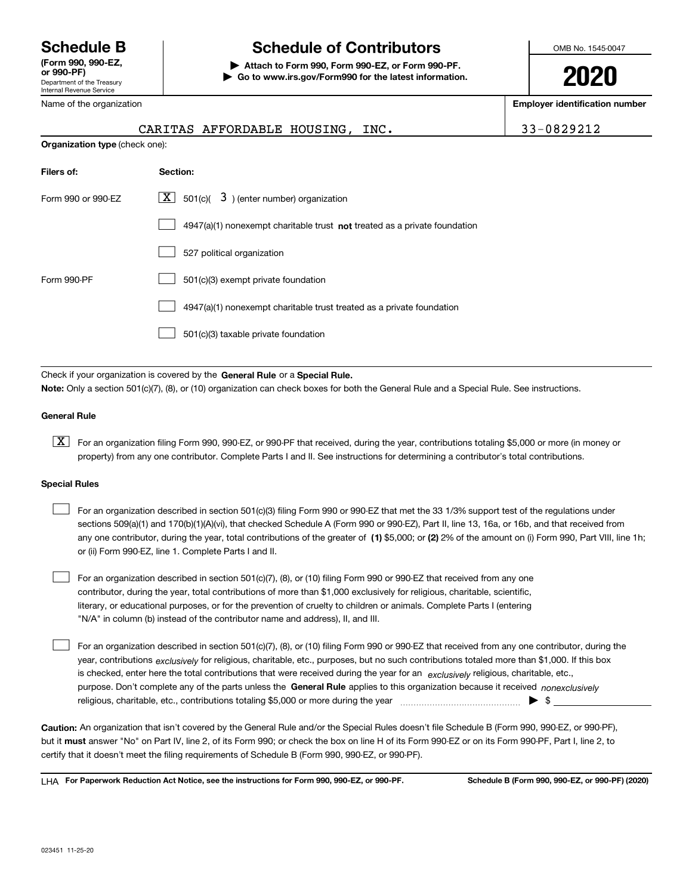Department of the Treasury Internal Revenue Service **(Form 990, 990-EZ, or 990-PF)**

Name of the organization

# **Schedule B Schedule of Contributors**

**| Attach to Form 990, Form 990-EZ, or Form 990-PF. | Go to www.irs.gov/Form990 for the latest information.** OMB No. 1545-0047

**2020**

**Employer identification number**

|                                | CARITAS AFFORDABLE HOUSING, INC.                                                   | 33-0829212 |
|--------------------------------|------------------------------------------------------------------------------------|------------|
| Organization type (check one): |                                                                                    |            |
| Filers of:                     | Section:                                                                           |            |
| Form 990 or 990-EZ             | $\underline{X}$ 501(c)( 3) (enter number) organization                             |            |
|                                | $4947(a)(1)$ nonexempt charitable trust <b>not</b> treated as a private foundation |            |
|                                | 527 political organization                                                         |            |
| Form 990-PF                    | 501(c)(3) exempt private foundation                                                |            |
|                                | 4947(a)(1) nonexempt charitable trust treated as a private foundation              |            |

501(c)(3) taxable private foundation  $\mathcal{L}^{\text{max}}$ 

Check if your organization is covered by the **General Rule** or a **Special Rule. Note:**  Only a section 501(c)(7), (8), or (10) organization can check boxes for both the General Rule and a Special Rule. See instructions.

#### **General Rule**

 $\boxed{\textbf{X}}$  For an organization filing Form 990, 990-EZ, or 990-PF that received, during the year, contributions totaling \$5,000 or more (in money or property) from any one contributor. Complete Parts I and II. See instructions for determining a contributor's total contributions.

#### **Special Rules**

| For an organization described in section 501(c)(3) filing Form 990 or 990-EZ that met the 33 1/3% support test of the regulations under               |
|-------------------------------------------------------------------------------------------------------------------------------------------------------|
| sections 509(a)(1) and 170(b)(1)(A)(vi), that checked Schedule A (Form 990 or 990-EZ), Part II, line 13, 16a, or 16b, and that received from          |
| any one contributor, during the year, total contributions of the greater of (1) \$5,000; or (2) 2% of the amount on (i) Form 990, Part VIII, line 1h; |
| or (ii) Form 990-EZ, line 1. Complete Parts I and II.                                                                                                 |

For an organization described in section 501(c)(7), (8), or (10) filing Form 990 or 990-EZ that received from any one contributor, during the year, total contributions of more than \$1,000 exclusively for religious, charitable, scientific, literary, or educational purposes, or for the prevention of cruelty to children or animals. Complete Parts I (entering "N/A" in column (b) instead of the contributor name and address), II, and III.  $\mathcal{L}^{\text{max}}$ 

purpose. Don't complete any of the parts unless the **General Rule** applies to this organization because it received *nonexclusively* year, contributions <sub>exclusively</sub> for religious, charitable, etc., purposes, but no such contributions totaled more than \$1,000. If this box is checked, enter here the total contributions that were received during the year for an  $\;$ exclusively religious, charitable, etc., For an organization described in section 501(c)(7), (8), or (10) filing Form 990 or 990-EZ that received from any one contributor, during the religious, charitable, etc., contributions totaling \$5,000 or more during the year  $\Box$ — $\Box$   $\Box$  $\mathcal{L}^{\text{max}}$ 

**Caution:**  An organization that isn't covered by the General Rule and/or the Special Rules doesn't file Schedule B (Form 990, 990-EZ, or 990-PF),  **must** but it answer "No" on Part IV, line 2, of its Form 990; or check the box on line H of its Form 990-EZ or on its Form 990-PF, Part I, line 2, to certify that it doesn't meet the filing requirements of Schedule B (Form 990, 990-EZ, or 990-PF).

**For Paperwork Reduction Act Notice, see the instructions for Form 990, 990-EZ, or 990-PF. Schedule B (Form 990, 990-EZ, or 990-PF) (2020)** LHA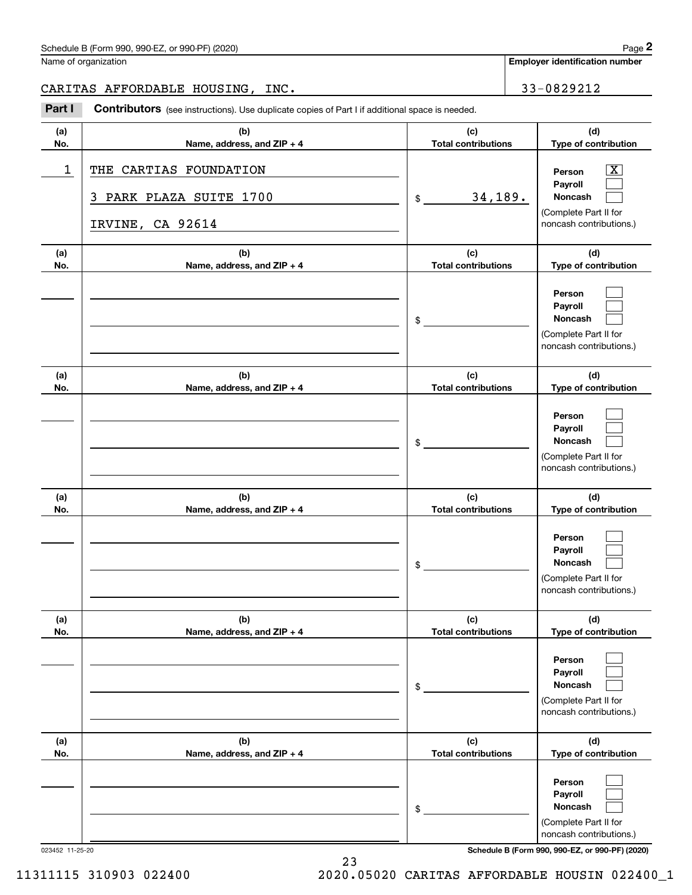| Schedule B (Form 990, 990-EZ, or 990-PF) (2020) | Page |
|-------------------------------------------------|------|
|-------------------------------------------------|------|

Name of organization

**Employer identification number**

# CARITAS AFFORDABLE HOUSING, INC. 233-0829212

Chedule B (Form 990, 990-EZ, or 990-PF) (2020)<br>
lame of organization<br> **2RRITAS AFFORDABLE HOUSING, INC.**<br> **2Part I Contributors** (see instructions). Use duplicate copies of Part I if additional space is needed.

| (a)<br>No. | (b)<br>Name, address, and ZIP + 4                                        | (c)<br><b>Total contributions</b> | (d)<br>Type of contribution                                                                               |
|------------|--------------------------------------------------------------------------|-----------------------------------|-----------------------------------------------------------------------------------------------------------|
| 1          | THE CARTIAS FOUNDATION<br>PARK PLAZA SUITE 1700<br>3<br>IRVINE, CA 92614 | 34,189.<br>\$                     | $\overline{\text{X}}$<br>Person<br>Payroll<br>Noncash<br>(Complete Part II for<br>noncash contributions.) |
| (a)<br>No. | (b)<br>Name, address, and ZIP + 4                                        | (c)<br><b>Total contributions</b> | (d)<br>Type of contribution                                                                               |
|            |                                                                          | \$                                | Person<br>Payroll<br>Noncash<br>(Complete Part II for<br>noncash contributions.)                          |
| (a)<br>No. | (b)<br>Name, address, and ZIP + 4                                        | (c)<br><b>Total contributions</b> | (d)<br>Type of contribution                                                                               |
|            |                                                                          | \$                                | Person<br>Payroll<br>Noncash<br>(Complete Part II for<br>noncash contributions.)                          |
| (a)<br>No. | (b)<br>Name, address, and ZIP + 4                                        | (c)<br><b>Total contributions</b> | (d)<br>Type of contribution                                                                               |
|            |                                                                          | \$                                | Person<br>Payroll<br>Noncash<br>(Complete Part II for<br>noncash contributions.)                          |
| (a)<br>No. | (b)<br>Name, address, and ZIP + 4                                        | (c)<br><b>Total contributions</b> | (d)<br>Type of contribution                                                                               |
|            |                                                                          | \$                                | Person<br>Payroll<br>Noncash<br>(Complete Part II for<br>noncash contributions.)                          |
| (a)<br>No. | (b)<br>Name, address, and ZIP + 4                                        | (c)<br><b>Total contributions</b> | (d)<br>Type of contribution                                                                               |
|            |                                                                          | \$                                | Person<br>Payroll<br>Noncash<br>(Complete Part II for<br>noncash contributions.)                          |

023452 11-25-20 **Schedule B (Form 990, 990-EZ, or 990-PF) (2020)**

11311115 310903 022400 2020.05020 CARITAS AFFORDABLE HOUSIN 022400\_1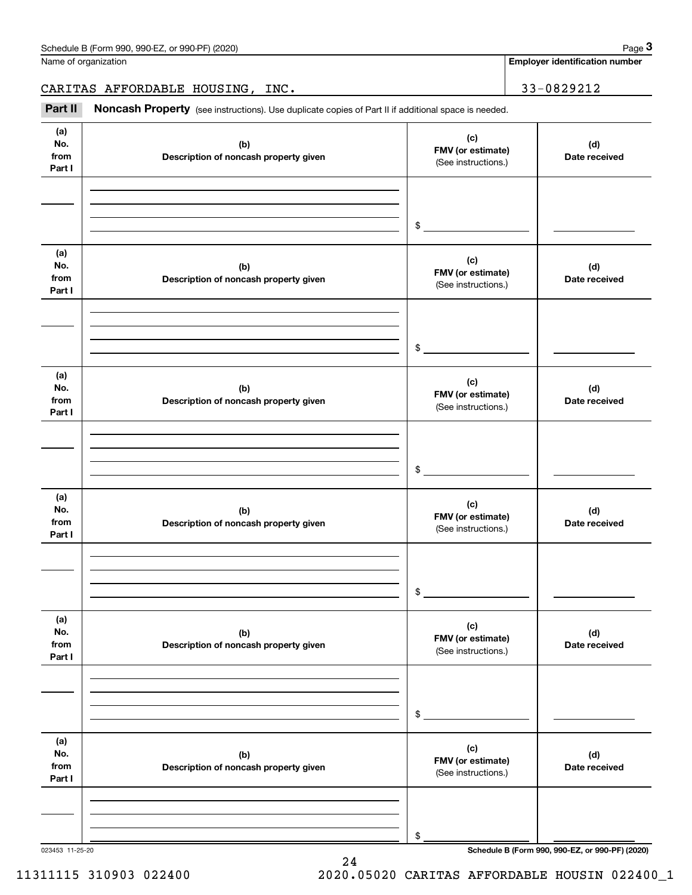**Employer identification number**

CARITAS AFFORDABLE HOUSING, INC. | 33-0829212

Chedule B (Form 990, 990-EZ, or 990-PF) (2020)<br>
lame of organization<br> **2RAITAS AFFORDABLE HOUSING, INC.**<br> **Part II Noncash Property** (see instructions). Use duplicate copies of Part II if additional space is needed.

| (a)<br>No.<br>from<br>Part I | (b)<br>Description of noncash property given | (c)<br>FMV (or estimate)<br>(See instructions.) | (d)<br>Date received |
|------------------------------|----------------------------------------------|-------------------------------------------------|----------------------|
|                              |                                              |                                                 |                      |
|                              |                                              |                                                 |                      |
|                              |                                              | $\frac{1}{2}$                                   |                      |
| (a)<br>No.<br>from<br>Part I | (b)<br>Description of noncash property given | (c)<br>FMV (or estimate)<br>(See instructions.) | (d)<br>Date received |
|                              |                                              |                                                 |                      |
|                              |                                              |                                                 |                      |
|                              |                                              | $\frac{1}{2}$                                   |                      |
| (a)<br>No.<br>from<br>Part I | (b)<br>Description of noncash property given | (c)<br>FMV (or estimate)<br>(See instructions.) | (d)<br>Date received |
|                              |                                              |                                                 |                      |
|                              |                                              |                                                 |                      |
|                              |                                              | $\frac{1}{2}$                                   |                      |
| (a)<br>No.<br>from<br>Part I | (b)<br>Description of noncash property given | (c)<br>FMV (or estimate)<br>(See instructions.) | (d)<br>Date received |
|                              |                                              |                                                 |                      |
|                              |                                              |                                                 |                      |
|                              |                                              | $\frac{1}{2}$                                   |                      |
| (a)<br>No.<br>from<br>Part I | (b)<br>Description of noncash property given | (c)<br>FMV (or estimate)<br>(See instructions.) | (d)<br>Date received |
|                              |                                              |                                                 |                      |
|                              |                                              |                                                 |                      |
|                              |                                              | $\$$                                            |                      |
| (a)<br>No.<br>from<br>Part I | (b)<br>Description of noncash property given | (c)<br>FMV (or estimate)<br>(See instructions.) | (d)<br>Date received |
|                              |                                              |                                                 |                      |
|                              |                                              |                                                 |                      |
|                              |                                              | \$                                              |                      |

24

11311115 310903 022400 2020.05020 CARITAS AFFORDABLE HOUSIN 022400\_1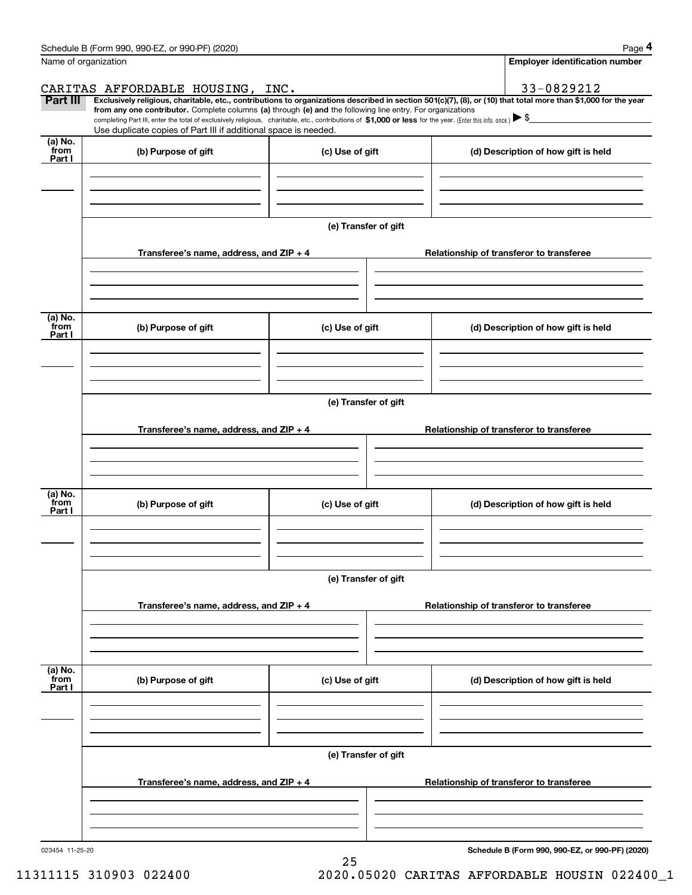| Schedule B (Form 990, 990-EZ, or 990-PF) (2020) | Page |
|-------------------------------------------------|------|
|-------------------------------------------------|------|

|--|--|--|

|                           | Schedule B (Form 990, 990-EZ, or 990-PF) (2020)                                                                                                              |                      | Page 4                                                                                                                                                         |  |  |  |
|---------------------------|--------------------------------------------------------------------------------------------------------------------------------------------------------------|----------------------|----------------------------------------------------------------------------------------------------------------------------------------------------------------|--|--|--|
| Name of organization      |                                                                                                                                                              |                      | <b>Employer identification number</b>                                                                                                                          |  |  |  |
|                           | CARITAS AFFORDABLE HOUSING, INC.                                                                                                                             |                      | 33-0829212                                                                                                                                                     |  |  |  |
| Part III                  | from any one contributor. Complete columns (a) through (e) and the following line entry. For organizations                                                   |                      | Exclusively religious, charitable, etc., contributions to organizations described in section 501(c)(7), (8), or (10) that total more than \$1,000 for the year |  |  |  |
|                           | completing Part III, enter the total of exclusively religious, charitable, etc., contributions of \$1,000 or less for the year. (Enter this info. once.) \\$ |                      |                                                                                                                                                                |  |  |  |
| (a) No.                   | Use duplicate copies of Part III if additional space is needed.                                                                                              |                      |                                                                                                                                                                |  |  |  |
| from<br>Part I            | (b) Purpose of gift                                                                                                                                          | (c) Use of gift      | (d) Description of how gift is held                                                                                                                            |  |  |  |
|                           |                                                                                                                                                              |                      |                                                                                                                                                                |  |  |  |
|                           |                                                                                                                                                              |                      |                                                                                                                                                                |  |  |  |
|                           |                                                                                                                                                              |                      |                                                                                                                                                                |  |  |  |
|                           |                                                                                                                                                              | (e) Transfer of gift |                                                                                                                                                                |  |  |  |
|                           | Transferee's name, address, and ZIP + 4                                                                                                                      |                      | Relationship of transferor to transferee                                                                                                                       |  |  |  |
|                           |                                                                                                                                                              |                      |                                                                                                                                                                |  |  |  |
|                           |                                                                                                                                                              |                      |                                                                                                                                                                |  |  |  |
| (a) No.                   |                                                                                                                                                              |                      |                                                                                                                                                                |  |  |  |
| from<br>Part I            | (b) Purpose of gift                                                                                                                                          | (c) Use of gift      | (d) Description of how gift is held                                                                                                                            |  |  |  |
|                           |                                                                                                                                                              |                      |                                                                                                                                                                |  |  |  |
|                           |                                                                                                                                                              |                      |                                                                                                                                                                |  |  |  |
|                           |                                                                                                                                                              |                      |                                                                                                                                                                |  |  |  |
|                           | (e) Transfer of gift                                                                                                                                         |                      |                                                                                                                                                                |  |  |  |
|                           |                                                                                                                                                              |                      |                                                                                                                                                                |  |  |  |
|                           | Transferee's name, address, and ZIP + 4                                                                                                                      |                      | Relationship of transferor to transferee                                                                                                                       |  |  |  |
|                           |                                                                                                                                                              |                      |                                                                                                                                                                |  |  |  |
|                           |                                                                                                                                                              |                      |                                                                                                                                                                |  |  |  |
|                           |                                                                                                                                                              |                      |                                                                                                                                                                |  |  |  |
| (a) No.<br>from           | (b) Purpose of gift                                                                                                                                          | (c) Use of gift      | (d) Description of how gift is held                                                                                                                            |  |  |  |
| Part I                    |                                                                                                                                                              |                      |                                                                                                                                                                |  |  |  |
|                           |                                                                                                                                                              |                      |                                                                                                                                                                |  |  |  |
|                           |                                                                                                                                                              |                      |                                                                                                                                                                |  |  |  |
|                           |                                                                                                                                                              | (e) Transfer of gift |                                                                                                                                                                |  |  |  |
|                           |                                                                                                                                                              |                      |                                                                                                                                                                |  |  |  |
|                           | Transferee's name, address, and $ZIP + 4$                                                                                                                    |                      | Relationship of transferor to transferee                                                                                                                       |  |  |  |
|                           |                                                                                                                                                              |                      |                                                                                                                                                                |  |  |  |
|                           |                                                                                                                                                              |                      |                                                                                                                                                                |  |  |  |
|                           |                                                                                                                                                              |                      |                                                                                                                                                                |  |  |  |
|                           | (b) Purpose of gift                                                                                                                                          | (c) Use of gift      | (d) Description of how gift is held                                                                                                                            |  |  |  |
| (a) No.<br>from<br>Part I |                                                                                                                                                              |                      |                                                                                                                                                                |  |  |  |
|                           |                                                                                                                                                              |                      |                                                                                                                                                                |  |  |  |
|                           |                                                                                                                                                              | (e) Transfer of gift |                                                                                                                                                                |  |  |  |
|                           |                                                                                                                                                              |                      |                                                                                                                                                                |  |  |  |
|                           | Transferee's name, address, and $ZIP + 4$                                                                                                                    |                      | Relationship of transferor to transferee                                                                                                                       |  |  |  |
|                           |                                                                                                                                                              |                      |                                                                                                                                                                |  |  |  |

25 11311115 310903 022400 2020.05020 CARITAS AFFORDABLE HOUSIN 022400\_1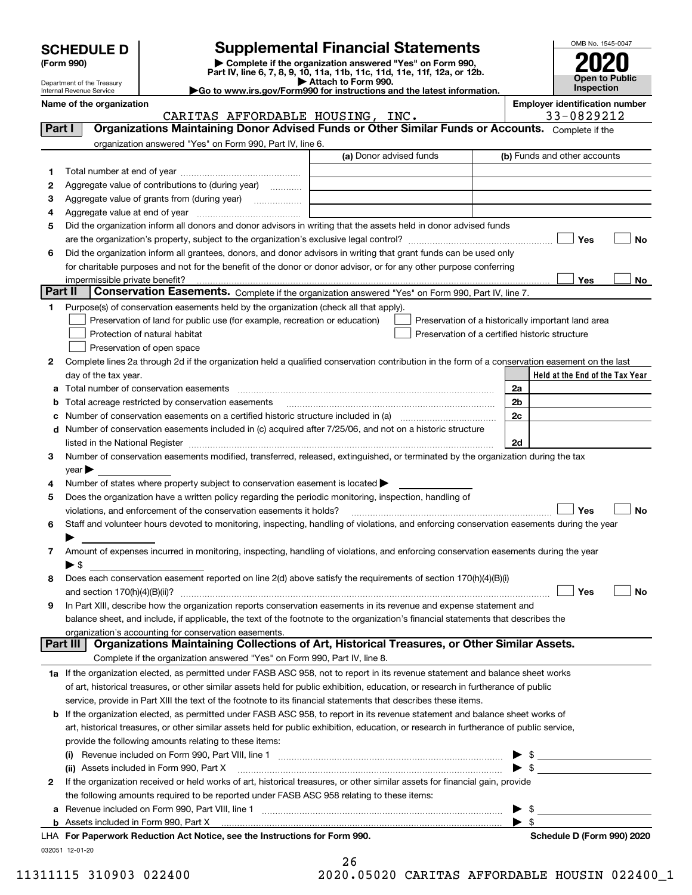| <b>SCHEDULE D</b> |  |
|-------------------|--|
|-------------------|--|

| (Form 990) |  |
|------------|--|
|------------|--|

# **SCHEDULE D Supplemental Financial Statements**

(Form 990)<br>
Pepartment of the Treasury<br>
Department of the Treasury<br>
Department of the Treasury<br>
Department of the Treasury<br> **Co to www.irs.gov/Form990 for instructions and the latest information.**<br> **Co to www.irs.gov/Form9** 



Department of the Treasury Internal Revenue Service **Name of the organization <b>Employer is a set of the organization Employer in the organization Employer is a set of the organization Employer in the organization Employer is a set of the organization Employer in t** 

|  | mployer identification number |  |
|--|-------------------------------|--|
|--|-------------------------------|--|

|         | CARITAS AFFORDABLE HOUSING, INC.                                                                                                                                                                                               | 33-0829212                                         |
|---------|--------------------------------------------------------------------------------------------------------------------------------------------------------------------------------------------------------------------------------|----------------------------------------------------|
| Part I  | Organizations Maintaining Donor Advised Funds or Other Similar Funds or Accounts. Complete if the                                                                                                                              |                                                    |
|         | organization answered "Yes" on Form 990, Part IV, line 6.                                                                                                                                                                      |                                                    |
|         | (a) Donor advised funds                                                                                                                                                                                                        | (b) Funds and other accounts                       |
| 1       |                                                                                                                                                                                                                                |                                                    |
| 2       | Aggregate value of contributions to (during year)                                                                                                                                                                              |                                                    |
| з       |                                                                                                                                                                                                                                |                                                    |
| 4       |                                                                                                                                                                                                                                |                                                    |
| 5       | Did the organization inform all donors and donor advisors in writing that the assets held in donor advised funds                                                                                                               |                                                    |
|         |                                                                                                                                                                                                                                | Yes<br>No                                          |
| 6       | Did the organization inform all grantees, donors, and donor advisors in writing that grant funds can be used only                                                                                                              |                                                    |
|         | for charitable purposes and not for the benefit of the donor or donor advisor, or for any other purpose conferring                                                                                                             |                                                    |
|         | impermissible private benefit?                                                                                                                                                                                                 | Yes<br>No                                          |
| Part II | Conservation Easements. Complete if the organization answered "Yes" on Form 990, Part IV, line 7.                                                                                                                              |                                                    |
| 1       | Purpose(s) of conservation easements held by the organization (check all that apply).                                                                                                                                          |                                                    |
|         | Preservation of land for public use (for example, recreation or education)                                                                                                                                                     | Preservation of a historically important land area |
|         | Protection of natural habitat<br>Preservation of a certified historic structure                                                                                                                                                |                                                    |
|         | Preservation of open space                                                                                                                                                                                                     |                                                    |
| 2       | Complete lines 2a through 2d if the organization held a qualified conservation contribution in the form of a conservation easement on the last                                                                                 |                                                    |
|         | day of the tax year.                                                                                                                                                                                                           | Held at the End of the Tax Year                    |
| a       | Total number of conservation easements                                                                                                                                                                                         | 2a                                                 |
| b       | Total acreage restricted by conservation easements                                                                                                                                                                             | 2 <sub>b</sub>                                     |
| c       | Number of conservation easements on a certified historic structure included in (a) manufacture included in (a)                                                                                                                 | 2c                                                 |
| d       | Number of conservation easements included in (c) acquired after 7/25/06, and not on a historic structure                                                                                                                       |                                                    |
|         | listed in the National Register [111] [12] The Mational Register [11] Matter Matter Matter Matter Matter Matter                                                                                                                | 2d                                                 |
| З       | Number of conservation easements modified, transferred, released, extinguished, or terminated by the organization during the tax                                                                                               |                                                    |
|         | year                                                                                                                                                                                                                           |                                                    |
| 4       | Number of states where property subject to conservation easement is located >                                                                                                                                                  |                                                    |
| 5       | Does the organization have a written policy regarding the periodic monitoring, inspection, handling of                                                                                                                         | Yes<br>No                                          |
|         | violations, and enforcement of the conservation easements it holds?<br>Staff and volunteer hours devoted to monitoring, inspecting, handling of violations, and enforcing conservation easements during the year               |                                                    |
| 6       |                                                                                                                                                                                                                                |                                                    |
| 7.      | Amount of expenses incurred in monitoring, inspecting, handling of violations, and enforcing conservation easements during the year                                                                                            |                                                    |
|         | $\blacktriangleright$ \$                                                                                                                                                                                                       |                                                    |
| 8       | Does each conservation easement reported on line 2(d) above satisfy the requirements of section 170(h)(4)(B)(i)                                                                                                                |                                                    |
|         |                                                                                                                                                                                                                                | Yes<br>No                                          |
| 9       | In Part XIII, describe how the organization reports conservation easements in its revenue and expense statement and                                                                                                            |                                                    |
|         | balance sheet, and include, if applicable, the text of the footnote to the organization's financial statements that describes the                                                                                              |                                                    |
|         | organization's accounting for conservation easements.                                                                                                                                                                          |                                                    |
|         | Organizations Maintaining Collections of Art, Historical Treasures, or Other Similar Assets.<br><b>Part III</b>                                                                                                                |                                                    |
|         | Complete if the organization answered "Yes" on Form 990, Part IV, line 8.                                                                                                                                                      |                                                    |
|         | 1a If the organization elected, as permitted under FASB ASC 958, not to report in its revenue statement and balance sheet works                                                                                                |                                                    |
|         | of art, historical treasures, or other similar assets held for public exhibition, education, or research in furtherance of public                                                                                              |                                                    |
|         | service, provide in Part XIII the text of the footnote to its financial statements that describes these items.                                                                                                                 |                                                    |
| b       | If the organization elected, as permitted under FASB ASC 958, to report in its revenue statement and balance sheet works of                                                                                                    |                                                    |
|         | art, historical treasures, or other similar assets held for public exhibition, education, or research in furtherance of public service,                                                                                        |                                                    |
|         | provide the following amounts relating to these items:                                                                                                                                                                         |                                                    |
|         | Revenue included on Form 990, Part VIII, line 1 manual content content content and content of the state of the                                                                                                                 |                                                    |
|         | (ii) Assets included in Form 990, Part X                                                                                                                                                                                       | $\triangleright$ \$                                |
| 2       | If the organization received or held works of art, historical treasures, or other similar assets for financial gain, provide                                                                                                   |                                                    |
|         | the following amounts required to be reported under FASB ASC 958 relating to these items:                                                                                                                                      |                                                    |
| а       |                                                                                                                                                                                                                                | $\frac{1}{2}$                                      |
| b       | Assets included in Form 990, Part X [11] matter contract the state of the state of the state of the state of the state of the state of the state of the state of the state of the state of the state of the state of the state | $\blacktriangleright$ \$                           |

| LHA For Paperwork Reduction Act Notice, see the Instructions for Form 990. |
|----------------------------------------------------------------------------|
| 032051 12-01-20                                                            |

26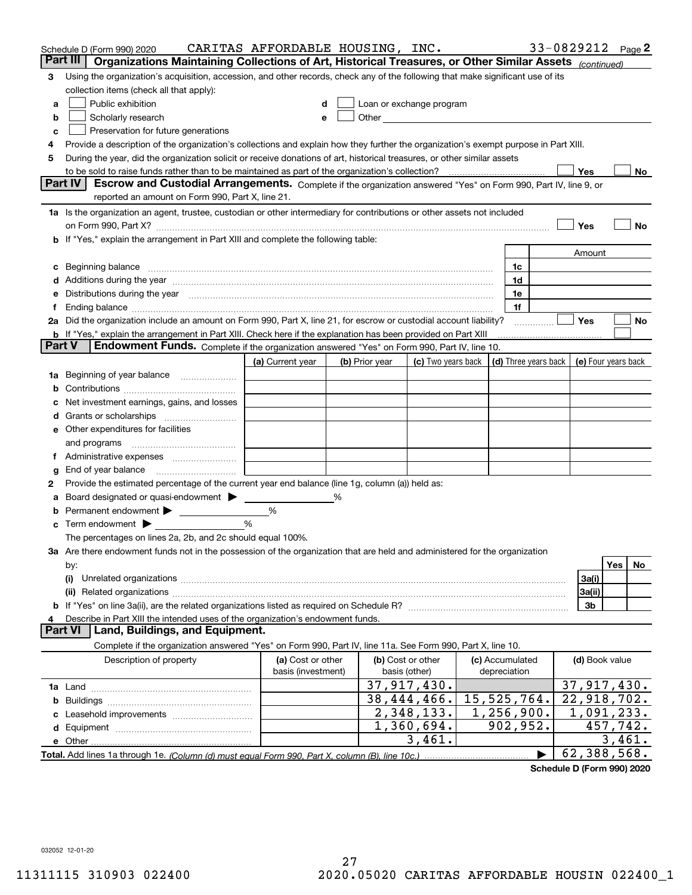|        | Schedule D (Form 990) 2020                                                                                                                                                                                                     | CARITAS AFFORDABLE HOUSING, INC. |   |                |                                                                                                                                                                                                                               |                 |   | 33-0829212 Page 2         |        |    |
|--------|--------------------------------------------------------------------------------------------------------------------------------------------------------------------------------------------------------------------------------|----------------------------------|---|----------------|-------------------------------------------------------------------------------------------------------------------------------------------------------------------------------------------------------------------------------|-----------------|---|---------------------------|--------|----|
|        | Part III<br>Organizations Maintaining Collections of Art, Historical Treasures, or Other Similar Assets (continued)                                                                                                            |                                  |   |                |                                                                                                                                                                                                                               |                 |   |                           |        |    |
| 3      | Using the organization's acquisition, accession, and other records, check any of the following that make significant use of its                                                                                                |                                  |   |                |                                                                                                                                                                                                                               |                 |   |                           |        |    |
|        | collection items (check all that apply):                                                                                                                                                                                       |                                  |   |                |                                                                                                                                                                                                                               |                 |   |                           |        |    |
| a      | Public exhibition                                                                                                                                                                                                              |                                  |   |                | Loan or exchange program                                                                                                                                                                                                      |                 |   |                           |        |    |
| b      | Scholarly research                                                                                                                                                                                                             |                                  |   |                | Other and the contract of the contract of the contract of the contract of the contract of the contract of the contract of the contract of the contract of the contract of the contract of the contract of the contract of the |                 |   |                           |        |    |
| с      | Preservation for future generations                                                                                                                                                                                            |                                  |   |                |                                                                                                                                                                                                                               |                 |   |                           |        |    |
| 4      | Provide a description of the organization's collections and explain how they further the organization's exempt purpose in Part XIII.                                                                                           |                                  |   |                |                                                                                                                                                                                                                               |                 |   |                           |        |    |
| 5      | During the year, did the organization solicit or receive donations of art, historical treasures, or other similar assets                                                                                                       |                                  |   |                |                                                                                                                                                                                                                               |                 |   |                           |        |    |
|        | to be sold to raise funds rather than to be maintained as part of the organization's collection?                                                                                                                               |                                  |   |                |                                                                                                                                                                                                                               |                 |   | Yes                       |        | No |
|        | Escrow and Custodial Arrangements. Complete if the organization answered "Yes" on Form 990, Part IV, line 9, or<br><b>Part IV</b><br>reported an amount on Form 990, Part X, line 21.                                          |                                  |   |                |                                                                                                                                                                                                                               |                 |   |                           |        |    |
|        |                                                                                                                                                                                                                                |                                  |   |                |                                                                                                                                                                                                                               |                 |   |                           |        |    |
|        | 1a Is the organization an agent, trustee, custodian or other intermediary for contributions or other assets not included                                                                                                       |                                  |   |                |                                                                                                                                                                                                                               |                 |   |                           |        |    |
|        | on Form 990, Part X? [11] matter contracts and contracts and contracts are contracted as a form 990, Part X?                                                                                                                   |                                  |   |                |                                                                                                                                                                                                                               |                 |   | Yes                       |        | No |
|        | <b>b</b> If "Yes," explain the arrangement in Part XIII and complete the following table:                                                                                                                                      |                                  |   |                |                                                                                                                                                                                                                               |                 |   |                           |        |    |
|        |                                                                                                                                                                                                                                |                                  |   |                |                                                                                                                                                                                                                               |                 |   | Amount                    |        |    |
| c      | Beginning balance <u>www.marent.com married was contracted</u> and the contracted and the contracted and the contracted                                                                                                        |                                  |   |                |                                                                                                                                                                                                                               | 1c<br>1d        |   |                           |        |    |
|        | e Distributions during the year manufactured and continuum and contained and the year manufactured and contained and the year manufactured and contained and contained and contained and contained and contained and contained |                                  |   |                |                                                                                                                                                                                                                               | 1e              |   |                           |        |    |
|        |                                                                                                                                                                                                                                |                                  |   |                |                                                                                                                                                                                                                               | 1f              |   |                           |        |    |
|        | 2a Did the organization include an amount on Form 990, Part X, line 21, for escrow or custodial account liability?                                                                                                             |                                  |   |                |                                                                                                                                                                                                                               |                 | . | Yes                       |        | No |
|        | <b>b</b> If "Yes," explain the arrangement in Part XIII. Check here if the explanation has been provided on Part XIII                                                                                                          |                                  |   |                |                                                                                                                                                                                                                               |                 |   |                           |        |    |
| Part V | Endowment Funds. Complete if the organization answered "Yes" on Form 990, Part IV, line 10.                                                                                                                                    |                                  |   |                |                                                                                                                                                                                                                               |                 |   |                           |        |    |
|        |                                                                                                                                                                                                                                | (a) Current year                 |   | (b) Prior year | (c) Two years back $\vert$ (d) Three years back $\vert$                                                                                                                                                                       |                 |   | (e) Four years back       |        |    |
|        | 1a Beginning of year balance                                                                                                                                                                                                   |                                  |   |                |                                                                                                                                                                                                                               |                 |   |                           |        |    |
| b      |                                                                                                                                                                                                                                |                                  |   |                |                                                                                                                                                                                                                               |                 |   |                           |        |    |
|        | Net investment earnings, gains, and losses                                                                                                                                                                                     |                                  |   |                |                                                                                                                                                                                                                               |                 |   |                           |        |    |
|        |                                                                                                                                                                                                                                |                                  |   |                |                                                                                                                                                                                                                               |                 |   |                           |        |    |
|        | e Other expenditures for facilities                                                                                                                                                                                            |                                  |   |                |                                                                                                                                                                                                                               |                 |   |                           |        |    |
|        |                                                                                                                                                                                                                                |                                  |   |                |                                                                                                                                                                                                                               |                 |   |                           |        |    |
|        | f Administrative expenses                                                                                                                                                                                                      |                                  |   |                |                                                                                                                                                                                                                               |                 |   |                           |        |    |
| g      | End of year balance <i>manually contained</i>                                                                                                                                                                                  |                                  |   |                |                                                                                                                                                                                                                               |                 |   |                           |        |    |
| 2      | Provide the estimated percentage of the current year end balance (line 1g, column (a)) held as:                                                                                                                                |                                  |   |                |                                                                                                                                                                                                                               |                 |   |                           |        |    |
| а      | Board designated or quasi-endowment >                                                                                                                                                                                          |                                  | % |                |                                                                                                                                                                                                                               |                 |   |                           |        |    |
| b      | Permanent endowment >                                                                                                                                                                                                          | %                                |   |                |                                                                                                                                                                                                                               |                 |   |                           |        |    |
|        | <b>c</b> Term endowment $\blacktriangleright$                                                                                                                                                                                  | %                                |   |                |                                                                                                                                                                                                                               |                 |   |                           |        |    |
|        | The percentages on lines 2a, 2b, and 2c should equal 100%.                                                                                                                                                                     |                                  |   |                |                                                                                                                                                                                                                               |                 |   |                           |        |    |
|        | 3a Are there endowment funds not in the possession of the organization that are held and administered for the organization                                                                                                     |                                  |   |                |                                                                                                                                                                                                                               |                 |   |                           |        |    |
|        | by:                                                                                                                                                                                                                            |                                  |   |                |                                                                                                                                                                                                                               |                 |   |                           | Yes    | No |
|        | (i)                                                                                                                                                                                                                            |                                  |   |                |                                                                                                                                                                                                                               |                 |   | 3a(i)                     |        |    |
|        |                                                                                                                                                                                                                                |                                  |   |                |                                                                                                                                                                                                                               |                 |   | 3a(ii)                    |        |    |
|        |                                                                                                                                                                                                                                |                                  |   |                |                                                                                                                                                                                                                               |                 |   | 3b                        |        |    |
|        | Describe in Part XIII the intended uses of the organization's endowment funds.<br>Land, Buildings, and Equipment.<br><b>Part VI</b>                                                                                            |                                  |   |                |                                                                                                                                                                                                                               |                 |   |                           |        |    |
|        | Complete if the organization answered "Yes" on Form 990, Part IV, line 11a. See Form 990, Part X, line 10.                                                                                                                     |                                  |   |                |                                                                                                                                                                                                                               |                 |   |                           |        |    |
|        | Description of property                                                                                                                                                                                                        | (a) Cost or other                |   |                | (b) Cost or other                                                                                                                                                                                                             | (c) Accumulated |   | (d) Book value            |        |    |
|        |                                                                                                                                                                                                                                | basis (investment)               |   |                | basis (other)                                                                                                                                                                                                                 | depreciation    |   |                           |        |    |
|        |                                                                                                                                                                                                                                |                                  |   |                | 37,917,430.                                                                                                                                                                                                                   |                 |   | 37,917,430.               |        |    |
| b      |                                                                                                                                                                                                                                |                                  |   |                | 38,444,466.                                                                                                                                                                                                                   | 15,525,764.     |   | $\overline{22,918,702}$ . |        |    |
|        |                                                                                                                                                                                                                                |                                  |   |                | 2,348,133.                                                                                                                                                                                                                    | 1,256,900.      |   | 1,091,233.                |        |    |
|        |                                                                                                                                                                                                                                |                                  |   |                | $\overline{1}$ , 360, 694.                                                                                                                                                                                                    | 902,952.        |   | 457,742.                  |        |    |
|        |                                                                                                                                                                                                                                |                                  |   |                | 3,461.                                                                                                                                                                                                                        |                 |   |                           | 3,461. |    |
|        |                                                                                                                                                                                                                                |                                  |   |                |                                                                                                                                                                                                                               |                 |   | 62,388,568.               |        |    |
|        |                                                                                                                                                                                                                                |                                  |   |                |                                                                                                                                                                                                                               |                 |   |                           |        |    |

**Schedule D (Form 990) 2020**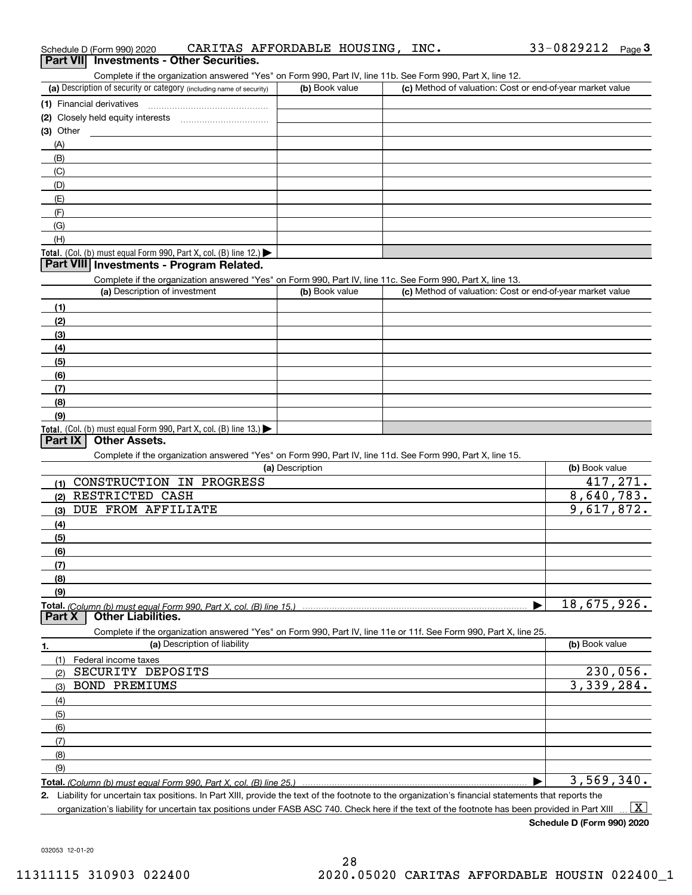| Schedule D (Form 990) 2020                                                                                                                                                         | CARITAS AFFORDABLE HOUSING, | INC. | 33-0829212<br>Page $3$                                    |
|------------------------------------------------------------------------------------------------------------------------------------------------------------------------------------|-----------------------------|------|-----------------------------------------------------------|
| Part VII Investments - Other Securities.                                                                                                                                           |                             |      |                                                           |
| Complete if the organization answered "Yes" on Form 990, Part IV, line 11b. See Form 990, Part X, line 12.<br>(a) Description of security or category (including name of security) | (b) Book value              |      | (c) Method of valuation: Cost or end-of-year market value |
|                                                                                                                                                                                    |                             |      |                                                           |
| (1) Financial derivatives                                                                                                                                                          |                             |      |                                                           |
| (2) Closely held equity interests                                                                                                                                                  |                             |      |                                                           |
| $(3)$ Other                                                                                                                                                                        |                             |      |                                                           |
| (A)                                                                                                                                                                                |                             |      |                                                           |
| (B)                                                                                                                                                                                |                             |      |                                                           |
| (C)                                                                                                                                                                                |                             |      |                                                           |
| (D)                                                                                                                                                                                |                             |      |                                                           |
| (E)                                                                                                                                                                                |                             |      |                                                           |
| (F)                                                                                                                                                                                |                             |      |                                                           |
| (G)<br>(H)                                                                                                                                                                         |                             |      |                                                           |
|                                                                                                                                                                                    |                             |      |                                                           |
| <b>Total.</b> (Col. (b) must equal Form 990, Part X, col. (B) line 12.) $\blacktriangleright$<br>Part VIII Investments - Program Related.                                          |                             |      |                                                           |
|                                                                                                                                                                                    |                             |      |                                                           |
| Complete if the organization answered "Yes" on Form 990, Part IV, line 11c. See Form 990, Part X, line 13.<br>(a) Description of investment                                        | (b) Book value              |      | (c) Method of valuation: Cost or end-of-year market value |
|                                                                                                                                                                                    |                             |      |                                                           |
| (1)<br>(2)                                                                                                                                                                         |                             |      |                                                           |
|                                                                                                                                                                                    |                             |      |                                                           |
| (3)                                                                                                                                                                                |                             |      |                                                           |
| (4)                                                                                                                                                                                |                             |      |                                                           |
| (5)                                                                                                                                                                                |                             |      |                                                           |
| (6)                                                                                                                                                                                |                             |      |                                                           |
| (7)<br>(8)                                                                                                                                                                         |                             |      |                                                           |
| (9)                                                                                                                                                                                |                             |      |                                                           |
| Total. (Col. (b) must equal Form 990, Part X, col. (B) line 13.)                                                                                                                   |                             |      |                                                           |
| <b>Other Assets.</b><br>Part IX                                                                                                                                                    |                             |      |                                                           |
| Complete if the organization answered "Yes" on Form 990, Part IV, line 11d. See Form 990, Part X, line 15.                                                                         |                             |      |                                                           |
|                                                                                                                                                                                    | (a) Description             |      | (b) Book value                                            |
| CONSTRUCTION IN PROGRESS<br>(1)                                                                                                                                                    |                             |      | 417,271.                                                  |
| RESTRICTED CASH<br>(2)                                                                                                                                                             |                             |      | 8,640,783.                                                |
| DUE FROM AFFILIATE<br>(3)                                                                                                                                                          |                             |      | 9,617,872.                                                |
| (4)                                                                                                                                                                                |                             |      |                                                           |
| (5)                                                                                                                                                                                |                             |      |                                                           |
| (6)                                                                                                                                                                                |                             |      |                                                           |
| (7)                                                                                                                                                                                |                             |      |                                                           |
| (8)                                                                                                                                                                                |                             |      |                                                           |
| (9)                                                                                                                                                                                |                             |      |                                                           |
|                                                                                                                                                                                    |                             |      | 18,675,926.                                               |
| <b>Other Liabilities.</b><br>Part X                                                                                                                                                |                             |      |                                                           |
| Complete if the organization answered "Yes" on Form 990, Part IV, line 11e or 11f. See Form 990, Part X, line 25.                                                                  |                             |      |                                                           |
| (a) Description of liability                                                                                                                                                       |                             |      | (b) Book value                                            |
| 1.<br>(1)<br>Federal income taxes                                                                                                                                                  |                             |      |                                                           |
| SECURITY DEPOSITS<br>(2)                                                                                                                                                           |                             |      | 230,056.                                                  |
| <b>BOND PREMIUMS</b><br>(3)                                                                                                                                                        |                             |      | 3,339,284.                                                |
| (4)                                                                                                                                                                                |                             |      |                                                           |
| (5)                                                                                                                                                                                |                             |      |                                                           |
| (6)                                                                                                                                                                                |                             |      |                                                           |
| (7)                                                                                                                                                                                |                             |      |                                                           |
|                                                                                                                                                                                    |                             |      |                                                           |
| (8)<br>(9)                                                                                                                                                                         |                             |      |                                                           |
|                                                                                                                                                                                    |                             |      | 3,569,340.                                                |
| 2. Liability for uncertain tax positions. In Part XIII, provide the text of the footnote to the organization's financial statements that reports the                               |                             |      |                                                           |

organization's liability for uncertain tax positions under FASB ASC 740. Check here if the text of the footnote has been provided in Part XIII.  $\boxed{\text{X}}$ 

 $33-0829212$  Page 3

032053 12-01-20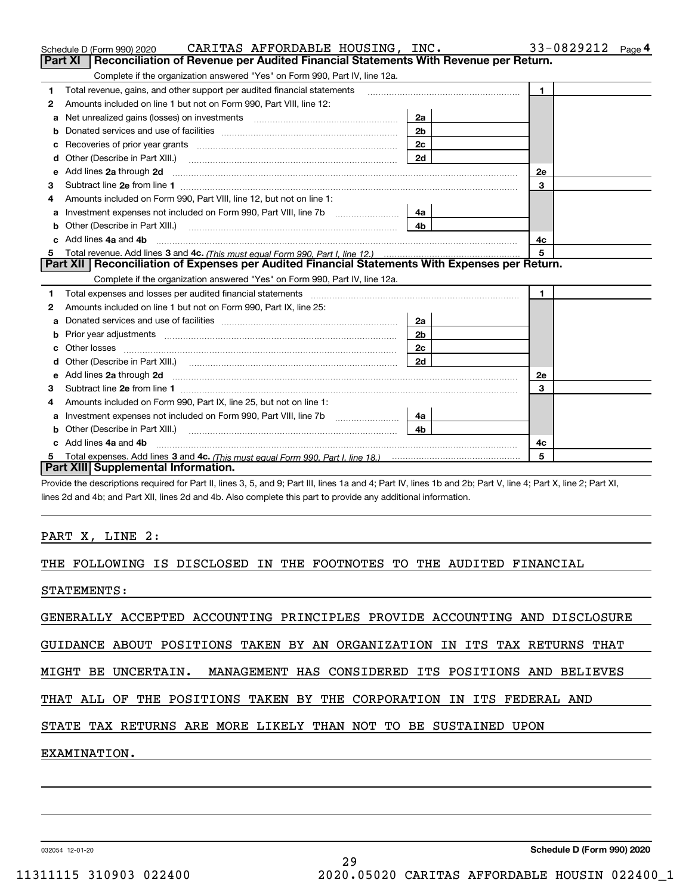|         | CARITAS AFFORDABLE HOUSING, INC.<br>Schedule D (Form 990) 2020                                                                                                                                                                      |                | 33-0829212<br>Page 4 |
|---------|-------------------------------------------------------------------------------------------------------------------------------------------------------------------------------------------------------------------------------------|----------------|----------------------|
| Part XI | Reconciliation of Revenue per Audited Financial Statements With Revenue per Return.                                                                                                                                                 |                |                      |
|         | Complete if the organization answered "Yes" on Form 990, Part IV, line 12a.                                                                                                                                                         |                |                      |
| 1       | Total revenue, gains, and other support per audited financial statements                                                                                                                                                            |                | 1.                   |
| 2       | Amounts included on line 1 but not on Form 990, Part VIII, line 12:                                                                                                                                                                 |                |                      |
| а       | Net unrealized gains (losses) on investments [11] matter contracts and the unrealized gains (losses) on investments                                                                                                                 | 2a             |                      |
| b       |                                                                                                                                                                                                                                     | 2 <sub>b</sub> |                      |
|         |                                                                                                                                                                                                                                     | 2c             |                      |
|         |                                                                                                                                                                                                                                     | 2d             |                      |
| е       | Add lines 2a through 2d                                                                                                                                                                                                             |                | 2e                   |
| 3       |                                                                                                                                                                                                                                     |                | 3                    |
| 4       | Amounts included on Form 990, Part VIII, line 12, but not on line 1:                                                                                                                                                                |                |                      |
| а       |                                                                                                                                                                                                                                     | 4a l           |                      |
| b       | Other (Describe in Part XIII.) <b>Construction Contract Construction</b> Chemistry Chemistry Chemistry Chemistry Chemistry                                                                                                          | 4b.            |                      |
|         | Add lines 4a and 4b                                                                                                                                                                                                                 |                | 4c                   |
|         |                                                                                                                                                                                                                                     |                | 5                    |
|         | Part XII   Reconciliation of Expenses per Audited Financial Statements With Expenses per Return.                                                                                                                                    |                |                      |
|         | Complete if the organization answered "Yes" on Form 990, Part IV, line 12a.                                                                                                                                                         |                |                      |
| 1       |                                                                                                                                                                                                                                     |                | $\mathbf{1}$         |
| 2       | Amounts included on line 1 but not on Form 990, Part IX, line 25:                                                                                                                                                                   |                |                      |
| a       |                                                                                                                                                                                                                                     | 2a             |                      |
| b       |                                                                                                                                                                                                                                     | 2 <sub>b</sub> |                      |
|         | Other losses                                                                                                                                                                                                                        | 2c             |                      |
|         |                                                                                                                                                                                                                                     | 2d             |                      |
| е       | Add lines 2a through 2d <b>contained a contained a contained a contained a</b> contained a contact the set of the set of the set of the set of the set of the set of the set of the set of the set of the set of the set of the set |                | 2e                   |
| 3       |                                                                                                                                                                                                                                     |                | 3                    |
| 4       | Amounts included on Form 990, Part IX, line 25, but not on line 1:                                                                                                                                                                  |                |                      |
| a       |                                                                                                                                                                                                                                     | 4a             |                      |
|         |                                                                                                                                                                                                                                     | 4b.            |                      |
|         | Add lines 4a and 4b                                                                                                                                                                                                                 |                | 4с                   |
| 5       |                                                                                                                                                                                                                                     |                | 5                    |
|         | Part XIII Supplemental Information.                                                                                                                                                                                                 |                |                      |
|         | Provide the descriptions required for Part II, lines 3, 5, and 9; Part III, lines 1a and 4; Part IV, lines 1b and 2b; Part V, line 4; Part X, line 2; Part XI,                                                                      |                |                      |

lines 2d and 4b; and Part XII, lines 2d and 4b. Also complete this part to provide any additional information.

# PART X, LINE 2:

THE FOLLOWING IS DISCLOSED IN THE FOOTNOTES TO THE AUDITED FINANCIAL

STATEMENTS:

GENERALLY ACCEPTED ACCOUNTING PRINCIPLES PROVIDE ACCOUNTING AND DISCLOSURE

GUIDANCE ABOUT POSITIONS TAKEN BY AN ORGANIZATION IN ITS TAX RETURNS THAT

MIGHT BE UNCERTAIN. MANAGEMENT HAS CONSIDERED ITS POSITIONS AND BELIEVES

29

THAT ALL OF THE POSITIONS TAKEN BY THE CORPORATION IN ITS FEDERAL AND

# STATE TAX RETURNS ARE MORE LIKELY THAN NOT TO BE SUSTAINED UPON

EXAMINATION.

032054 12-01-20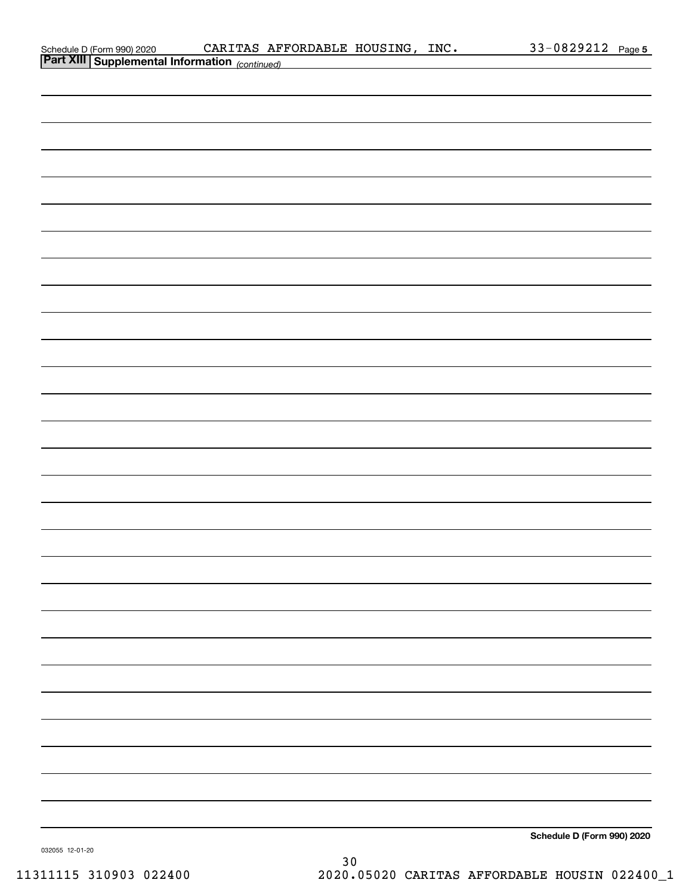| Schedule D (Form 990) 2020 |  |
|----------------------------|--|
| __________                 |  |

| <b>Part XIII Supplemental Information</b> (continued) |
|-------------------------------------------------------|
|                                                       |
|                                                       |
|                                                       |
|                                                       |
|                                                       |
|                                                       |
|                                                       |
|                                                       |
|                                                       |
|                                                       |
|                                                       |
|                                                       |
|                                                       |
|                                                       |
|                                                       |
|                                                       |
|                                                       |
|                                                       |
|                                                       |
|                                                       |
|                                                       |
|                                                       |
|                                                       |
|                                                       |
|                                                       |
|                                                       |
|                                                       |
|                                                       |
|                                                       |
|                                                       |
| Schedule D (Form 990) 2020                            |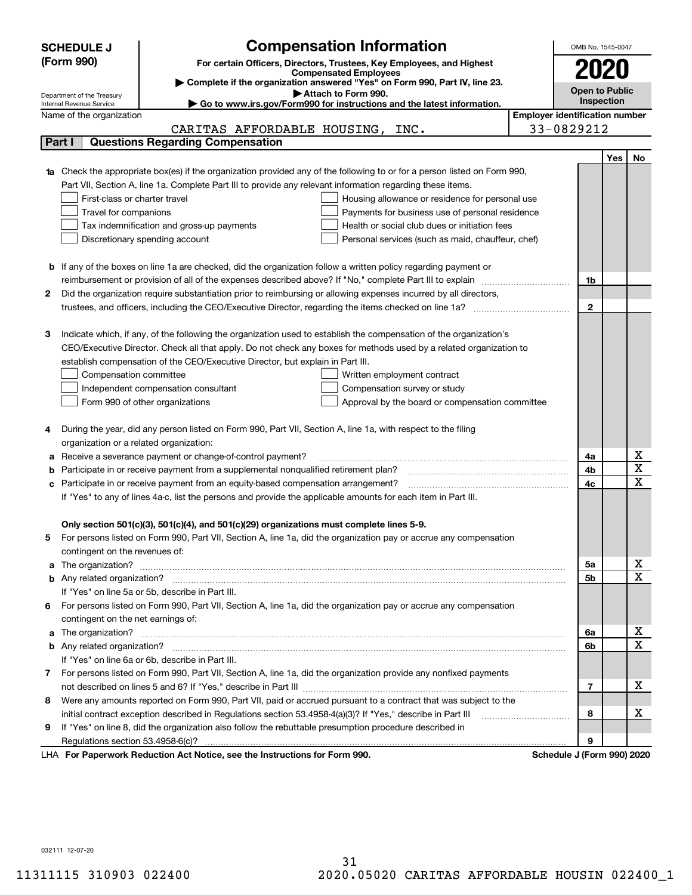|    | <b>SCHEDULE J</b>                                      | <b>Compensation Information</b>                                                                                                                                                                                                    |                                       | OMB No. 1545-0047     |            |                                     |  |  |  |
|----|--------------------------------------------------------|------------------------------------------------------------------------------------------------------------------------------------------------------------------------------------------------------------------------------------|---------------------------------------|-----------------------|------------|-------------------------------------|--|--|--|
|    | (Form 990)                                             | For certain Officers, Directors, Trustees, Key Employees, and Highest                                                                                                                                                              |                                       |                       |            |                                     |  |  |  |
|    |                                                        | <b>Compensated Employees</b>                                                                                                                                                                                                       |                                       |                       |            |                                     |  |  |  |
|    |                                                        | Complete if the organization answered "Yes" on Form 990, Part IV, line 23.<br>Attach to Form 990.                                                                                                                                  |                                       | <b>Open to Public</b> |            |                                     |  |  |  |
|    | Department of the Treasury<br>Internal Revenue Service | Go to www.irs.gov/Form990 for instructions and the latest information.                                                                                                                                                             |                                       |                       | Inspection |                                     |  |  |  |
|    | Name of the organization                               |                                                                                                                                                                                                                                    | <b>Employer identification number</b> |                       |            |                                     |  |  |  |
|    |                                                        | CARITAS AFFORDABLE HOUSING, INC.                                                                                                                                                                                                   |                                       | 33-0829212            |            |                                     |  |  |  |
|    | Part I                                                 | <b>Questions Regarding Compensation</b>                                                                                                                                                                                            |                                       |                       |            |                                     |  |  |  |
|    |                                                        |                                                                                                                                                                                                                                    |                                       |                       | <b>Yes</b> | No                                  |  |  |  |
|    |                                                        | <b>1a</b> Check the appropriate box(es) if the organization provided any of the following to or for a person listed on Form 990,                                                                                                   |                                       |                       |            |                                     |  |  |  |
|    |                                                        | Part VII, Section A, line 1a. Complete Part III to provide any relevant information regarding these items.                                                                                                                         |                                       |                       |            |                                     |  |  |  |
|    | First-class or charter travel                          | Housing allowance or residence for personal use                                                                                                                                                                                    |                                       |                       |            |                                     |  |  |  |
|    | Travel for companions                                  | Payments for business use of personal residence                                                                                                                                                                                    |                                       |                       |            |                                     |  |  |  |
|    |                                                        | Tax indemnification and gross-up payments<br>Health or social club dues or initiation fees                                                                                                                                         |                                       |                       |            |                                     |  |  |  |
|    |                                                        | Discretionary spending account<br>Personal services (such as maid, chauffeur, chef)                                                                                                                                                |                                       |                       |            |                                     |  |  |  |
|    |                                                        |                                                                                                                                                                                                                                    |                                       |                       |            |                                     |  |  |  |
|    |                                                        | <b>b</b> If any of the boxes on line 1a are checked, did the organization follow a written policy regarding payment or<br>reimbursement or provision of all of the expenses described above? If "No," complete Part III to explain |                                       |                       |            |                                     |  |  |  |
| 2  |                                                        |                                                                                                                                                                                                                                    |                                       | 1b                    |            |                                     |  |  |  |
|    |                                                        | Did the organization require substantiation prior to reimbursing or allowing expenses incurred by all directors,                                                                                                                   |                                       | $\mathbf{2}$          |            |                                     |  |  |  |
|    |                                                        |                                                                                                                                                                                                                                    |                                       |                       |            |                                     |  |  |  |
| з  |                                                        | Indicate which, if any, of the following the organization used to establish the compensation of the organization's                                                                                                                 |                                       |                       |            |                                     |  |  |  |
|    |                                                        | CEO/Executive Director. Check all that apply. Do not check any boxes for methods used by a related organization to                                                                                                                 |                                       |                       |            |                                     |  |  |  |
|    |                                                        | establish compensation of the CEO/Executive Director, but explain in Part III.                                                                                                                                                     |                                       |                       |            |                                     |  |  |  |
|    | Compensation committee                                 | Written employment contract                                                                                                                                                                                                        |                                       |                       |            |                                     |  |  |  |
|    |                                                        | Compensation survey or study<br>Independent compensation consultant                                                                                                                                                                |                                       |                       |            |                                     |  |  |  |
|    |                                                        | Form 990 of other organizations<br>Approval by the board or compensation committee                                                                                                                                                 |                                       |                       |            |                                     |  |  |  |
|    |                                                        |                                                                                                                                                                                                                                    |                                       |                       |            |                                     |  |  |  |
|    |                                                        | During the year, did any person listed on Form 990, Part VII, Section A, line 1a, with respect to the filing                                                                                                                       |                                       |                       |            |                                     |  |  |  |
|    | organization or a related organization:                |                                                                                                                                                                                                                                    |                                       |                       |            |                                     |  |  |  |
|    |                                                        | Receive a severance payment or change-of-control payment?                                                                                                                                                                          |                                       | 4a                    |            | x                                   |  |  |  |
| b  |                                                        | Participate in or receive payment from a supplemental nonqualified retirement plan?                                                                                                                                                |                                       | 4b                    |            | $\overline{\mathbf{x}}$             |  |  |  |
| c  |                                                        | Participate in or receive payment from an equity-based compensation arrangement?                                                                                                                                                   |                                       | 4c                    |            | $\overline{\mathbf{x}}$             |  |  |  |
|    |                                                        | If "Yes" to any of lines 4a-c, list the persons and provide the applicable amounts for each item in Part III.                                                                                                                      |                                       |                       |            |                                     |  |  |  |
|    |                                                        |                                                                                                                                                                                                                                    |                                       |                       |            |                                     |  |  |  |
|    |                                                        | Only section 501(c)(3), 501(c)(4), and 501(c)(29) organizations must complete lines 5-9.                                                                                                                                           |                                       |                       |            |                                     |  |  |  |
| 5. |                                                        | For persons listed on Form 990, Part VII, Section A, line 1a, did the organization pay or accrue any compensation                                                                                                                  |                                       |                       |            |                                     |  |  |  |
|    | contingent on the revenues of:                         |                                                                                                                                                                                                                                    |                                       |                       |            |                                     |  |  |  |
|    |                                                        | a The organization? <b>Manual Community Community</b> Community Community Community Community Community Community Community                                                                                                        |                                       | 5a                    |            | <u>x</u><br>$\overline{\mathbf{x}}$ |  |  |  |
|    |                                                        |                                                                                                                                                                                                                                    |                                       | 5b                    |            |                                     |  |  |  |
|    |                                                        | If "Yes" on line 5a or 5b, describe in Part III.                                                                                                                                                                                   |                                       |                       |            |                                     |  |  |  |
| 6. | contingent on the net earnings of:                     | For persons listed on Form 990, Part VII, Section A, line 1a, did the organization pay or accrue any compensation                                                                                                                  |                                       |                       |            |                                     |  |  |  |
|    |                                                        |                                                                                                                                                                                                                                    |                                       |                       |            | <u>x</u>                            |  |  |  |
|    |                                                        |                                                                                                                                                                                                                                    |                                       | 6a<br>6b              |            | $\overline{\mathbf{x}}$             |  |  |  |
|    |                                                        | If "Yes" on line 6a or 6b, describe in Part III.                                                                                                                                                                                   |                                       |                       |            |                                     |  |  |  |
|    |                                                        | 7 For persons listed on Form 990, Part VII, Section A, line 1a, did the organization provide any nonfixed payments                                                                                                                 |                                       |                       |            |                                     |  |  |  |
|    |                                                        |                                                                                                                                                                                                                                    |                                       | $\overline{7}$        |            | х                                   |  |  |  |
| 8  |                                                        | Were any amounts reported on Form 990, Part VII, paid or accrued pursuant to a contract that was subject to the                                                                                                                    |                                       |                       |            |                                     |  |  |  |
|    |                                                        |                                                                                                                                                                                                                                    |                                       | 8                     |            | х                                   |  |  |  |
| 9  |                                                        | If "Yes" on line 8, did the organization also follow the rebuttable presumption procedure described in                                                                                                                             |                                       |                       |            |                                     |  |  |  |
|    |                                                        |                                                                                                                                                                                                                                    |                                       | 9                     |            |                                     |  |  |  |
|    |                                                        | wwark Deduction Act Notice, ace the Instructions for Form 000                                                                                                                                                                      |                                       | Cahadula I (Faun      |            |                                     |  |  |  |

**For Paperwork Reduction Act Notice, see the Instructions for Form 990. Schedule J (Form 990) 2020** LHA

032111 12-07-20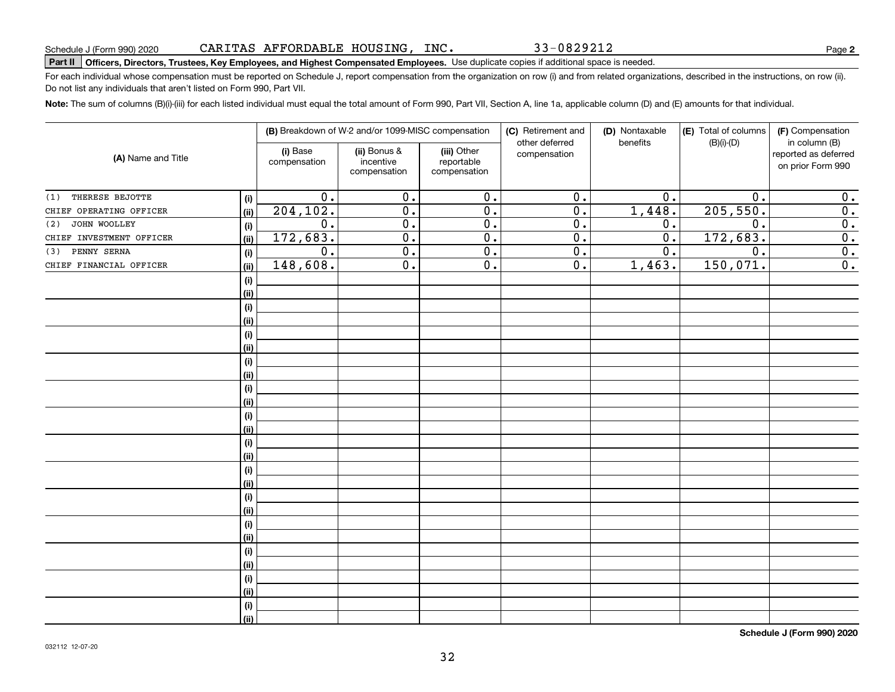33-0829212

# Schedule J (Form 990) 2020 CAR L'L'AS AF F'ORDABLE HOUS LNG , INC **. 3 3 – 0 8 2 9 2 L 2**<br>Part II Pofficers, Directors, Trustees, Key Employees, and Highest Compensated Employees. Use duplicate copies if addit

For each individual whose compensation must be reported on Schedule J, report compensation from the organization on row (i) and from related organizations, described in the instructions, on row (ii). Do not list any individuals that aren't listed on Form 990, Part VII.

**Note:**  The sum of columns (B)(i)-(iii) for each listed individual must equal the total amount of Form 990, Part VII, Section A, line 1a, applicable column (D) and (E) amounts for that individual.

|                          |       |                          | (B) Breakdown of W-2 and/or 1099-MISC compensation |                                           | (C) Retirement and<br>other deferred | (D) Nontaxable<br>benefits | (E) Total of columns<br>$(B)(i)-(D)$ | (F) Compensation<br>in column (B)         |  |  |
|--------------------------|-------|--------------------------|----------------------------------------------------|-------------------------------------------|--------------------------------------|----------------------------|--------------------------------------|-------------------------------------------|--|--|
| (A) Name and Title       |       | (i) Base<br>compensation | (ii) Bonus &<br>incentive<br>compensation          | (iii) Other<br>reportable<br>compensation | compensation                         |                            |                                      | reported as deferred<br>on prior Form 990 |  |  |
| THERESE BEJOTTE<br>(1)   | (i)   | $\overline{0}$ .         | $\overline{0}$ .                                   | $\overline{0}$ .                          | $\overline{0}$ .                     | 0.                         | $\overline{0}$ .                     | 0.                                        |  |  |
| CHIEF OPERATING OFFICER  | (ii)  | 204, 102.                | $\overline{0}$ .                                   | $\overline{0}$ .                          | $\overline{0}$ .                     | 1,448.                     | 205,550.                             | $\overline{0}$ .                          |  |  |
| JOHN WOOLLEY<br>(2)      | (i)   | $\overline{0}$ .         | $\overline{0}$ .                                   | $\overline{0}$ .                          | $\overline{0}$ .                     | 0.                         | $\overline{0}$ .                     | $\overline{0}$ .                          |  |  |
| CHIEF INVESTMENT OFFICER | (ii)  | 172,683.                 | $\overline{0}$ .                                   | $\overline{0}$ .                          | $\overline{0}$ .                     | $\overline{0}$ .           | 172, 683.                            | $\overline{0}$ .                          |  |  |
| PENNY SERNA<br>(3)       | (i)   | $\overline{0}$ .         | $\overline{0}$ .                                   | $\overline{0}$ .                          | $\overline{0}$ .                     | $\overline{0}$ .           | $\overline{0}$ .                     | $\overline{\mathbf{0}}$ .                 |  |  |
| CHIEF FINANCIAL OFFICER  | (ii)  | 148,608.                 | $\overline{0}$ .                                   | $\overline{0}$ .                          | $\overline{0}$ .                     | 1,463.                     | 150,071.                             | 0.                                        |  |  |
|                          | (i)   |                          |                                                    |                                           |                                      |                            |                                      |                                           |  |  |
|                          | (ii)  |                          |                                                    |                                           |                                      |                            |                                      |                                           |  |  |
|                          | (i)   |                          |                                                    |                                           |                                      |                            |                                      |                                           |  |  |
|                          | (ii)  |                          |                                                    |                                           |                                      |                            |                                      |                                           |  |  |
|                          | (i)   |                          |                                                    |                                           |                                      |                            |                                      |                                           |  |  |
|                          | (ii)  |                          |                                                    |                                           |                                      |                            |                                      |                                           |  |  |
|                          | (i)   |                          |                                                    |                                           |                                      |                            |                                      |                                           |  |  |
|                          | (ii)  |                          |                                                    |                                           |                                      |                            |                                      |                                           |  |  |
|                          | (i)   |                          |                                                    |                                           |                                      |                            |                                      |                                           |  |  |
|                          | (ii)  |                          |                                                    |                                           |                                      |                            |                                      |                                           |  |  |
|                          | (i)   |                          |                                                    |                                           |                                      |                            |                                      |                                           |  |  |
|                          | (ii)  |                          |                                                    |                                           |                                      |                            |                                      |                                           |  |  |
|                          | (i)   |                          |                                                    |                                           |                                      |                            |                                      |                                           |  |  |
|                          | (ii)  |                          |                                                    |                                           |                                      |                            |                                      |                                           |  |  |
|                          | (i)   |                          |                                                    |                                           |                                      |                            |                                      |                                           |  |  |
|                          | (ii)  |                          |                                                    |                                           |                                      |                            |                                      |                                           |  |  |
|                          | (i)   |                          |                                                    |                                           |                                      |                            |                                      |                                           |  |  |
|                          | (ii)  |                          |                                                    |                                           |                                      |                            |                                      |                                           |  |  |
|                          | (i)   |                          |                                                    |                                           |                                      |                            |                                      |                                           |  |  |
|                          | (ii)  |                          |                                                    |                                           |                                      |                            |                                      |                                           |  |  |
|                          | (i)   |                          |                                                    |                                           |                                      |                            |                                      |                                           |  |  |
|                          | (ii)  |                          |                                                    |                                           |                                      |                            |                                      |                                           |  |  |
|                          | (i)   |                          |                                                    |                                           |                                      |                            |                                      |                                           |  |  |
|                          | (ii)  |                          |                                                    |                                           |                                      |                            |                                      |                                           |  |  |
|                          | (i)   |                          |                                                    |                                           |                                      |                            |                                      |                                           |  |  |
|                          | (iii) |                          |                                                    |                                           |                                      |                            |                                      |                                           |  |  |

**Schedule J (Form 990) 2020**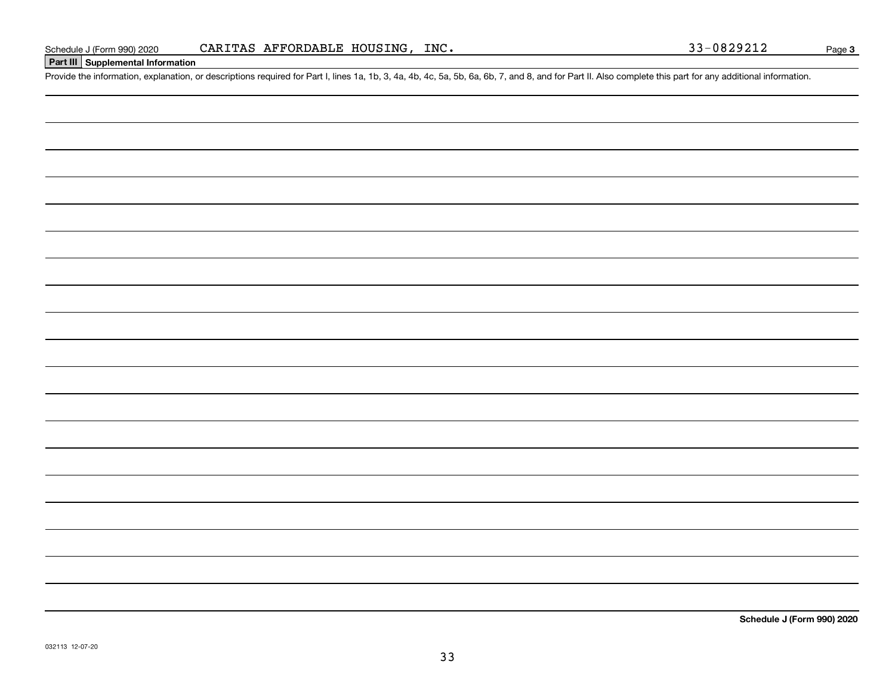# **Part III Supplemental Information**

Schedule J (Form 990) 2020 CARITAS AFFORDABLE HOUSING, INC.<br>Part III Supplemental Information<br>Provide the information, explanation, or descriptions required for Part I, lines 1a, 1b, 3, 4a, 4b, 4c, 5a, 5b, 6a, 6b, 7, and 8

**Schedule J (Form 990) 2020**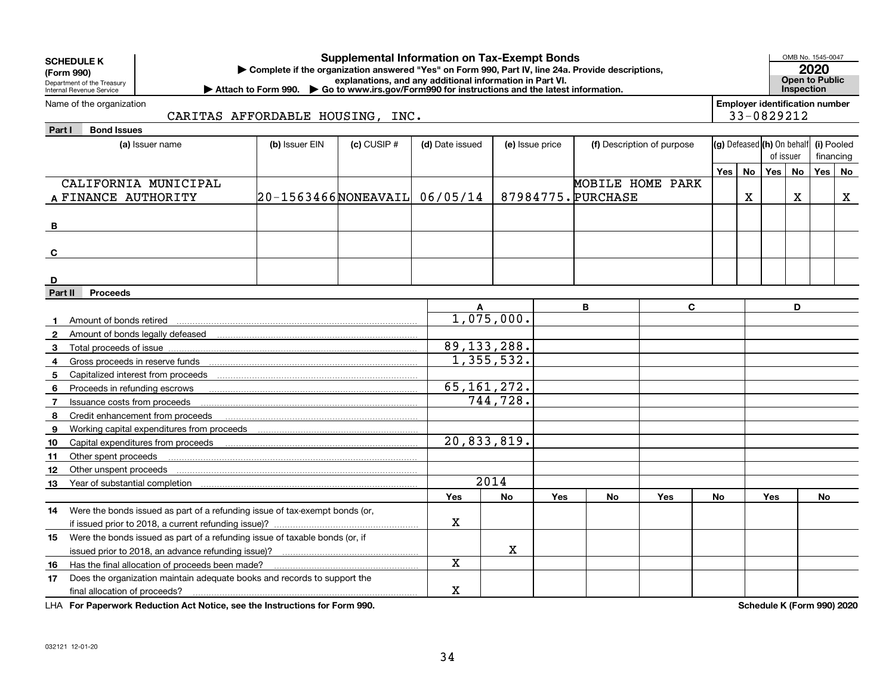|                | <b>Supplemental Information on Tax-Exempt Bonds</b><br><b>SCHEDULE K</b><br>Complete if the organization answered "Yes" on Form 990, Part IV, line 24a. Provide descriptions,<br>(Form 990)<br>explanations, and any additional information in Part VI.<br>Department of the Treasury<br>▶ Attach to Form 990. ▶ Go to www.irs.gov/Form990 for instructions and the latest information.<br>Internal Revenue Service |                              |  |               |              |            |                    |     |     |                            |                                                     | OMB No. 1545-0047<br>2020<br><b>Open to Public</b><br><b>Inspection</b> |            |    |
|----------------|---------------------------------------------------------------------------------------------------------------------------------------------------------------------------------------------------------------------------------------------------------------------------------------------------------------------------------------------------------------------------------------------------------------------|------------------------------|--|---------------|--------------|------------|--------------------|-----|-----|----------------------------|-----------------------------------------------------|-------------------------------------------------------------------------|------------|----|
|                | Name of the organization<br>CARITAS AFFORDABLE HOUSING, INC.                                                                                                                                                                                                                                                                                                                                                        |                              |  |               |              |            |                    |     |     |                            | <b>Employer identification number</b><br>33-0829212 |                                                                         |            |    |
| Part I         | <b>Bond Issues</b>                                                                                                                                                                                                                                                                                                                                                                                                  |                              |  |               |              |            |                    |     |     |                            |                                                     |                                                                         |            |    |
|                | (b) Issuer EIN<br>$(c)$ CUSIP $#$<br>(d) Date issued<br>(f) Description of purpose<br>(a) Issuer name<br>(e) Issue price                                                                                                                                                                                                                                                                                            |                              |  |               |              |            |                    |     |     | (g) Defeased (h) On behalf |                                                     |                                                                         | (i) Pooled |    |
|                |                                                                                                                                                                                                                                                                                                                                                                                                                     |                              |  |               |              |            |                    |     |     |                            | of issuer                                           |                                                                         | financing  |    |
|                |                                                                                                                                                                                                                                                                                                                                                                                                                     |                              |  |               |              |            |                    |     | Yes | <b>No</b>                  | Yes                                                 | No                                                                      | Yes        | No |
|                | CALIFORNIA MUNICIPAL                                                                                                                                                                                                                                                                                                                                                                                                |                              |  |               |              |            | MOBILE HOME PARK   |     |     |                            |                                                     |                                                                         |            |    |
|                | A FINANCE AUTHORITY                                                                                                                                                                                                                                                                                                                                                                                                 | 20-1563466NONEAVAIL 06/05/14 |  |               |              |            | 87984775. PURCHASE |     |     | X                          |                                                     | X                                                                       |            | X  |
| B              |                                                                                                                                                                                                                                                                                                                                                                                                                     |                              |  |               |              |            |                    |     |     |                            |                                                     |                                                                         |            |    |
| C              |                                                                                                                                                                                                                                                                                                                                                                                                                     |                              |  |               |              |            |                    |     |     |                            |                                                     |                                                                         |            |    |
|                |                                                                                                                                                                                                                                                                                                                                                                                                                     |                              |  |               |              |            |                    |     |     |                            |                                                     |                                                                         |            |    |
| D              |                                                                                                                                                                                                                                                                                                                                                                                                                     |                              |  |               |              |            |                    |     |     |                            |                                                     |                                                                         |            |    |
|                | Part II<br><b>Proceeds</b>                                                                                                                                                                                                                                                                                                                                                                                          |                              |  |               |              |            |                    |     |     |                            |                                                     |                                                                         |            |    |
|                |                                                                                                                                                                                                                                                                                                                                                                                                                     |                              |  |               |              |            | B                  | C   |     |                            |                                                     | D                                                                       |            |    |
|                | Amount of bonds retired                                                                                                                                                                                                                                                                                                                                                                                             |                              |  |               | 1,075,000.   |            |                    |     |     |                            |                                                     |                                                                         |            |    |
| $\mathbf{2}$   |                                                                                                                                                                                                                                                                                                                                                                                                                     |                              |  |               |              |            |                    |     |     |                            |                                                     |                                                                         |            |    |
| 3              |                                                                                                                                                                                                                                                                                                                                                                                                                     |                              |  | 89, 133, 288. |              |            |                    |     |     |                            |                                                     |                                                                         |            |    |
| 4              |                                                                                                                                                                                                                                                                                                                                                                                                                     |                              |  |               | 1,355,532.   |            |                    |     |     |                            |                                                     |                                                                         |            |    |
| 5              | Capitalized interest from proceeds                                                                                                                                                                                                                                                                                                                                                                                  |                              |  |               |              |            |                    |     |     |                            |                                                     |                                                                         |            |    |
| 6              | Proceeds in refunding escrows                                                                                                                                                                                                                                                                                                                                                                                       |                              |  | 65, 161, 272. |              |            |                    |     |     |                            |                                                     |                                                                         |            |    |
| $\overline{7}$ | Issuance costs from proceeds                                                                                                                                                                                                                                                                                                                                                                                        |                              |  |               | 744,728.     |            |                    |     |     |                            |                                                     |                                                                         |            |    |
| 8              | Credit enhancement from proceeds                                                                                                                                                                                                                                                                                                                                                                                    |                              |  |               |              |            |                    |     |     |                            |                                                     |                                                                         |            |    |
| 9              |                                                                                                                                                                                                                                                                                                                                                                                                                     |                              |  |               |              |            |                    |     |     |                            |                                                     |                                                                         |            |    |
| 10             | Capital expenditures from proceeds                                                                                                                                                                                                                                                                                                                                                                                  |                              |  | 20,833,819.   |              |            |                    |     |     |                            |                                                     |                                                                         |            |    |
| 11             | Other spent proceeds                                                                                                                                                                                                                                                                                                                                                                                                |                              |  |               |              |            |                    |     |     |                            |                                                     |                                                                         |            |    |
| 12             | Other unspent proceeds                                                                                                                                                                                                                                                                                                                                                                                              |                              |  |               |              |            |                    |     |     |                            |                                                     |                                                                         |            |    |
| 13             | Year of substantial completion                                                                                                                                                                                                                                                                                                                                                                                      |                              |  |               | 2014         |            |                    |     |     |                            |                                                     |                                                                         |            |    |
|                |                                                                                                                                                                                                                                                                                                                                                                                                                     |                              |  | Yes           | No           | <b>Yes</b> | <b>No</b>          | Yes | No  |                            | <b>Yes</b>                                          |                                                                         | No         |    |
| 14             | Were the bonds issued as part of a refunding issue of tax-exempt bonds (or,                                                                                                                                                                                                                                                                                                                                         |                              |  | X             |              |            |                    |     |     |                            |                                                     |                                                                         |            |    |
|                | Were the bonds issued as part of a refunding issue of taxable bonds (or, if                                                                                                                                                                                                                                                                                                                                         |                              |  |               |              |            |                    |     |     |                            |                                                     |                                                                         |            |    |
| 15             | issued prior to 2018, an advance refunding issue)?                                                                                                                                                                                                                                                                                                                                                                  |                              |  |               | $\mathbf{x}$ |            |                    |     |     |                            |                                                     |                                                                         |            |    |
| 16             | Has the final allocation of proceeds been made?                                                                                                                                                                                                                                                                                                                                                                     |                              |  | Χ             |              |            |                    |     |     |                            |                                                     |                                                                         |            |    |
| 17             | Does the organization maintain adequate books and records to support the                                                                                                                                                                                                                                                                                                                                            |                              |  |               |              |            |                    |     |     |                            |                                                     |                                                                         |            |    |
|                | final allocation of proceeds?                                                                                                                                                                                                                                                                                                                                                                                       |                              |  |               |              |            |                    |     |     |                            |                                                     |                                                                         |            |    |

**For Paperwork Reduction Act Notice, see the Instructions for Form 990. Schedule K (Form 990) 2020** LHA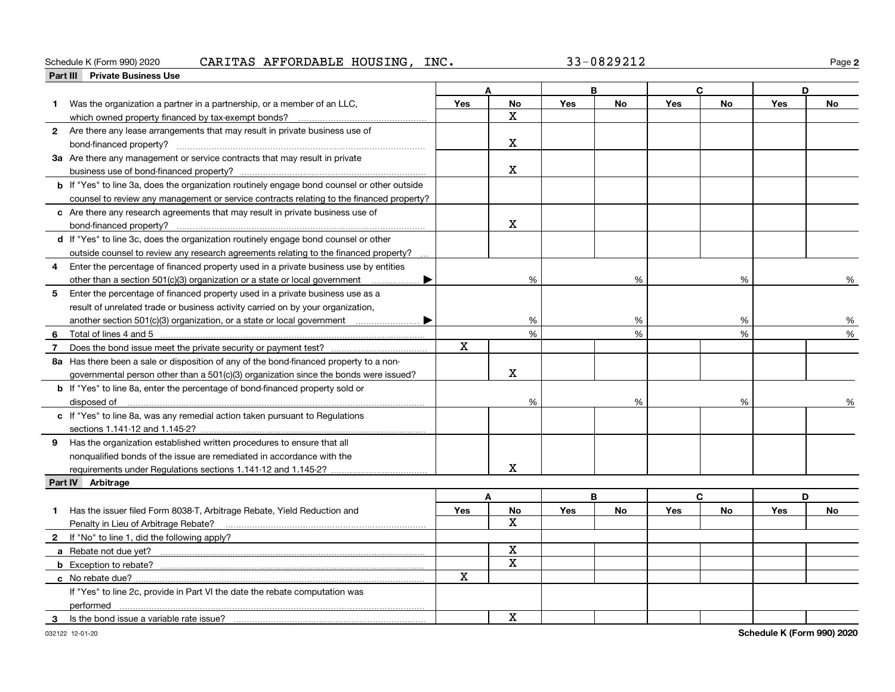### Schedule K (Form 990) 2020  $\bf{CARITAS}$   $\bf{AFFORDABLE}$   $\bf{HOUSING}$  ,  $\bf{INC.}$   $\bf{33-0829212}$   $\bf{26.}$

**2**

|                | Part III Private Business Use                                                                       |            |              |            |           |     |           |            |    |
|----------------|-----------------------------------------------------------------------------------------------------|------------|--------------|------------|-----------|-----|-----------|------------|----|
|                |                                                                                                     | Δ          |              | B          |           | C   |           | D          |    |
| 1.             | Was the organization a partner in a partnership, or a member of an LLC,                             | Yes        | <b>No</b>    | Yes        | <b>No</b> | Yes | <b>No</b> | Yes        | No |
|                | which owned property financed by tax-exempt bonds?                                                  |            | x            |            |           |     |           |            |    |
|                | 2 Are there any lease arrangements that may result in private business use of                       |            |              |            |           |     |           |            |    |
|                |                                                                                                     |            | $\mathbf{x}$ |            |           |     |           |            |    |
|                | 3a Are there any management or service contracts that may result in private                         |            |              |            |           |     |           |            |    |
|                |                                                                                                     |            | x            |            |           |     |           |            |    |
|                | <b>b</b> If "Yes" to line 3a, does the organization routinely engage bond counsel or other outside  |            |              |            |           |     |           |            |    |
|                | counsel to review any management or service contracts relating to the financed property?            |            |              |            |           |     |           |            |    |
|                | c Are there any research agreements that may result in private business use of                      |            |              |            |           |     |           |            |    |
|                |                                                                                                     |            | $\mathbf X$  |            |           |     |           |            |    |
|                | d If "Yes" to line 3c, does the organization routinely engage bond counsel or other                 |            |              |            |           |     |           |            |    |
|                | outside counsel to review any research agreements relating to the financed property?                |            |              |            |           |     |           |            |    |
|                | 4 Enter the percentage of financed property used in a private business use by entities              |            |              |            |           |     |           |            |    |
|                | other than a section 501(c)(3) organization or a state or local government<br>$\blacktriangleright$ |            | %            |            | %         |     | %         |            | %  |
| 5 <sub>5</sub> | Enter the percentage of financed property used in a private business use as a                       |            |              |            |           |     |           |            |    |
|                | result of unrelated trade or business activity carried on by your organization,                     |            |              |            |           |     |           |            |    |
|                | another section 501(c)(3) organization, or a state or local government $\ldots$ $\blacksquare$      |            | %            |            | %         |     | %         |            | %  |
| 6              |                                                                                                     |            | %            |            | %         |     | %         |            | %  |
| $\overline{7}$ |                                                                                                     | X          |              |            |           |     |           |            |    |
|                | 8a Has there been a sale or disposition of any of the bond-financed property to a non-              |            |              |            |           |     |           |            |    |
|                | governmental person other than a 501(c)(3) organization since the bonds were issued?                |            | $\mathbf X$  |            |           |     |           |            |    |
|                | <b>b</b> If "Yes" to line 8a, enter the percentage of bond-financed property sold or                |            |              |            |           |     |           |            |    |
|                | disposed of                                                                                         |            | %            |            | %         |     | %         |            |    |
|                | c If "Yes" to line 8a, was any remedial action taken pursuant to Regulations                        |            |              |            |           |     |           |            |    |
|                |                                                                                                     |            |              |            |           |     |           |            |    |
|                | 9 Has the organization established written procedures to ensure that all                            |            |              |            |           |     |           |            |    |
|                |                                                                                                     |            |              |            |           |     |           |            |    |
|                | nonqualified bonds of the issue are remediated in accordance with the                               |            | x            |            |           |     |           |            |    |
|                | Part IV Arbitrage                                                                                   |            |              |            |           |     |           |            |    |
|                |                                                                                                     |            | A            |            | B         |     | C         |            | D  |
| 1              | Has the issuer filed Form 8038-T, Arbitrage Rebate, Yield Reduction and                             | <b>Yes</b> | No           | <b>Yes</b> | No        | Yes | No        | <b>Yes</b> | No |
|                |                                                                                                     |            | $\mathbf{x}$ |            |           |     |           |            |    |
|                | Penalty in Lieu of Arbitrage Rebate?                                                                |            |              |            |           |     |           |            |    |
|                | 2 If "No" to line 1, did the following apply?                                                       |            | $\mathbf X$  |            |           |     |           |            |    |
|                |                                                                                                     |            | X            |            |           |     |           |            |    |
|                |                                                                                                     | X          |              |            |           |     |           |            |    |
|                |                                                                                                     |            |              |            |           |     |           |            |    |
|                | If "Yes" to line 2c, provide in Part VI the date the rebate computation was                         |            |              |            |           |     |           |            |    |
|                | performed                                                                                           |            | $\mathbf{x}$ |            |           |     |           |            |    |
| 3.             | Is the bond issue a variable rate issue?                                                            |            |              |            |           |     |           |            |    |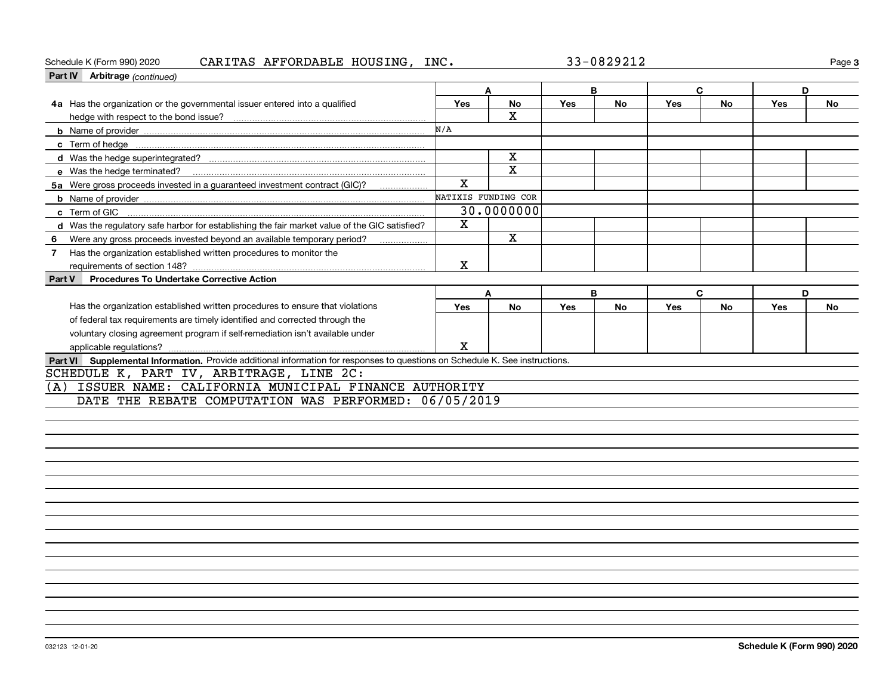## Schedule K (Form 990) 2020  $\bf{CARITAS}$   $\bf{AFFORDABLE}$   $\bf{HOUSING}$  ,  $\bf{INC.}$   $\bf{33-0829212}$   $\bf{26.}$

| Part IV Arbitrage (continued)                                                                                                |     |                     |            |           |     |           |            |           |
|------------------------------------------------------------------------------------------------------------------------------|-----|---------------------|------------|-----------|-----|-----------|------------|-----------|
|                                                                                                                              |     |                     |            | B         |     | C         | D          |           |
| 4a Has the organization or the governmental issuer entered into a qualified                                                  | Yes | No                  | Yes        | No        | Yes | No        | Yes        | No        |
|                                                                                                                              |     | X                   |            |           |     |           |            |           |
|                                                                                                                              | N/A |                     |            |           |     |           |            |           |
|                                                                                                                              |     |                     |            |           |     |           |            |           |
|                                                                                                                              |     | x                   |            |           |     |           |            |           |
|                                                                                                                              |     | х                   |            |           |     |           |            |           |
| 5a Were gross proceeds invested in a guaranteed investment contract (GIC)?                                                   | X   |                     |            |           |     |           |            |           |
|                                                                                                                              |     | NATIXIS FUNDING COR |            |           |     |           |            |           |
|                                                                                                                              |     | 30.0000000          |            |           |     |           |            |           |
| d Was the regulatory safe harbor for establishing the fair market value of the GIC satisfied?                                | х   |                     |            |           |     |           |            |           |
| Were any gross proceeds invested beyond an available temporary period?<br>- 6                                                |     | x                   |            |           |     |           |            |           |
| Has the organization established written procedures to monitor the                                                           |     |                     |            |           |     |           |            |           |
|                                                                                                                              | X   |                     |            |           |     |           |            |           |
| <b>Procedures To Undertake Corrective Action</b><br>Part V                                                                   |     |                     |            |           |     |           |            |           |
|                                                                                                                              | A   |                     | B          |           | C   |           | D          |           |
| Has the organization established written procedures to ensure that violations                                                | Yes | <b>No</b>           | <b>Yes</b> | <b>No</b> | Yes | <b>No</b> | <b>Yes</b> | <b>No</b> |
| of federal tax requirements are timely identified and corrected through the                                                  |     |                     |            |           |     |           |            |           |
| voluntary closing agreement program if self-remediation isn't available under                                                |     |                     |            |           |     |           |            |           |
|                                                                                                                              | X   |                     |            |           |     |           |            |           |
| Part VI Supplemental Information. Provide additional information for responses to questions on Schedule K. See instructions. |     |                     |            |           |     |           |            |           |
| SCHEDULE K, PART IV, ARBITRAGE, LINE 2C:                                                                                     |     |                     |            |           |     |           |            |           |
| ISSUER NAME: CALIFORNIA MUNICIPAL FINANCE AUTHORITY<br>(A)                                                                   |     |                     |            |           |     |           |            |           |
| DATE THE REBATE COMPUTATION WAS PERFORMED: 06/05/2019                                                                        |     |                     |            |           |     |           |            |           |
|                                                                                                                              |     |                     |            |           |     |           |            |           |
|                                                                                                                              |     |                     |            |           |     |           |            |           |

**3**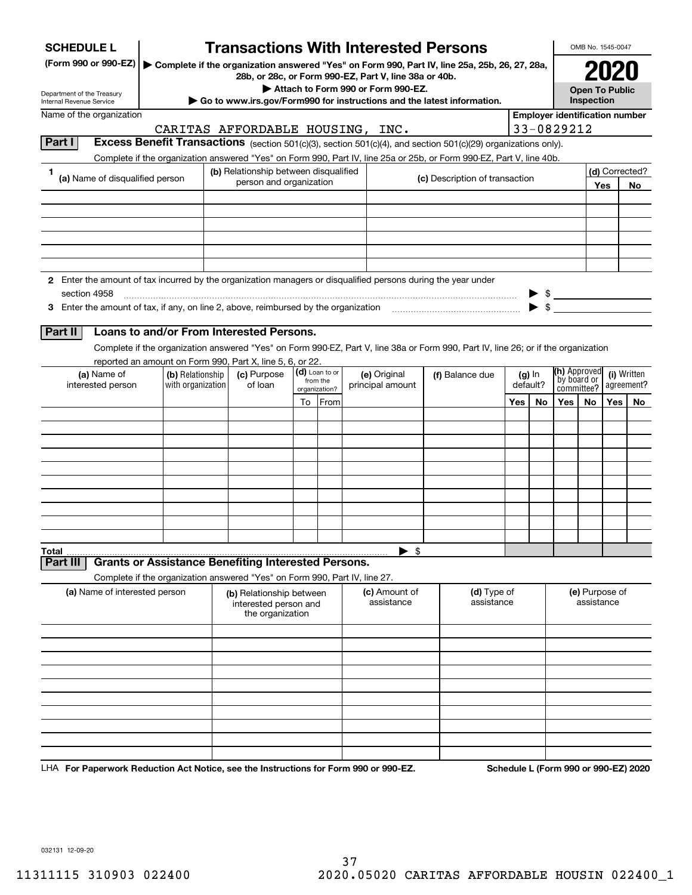| <b>SCHEDULE L</b>                                                                                             |                                                                                                                                    | <b>Transactions With Interested Persons</b>                                                                                       |  |                            |  |                                                       |                              |                                                                                               |                                                     |     |                          | OMB No. 1545-0047     |                             |                                      |             |            |  |  |            |
|---------------------------------------------------------------------------------------------------------------|------------------------------------------------------------------------------------------------------------------------------------|-----------------------------------------------------------------------------------------------------------------------------------|--|----------------------------|--|-------------------------------------------------------|------------------------------|-----------------------------------------------------------------------------------------------|-----------------------------------------------------|-----|--------------------------|-----------------------|-----------------------------|--------------------------------------|-------------|------------|--|--|------------|
| (Form 990 or 990-EZ)                                                                                          |                                                                                                                                    |                                                                                                                                   |  |                            |  | 28b, or 28c, or Form 990-EZ, Part V, line 38a or 40b. |                              | Complete if the organization answered "Yes" on Form 990, Part IV, line 25a, 25b, 26, 27, 28a, |                                                     |     |                          |                       | 2021                        |                                      |             |            |  |  |            |
| Department of the Treasury                                                                                    |                                                                                                                                    |                                                                                                                                   |  |                            |  | Attach to Form 990 or Form 990-EZ.                    |                              |                                                                                               |                                                     |     |                          | <b>Open To Public</b> |                             |                                      |             |            |  |  |            |
| Internal Revenue Service                                                                                      |                                                                                                                                    |                                                                                                                                   |  |                            |  |                                                       |                              | Go to www.irs.gov/Form990 for instructions and the latest information.                        |                                                     |     |                          | Inspection            |                             |                                      |             |            |  |  |            |
| Name of the organization                                                                                      |                                                                                                                                    | CARITAS AFFORDABLE HOUSING, INC.                                                                                                  |  |                            |  |                                                       |                              |                                                                                               | <b>Employer identification number</b><br>33-0829212 |     |                          |                       |                             |                                      |             |            |  |  |            |
| Part I                                                                                                        | Excess Benefit Transactions (section 501(c)(3), section 501(c)(4), and section 501(c)(29) organizations only).                     |                                                                                                                                   |  |                            |  |                                                       |                              |                                                                                               |                                                     |     |                          |                       |                             |                                      |             |            |  |  |            |
|                                                                                                               | Complete if the organization answered "Yes" on Form 990, Part IV, line 25a or 25b, or Form 990-EZ, Part V, line 40b.               |                                                                                                                                   |  |                            |  |                                                       |                              |                                                                                               |                                                     |     |                          |                       |                             |                                      |             |            |  |  |            |
| 1<br>(a) Name of disqualified person                                                                          |                                                                                                                                    | (b) Relationship between disqualified                                                                                             |  |                            |  |                                                       |                              |                                                                                               |                                                     |     |                          |                       |                             | (d) Corrected?                       |             |            |  |  |            |
|                                                                                                               |                                                                                                                                    | person and organization                                                                                                           |  |                            |  |                                                       |                              | (c) Description of transaction                                                                |                                                     |     |                          |                       | Yes                         | No.                                  |             |            |  |  |            |
|                                                                                                               |                                                                                                                                    |                                                                                                                                   |  |                            |  |                                                       |                              |                                                                                               |                                                     |     |                          |                       |                             |                                      |             |            |  |  |            |
|                                                                                                               |                                                                                                                                    |                                                                                                                                   |  |                            |  |                                                       |                              |                                                                                               |                                                     |     |                          |                       |                             |                                      |             |            |  |  |            |
|                                                                                                               |                                                                                                                                    |                                                                                                                                   |  |                            |  |                                                       |                              |                                                                                               |                                                     |     |                          |                       |                             |                                      |             |            |  |  |            |
|                                                                                                               |                                                                                                                                    |                                                                                                                                   |  |                            |  |                                                       |                              |                                                                                               |                                                     |     |                          |                       |                             |                                      |             |            |  |  |            |
|                                                                                                               |                                                                                                                                    |                                                                                                                                   |  |                            |  |                                                       |                              |                                                                                               |                                                     |     |                          |                       |                             |                                      |             |            |  |  |            |
| 2 Enter the amount of tax incurred by the organization managers or disqualified persons during the year under |                                                                                                                                    |                                                                                                                                   |  |                            |  |                                                       |                              |                                                                                               |                                                     |     |                          |                       |                             |                                      |             |            |  |  |            |
| section 4958                                                                                                  |                                                                                                                                    |                                                                                                                                   |  |                            |  |                                                       |                              |                                                                                               |                                                     |     | $\triangleright$ \$      |                       |                             |                                      |             |            |  |  |            |
| 3 Enter the amount of tax, if any, on line 2, above, reimbursed by the organization                           |                                                                                                                                    |                                                                                                                                   |  |                            |  |                                                       |                              |                                                                                               |                                                     |     | $\blacktriangleright$ \$ |                       |                             |                                      |             |            |  |  |            |
| Part II                                                                                                       | Loans to and/or From Interested Persons.                                                                                           |                                                                                                                                   |  |                            |  |                                                       |                              |                                                                                               |                                                     |     |                          |                       |                             |                                      |             |            |  |  |            |
|                                                                                                               | Complete if the organization answered "Yes" on Form 990-EZ, Part V, line 38a or Form 990, Part IV, line 26; or if the organization |                                                                                                                                   |  |                            |  |                                                       |                              |                                                                                               |                                                     |     |                          |                       |                             |                                      |             |            |  |  |            |
|                                                                                                               | reported an amount on Form 990, Part X, line 5, 6, or 22.                                                                          |                                                                                                                                   |  |                            |  |                                                       |                              |                                                                                               |                                                     |     |                          |                       |                             |                                      |             |            |  |  |            |
| (a) Name of                                                                                                   | (b) Relationship                                                                                                                   | (c) Purpose                                                                                                                       |  | (d) Loan to or<br>from the |  | (e) Original                                          | $(g)$ In<br>(f) Balance due  |                                                                                               |                                                     |     |                          |                       | (h) Approved<br>by board or |                                      | (i) Written |            |  |  |            |
| interested person                                                                                             | with organization                                                                                                                  | of loan                                                                                                                           |  | organization?              |  | principal amount                                      |                              |                                                                                               |                                                     |     |                          |                       |                             |                                      | default?    | committee? |  |  | agreement? |
|                                                                                                               |                                                                                                                                    |                                                                                                                                   |  | To From                    |  |                                                       |                              |                                                                                               | Yes                                                 | No. | Yes                      | No.                   | Yes                         | No.                                  |             |            |  |  |            |
|                                                                                                               |                                                                                                                                    |                                                                                                                                   |  |                            |  |                                                       |                              |                                                                                               |                                                     |     |                          |                       |                             |                                      |             |            |  |  |            |
|                                                                                                               |                                                                                                                                    |                                                                                                                                   |  |                            |  |                                                       |                              |                                                                                               |                                                     |     |                          |                       |                             |                                      |             |            |  |  |            |
|                                                                                                               |                                                                                                                                    |                                                                                                                                   |  |                            |  |                                                       |                              |                                                                                               |                                                     |     |                          |                       |                             |                                      |             |            |  |  |            |
|                                                                                                               |                                                                                                                                    |                                                                                                                                   |  |                            |  |                                                       |                              |                                                                                               |                                                     |     |                          |                       |                             |                                      |             |            |  |  |            |
|                                                                                                               |                                                                                                                                    |                                                                                                                                   |  |                            |  |                                                       |                              |                                                                                               |                                                     |     |                          |                       |                             |                                      |             |            |  |  |            |
|                                                                                                               |                                                                                                                                    |                                                                                                                                   |  |                            |  |                                                       |                              |                                                                                               |                                                     |     |                          |                       |                             |                                      |             |            |  |  |            |
|                                                                                                               |                                                                                                                                    |                                                                                                                                   |  |                            |  |                                                       |                              |                                                                                               |                                                     |     |                          |                       |                             |                                      |             |            |  |  |            |
|                                                                                                               |                                                                                                                                    |                                                                                                                                   |  |                            |  |                                                       |                              |                                                                                               |                                                     |     |                          |                       |                             |                                      |             |            |  |  |            |
| Total                                                                                                         |                                                                                                                                    |                                                                                                                                   |  |                            |  | - \$<br>▶                                             |                              |                                                                                               |                                                     |     |                          |                       |                             |                                      |             |            |  |  |            |
| Part III                                                                                                      | <b>Grants or Assistance Benefiting Interested Persons.</b>                                                                         |                                                                                                                                   |  |                            |  |                                                       |                              |                                                                                               |                                                     |     |                          |                       |                             |                                      |             |            |  |  |            |
|                                                                                                               | Complete if the organization answered "Yes" on Form 990, Part IV, line 27.                                                         |                                                                                                                                   |  |                            |  |                                                       |                              |                                                                                               |                                                     |     |                          |                       |                             |                                      |             |            |  |  |            |
| (a) Name of interested person                                                                                 |                                                                                                                                    | (d) Type of<br>(c) Amount of<br>(b) Relationship between<br>assistance<br>assistance<br>interested person and<br>the organization |  |                            |  |                                                       | (e) Purpose of<br>assistance |                                                                                               |                                                     |     |                          |                       |                             |                                      |             |            |  |  |            |
|                                                                                                               |                                                                                                                                    |                                                                                                                                   |  |                            |  |                                                       |                              |                                                                                               |                                                     |     |                          |                       |                             |                                      |             |            |  |  |            |
|                                                                                                               |                                                                                                                                    |                                                                                                                                   |  |                            |  |                                                       |                              |                                                                                               |                                                     |     |                          |                       |                             |                                      |             |            |  |  |            |
|                                                                                                               |                                                                                                                                    |                                                                                                                                   |  |                            |  |                                                       |                              |                                                                                               |                                                     |     |                          |                       |                             |                                      |             |            |  |  |            |
|                                                                                                               |                                                                                                                                    |                                                                                                                                   |  |                            |  |                                                       |                              |                                                                                               |                                                     |     |                          |                       |                             |                                      |             |            |  |  |            |
|                                                                                                               |                                                                                                                                    |                                                                                                                                   |  |                            |  |                                                       |                              |                                                                                               |                                                     |     |                          |                       |                             |                                      |             |            |  |  |            |
|                                                                                                               |                                                                                                                                    |                                                                                                                                   |  |                            |  |                                                       |                              |                                                                                               |                                                     |     |                          |                       |                             |                                      |             |            |  |  |            |
|                                                                                                               |                                                                                                                                    |                                                                                                                                   |  |                            |  |                                                       |                              |                                                                                               |                                                     |     |                          |                       |                             |                                      |             |            |  |  |            |
|                                                                                                               |                                                                                                                                    |                                                                                                                                   |  |                            |  |                                                       |                              |                                                                                               |                                                     |     |                          |                       |                             |                                      |             |            |  |  |            |
|                                                                                                               |                                                                                                                                    |                                                                                                                                   |  |                            |  |                                                       |                              |                                                                                               |                                                     |     |                          |                       |                             |                                      |             |            |  |  |            |
| LHA For Paperwork Reduction Act Notice, see the Instructions for Form 990 or 990-EZ.                          |                                                                                                                                    |                                                                                                                                   |  |                            |  |                                                       |                              |                                                                                               |                                                     |     |                          |                       |                             | Schedule L (Form 990 or 990-EZ) 2020 |             |            |  |  |            |

032131 12-09-20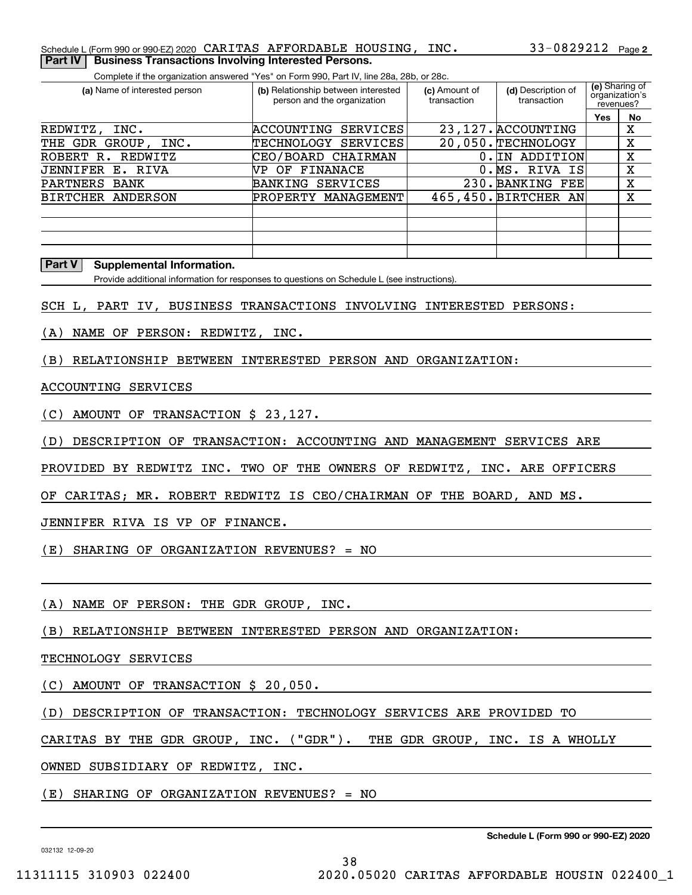Complete if the organization answered "Yes" on Form 990, Part IV, line 28a, 28b, or 28c.

| (a) Name of interested person | (b) Relationship between interested<br>person and the organization | (c) Amount of<br>transaction | (d) Description of<br>transaction | revenues? | (e) Sharing of<br>organization's |
|-------------------------------|--------------------------------------------------------------------|------------------------------|-----------------------------------|-----------|----------------------------------|
|                               |                                                                    |                              |                                   | Yes       | No                               |
| REDWITZ,<br>INC.              | <b>SERVICES</b><br><b>ACCOUNTING</b>                               |                              | 23, 127. ACCOUNTING               |           | x                                |
| THE GDR<br>GROUP,<br>INC.     | TECHNOLOGY<br>SERVICES                                             |                              | 20,050. TECHNOLOGY                |           | X                                |
| ROBERT R.<br>REDWITZ          | CEO/BOARD CHAIRMAN                                                 | 0.                           | IN ADDITION                       |           | X                                |
| <b>JENNIFER</b><br>E. RIVA    | FINANACE<br>OF                                                     |                              | 0.MS.<br>ISI<br>RIVA              |           | X                                |
| <b>PARTNERS</b><br>BANK       | <b>SERVICES</b><br><b>BANKING</b>                                  | 230.                         | <b>FEE</b><br>BANKING             |           | X                                |
| <b>BIRTCHER</b><br>ANDERSON   | PROPERTY<br><b>MANAGEMENT</b>                                      |                              | $465, 450.$ BIRTCHER<br>ANI       |           | X                                |
|                               |                                                                    |                              |                                   |           |                                  |
|                               |                                                                    |                              |                                   |           |                                  |
|                               |                                                                    |                              |                                   |           |                                  |
|                               |                                                                    |                              |                                   |           |                                  |

#### **Part V Supplemental Information.**

Provide additional information for responses to questions on Schedule L (see instructions).

SCH L, PART IV, BUSINESS TRANSACTIONS INVOLVING INTERESTED PERSONS:

(A) NAME OF PERSON: REDWITZ, INC.

(B) RELATIONSHIP BETWEEN INTERESTED PERSON AND ORGANIZATION:

#### ACCOUNTING SERVICES

(C) AMOUNT OF TRANSACTION \$ 23,127.

(D) DESCRIPTION OF TRANSACTION: ACCOUNTING AND MANAGEMENT SERVICES ARE

PROVIDED BY REDWITZ INC. TWO OF THE OWNERS OF REDWITZ, INC. ARE OFFICERS

OF CARITAS; MR. ROBERT REDWITZ IS CEO/CHAIRMAN OF THE BOARD, AND MS.

JENNIFER RIVA IS VP OF FINANCE.

(E) SHARING OF ORGANIZATION REVENUES? = NO

(A) NAME OF PERSON: THE GDR GROUP, INC.

(B) RELATIONSHIP BETWEEN INTERESTED PERSON AND ORGANIZATION:

#### TECHNOLOGY SERVICES

(C) AMOUNT OF TRANSACTION \$ 20,050.

(D) DESCRIPTION OF TRANSACTION: TECHNOLOGY SERVICES ARE PROVIDED TO

CARITAS BY THE GDR GROUP, INC. ("GDR"). THE GDR GROUP, INC. IS A WHOLLY

38

OWNED SUBSIDIARY OF REDWITZ, INC.

(E) SHARING OF ORGANIZATION REVENUES? = NO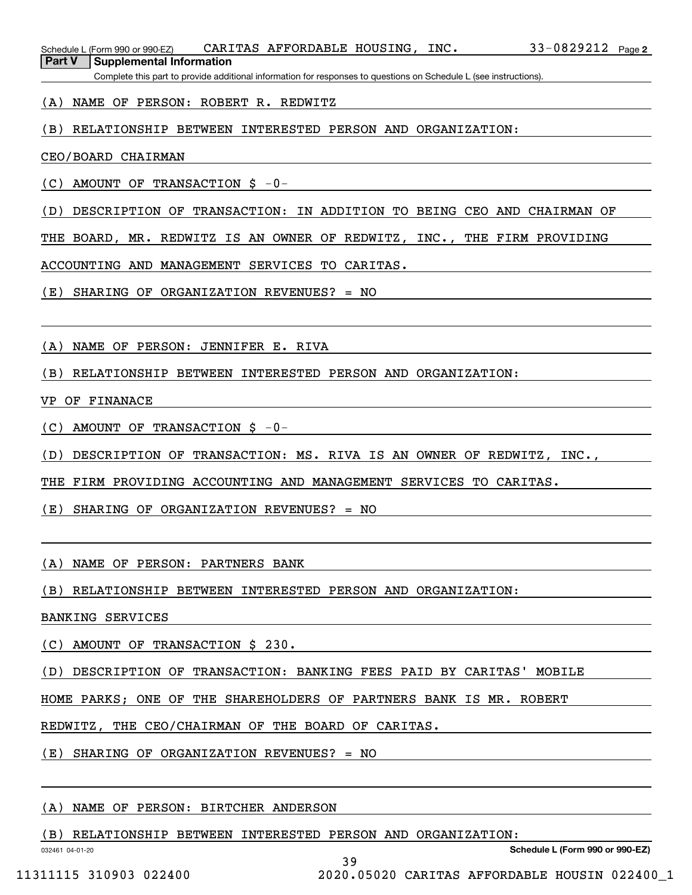Complete this part to provide additional information for responses to questions on Schedule L (see instructions).

### (A) NAME OF PERSON: ROBERT R. REDWITZ

# (B) RELATIONSHIP BETWEEN INTERESTED PERSON AND ORGANIZATION:

#### CEO/BOARD CHAIRMAN

(C) AMOUNT OF TRANSACTION \$ -0-

(D) DESCRIPTION OF TRANSACTION: IN ADDITION TO BEING CEO AND CHAIRMAN OF

THE BOARD, MR. REDWITZ IS AN OWNER OF REDWITZ, INC., THE FIRM PROVIDING

ACCOUNTING AND MANAGEMENT SERVICES TO CARITAS.

(E) SHARING OF ORGANIZATION REVENUES? = NO

(A) NAME OF PERSON: JENNIFER E. RIVA

(B) RELATIONSHIP BETWEEN INTERESTED PERSON AND ORGANIZATION:

VP OF FINANACE

(C) AMOUNT OF TRANSACTION \$ -0-

(D) DESCRIPTION OF TRANSACTION: MS. RIVA IS AN OWNER OF REDWITZ, INC.,

THE FIRM PROVIDING ACCOUNTING AND MANAGEMENT SERVICES TO CARITAS.

(E) SHARING OF ORGANIZATION REVENUES? = NO

(A) NAME OF PERSON: PARTNERS BANK

(B) RELATIONSHIP BETWEEN INTERESTED PERSON AND ORGANIZATION:

BANKING SERVICES

(C) AMOUNT OF TRANSACTION \$ 230.

(D) DESCRIPTION OF TRANSACTION: BANKING FEES PAID BY CARITAS' MOBILE

HOME PARKS; ONE OF THE SHAREHOLDERS OF PARTNERS BANK IS MR. ROBERT

REDWITZ, THE CEO/CHAIRMAN OF THE BOARD OF CARITAS.

(E) SHARING OF ORGANIZATION REVENUES? = NO

### (A) NAME OF PERSON: BIRTCHER ANDERSON

(B) RELATIONSHIP BETWEEN INTERESTED PERSON AND ORGANIZATION:

39

032461 04-01-20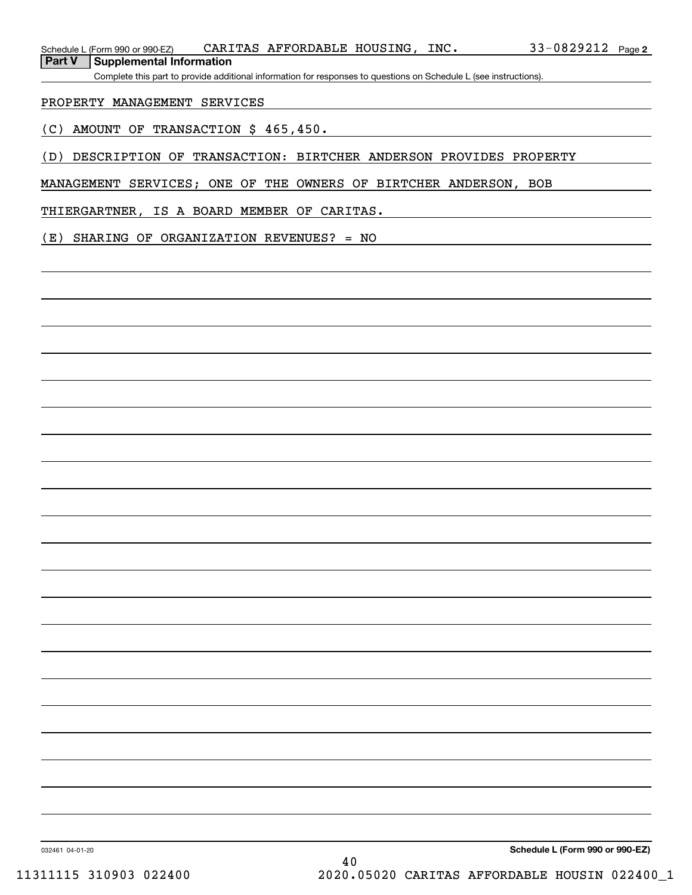Complete this part to provide additional information for responses to questions on Schedule L (see instructions).

### PROPERTY MANAGEMENT SERVICES

(C) AMOUNT OF TRANSACTION \$ 465,450.

(D) DESCRIPTION OF TRANSACTION: BIRTCHER ANDERSON PROVIDES PROPERTY

MANAGEMENT SERVICES; ONE OF THE OWNERS OF BIRTCHER ANDERSON, BOB

THIERGARTNER, IS A BOARD MEMBER OF CARITAS.

(E) SHARING OF ORGANIZATION REVENUES? = NO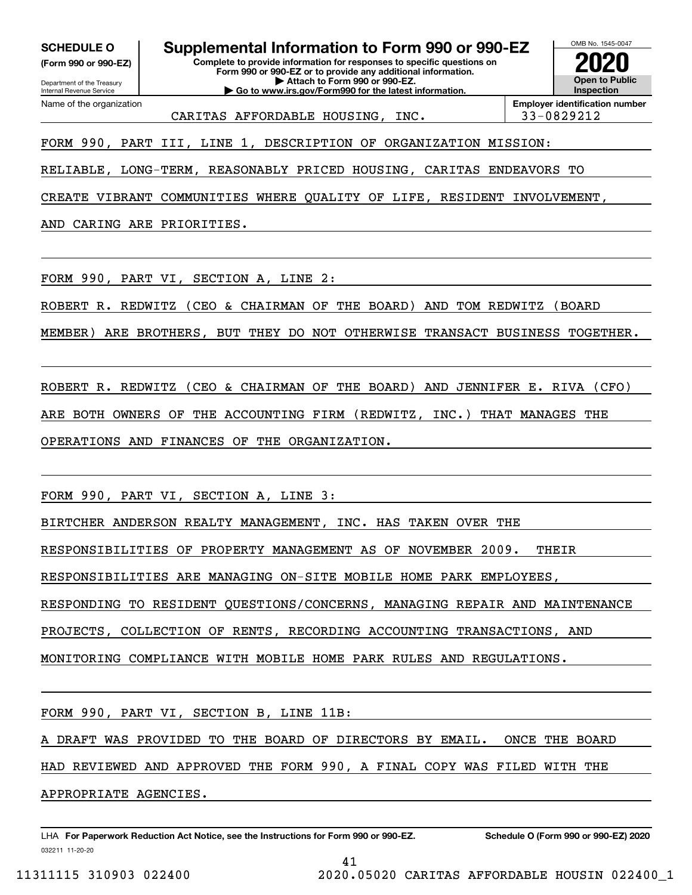**(Form 990 or 990-EZ)**

Department of the Treasury Internal Revenue Service Name of the organization

**Complete to provide information for responses to specific questions on Form 990 or 990-EZ or to provide any additional information. | Attach to Form 990 or 990-EZ. | Go to www.irs.gov/Form990 for the latest information. SCHEDULE O Supplemental Information to Form 990 or 990-EZ**



CARITAS AFFORDABLE HOUSING, INC. 33-0829212

**Employer identification number**

FORM 990, PART III, LINE 1, DESCRIPTION OF ORGANIZATION MISSION:

RELIABLE, LONG-TERM, REASONABLY PRICED HOUSING, CARITAS ENDEAVORS TO

CREATE VIBRANT COMMUNITIES WHERE QUALITY OF LIFE, RESIDENT INVOLVEMENT,

AND CARING ARE PRIORITIES.

FORM 990, PART VI, SECTION A, LINE 2:

ROBERT R. REDWITZ (CEO & CHAIRMAN OF THE BOARD) AND TOM REDWITZ (BOARD

MEMBER) ARE BROTHERS, BUT THEY DO NOT OTHERWISE TRANSACT BUSINESS TOGETHER.

ROBERT R. REDWITZ (CEO & CHAIRMAN OF THE BOARD) AND JENNIFER E. RIVA (CFO) ARE BOTH OWNERS OF THE ACCOUNTING FIRM (REDWITZ, INC.) THAT MANAGES THE OPERATIONS AND FINANCES OF THE ORGANIZATION.

FORM 990, PART VI, SECTION A, LINE 3:

BIRTCHER ANDERSON REALTY MANAGEMENT, INC. HAS TAKEN OVER THE

RESPONSIBILITIES OF PROPERTY MANAGEMENT AS OF NOVEMBER 2009. THEIR

RESPONSIBILITIES ARE MANAGING ON-SITE MOBILE HOME PARK EMPLOYEES,

RESPONDING TO RESIDENT QUESTIONS/CONCERNS, MANAGING REPAIR AND MAINTENANCE

PROJECTS, COLLECTION OF RENTS, RECORDING ACCOUNTING TRANSACTIONS, AND

MONITORING COMPLIANCE WITH MOBILE HOME PARK RULES AND REGULATIONS.

FORM 990, PART VI, SECTION B, LINE 11B:

A DRAFT WAS PROVIDED TO THE BOARD OF DIRECTORS BY EMAIL. ONCE THE BOARD

41

HAD REVIEWED AND APPROVED THE FORM 990, A FINAL COPY WAS FILED WITH THE

APPROPRIATE AGENCIES.

032211 11-20-20 LHA For Paperwork Reduction Act Notice, see the Instructions for Form 990 or 990-EZ. Schedule O (Form 990 or 990-EZ) 2020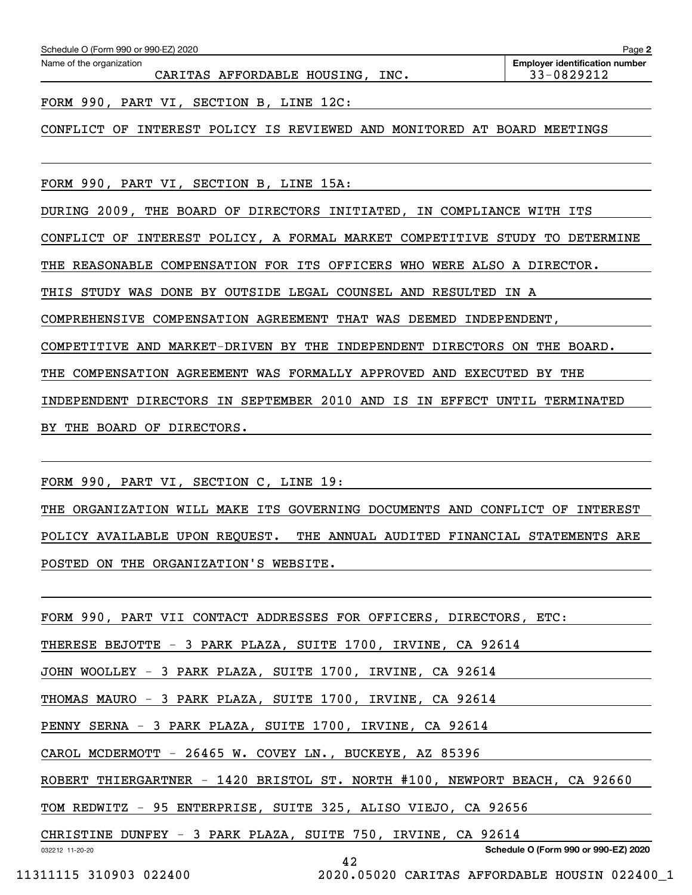| Schedule O (Form 990 or 990-EZ) 2020                                    | Page 2                                              |
|-------------------------------------------------------------------------|-----------------------------------------------------|
| Name of the organization<br>CARITAS AFFORDABLE HOUSING, INC.            | <b>Employer identification number</b><br>33-0829212 |
| FORM 990, PART VI, SECTION B, LINE 12C:                                 |                                                     |
| INTEREST POLICY IS REVIEWED AND MONITORED<br>CONFLICT OF                | AT BOARD MEETINGS                                   |
|                                                                         |                                                     |
| FORM 990, PART VI, SECTION B, LINE 15A:                                 |                                                     |
| DURING 2009, THE BOARD OF DIRECTORS INITIATED, IN COMPLIANCE WITH ITS   |                                                     |
| INTEREST POLICY, A FORMAL MARKET COMPETITIVE STUDY TO<br>CONFLICT OF    | DETERMINE                                           |
| REASONABLE COMPENSATION FOR ITS OFFICERS WHO<br>THE                     | WERE ALSO A DIRECTOR.                               |
| STUDY WAS<br>DONE BY OUTSIDE LEGAL<br>COUNSEL AND<br>RESULTED<br>THIS   | IN A                                                |
| COMPREHENSIVE COMPENSATION AGREEMENT THAT WAS DEEMED                    | INDEPENDENT,                                        |
| COMPETITIVE AND MARKET-DRIVEN BY THE<br>INDEPENDENT<br><b>DIRECTORS</b> | ON<br>THE BOARD.                                    |
| COMPENSATION AGREEMENT WAS FORMALLY APPROVED AND EXECUTED<br>THE        | BY THE                                              |
| IN SEPTEMBER 2010 AND<br>INDEPENDENT DIRECTORS<br>IS<br>EFFECT<br>IN    | UNTIL<br>TERMINATED                                 |
| THE BOARD OF DIRECTORS.<br>BY.                                          |                                                     |

FORM 990, PART VI, SECTION C, LINE 19:

THE ORGANIZATION WILL MAKE ITS GOVERNING DOCUMENTS AND CONFLICT OF INTEREST POLICY AVAILABLE UPON REQUEST. THE ANNUAL AUDITED FINANCIAL STATEMENTS ARE POSTED ON THE ORGANIZATION'S WEBSITE.

| FORM 990, PART VII CONTACT ADDRESSES FOR OFFICERS, DIRECTORS, ETC:         |
|----------------------------------------------------------------------------|
| THERESE BEJOTTE - 3 PARK PLAZA, SUITE 1700, IRVINE, CA 92614               |
| JOHN WOOLLEY - 3 PARK PLAZA, SUITE 1700, IRVINE, CA 92614                  |
| THOMAS MAURO - 3 PARK PLAZA, SUITE 1700, IRVINE, CA 92614                  |
| PENNY SERNA - 3 PARK PLAZA, SUITE 1700, IRVINE, CA 92614                   |
| CAROL MCDERMOTT - 26465 W. COVEY LN., BUCKEYE, AZ 85396                    |
| ROBERT THIERGARTNER - 1420 BRISTOL ST. NORTH #100, NEWPORT BEACH, CA 92660 |
| TOM REDWITZ - 95 ENTERPRISE, SUITE 325, ALISO VIEJO, CA 92656              |
| CHRISTINE DUNFEY - 3 PARK PLAZA, SUITE 750, IRVINE, CA 92614               |
| Schedule O (Form 990 or 990-EZ) 2020<br>032212 11-20-20<br>42              |

11311115 310903 022400 2020.05020 CARITAS AFFORDABLE HOUSIN 022400\_1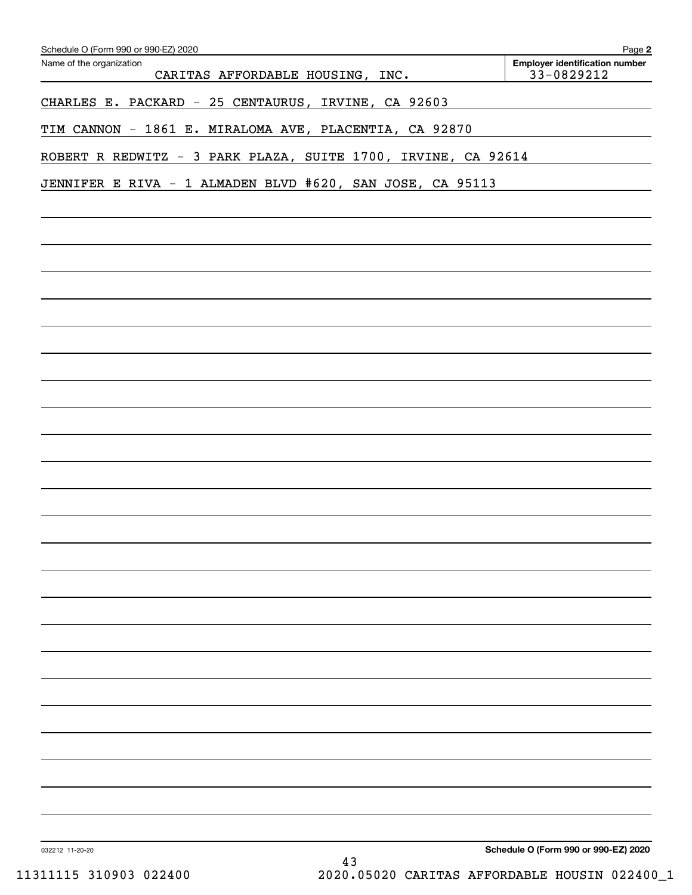| Schedule O (Form 990 or 990-EZ) 2020                          | Page 2                                              |
|---------------------------------------------------------------|-----------------------------------------------------|
| Name of the organization<br>CARITAS AFFORDABLE HOUSING, INC.  | <b>Employer identification number</b><br>33-0829212 |
| CHARLES E. PACKARD - 25 CENTAURUS, IRVINE, CA 92603           |                                                     |
| TIM CANNON - 1861 E. MIRALOMA AVE, PLACENTIA, CA 92870        |                                                     |
| ROBERT R REDWITZ - 3 PARK PLAZA, SUITE 1700, IRVINE, CA 92614 |                                                     |
| JENNIFER E RIVA - 1 ALMADEN BLVD #620, SAN JOSE, CA 95113     |                                                     |
|                                                               |                                                     |
|                                                               |                                                     |
|                                                               |                                                     |
|                                                               |                                                     |
|                                                               |                                                     |
|                                                               |                                                     |
|                                                               |                                                     |
|                                                               |                                                     |
|                                                               |                                                     |
|                                                               |                                                     |
|                                                               |                                                     |
|                                                               |                                                     |
|                                                               |                                                     |
|                                                               |                                                     |
|                                                               |                                                     |
|                                                               |                                                     |
|                                                               |                                                     |
|                                                               |                                                     |
|                                                               |                                                     |
|                                                               |                                                     |
|                                                               |                                                     |
|                                                               |                                                     |
|                                                               |                                                     |
|                                                               |                                                     |
| 032212 11-20-20<br>ר ו                                        | Schedule O (Form 990 or 990-EZ) 2020                |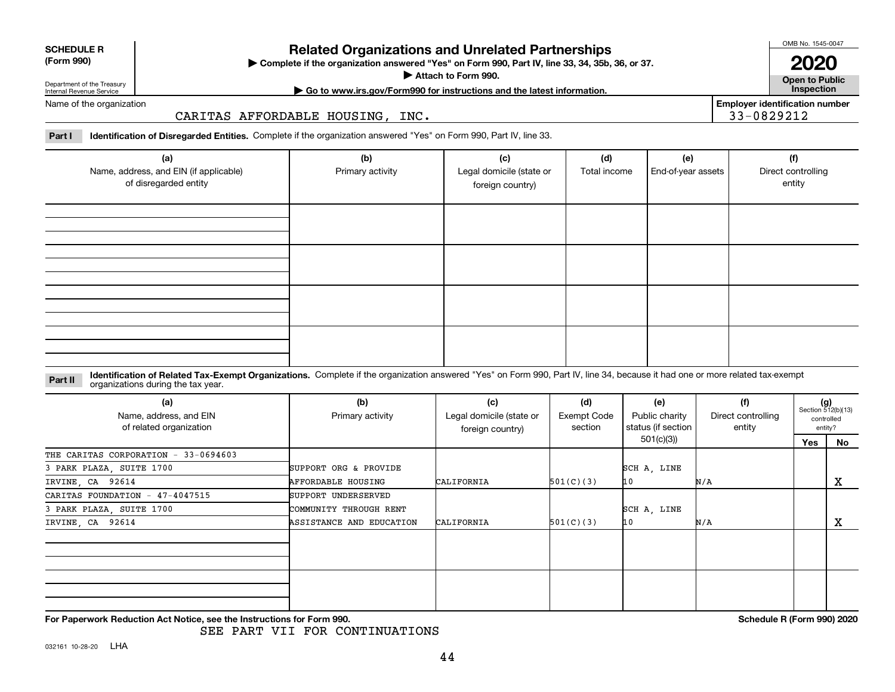| <b>SCHEDULE R</b> |  |
|-------------------|--|
| (Form 990)        |  |

#### **(Form 990)**

# **Related Organizations and Unrelated Partnerships**

**Complete if the organization answered "Yes" on Form 990, Part IV, line 33, 34, 35b, 36, or 37.** |

**Attach to Form 990.**  |

OMB No. 1545-0047 **2020**

**Open to Public | Go to www.irs.gov/Form990 for instructions and the latest information. Inspection**

**Employer identification number**

33-0829212

Department of the Treasury Internal Revenue Service Name of the organization

CARITAS AFFORDABLE HOUSING, INC.

**Part I Identification of Disregarded Entities.**  Complete if the organization answered "Yes" on Form 990, Part IV, line 33.

| (a)<br>Name, address, and EIN (if applicable)<br>of disregarded entity | (b)<br>Primary activity | (c)<br>Legal domicile (state or<br>foreign country) | (d)<br>Total income | (e)<br>End-of-year assets | (f)<br>Direct controlling<br>entity |
|------------------------------------------------------------------------|-------------------------|-----------------------------------------------------|---------------------|---------------------------|-------------------------------------|
|                                                                        |                         |                                                     |                     |                           |                                     |
|                                                                        |                         |                                                     |                     |                           |                                     |
|                                                                        |                         |                                                     |                     |                           |                                     |
|                                                                        |                         |                                                     |                     |                           |                                     |

#### **Identification of Related Tax-Exempt Organizations.** Complete if the organization answered "Yes" on Form 990, Part IV, line 34, because it had one or more related tax-exempt **Part II** organizations during the tax year.

| (a)<br>Name, address, and EIN<br>of related organization | (b)<br>Primary activity   | (c)<br>Legal domicile (state or<br>foreign country) | (d)<br><b>Exempt Code</b><br>section | (e)<br>Public charity<br>status (if section | (f)<br>Direct controlling<br>entity | $(g)$<br>Section 512(b)(13) | controlled<br>entity? |
|----------------------------------------------------------|---------------------------|-----------------------------------------------------|--------------------------------------|---------------------------------------------|-------------------------------------|-----------------------------|-----------------------|
|                                                          |                           |                                                     |                                      | 501(c)(3))                                  |                                     | Yes                         | No                    |
| THE CARITAS CORPORATION - 33-0694603                     |                           |                                                     |                                      |                                             |                                     |                             |                       |
| 3 PARK PLAZA, SUITE 1700                                 | SUPPORT ORG & PROVIDE     |                                                     |                                      | SCH A, LINE                                 |                                     |                             |                       |
| IRVINE, CA 92614                                         | <b>AFFORDABLE HOUSING</b> | CALIFORNIA                                          | 501(C)(3)                            | 10                                          | N/A                                 |                             | X                     |
| CARITAS FOUNDATION - 47-4047515                          | SUPPORT UNDERSERVED       |                                                     |                                      |                                             |                                     |                             |                       |
| 3 PARK PLAZA, SUITE 1700                                 | COMMUNITY THROUGH RENT    |                                                     |                                      | SCH A, LINE                                 |                                     |                             |                       |
| IRVINE, CA 92614                                         | ASSISTANCE AND EDUCATION  | CALIFORNIA                                          | 501(C)(3)                            | 10                                          | N/A                                 |                             | x                     |
|                                                          |                           |                                                     |                                      |                                             |                                     |                             |                       |
|                                                          |                           |                                                     |                                      |                                             |                                     |                             |                       |
|                                                          |                           |                                                     |                                      |                                             |                                     |                             |                       |
|                                                          |                           |                                                     |                                      |                                             |                                     |                             |                       |

**For Paperwork Reduction Act Notice, see the Instructions for Form 990. Schedule R (Form 990) 2020**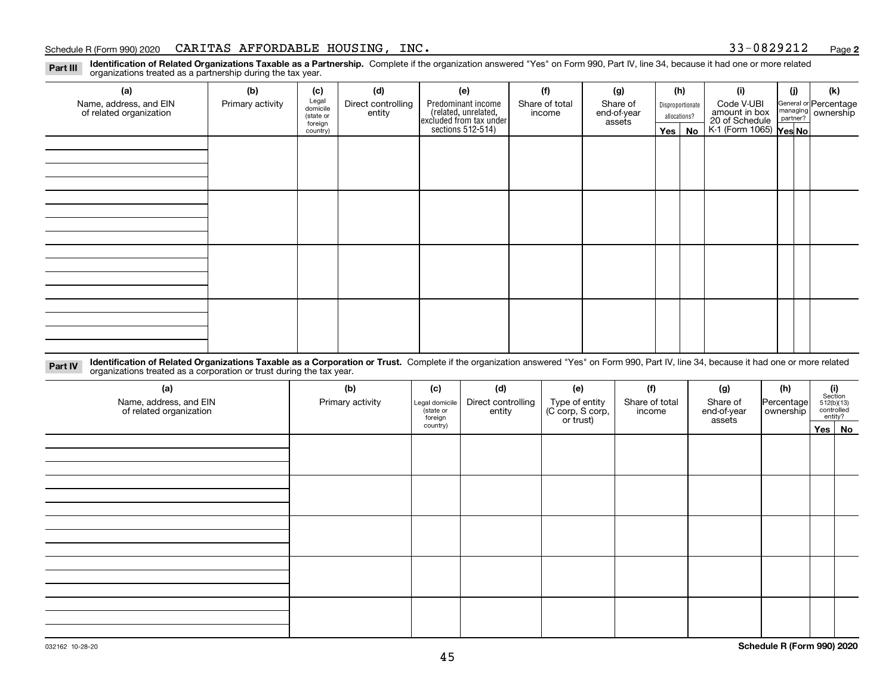#### Schedule R (Form 990) 2020 Page CARITAS AFFORDABLE HOUSING, INC. 33-0829212

**2**

**Identification of Related Organizations Taxable as a Partnership.** Complete if the organization answered "Yes" on Form 990, Part IV, line 34, because it had one or more related **Part III** organizations treated as a partnership during the tax year.

| (a)                     | (b)              | (c)                  | (d)                | (e)                                                                 | (f)            | (g)              |              | (h)                                      | (i)           | (i) | (k)                                                       |  |  |  |  |  |  |  |  |  |  |  |  |  |  |  |  |  |  |  |
|-------------------------|------------------|----------------------|--------------------|---------------------------------------------------------------------|----------------|------------------|--------------|------------------------------------------|---------------|-----|-----------------------------------------------------------|--|--|--|--|--|--|--|--|--|--|--|--|--|--|--|--|--|--|--|
| Name, address, and EIN  | Primary activity | Legal<br>domicile    | Direct controlling | Predominant income                                                  | Share of total | Share of         |              | Disproportionate                         | Code V-UBI    |     |                                                           |  |  |  |  |  |  |  |  |  |  |  |  |  |  |  |  |  |  |  |
| of related organization |                  | (state or<br>foreign | entity             | related, unrelated,<br>excluded from tax under<br>sections 512-514) | income         | end-of-year      | allocations? |                                          | amount in box |     | General or Percentage<br>managing<br>partner?<br>partner? |  |  |  |  |  |  |  |  |  |  |  |  |  |  |  |  |  |  |  |
|                         |                  |                      |                    |                                                                     | assets         | $Yes \mid$<br>No |              | 20 of Schedule<br>K-1 (Form 1065) Yes No |               |     |                                                           |  |  |  |  |  |  |  |  |  |  |  |  |  |  |  |  |  |  |  |
|                         |                  | country)             |                    |                                                                     |                |                  |              |                                          |               |     |                                                           |  |  |  |  |  |  |  |  |  |  |  |  |  |  |  |  |  |  |  |
|                         |                  |                      |                    |                                                                     |                |                  |              |                                          |               |     |                                                           |  |  |  |  |  |  |  |  |  |  |  |  |  |  |  |  |  |  |  |
|                         |                  |                      |                    |                                                                     |                |                  |              |                                          |               |     |                                                           |  |  |  |  |  |  |  |  |  |  |  |  |  |  |  |  |  |  |  |
|                         |                  |                      |                    |                                                                     |                |                  |              |                                          |               |     |                                                           |  |  |  |  |  |  |  |  |  |  |  |  |  |  |  |  |  |  |  |
|                         |                  |                      |                    |                                                                     |                |                  |              |                                          |               |     |                                                           |  |  |  |  |  |  |  |  |  |  |  |  |  |  |  |  |  |  |  |
|                         |                  |                      |                    |                                                                     |                |                  |              |                                          |               |     |                                                           |  |  |  |  |  |  |  |  |  |  |  |  |  |  |  |  |  |  |  |
|                         |                  |                      |                    |                                                                     |                |                  |              |                                          |               |     |                                                           |  |  |  |  |  |  |  |  |  |  |  |  |  |  |  |  |  |  |  |
|                         |                  |                      |                    |                                                                     |                |                  |              |                                          |               |     |                                                           |  |  |  |  |  |  |  |  |  |  |  |  |  |  |  |  |  |  |  |
|                         |                  |                      |                    |                                                                     |                |                  |              |                                          |               |     |                                                           |  |  |  |  |  |  |  |  |  |  |  |  |  |  |  |  |  |  |  |
|                         |                  |                      |                    |                                                                     |                |                  |              |                                          |               |     |                                                           |  |  |  |  |  |  |  |  |  |  |  |  |  |  |  |  |  |  |  |
|                         |                  |                      |                    |                                                                     |                |                  |              |                                          |               |     |                                                           |  |  |  |  |  |  |  |  |  |  |  |  |  |  |  |  |  |  |  |
|                         |                  |                      |                    |                                                                     |                |                  |              |                                          |               |     |                                                           |  |  |  |  |  |  |  |  |  |  |  |  |  |  |  |  |  |  |  |
|                         |                  |                      |                    |                                                                     |                |                  |              |                                          |               |     |                                                           |  |  |  |  |  |  |  |  |  |  |  |  |  |  |  |  |  |  |  |
|                         |                  |                      |                    |                                                                     |                |                  |              |                                          |               |     |                                                           |  |  |  |  |  |  |  |  |  |  |  |  |  |  |  |  |  |  |  |
|                         |                  |                      |                    |                                                                     |                |                  |              |                                          |               |     |                                                           |  |  |  |  |  |  |  |  |  |  |  |  |  |  |  |  |  |  |  |
|                         |                  |                      |                    |                                                                     |                |                  |              |                                          |               |     |                                                           |  |  |  |  |  |  |  |  |  |  |  |  |  |  |  |  |  |  |  |
|                         |                  |                      |                    |                                                                     |                |                  |              |                                          |               |     |                                                           |  |  |  |  |  |  |  |  |  |  |  |  |  |  |  |  |  |  |  |
|                         |                  |                      |                    |                                                                     |                |                  |              |                                          |               |     |                                                           |  |  |  |  |  |  |  |  |  |  |  |  |  |  |  |  |  |  |  |
|                         |                  |                      |                    |                                                                     |                |                  |              |                                          |               |     |                                                           |  |  |  |  |  |  |  |  |  |  |  |  |  |  |  |  |  |  |  |
|                         |                  |                      |                    |                                                                     |                |                  |              |                                          |               |     |                                                           |  |  |  |  |  |  |  |  |  |  |  |  |  |  |  |  |  |  |  |
|                         |                  |                      |                    |                                                                     |                |                  |              |                                          |               |     |                                                           |  |  |  |  |  |  |  |  |  |  |  |  |  |  |  |  |  |  |  |

**Identification of Related Organizations Taxable as a Corporation or Trust.** Complete if the organization answered "Yes" on Form 990, Part IV, line 34, because it had one or more related **Part IV** organizations treated as a corporation or trust during the tax year.

| (a)<br>Name, address, and EIN<br>of related organization | (b)<br>Primary activity | (c)<br>Legal domicile<br>(state or<br>foreign | (d)<br>Direct controlling<br>entity | (e)<br>Type of entity<br>(C corp, S corp,<br>or trust) | (f)<br>Share of total<br>income | (g)<br>Share of<br>end-of-year<br>assets | (h)<br>Percentage<br>ownership | $\begin{array}{c} \textbf{(i)}\\ \text{Section}\\ 512 \text{(b)} \text{(13)}\\ \text{controlled} \\ \text{entity?} \end{array}$ |  |  |
|----------------------------------------------------------|-------------------------|-----------------------------------------------|-------------------------------------|--------------------------------------------------------|---------------------------------|------------------------------------------|--------------------------------|---------------------------------------------------------------------------------------------------------------------------------|--|--|
|                                                          |                         | country)                                      |                                     |                                                        |                                 |                                          |                                | Yes No                                                                                                                          |  |  |
|                                                          |                         |                                               |                                     |                                                        |                                 |                                          |                                |                                                                                                                                 |  |  |
|                                                          |                         |                                               |                                     |                                                        |                                 |                                          |                                |                                                                                                                                 |  |  |
|                                                          |                         |                                               |                                     |                                                        |                                 |                                          |                                |                                                                                                                                 |  |  |
|                                                          |                         |                                               |                                     |                                                        |                                 |                                          |                                |                                                                                                                                 |  |  |
|                                                          |                         |                                               |                                     |                                                        |                                 |                                          |                                |                                                                                                                                 |  |  |
|                                                          |                         |                                               |                                     |                                                        |                                 |                                          |                                |                                                                                                                                 |  |  |
|                                                          |                         |                                               |                                     |                                                        |                                 |                                          |                                |                                                                                                                                 |  |  |
|                                                          |                         |                                               |                                     |                                                        |                                 |                                          |                                |                                                                                                                                 |  |  |
|                                                          |                         |                                               |                                     |                                                        |                                 |                                          |                                |                                                                                                                                 |  |  |
|                                                          |                         |                                               |                                     |                                                        |                                 |                                          |                                |                                                                                                                                 |  |  |
|                                                          |                         |                                               |                                     |                                                        |                                 |                                          |                                |                                                                                                                                 |  |  |
|                                                          |                         |                                               |                                     |                                                        |                                 |                                          |                                |                                                                                                                                 |  |  |
|                                                          |                         |                                               |                                     |                                                        |                                 |                                          |                                |                                                                                                                                 |  |  |
|                                                          |                         |                                               |                                     |                                                        |                                 |                                          |                                |                                                                                                                                 |  |  |
|                                                          |                         |                                               |                                     |                                                        |                                 |                                          |                                |                                                                                                                                 |  |  |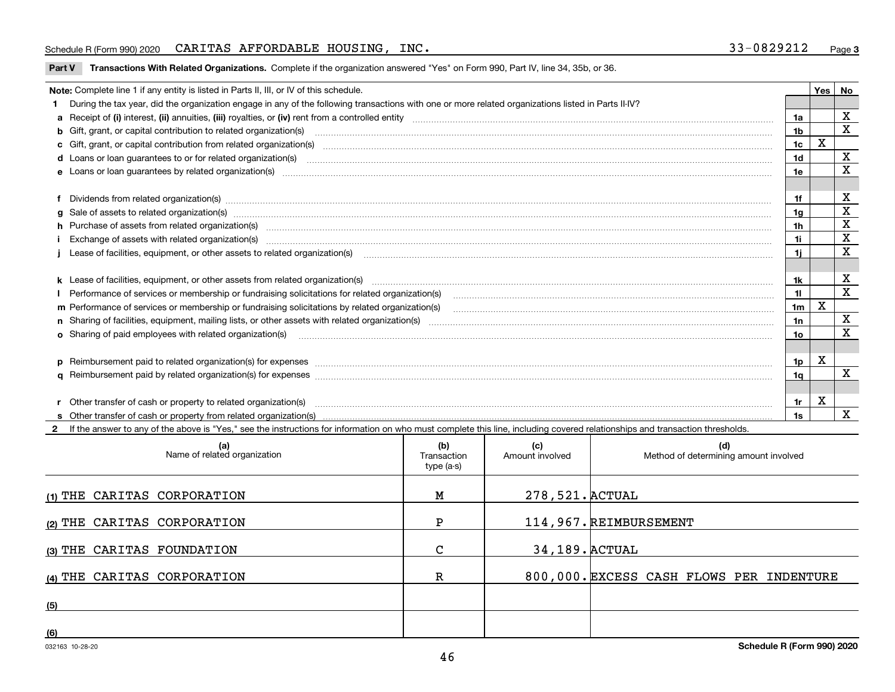#### Schedule R (Form 990) 2020 Page CARITAS AFFORDABLE HOUSING, INC. 33-0829212

**Part V** T**ransactions With Related Organizations.** Complete if the organization answered "Yes" on Form 990, Part IV, line 34, 35b, or 36.

| Note: Complete line 1 if any entity is listed in Parts II, III, or IV of this schedule.                                                                                                                                        |                | Yes         | No                      |
|--------------------------------------------------------------------------------------------------------------------------------------------------------------------------------------------------------------------------------|----------------|-------------|-------------------------|
| During the tax year, did the organization engage in any of the following transactions with one or more related organizations listed in Parts II-IV?                                                                            |                |             |                         |
|                                                                                                                                                                                                                                | 1a             |             | $\mathbf X$             |
| b Gift, grant, or capital contribution to related organization(s) manufaction contracts and contribution to related organization(s)                                                                                            | 1b             |             | $\overline{\mathbf{x}}$ |
| c Gift, grant, or capital contribution from related organization(s) manufaction(s) and contribution from related organization(s) manufaction contribution from related organization(s) manufaction contribution contribution c | 1c             | $\mathbf X$ |                         |
| d Loans or loan guarantees to or for related organization(s) material contents and content to content the content of the content of the content of the content of the content of the content of the content of the content of  | 1d             |             | X                       |
|                                                                                                                                                                                                                                | 1e             |             | $\mathbf X$             |
|                                                                                                                                                                                                                                |                |             |                         |
|                                                                                                                                                                                                                                | 1f             |             | х                       |
| g Sale of assets to related organization(s) www.assettion.com/www.assettion.com/www.assettion.com/www.assettion.com/www.assettion.com/www.assettion.com/www.assettion.com/www.assettion.com/www.assettion.com/www.assettion.co | 1a             |             | $\mathbf X$             |
|                                                                                                                                                                                                                                | 1h             |             | X                       |
| Exchange of assets with related organization(s) www.wallen.com/www.wallen.com/www.wallen.com/www.wallen.com/www.wallen.com/www.wallen.com/www.wallen.com/www.wallen.com/www.wallen.com/www.wallen.com/www.wallen.com/www.walle | 1i.            |             | X                       |
| Lease of facilities, equipment, or other assets to related organization(s) The manufaction content to the manufacture of facilities, equipment, or other assets to related organization(s)                                     | 11             |             | $\mathbf x$             |
|                                                                                                                                                                                                                                |                |             |                         |
|                                                                                                                                                                                                                                | 1k             |             | X                       |
| Performance of services or membership or fundraising solicitations for related organization(s) manufaction manufactured manufactured manufactured manufactured manufactured manufactured manufactured manufactured manufacture | 11.            |             | X                       |
| m Performance of services or membership or fundraising solicitations by related organization(s)                                                                                                                                | 1 <sub>m</sub> | X           |                         |
|                                                                                                                                                                                                                                | 1n             |             | x                       |
| <b>o</b> Sharing of paid employees with related organization(s)                                                                                                                                                                | 10             |             | x                       |
|                                                                                                                                                                                                                                |                |             |                         |
|                                                                                                                                                                                                                                | 1p.            | Х           |                         |
|                                                                                                                                                                                                                                | 1q             |             | X                       |
|                                                                                                                                                                                                                                |                |             |                         |
| r Other transfer of cash or property to related organization(s)                                                                                                                                                                | 1r             | X           |                         |
|                                                                                                                                                                                                                                | 1s             |             | X                       |
| 2 If the answer to any of the above is "Yes." see the instructions for information on who must complete this line, including covered relationships and transaction thresholds.                                                 |                |             |                         |

| (a)<br>Name of related organization | (b)<br>Transaction<br>type (a-s) | (c)<br>Amount involved | (d)<br>Method of determining amount involved |
|-------------------------------------|----------------------------------|------------------------|----------------------------------------------|
| (1) THE CARITAS CORPORATION         | М                                | 278, 521. ACTUAL       |                                              |
| (2) THE CARITAS CORPORATION         | P                                |                        | 114,967. REIMBURSEMENT                       |
| (3) THE CARITAS FOUNDATION          | C                                | 34, 189. ACTUAL        |                                              |
| (4) THE CARITAS CORPORATION         | R                                |                        | 800,000. EXCESS CASH FLOWS PER INDENTURE     |
| (5)                                 |                                  |                        |                                              |
| (6)                                 |                                  |                        |                                              |

 $\overline{\phantom{a}}$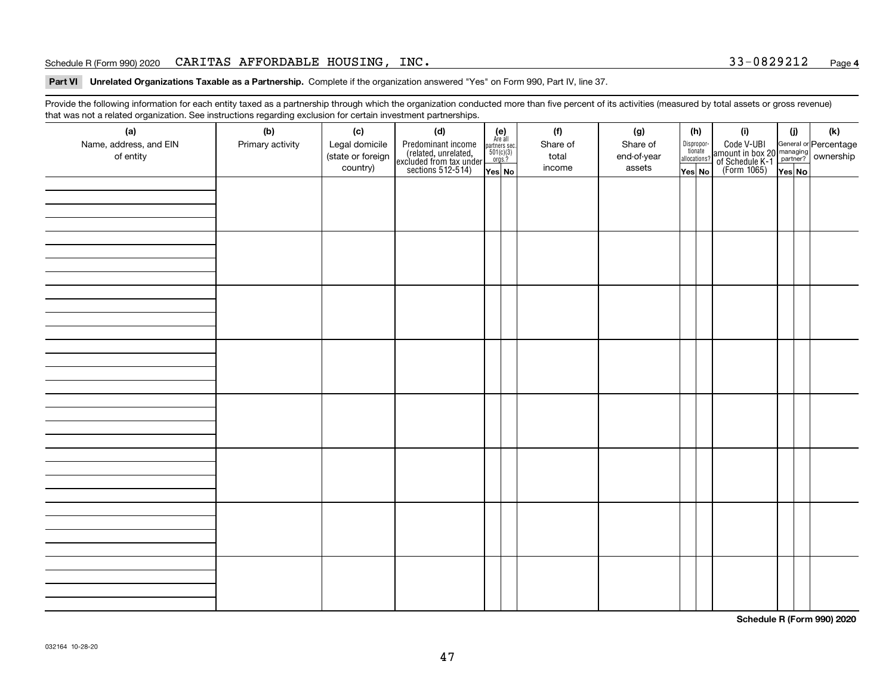#### Schedule R (Form 990) 2020  $\rm{CARTIAS}$   $\rm{AFFORDABLE}$   $\rm{HOUSING}$  ,  $\rm{INC}$  .  $\rm{33-0829212}$   $\rm{24.3-0.33-0.329212}$   $\rm{Page}$

**Part VI Unrelated Organizations Taxable as a Partnership. Complete if the organization answered "Yes" on Form 990, Part IV, line 37.** 

Provide the following information for each entity taxed as a partnership through which the organization conducted more than five percent of its activities (measured by total assets or gross revenue) that was not a related organization. See instructions regarding exclusion for certain investment partnerships.

| ັ<br>(a)               | ັ<br>ັ<br>(b)    | (c)               | . .<br>(d)                                                                                 |                                                                                                                  | (f)      | (g)         | (h)                              | (i)                                                                                                    | (i)    | (k) |
|------------------------|------------------|-------------------|--------------------------------------------------------------------------------------------|------------------------------------------------------------------------------------------------------------------|----------|-------------|----------------------------------|--------------------------------------------------------------------------------------------------------|--------|-----|
| Name, address, and EIN | Primary activity | Legal domicile    |                                                                                            | $\begin{array}{c} \textbf{(e)}\\ \text{Are all} \\ \text{partners sec.}\\ 501(c)(3)\\ \text{orgs.?} \end{array}$ | Share of | Share of    |                                  |                                                                                                        |        |     |
| of entity              |                  | (state or foreign | Predominant income<br>(related, unrelated,<br>excluded from tax under<br>sections 512-514) |                                                                                                                  | total    | end-of-year | Disproportionate<br>allocations? | Code V-UBI<br>amount in box 20 managing<br>of Schedule K-1 partner? ownership<br>(Form 1065)<br>ves No |        |     |
|                        |                  | country)          |                                                                                            | Yes No                                                                                                           | income   | assets      | Yes No                           |                                                                                                        | Yes No |     |
|                        |                  |                   |                                                                                            |                                                                                                                  |          |             |                                  |                                                                                                        |        |     |
|                        |                  |                   |                                                                                            |                                                                                                                  |          |             |                                  |                                                                                                        |        |     |
|                        |                  |                   |                                                                                            |                                                                                                                  |          |             |                                  |                                                                                                        |        |     |
|                        |                  |                   |                                                                                            |                                                                                                                  |          |             |                                  |                                                                                                        |        |     |
|                        |                  |                   |                                                                                            |                                                                                                                  |          |             |                                  |                                                                                                        |        |     |
|                        |                  |                   |                                                                                            |                                                                                                                  |          |             |                                  |                                                                                                        |        |     |
|                        |                  |                   |                                                                                            |                                                                                                                  |          |             |                                  |                                                                                                        |        |     |
|                        |                  |                   |                                                                                            |                                                                                                                  |          |             |                                  |                                                                                                        |        |     |
|                        |                  |                   |                                                                                            |                                                                                                                  |          |             |                                  |                                                                                                        |        |     |
|                        |                  |                   |                                                                                            |                                                                                                                  |          |             |                                  |                                                                                                        |        |     |
|                        |                  |                   |                                                                                            |                                                                                                                  |          |             |                                  |                                                                                                        |        |     |
|                        |                  |                   |                                                                                            |                                                                                                                  |          |             |                                  |                                                                                                        |        |     |
|                        |                  |                   |                                                                                            |                                                                                                                  |          |             |                                  |                                                                                                        |        |     |
|                        |                  |                   |                                                                                            |                                                                                                                  |          |             |                                  |                                                                                                        |        |     |
|                        |                  |                   |                                                                                            |                                                                                                                  |          |             |                                  |                                                                                                        |        |     |
|                        |                  |                   |                                                                                            |                                                                                                                  |          |             |                                  |                                                                                                        |        |     |
|                        |                  |                   |                                                                                            |                                                                                                                  |          |             |                                  |                                                                                                        |        |     |
|                        |                  |                   |                                                                                            |                                                                                                                  |          |             |                                  |                                                                                                        |        |     |
|                        |                  |                   |                                                                                            |                                                                                                                  |          |             |                                  |                                                                                                        |        |     |
|                        |                  |                   |                                                                                            |                                                                                                                  |          |             |                                  |                                                                                                        |        |     |
|                        |                  |                   |                                                                                            |                                                                                                                  |          |             |                                  |                                                                                                        |        |     |
|                        |                  |                   |                                                                                            |                                                                                                                  |          |             |                                  |                                                                                                        |        |     |
|                        |                  |                   |                                                                                            |                                                                                                                  |          |             |                                  |                                                                                                        |        |     |
|                        |                  |                   |                                                                                            |                                                                                                                  |          |             |                                  |                                                                                                        |        |     |
|                        |                  |                   |                                                                                            |                                                                                                                  |          |             |                                  |                                                                                                        |        |     |
|                        |                  |                   |                                                                                            |                                                                                                                  |          |             |                                  |                                                                                                        |        |     |
|                        |                  |                   |                                                                                            |                                                                                                                  |          |             |                                  |                                                                                                        |        |     |
|                        |                  |                   |                                                                                            |                                                                                                                  |          |             |                                  |                                                                                                        |        |     |
|                        |                  |                   |                                                                                            |                                                                                                                  |          |             |                                  |                                                                                                        |        |     |
|                        |                  |                   |                                                                                            |                                                                                                                  |          |             |                                  |                                                                                                        |        |     |
|                        |                  |                   |                                                                                            |                                                                                                                  |          |             |                                  |                                                                                                        |        |     |
|                        |                  |                   |                                                                                            |                                                                                                                  |          |             |                                  |                                                                                                        |        |     |

**Schedule R (Form 990) 2020**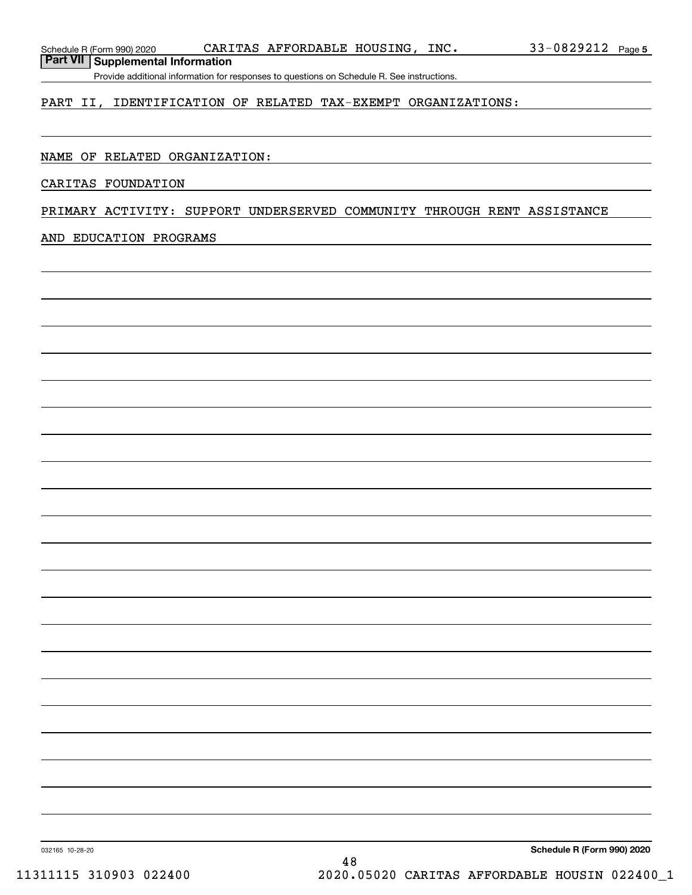**Part VII Supplemental Information**

Provide additional information for responses to questions on Schedule R. See instructions.

### PART II, IDENTIFICATION OF RELATED TAX-EXEMPT ORGANIZATIONS:

#### NAME OF RELATED ORGANIZATION:

#### CARITAS FOUNDATION

### PRIMARY ACTIVITY: SUPPORT UNDERSERVED COMMUNITY THROUGH RENT ASSISTANCE

#### AND EDUCATION PROGRAMS

**Schedule R (Form 990) 2020**

032165 10-28-20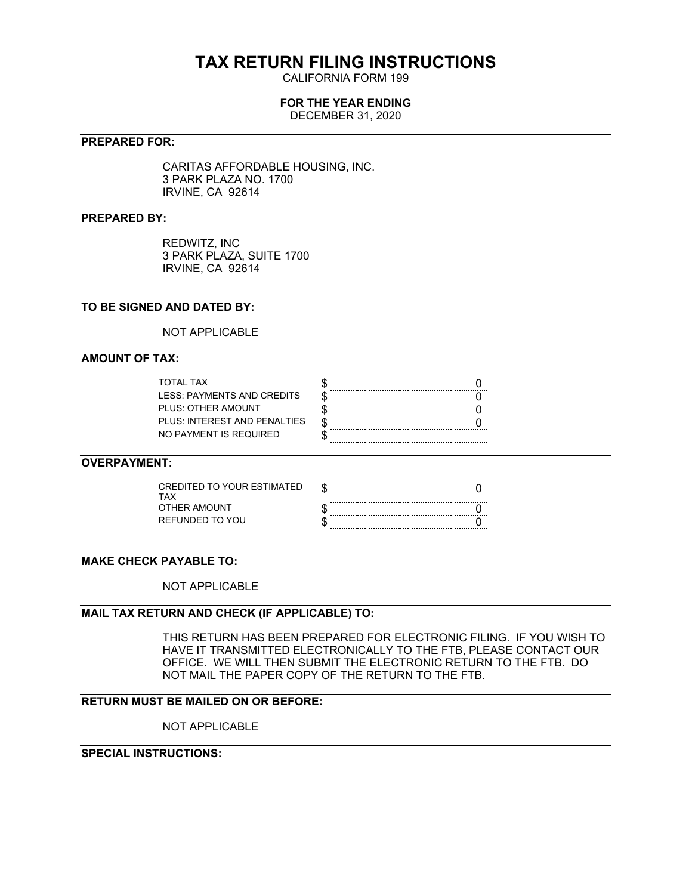# **TAX RETURN FILING INSTRUCTIONS**

CALIFORNIA FORM 199

# **FOR THE YEAR ENDING**

DECEMBER 31, 2020

## **PREPARED FOR:**

CARITAS AFFORDABLE HOUSING, INC. 3 PARK PLAZA NO. 1700 IRVINE, CA 92614

## **PREPARED BY:**

REDWITZ, INC 3 PARK PLAZA, SUITE 1700 IRVINE, CA 92614

# **TO BE SIGNED AND DATED BY:**

NOT APPLICABLE

# **AMOUNT OF TAX:**

| TOTAI TAX                    |  |
|------------------------------|--|
| LESS: PAYMENTS AND CREDITS   |  |
| PLUS: OTHER AMOUNT           |  |
| PLUS: INTEREST AND PENALTIES |  |
| NO PAYMENT IS REQUIRED       |  |

# **OVERPAYMENT:**

| CREDITED TO YOUR ESTIMATED.<br>TAX |  |
|------------------------------------|--|
| OTHER AMOUNT                       |  |
| REFUNDED TO YOU                    |  |

# **MAKE CHECK PAYABLE TO:**

NOT APPLICABLE

# **MAIL TAX RETURN AND CHECK (IF APPLICABLE) TO:**

THIS RETURN HAS BEEN PREPARED FOR ELECTRONIC FILING. IF YOU WISH TO HAVE IT TRANSMITTED ELECTRONICALLY TO THE FTB, PLEASE CONTACT OUR OFFICE. WE WILL THEN SUBMIT THE ELECTRONIC RETURN TO THE FTB. DO NOT MAIL THE PAPER COPY OF THE RETURN TO THE FTB.

## **RETURN MUST BE MAILED ON OR BEFORE:**

NOT APPLICABLE

# **SPECIAL INSTRUCTIONS:**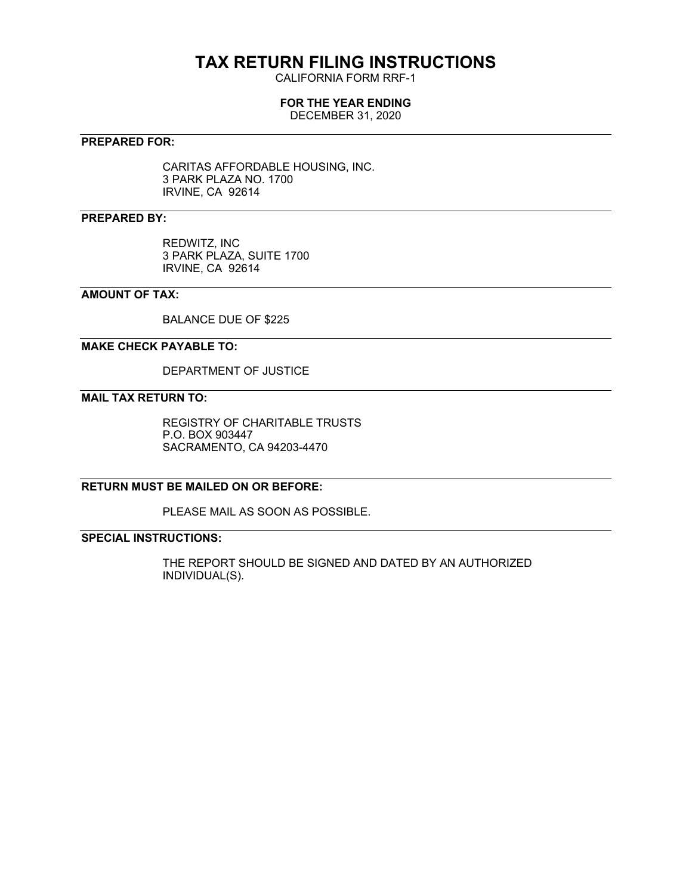# **TAX RETURN FILING INSTRUCTIONS**

CALIFORNIA FORM RRF-1

# **FOR THE YEAR ENDING**

DECEMBER 31, 2020

# **PREPARED FOR:**

CARITAS AFFORDABLE HOUSING, INC. 3 PARK PLAZA NO. 1700 IRVINE, CA 92614

# **PREPARED BY:**

REDWITZ, INC 3 PARK PLAZA, SUITE 1700 IRVINE, CA 92614

# **AMOUNT OF TAX:**

BALANCE DUE OF \$225

### **MAKE CHECK PAYABLE TO:**

DEPARTMENT OF JUSTICE

# **MAIL TAX RETURN TO:**

REGISTRY OF CHARITABLE TRUSTS P.O. BOX 903447 SACRAMENTO, CA 94203-4470

# **RETURN MUST BE MAILED ON OR BEFORE:**

PLEASE MAIL AS SOON AS POSSIBLE.

# **SPECIAL INSTRUCTIONS:**

THE REPORT SHOULD BE SIGNED AND DATED BY AN AUTHORIZED INDIVIDUAL(S).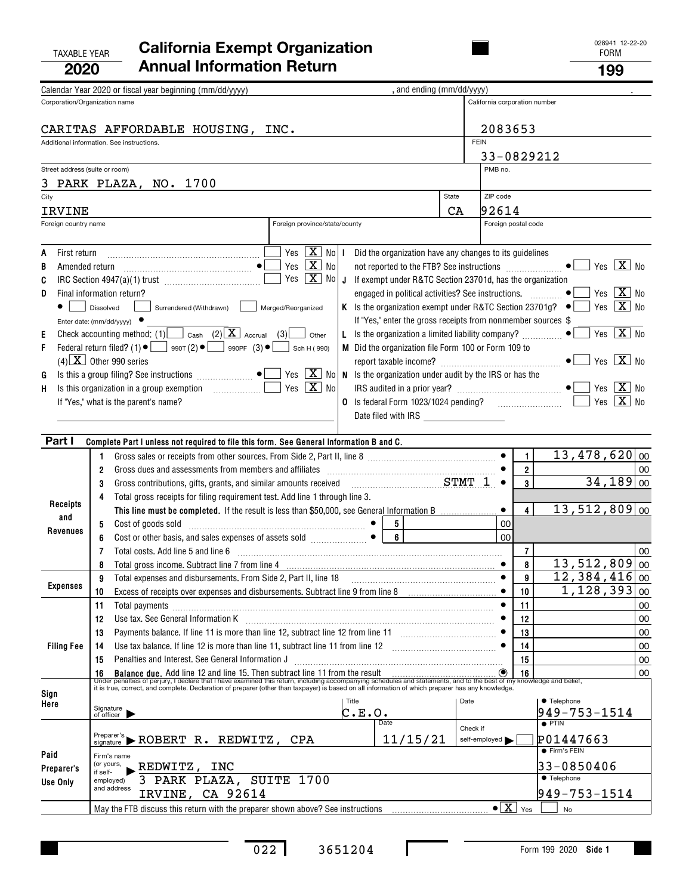## TAXABLE YEAR FORM **California Exempt Organization 2020Annual Information Return <sup>199</sup>**

|                      | Calendar Year 2020 or fiscal year beginning (mm/dd/yyyy)                                                                                                                                                                                                                                                                                                                              | , and ending (mm/dd/yyyy) |                               |                                             |                                                                                                 |
|----------------------|---------------------------------------------------------------------------------------------------------------------------------------------------------------------------------------------------------------------------------------------------------------------------------------------------------------------------------------------------------------------------------------|---------------------------|-------------------------------|---------------------------------------------|-------------------------------------------------------------------------------------------------|
|                      | Corporation/Organization name                                                                                                                                                                                                                                                                                                                                                         |                           | California corporation number |                                             |                                                                                                 |
|                      |                                                                                                                                                                                                                                                                                                                                                                                       |                           |                               |                                             |                                                                                                 |
|                      | CARITAS AFFORDABLE HOUSING, INC.                                                                                                                                                                                                                                                                                                                                                      |                           | 2083653                       |                                             |                                                                                                 |
|                      | Additional information. See instructions.                                                                                                                                                                                                                                                                                                                                             |                           | <b>FEIN</b>                   |                                             |                                                                                                 |
|                      |                                                                                                                                                                                                                                                                                                                                                                                       |                           | 33-0829212                    |                                             |                                                                                                 |
|                      | Street address (suite or room)                                                                                                                                                                                                                                                                                                                                                        |                           | PMB no.                       |                                             |                                                                                                 |
|                      | 3 PARK PLAZA, NO. 1700                                                                                                                                                                                                                                                                                                                                                                |                           |                               |                                             |                                                                                                 |
|                      |                                                                                                                                                                                                                                                                                                                                                                                       | State                     | ZIP code                      |                                             |                                                                                                 |
| City                 |                                                                                                                                                                                                                                                                                                                                                                                       |                           |                               |                                             |                                                                                                 |
| <b>IRVINE</b>        |                                                                                                                                                                                                                                                                                                                                                                                       | <b>CA</b>                 | 92614                         |                                             |                                                                                                 |
| Foreign country name | Foreign province/state/county                                                                                                                                                                                                                                                                                                                                                         |                           | Foreign postal code           |                                             |                                                                                                 |
|                      |                                                                                                                                                                                                                                                                                                                                                                                       |                           |                               |                                             |                                                                                                 |
| First return         | $\sqrt{2}$ Yes $\sqrt{X}$ No $\sqrt{1}$<br>Did the organization have any changes to its guidelines                                                                                                                                                                                                                                                                                    |                           |                               |                                             |                                                                                                 |
| в                    | Yes $\boxed{\mathbf{X}}$ No<br>not reported to the FTB? See instructions $\Box$                                                                                                                                                                                                                                                                                                       |                           |                               |                                             | Yes $\boxed{\mathbf{X}}$ No                                                                     |
| C                    | Yes $X$ No J If exempt under R&TC Section 23701d, has the organization                                                                                                                                                                                                                                                                                                                |                           |                               |                                             |                                                                                                 |
| D                    | Final information return?<br>engaged in political activities? See instructions.  ● [                                                                                                                                                                                                                                                                                                  |                           |                               |                                             | Yes $X$ No                                                                                      |
|                      | Dissolved<br>Surrendered (Withdrawn)<br>Merged/Reorganized                                                                                                                                                                                                                                                                                                                            |                           |                               |                                             | K Is the organization exempt under R&TC Section 23701g? $\bullet$   Yes $\boxed{\mathbf{X}}$ No |
|                      | If "Yes," enter the gross receipts from nonmember sources \$<br>Enter date: ( $mm/dd/yyy$ ) $\bullet$                                                                                                                                                                                                                                                                                 |                           |                               |                                             |                                                                                                 |
| Е                    | Check accounting method: (1) $\Box$ Cash (2) $\boxed{\mathbf{X}}$ Accrual (3)<br>L Is the organization a limited liability company? $\Box$<br>Other                                                                                                                                                                                                                                   |                           |                               |                                             | Yes $X$ No                                                                                      |
| F                    | Federal return filed? (1) $\bullet$ $\bullet$ 990T (2) $\bullet$ 990PF (3) $\bullet$ $\bullet$ Sch H (990)<br>M Did the organization file Form 100 or Form 109 to                                                                                                                                                                                                                     |                           |                               |                                             |                                                                                                 |
|                      | $(4)$ X Other 990 series                                                                                                                                                                                                                                                                                                                                                              |                           |                               |                                             | Yes $X$ No                                                                                      |
| G                    | Is this a group filing? See instructions $\Box$ $\bullet$ $\Box$ Yes $\boxed{\mathbf{X}}$ No   N Is the organization under audit by the IRS or has the                                                                                                                                                                                                                                |                           |                               |                                             |                                                                                                 |
| H                    | Yes $X$ No                                                                                                                                                                                                                                                                                                                                                                            |                           |                               |                                             | Yes $X$ No                                                                                      |
|                      | If "Yes," what is the parent's name?                                                                                                                                                                                                                                                                                                                                                  |                           |                               |                                             | Yes $X$ No                                                                                      |
|                      | Date filed with IRS ____________________                                                                                                                                                                                                                                                                                                                                              |                           |                               |                                             |                                                                                                 |
|                      |                                                                                                                                                                                                                                                                                                                                                                                       |                           |                               |                                             |                                                                                                 |
| Part I               | Complete Part I unless not required to file this form. See General Information B and C.                                                                                                                                                                                                                                                                                               |                           |                               |                                             |                                                                                                 |
|                      | Gross sales or receipts from other sources. From Side 2, Part II, line 8 [11, 1110] (11, 111, 111, 111, 111, 1<br>1.                                                                                                                                                                                                                                                                  |                           |                               | $\mathbf{1}$                                | $13,478,620$ 00                                                                                 |
|                      | Gross dues and assessments from members and affiliates<br>$\overline{2}$                                                                                                                                                                                                                                                                                                              |                           |                               | $2^{\circ}$                                 | 00                                                                                              |
|                      | Gross contributions, gifts, grants, and similar amounts received examination states and STMT 1<br>3                                                                                                                                                                                                                                                                                   |                           |                               | $\overline{3}$                              | $34,189$ 00                                                                                     |
|                      | Total gross receipts for filing requirement test. Add line 1 through line 3.<br>4                                                                                                                                                                                                                                                                                                     |                           |                               |                                             |                                                                                                 |
| Receipts             | This line must be completed. If the result is less than \$50,000, see General Information B                                                                                                                                                                                                                                                                                           |                           |                               | $\vert$                                     | $13,512,809$ 00                                                                                 |
| and                  | Cost of goods sold<br>5                                                                                                                                                                                                                                                                                                                                                               |                           | 00                            |                                             |                                                                                                 |
| Revenues             | $6\phantom{a}$<br>6                                                                                                                                                                                                                                                                                                                                                                   |                           | 00                            |                                             |                                                                                                 |
|                      | Total costs. Add line 5 and line 6<br>7                                                                                                                                                                                                                                                                                                                                               |                           |                               | $\overline{7}$                              | 00                                                                                              |
|                      | 8                                                                                                                                                                                                                                                                                                                                                                                     |                           |                               | 8                                           | 13,512,809<br>00                                                                                |
|                      | Total expenses and disbursements. From Side 2, Part II, line 18<br>9                                                                                                                                                                                                                                                                                                                  |                           | $\bullet$                     | 9                                           | $12,384,416 _{00}$                                                                              |
| Expenses             | Excess of receipts over expenses and disbursements. Subtract line 9 from line 8<br>10                                                                                                                                                                                                                                                                                                 |                           |                               | 10                                          | $1,128,393$ 00                                                                                  |
|                      | 11<br>Total payments                                                                                                                                                                                                                                                                                                                                                                  |                           |                               | 11                                          | 00                                                                                              |
|                      | Use tax. See General Information K<br>12                                                                                                                                                                                                                                                                                                                                              |                           |                               | 12                                          | 00                                                                                              |
|                      | 13                                                                                                                                                                                                                                                                                                                                                                                    |                           |                               | 13                                          | 00                                                                                              |
| <b>Filing Fee</b>    | Use tax balance. If line 12 is more than line 11, subtract line 11 from line 12<br>14                                                                                                                                                                                                                                                                                                 |                           |                               | 14                                          | 00                                                                                              |
|                      | Penalties and Interest. See General Information J<br>15                                                                                                                                                                                                                                                                                                                               |                           |                               | 15                                          | 00                                                                                              |
|                      |                                                                                                                                                                                                                                                                                                                                                                                       |                           |                               |                                             | 00                                                                                              |
|                      | 16 Balance due. Add line 12 and line 15. Then subtract line 11 from the result<br>Under penalties of perjury, I declare that I have examined this return, including accompanying schedules and statements, and to the best of my<br>it is true, correct, and complete. Declaration of preparer (other than taxpayer) is based on all information of which preparer has any knowledge. |                           |                               |                                             |                                                                                                 |
| Sign                 | Title                                                                                                                                                                                                                                                                                                                                                                                 | Date                      |                               |                                             | • Telephone                                                                                     |
| Here                 | Signature<br>of officer<br>C.E.O.                                                                                                                                                                                                                                                                                                                                                     |                           |                               |                                             | 949-753-1514                                                                                    |
|                      | Date                                                                                                                                                                                                                                                                                                                                                                                  | Check if                  |                               |                                             | $\bullet$ PTIN                                                                                  |
|                      | Preparer's<br>$F_{\text{signature}}$ $\triangleright$ ROBERT R. REDWITZ, CPA<br>11/15/21                                                                                                                                                                                                                                                                                              |                           | self-employed                 |                                             | P01447663                                                                                       |
|                      |                                                                                                                                                                                                                                                                                                                                                                                       |                           |                               |                                             | <b>•</b> Firm's FEIN                                                                            |
| Paid                 | Firm's name<br>(or yours,<br>REDWITZ, INC                                                                                                                                                                                                                                                                                                                                             |                           |                               |                                             | 33-0850406                                                                                      |
| Preparer's           | if self-<br>3 PARK PLAZA, SUITE 1700<br>employed)                                                                                                                                                                                                                                                                                                                                     |                           |                               |                                             | <b>• Telephone</b>                                                                              |
| Use Only             | and address                                                                                                                                                                                                                                                                                                                                                                           |                           |                               |                                             | $949 - 753 - 1514$                                                                              |
|                      | IRVINE, CA 92614                                                                                                                                                                                                                                                                                                                                                                      |                           |                               |                                             |                                                                                                 |
|                      | May the FTB discuss this return with the preparer shown above? See instructions                                                                                                                                                                                                                                                                                                       |                           |                               | $\bullet$ $\boxed{\mathbf{X}}$ $\forall$ es | No                                                                                              |

 $\mathbf I$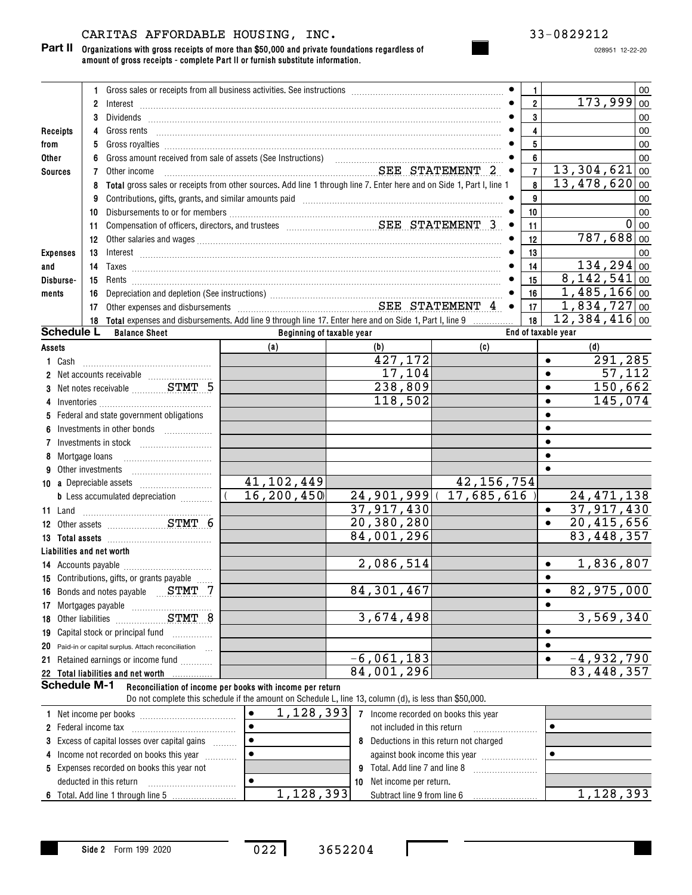# CARITAS AFFORDABLE HOUSING, INC. 33-0829212

028951 12-22-20

|                           | 1.             |                                                                                                                                                                                                                                                                                                                                                          |  |                           |  |                                                  |                                                                                    | 1.                      |                     |                               | 00                |
|---------------------------|----------------|----------------------------------------------------------------------------------------------------------------------------------------------------------------------------------------------------------------------------------------------------------------------------------------------------------------------------------------------------------|--|---------------------------|--|--------------------------------------------------|------------------------------------------------------------------------------------|-------------------------|---------------------|-------------------------------|-------------------|
|                           | $\overline{2}$ |                                                                                                                                                                                                                                                                                                                                                          |  |                           |  |                                                  |                                                                                    | $\overline{\mathbf{2}}$ |                     | 173,999                       | 00                |
|                           | 3              |                                                                                                                                                                                                                                                                                                                                                          |  |                           |  |                                                  |                                                                                    | 3                       |                     |                               | 00                |
| Receipts                  | 4              |                                                                                                                                                                                                                                                                                                                                                          |  |                           |  |                                                  |                                                                                    | 4                       |                     |                               | 00                |
| from                      | 5              |                                                                                                                                                                                                                                                                                                                                                          |  |                           |  |                                                  |                                                                                    | 5                       |                     |                               | 00                |
| Other                     | 6              |                                                                                                                                                                                                                                                                                                                                                          |  |                           |  |                                                  |                                                                                    | 6                       |                     |                               | 00                |
| <b>Sources</b>            | 7              | Other income                                                                                                                                                                                                                                                                                                                                             |  |                           |  |                                                  | ${\bf SEE} {\bf \hspace{1mm} STATEMENT} {\bf \hspace{1mm} 2} \hspace{1mm} \bullet$ | $\overline{7}$          |                     | $13,304,621$ 00               |                   |
|                           | 8              | Total gross sales or receipts from other sources. Add line 1 through line 7. Enter here and on Side 1, Part I, line 1                                                                                                                                                                                                                                    |  |                           |  |                                                  |                                                                                    | 8                       |                     | $13,478,620$ 00               |                   |
|                           | 9              | Contributions, gifts, grants, and similar amounts paid manufactured contract and contributions, gifts, grants,                                                                                                                                                                                                                                           |  |                           |  |                                                  |                                                                                    | 9                       |                     |                               | 00                |
|                           | 10             |                                                                                                                                                                                                                                                                                                                                                          |  |                           |  |                                                  |                                                                                    | 10                      |                     |                               | 00                |
|                           | 11.            |                                                                                                                                                                                                                                                                                                                                                          |  |                           |  |                                                  | $\bullet$                                                                          | 11                      |                     |                               | $\overline{0}$ 00 |
|                           | 12             |                                                                                                                                                                                                                                                                                                                                                          |  |                           |  |                                                  |                                                                                    | 12                      |                     | $787,688$ 00                  |                   |
| <b>Expenses</b>           | 13             | $Interest \begin{array}{c} \rule{2.5cm}{0.15cm} \rule{2.5cm}{0.15cm} \rule{2.5cm}{0.15cm} \rule{2.5cm}{0.15cm} \rule{2.5cm}{0.15cm} \rule{2.5cm}{0.15cm} \rule{2.5cm}{0.15cm} \rule{2.5cm}{0.15cm} \rule{2.5cm}{0.15cm} \rule{2.5cm}{0.15cm} \rule{2.5cm}{0.15cm} \rule{2.5cm}{0.15cm} \rule{2.5cm}{0.15cm} \rule{2.5cm}{0.15cm} \rule{2.5cm}{0.15cm} \$ |  |                           |  |                                                  |                                                                                    | 13                      |                     |                               | 00                |
| and                       | 14             |                                                                                                                                                                                                                                                                                                                                                          |  |                           |  |                                                  |                                                                                    | 14                      |                     | 134, 294   00                 |                   |
| Disburse-                 | 15             |                                                                                                                                                                                                                                                                                                                                                          |  |                           |  |                                                  |                                                                                    | 15                      |                     | $8,142,541$ 00                |                   |
| ments                     | 16             |                                                                                                                                                                                                                                                                                                                                                          |  |                           |  |                                                  |                                                                                    | 16                      |                     | $\overline{1,}$ 485, 166 00   |                   |
|                           | 17             |                                                                                                                                                                                                                                                                                                                                                          |  |                           |  |                                                  |                                                                                    |                         |                     | $1,834,727$ 00                |                   |
|                           | 18             | Total expenses and disbursements. Add line 9 through line 17. Enter here and on Side 1, Part I, line 9                                                                                                                                                                                                                                                   |  |                           |  |                                                  |                                                                                    | 18                      |                     | $\overline{12}$ , 384, 416 00 |                   |
| <b>Schedule L</b>         |                | <b>Balance Sheet</b>                                                                                                                                                                                                                                                                                                                                     |  | Beginning of taxable year |  |                                                  |                                                                                    |                         | End of taxable year |                               |                   |
| Assets                    |                |                                                                                                                                                                                                                                                                                                                                                          |  | (a)                       |  | (b)                                              | (c)                                                                                |                         |                     | (d)                           |                   |
|                           |                |                                                                                                                                                                                                                                                                                                                                                          |  |                           |  | 427,172                                          |                                                                                    |                         | $\bullet$           | 291,285                       |                   |
|                           |                |                                                                                                                                                                                                                                                                                                                                                          |  |                           |  | 17,104                                           |                                                                                    |                         | $\bullet$           | 57,112                        |                   |
|                           |                | 3 Net notes receivable  STMT 5                                                                                                                                                                                                                                                                                                                           |  |                           |  | 238,809                                          |                                                                                    |                         | $\bullet$           | 150,662                       |                   |
| 4                         |                |                                                                                                                                                                                                                                                                                                                                                          |  |                           |  | 118,502                                          |                                                                                    |                         | $\bullet$           | 145,074                       |                   |
|                           |                | 5 Federal and state government obligations                                                                                                                                                                                                                                                                                                               |  |                           |  |                                                  |                                                                                    |                         | $\bullet$           |                               |                   |
| 6                         |                | Investments in other bonds                                                                                                                                                                                                                                                                                                                               |  |                           |  |                                                  |                                                                                    |                         | $\bullet$           |                               |                   |
| 7                         |                |                                                                                                                                                                                                                                                                                                                                                          |  |                           |  |                                                  |                                                                                    |                         | $\bullet$           |                               |                   |
|                           |                |                                                                                                                                                                                                                                                                                                                                                          |  |                           |  |                                                  |                                                                                    |                         | $\bullet$           |                               |                   |
| 9.                        |                |                                                                                                                                                                                                                                                                                                                                                          |  |                           |  |                                                  |                                                                                    |                         | $\bullet$           |                               |                   |
|                           |                |                                                                                                                                                                                                                                                                                                                                                          |  | 41, 102, 449              |  |                                                  | 42, 156, 754                                                                       |                         |                     |                               |                   |
|                           |                | <b>b</b> Less accumulated depreciation <i></i>                                                                                                                                                                                                                                                                                                           |  | 16,200,450                |  |                                                  | 24, 901, 999 (17, 685, 616                                                         |                         |                     | 24, 471, 138                  |                   |
| 11 Land                   |                |                                                                                                                                                                                                                                                                                                                                                          |  |                           |  | 37,917,430                                       |                                                                                    |                         | $\bullet$           | 37,917,430                    |                   |
|                           |                | 12 Other assets STMT 6                                                                                                                                                                                                                                                                                                                                   |  |                           |  | 20,380,280                                       |                                                                                    |                         | $\bullet$           | 20,415,656                    |                   |
|                           |                |                                                                                                                                                                                                                                                                                                                                                          |  |                           |  | 84,001,296                                       |                                                                                    |                         |                     | 83,448,357                    |                   |
| Liabilities and net worth |                |                                                                                                                                                                                                                                                                                                                                                          |  |                           |  |                                                  |                                                                                    |                         |                     |                               |                   |
|                           |                |                                                                                                                                                                                                                                                                                                                                                          |  |                           |  | 2,086,514                                        |                                                                                    |                         | $\bullet$           | 1,836,807                     |                   |
|                           |                | 15 Contributions, gifts, or grants payable                                                                                                                                                                                                                                                                                                               |  |                           |  |                                                  |                                                                                    |                         | $\bullet$           |                               |                   |
|                           |                | 16 Bonds and notes payable STMT 7                                                                                                                                                                                                                                                                                                                        |  |                           |  | 84, 301, 467                                     |                                                                                    |                         | $\bullet$           | 82,975,000                    |                   |
|                           |                |                                                                                                                                                                                                                                                                                                                                                          |  |                           |  |                                                  |                                                                                    |                         | $\bullet$           |                               |                   |
|                           |                | 18 Other liabilities STMT 8                                                                                                                                                                                                                                                                                                                              |  |                           |  | 3,674,498                                        |                                                                                    |                         |                     | 3,569,340                     |                   |
|                           |                | 19 Capital stock or principal fund                                                                                                                                                                                                                                                                                                                       |  |                           |  |                                                  |                                                                                    |                         | $\bullet$           |                               |                   |
|                           |                | 20 Paid-in or capital surplus. Attach reconciliation                                                                                                                                                                                                                                                                                                     |  |                           |  |                                                  |                                                                                    |                         | $\bullet$           |                               |                   |
|                           |                | 21 Retained earnings or income fund                                                                                                                                                                                                                                                                                                                      |  |                           |  | $-6,061,183$                                     |                                                                                    |                         | $\bullet$           | $-4,932,790$                  |                   |
|                           |                | 22 Total liabilities and net worth                                                                                                                                                                                                                                                                                                                       |  |                           |  | 84,001,296                                       |                                                                                    |                         |                     | 83, 448, 357                  |                   |
| <b>Schedule M-1</b>       |                | Reconciliation of income per books with income per return<br>Do not complete this schedule if the amount on Schedule L, line 13, column (d), is less than \$50,000.                                                                                                                                                                                      |  |                           |  |                                                  |                                                                                    |                         |                     |                               |                   |
|                           |                |                                                                                                                                                                                                                                                                                                                                                          |  | $\bullet$                 |  | 1, 128, 393 7 Income recorded on books this year |                                                                                    |                         |                     |                               |                   |
|                           |                |                                                                                                                                                                                                                                                                                                                                                          |  |                           |  | not included in this return                      |                                                                                    |                         | $\bullet$           |                               |                   |
|                           |                |                                                                                                                                                                                                                                                                                                                                                          |  | $\bullet$                 |  |                                                  |                                                                                    |                         |                     |                               |                   |
|                           |                | 3 Excess of capital losses over capital gains<br>8 Deductions in this return not charged<br>$\bullet$<br>$\bullet$<br>4 Income not recorded on books this year<br>against book income this year                                                                                                                                                          |  |                           |  |                                                  |                                                                                    |                         |                     |                               |                   |
|                           |                | 5 Expenses recorded on books this year not                                                                                                                                                                                                                                                                                                               |  |                           |  |                                                  |                                                                                    |                         |                     |                               |                   |
|                           |                | deducted in this return [11] [11] [11] contact the set of the set of the set of the set of the set of the set o                                                                                                                                                                                                                                          |  | $\bullet$                 |  | 10 Net income per return.                        |                                                                                    |                         |                     |                               |                   |
|                           |                |                                                                                                                                                                                                                                                                                                                                                          |  |                           |  |                                                  |                                                                                    |                         |                     |                               |                   |

**Side 2** Form 199 2020

**6** Total. Add line 1 through line 5

022 3652204

 $1$  ,  $128$  ,  $393|\phantom{.}$  Subtract line 9 from line 6  $\phantom{.} \ldots \ldots \ldots \ldots \ldots |\phantom{.} 1$  ,  $128$  ,  $393$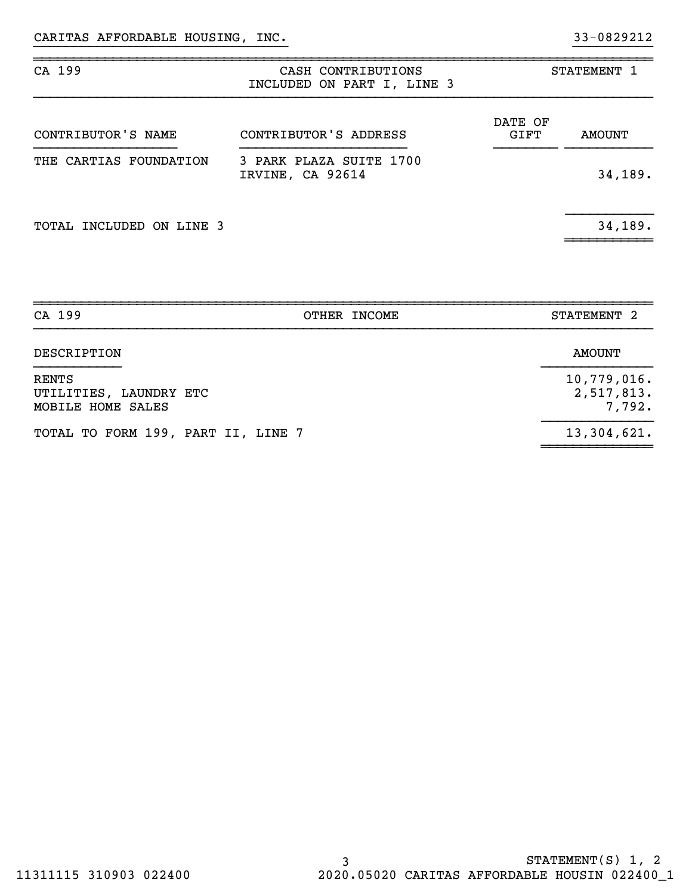| CA 199                          | CASH CONTRIBUTIONS<br>INCLUDED ON PART I, LINE 3 |                        | STATEMENT 1   |  |  |
|---------------------------------|--------------------------------------------------|------------------------|---------------|--|--|
| CONTRIBUTOR'S NAME              | CONTRIBUTOR'S ADDRESS                            | DATE OF<br><b>GIFT</b> | <b>AMOUNT</b> |  |  |
| THE CARTIAS FOUNDATION          | 3 PARK PLAZA SUITE 1700<br>IRVINE, CA 92614      |                        | 34,189.       |  |  |
| <b>TOTAL INCLUDED ON LINE 3</b> |                                                  |                        | 34,189.       |  |  |

}}}}}}}}}}}}}}}}}}}}}}}}}}}}}}}} }}}}}}}}}}

~~~~~~~~~~~~~~~~~~~~~~~~~~~~~~~~~~~~~~~~~~~~~~~~~~~~~~~~~~~~~~~~~~~~~~~~~~~~~~

| CA 199                                                      | STATEMENT 2<br>OTHER INCOME         |  |
|-------------------------------------------------------------|-------------------------------------|--|
| DESCRIPTION                                                 | AMOUNT                              |  |
| <b>RENTS</b><br>UTILITIES, LAUNDRY ETC<br>MOBILE HOME SALES | 10,779,016.<br>2,517,813.<br>7,792. |  |
| TOTAL TO FORM 199, PART II, LINE 7                          | 13,304,621.                         |  |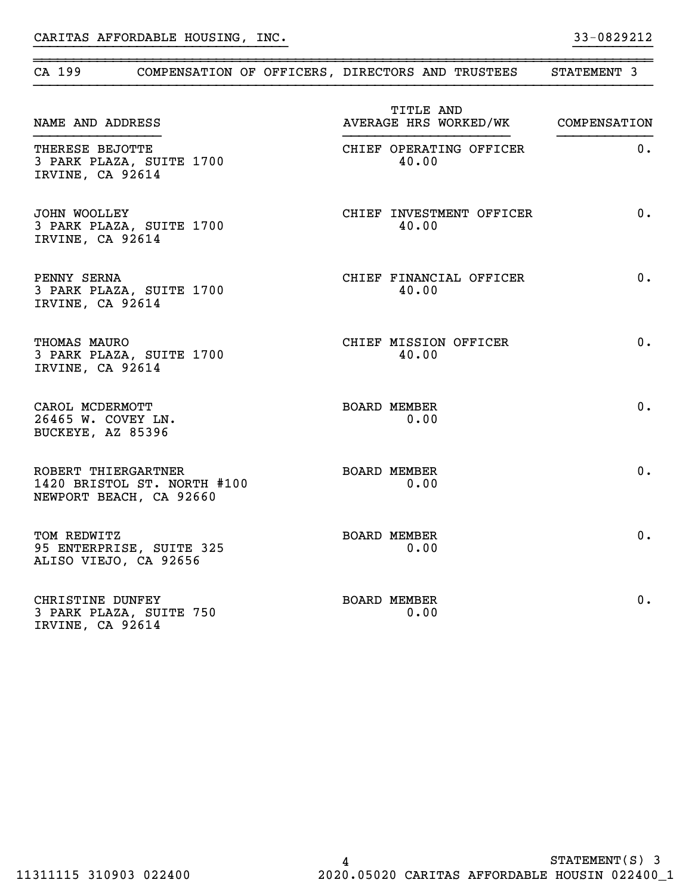|                                                            |                                                        | CA 199 COMPENSATION OF OFFICERS, DIRECTORS AND TRUSTEES | STATEMENT 3 |
|------------------------------------------------------------|--------------------------------------------------------|---------------------------------------------------------|-------------|
| NAME AND ADDRESS                                           |                                                        | TITLE AND<br>AVERAGE HRS WORKED/WK COMPENSATION         |             |
| THERESE BEJOTTE<br>IRVINE, CA 92614                        | 3 PARK PLAZA, SUITE 1700                               | CHIEF OPERATING OFFICER<br>40.00                        | $0$ .       |
| JOHN WOOLLEY<br>IRVINE, CA 92614                           | 3 PARK PLAZA, SUITE 1700                               | CHIEF INVESTMENT OFFICER<br>40.00                       | 0.          |
| PENNY SERNA<br>IRVINE, CA 92614                            | 3 PARK PLAZA, SUITE 1700                               | CHIEF FINANCIAL OFFICER<br>40.00                        | 0.          |
| THOMAS MAURO<br>IRVINE, CA 92614                           | 3 PARK PLAZA, SUITE 1700                               | CHIEF MISSION OFFICER<br>40.00                          | 0.          |
| CAROL MCDERMOTT<br>26465 W. COVEY LN.<br>BUCKEYE, AZ 85396 |                                                        | <b>BOARD MEMBER</b><br>0.00                             | 0.          |
| ROBERT THIERGARTNER                                        | 1420 BRISTOL ST. NORTH #100<br>NEWPORT BEACH, CA 92660 | <b>BOARD MEMBER</b><br>0.00                             | 0.          |
| TOM REDWITZ                                                | 95 ENTERPRISE, SUITE 325<br>ALISO VIEJO, CA 92656      | <b>BOARD MEMBER</b><br>0.00                             | 0.          |
| CHRISTINE DUNFEY<br>IRVINE, CA 92614                       | 3 PARK PLAZA, SUITE 750                                | <b>BOARD MEMBER</b><br>0.00                             | 0.          |

}}}}}}}}}}}}}}}}}}}}}}}}}}}}}}}} }}}}}}}}}}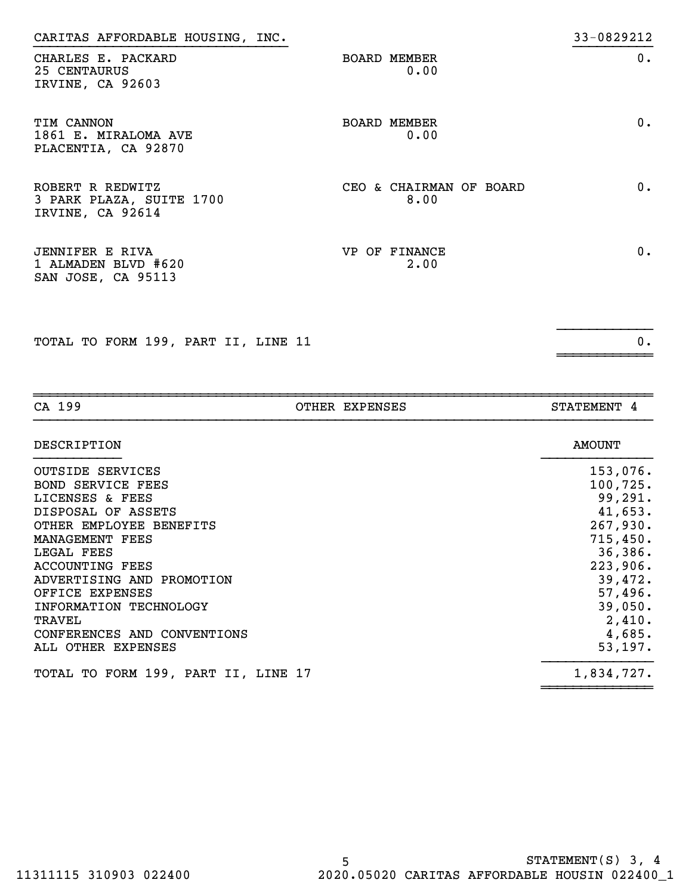| CARITAS AFFORDABLE HOUSING, INC.                                    |                                 | 33-0829212 |
|---------------------------------------------------------------------|---------------------------------|------------|
| CHARLES E. PACKARD<br>25 CENTAURUS<br>IRVINE, CA 92603              | <b>BOARD MEMBER</b><br>0.00     | 0.         |
| <b>TIM CANNON</b><br>1861 E. MIRALOMA AVE<br>PLACENTIA, CA 92870    | <b>BOARD MEMBER</b><br>0.00     | 0.         |
| ROBERT R REDWITZ<br>3 PARK PLAZA, SUITE 1700<br>IRVINE, CA 92614    | CEO & CHAIRMAN OF BOARD<br>8.00 | 0.         |
| <b>JENNIFER E RIVA</b><br>1 ALMADEN BLVD #620<br>SAN JOSE, CA 95113 | VP OF FINANCE<br>2.00           | 0.         |

}}}}}}}}}}}}

~~~~~~~~~~~~

TOTAL TO FORM 199, PART II, LINE 11 0.

~~~~~~~~~~~~~~~~~~~~~~~~~~~~~~~~~~~~~~~~~~~~~~~~~~~~~~~~~~~~~~~~~~~~~~~~~~~~~~CA 199 OTHER EXPENSES STATEMENT 4 DESCRIPTION AMOUNT }}}}}}}}}}} }}}}}}}}}}}}}} OUTSIDE SERVICES 153,076. BOND SERVICE FEES 100,725. LICENSES & FEES 99,291. DISPOSAL OF ASSETS 41,653. OTHER EMPLOYEE BENEFITS 267, 200. MANAGEMENT FEES 715,450. LEGAL FEES 36,386. ACCOUNTING FEES 223,906. ADVERTISING AND PROMOTION 39,472. OFFICE EXPENSES 57,496. INFORMATION TECHNOLOGY 39,050.  $\lq$   $\lq$   $\lq$   $\lq$   $\lq$   $\lq$   $\lq$   $\lq$   $\lq$   $\lq$   $\lq$   $\lq$   $\lq$   $\lq$   $\lq$   $\lq$   $\lq$   $\lq$   $\lq$   $\lq$   $\lq$   $\lq$   $\lq$   $\lq$   $\lq$   $\lq$   $\lq$   $\lq$   $\lq$   $\lq$   $\lq$   $\lq$   $\lq$   $\lq$   $\lq$   $\lq$   $\lq$ CONFERENCES AND CONVENTIONS 4,685. ALL OTHER EXPENSES 53,197. TOTAL TO FORM 199, PART II, LINE 17 1,834,727.

~~~~~~~~~~~~~~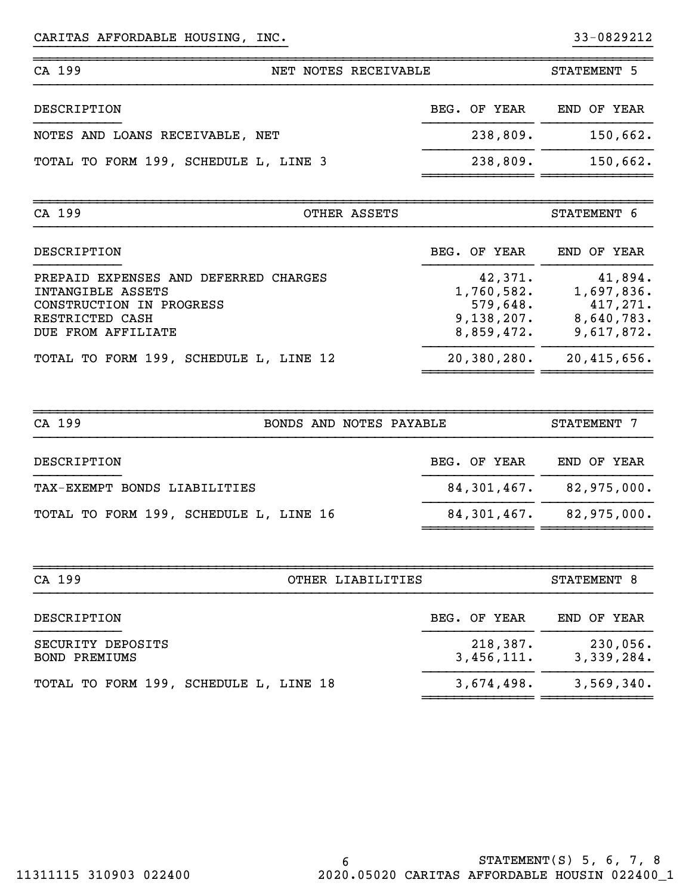| CA 199                                | NET NOTES RECEIVABLE |              | STATEMENT 5 |
|---------------------------------------|----------------------|--------------|-------------|
| DESCRIPTION                           |                      | BEG. OF YEAR | END OF YEAR |
| NOTES AND LOANS RECEIVABLE, NET       |                      | 238,809.     | 150,662.    |
| TOTAL TO FORM 199, SCHEDULE L, LINE 3 |                      | 238,809.     | 150,662.    |
| CA 199                                | OTHER ASSETS         |              | STATEMENT 6 |

}}}}}}}}}}}}}}}}}}}}}}}}}}}}}}}} }}}}}}}}}}

~~~~~~~~~~~~~~~~~~~~~~~~~~~~~~~~~~~~~~~~~~~~~~~~~~~~~~~~~~~~~~~~~~~~~~~~~~~~~~

| ັດ <i>ຕັ້</i> ນ ການ                                                                                                             | UIHIN ADDIID |                                                               |                                                               |  |
|---------------------------------------------------------------------------------------------------------------------------------|--------------|---------------------------------------------------------------|---------------------------------------------------------------|--|
| DESCRIPTION                                                                                                                     |              | BEG. OF YEAR                                                  | END OF YEAR                                                   |  |
| PREPAID EXPENSES AND DEFERRED CHARGES<br>INTANGIBLE ASSETS<br>CONSTRUCTION IN PROGRESS<br>RESTRICTED CASH<br>DUE FROM AFFILIATE |              | 42,371.<br>1,760,582.<br>579,648.<br>9,138,207.<br>8,859,472. | 41,894.<br>1,697,836.<br>417,271.<br>8,640,783.<br>9,617,872. |  |
| TOTAL TO FORM 199, SCHEDULE L, LINE 12                                                                                          |              | 20, 380, 280.                                                 | 20,415,656.                                                   |  |

~~~~~~~~~~~~~~ ~~~~~~~~~~~~~~

| CA 199                                 |  |  |  | BONDS AND NOTES PAYABLE     |                             | STATEMENT 7 |             |
|----------------------------------------|--|--|--|-----------------------------|-----------------------------|-------------|-------------|
| DESCRIPTION                            |  |  |  |                             | BEG. OF YEAR                |             | END OF YEAR |
| TAX-EXEMPT BONDS LIABILITIES           |  |  |  | $84,301,467$ , $82,975,000$ |                             |             |             |
| TOTAL TO FORM 199, SCHEDULE L, LINE 16 |  |  |  |                             | $84,301,467$ , $82,975,000$ |             |             |

| CA 199<br>OTHER LIABILITIES               |                        | STATEMENT 8            |
|-------------------------------------------|------------------------|------------------------|
| DESCRIPTION                               | BEG. OF YEAR           | END OF YEAR            |
| SECURITY DEPOSITS<br><b>BOND PREMIUMS</b> | 218,387.<br>3,456,111. | 230,056.<br>3,339,284. |
| TOTAL TO FORM 199, SCHEDULE L, LINE 18    | 3,674,498.             | 3,569,340.             |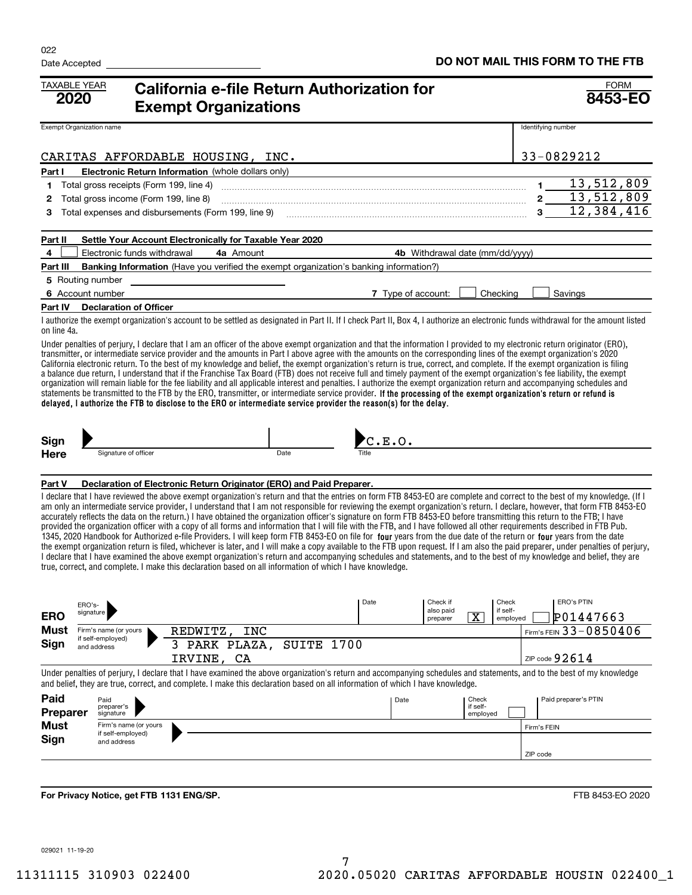| <b>TAXABLE YEAR</b><br>2020       |                                          | <b>California e-file Return Authorization for</b><br><b>Exempt Organizations</b>                                                                                                                                                                                                                                                                                                                                                                                                                                                                                                                                                                                                                                                                                                                                                                                                                                                                                                                                                                                                                                                                                                                                                                                                                                                                                      |            |                    |                                   |                                                              |                    | <b>FORM</b><br>8453-EO         |
|-----------------------------------|------------------------------------------|-----------------------------------------------------------------------------------------------------------------------------------------------------------------------------------------------------------------------------------------------------------------------------------------------------------------------------------------------------------------------------------------------------------------------------------------------------------------------------------------------------------------------------------------------------------------------------------------------------------------------------------------------------------------------------------------------------------------------------------------------------------------------------------------------------------------------------------------------------------------------------------------------------------------------------------------------------------------------------------------------------------------------------------------------------------------------------------------------------------------------------------------------------------------------------------------------------------------------------------------------------------------------------------------------------------------------------------------------------------------------|------------|--------------------|-----------------------------------|--------------------------------------------------------------|--------------------|--------------------------------|
| Exempt Organization name          |                                          |                                                                                                                                                                                                                                                                                                                                                                                                                                                                                                                                                                                                                                                                                                                                                                                                                                                                                                                                                                                                                                                                                                                                                                                                                                                                                                                                                                       |            |                    |                                   |                                                              | Identifying number |                                |
|                                   |                                          | CARITAS AFFORDABLE HOUSING, INC.                                                                                                                                                                                                                                                                                                                                                                                                                                                                                                                                                                                                                                                                                                                                                                                                                                                                                                                                                                                                                                                                                                                                                                                                                                                                                                                                      |            |                    |                                   |                                                              |                    | 33-0829212                     |
| Part I                            |                                          | Electronic Return Information (whole dollars only)                                                                                                                                                                                                                                                                                                                                                                                                                                                                                                                                                                                                                                                                                                                                                                                                                                                                                                                                                                                                                                                                                                                                                                                                                                                                                                                    |            |                    |                                   |                                                              |                    |                                |
| 1                                 | Total gross receipts (Form 199, line 4)  |                                                                                                                                                                                                                                                                                                                                                                                                                                                                                                                                                                                                                                                                                                                                                                                                                                                                                                                                                                                                                                                                                                                                                                                                                                                                                                                                                                       |            |                    |                                   |                                                              | $\mathbf{1}$       | 13,512,809                     |
| 2                                 | Total gross income (Form 199, line 8)    |                                                                                                                                                                                                                                                                                                                                                                                                                                                                                                                                                                                                                                                                                                                                                                                                                                                                                                                                                                                                                                                                                                                                                                                                                                                                                                                                                                       |            |                    |                                   |                                                              | $2\overline{)}$    | 13,512,809                     |
| з                                 |                                          | Total expenses and disbursements (Form 199, line 9)                                                                                                                                                                                                                                                                                                                                                                                                                                                                                                                                                                                                                                                                                                                                                                                                                                                                                                                                                                                                                                                                                                                                                                                                                                                                                                                   |            |                    |                                   |                                                              | $3_{-}$            | 12,384,416                     |
| Part II                           |                                          | Settle Your Account Electronically for Taxable Year 2020                                                                                                                                                                                                                                                                                                                                                                                                                                                                                                                                                                                                                                                                                                                                                                                                                                                                                                                                                                                                                                                                                                                                                                                                                                                                                                              |            |                    |                                   |                                                              |                    |                                |
| 4                                 | Electronic funds withdrawal              | 4a Amount                                                                                                                                                                                                                                                                                                                                                                                                                                                                                                                                                                                                                                                                                                                                                                                                                                                                                                                                                                                                                                                                                                                                                                                                                                                                                                                                                             |            |                    |                                   | 4b Withdrawal date (mm/dd/yyyy)                              |                    |                                |
| Part III                          |                                          | Banking Information (Have you verified the exempt organization's banking information?)                                                                                                                                                                                                                                                                                                                                                                                                                                                                                                                                                                                                                                                                                                                                                                                                                                                                                                                                                                                                                                                                                                                                                                                                                                                                                |            |                    |                                   |                                                              |                    |                                |
| 5 Routing number                  |                                          |                                                                                                                                                                                                                                                                                                                                                                                                                                                                                                                                                                                                                                                                                                                                                                                                                                                                                                                                                                                                                                                                                                                                                                                                                                                                                                                                                                       |            |                    |                                   |                                                              |                    |                                |
| 6 Account number                  |                                          |                                                                                                                                                                                                                                                                                                                                                                                                                                                                                                                                                                                                                                                                                                                                                                                                                                                                                                                                                                                                                                                                                                                                                                                                                                                                                                                                                                       |            | 7 Type of account: |                                   | Checking                                                     |                    | Savings                        |
| <b>Part IV</b>                    | <b>Declaration of Officer</b>            |                                                                                                                                                                                                                                                                                                                                                                                                                                                                                                                                                                                                                                                                                                                                                                                                                                                                                                                                                                                                                                                                                                                                                                                                                                                                                                                                                                       |            |                    |                                   |                                                              |                    |                                |
| on line 4a.                       |                                          | I authorize the exempt organization's account to be settled as designated in Part II. If I check Part II, Box 4, I authorize an electronic funds withdrawal for the amount listed                                                                                                                                                                                                                                                                                                                                                                                                                                                                                                                                                                                                                                                                                                                                                                                                                                                                                                                                                                                                                                                                                                                                                                                     |            |                    |                                   |                                                              |                    |                                |
|                                   |                                          | Under penalties of perjury, I declare that I am an officer of the above exempt organization and that the information I provided to my electronic return originator (ERO),<br>transmitter, or intermediate service provider and the amounts in Part I above agree with the amounts on the corresponding lines of the exempt organization's 2020<br>California electronic return. To the best of my knowledge and belief, the exempt organization's return is true, correct, and complete. If the exempt organization is filing<br>a balance due return, I understand that if the Franchise Tax Board (FTB) does not receive full and timely payment of the exempt organization's fee liability, the exempt<br>organization will remain liable for the fee liability and all applicable interest and penalties. I authorize the exempt organization return and accompanying schedules and<br>statements be transmitted to the FTB by the ERO, transmitter, or intermediate service provider. If the processing of the exempt organization's return or refund is<br>delayed, I authorize the FTB to disclose to the ERO or intermediate service provider the reason(s) for the delay.                                                                                                                                                                                    |            |                    |                                   |                                                              |                    |                                |
| Sign<br><b>Here</b>               | Signature of officer                     |                                                                                                                                                                                                                                                                                                                                                                                                                                                                                                                                                                                                                                                                                                                                                                                                                                                                                                                                                                                                                                                                                                                                                                                                                                                                                                                                                                       | Date       | C.E.O.             |                                   |                                                              |                    |                                |
|                                   |                                          |                                                                                                                                                                                                                                                                                                                                                                                                                                                                                                                                                                                                                                                                                                                                                                                                                                                                                                                                                                                                                                                                                                                                                                                                                                                                                                                                                                       |            |                    |                                   |                                                              |                    |                                |
| Part V                            |                                          | Declaration of Electronic Return Originator (ERO) and Paid Preparer.                                                                                                                                                                                                                                                                                                                                                                                                                                                                                                                                                                                                                                                                                                                                                                                                                                                                                                                                                                                                                                                                                                                                                                                                                                                                                                  |            |                    |                                   |                                                              |                    |                                |
|                                   |                                          | I declare that I have reviewed the above exempt organization's return and that the entries on form FTB 8453-EO are complete and correct to the best of my knowledge. (If I<br>am only an intermediate service provider, I understand that I am not responsible for reviewing the exempt organization's return. I declare, however, that form FTB 8453-EO<br>accurately reflects the data on the return.) I have obtained the organization officer's signature on form FTB 8453-EO before transmitting this return to the FTB; I have<br>provided the organization officer with a copy of all forms and information that I will file with the FTB, and I have followed all other requirements described in FTB Pub.<br>1345, 2020 Handbook for Authorized e-file Providers. I will keep form FTB 8453-EO on file for four years from the due date of the return or four years from the date<br>the exempt organization return is filed, whichever is later, and I will make a copy available to the FTB upon request. If I am also the paid preparer, under penalties of perjury,<br>I declare that I have examined the above exempt organization's return and accompanying schedules and statements, and to the best of my knowledge and belief, they are<br>true, correct, and complete. I make this declaration based on all information of which I have knowledge. |            |                    |                                   |                                                              |                    |                                |
| ERO's-<br>signature<br><b>ERO</b> |                                          |                                                                                                                                                                                                                                                                                                                                                                                                                                                                                                                                                                                                                                                                                                                                                                                                                                                                                                                                                                                                                                                                                                                                                                                                                                                                                                                                                                       |            | Date               | Check if<br>also paid<br>preparer | Check<br>if self-<br>$\overline{\textnormal{x}}$<br>employed |                    | <b>ERO's PTIN</b><br>P01447663 |
| Must                              | Firm's name (or yours                    | REDWITZ,<br><b>INC</b>                                                                                                                                                                                                                                                                                                                                                                                                                                                                                                                                                                                                                                                                                                                                                                                                                                                                                                                                                                                                                                                                                                                                                                                                                                                                                                                                                |            |                    |                                   |                                                              |                    | Firm's FEIN 33-0850406         |
| Sign<br>and address               | if self-employed)<br>3.                  | PARK PLAZA,                                                                                                                                                                                                                                                                                                                                                                                                                                                                                                                                                                                                                                                                                                                                                                                                                                                                                                                                                                                                                                                                                                                                                                                                                                                                                                                                                           | SUITE 1700 |                    |                                   |                                                              | ZIP code $92614$   |                                |
|                                   |                                          | IRVINE, CA<br>Under penalties of perjury, I declare that I have examined the above organization's return and accompanying schedules and statements, and to the best of my knowledge                                                                                                                                                                                                                                                                                                                                                                                                                                                                                                                                                                                                                                                                                                                                                                                                                                                                                                                                                                                                                                                                                                                                                                                   |            |                    |                                   |                                                              |                    |                                |
|                                   |                                          | and belief, they are true, correct, and complete. I make this declaration based on all information of which I have knowledge.                                                                                                                                                                                                                                                                                                                                                                                                                                                                                                                                                                                                                                                                                                                                                                                                                                                                                                                                                                                                                                                                                                                                                                                                                                         |            |                    |                                   |                                                              |                    |                                |
| Paid<br>Preparer                  | Paid<br>preparer's                       |                                                                                                                                                                                                                                                                                                                                                                                                                                                                                                                                                                                                                                                                                                                                                                                                                                                                                                                                                                                                                                                                                                                                                                                                                                                                                                                                                                       |            | Date               |                                   | Check<br>if self-                                            |                    | Paid preparer's PTIN           |
| Must                              | signature<br>Firm's name (or yours       |                                                                                                                                                                                                                                                                                                                                                                                                                                                                                                                                                                                                                                                                                                                                                                                                                                                                                                                                                                                                                                                                                                                                                                                                                                                                                                                                                                       |            |                    |                                   | employed                                                     | Firm's FEIN        |                                |
| Sign                              | if self-employed)<br>and address         |                                                                                                                                                                                                                                                                                                                                                                                                                                                                                                                                                                                                                                                                                                                                                                                                                                                                                                                                                                                                                                                                                                                                                                                                                                                                                                                                                                       |            |                    |                                   |                                                              |                    |                                |
|                                   |                                          |                                                                                                                                                                                                                                                                                                                                                                                                                                                                                                                                                                                                                                                                                                                                                                                                                                                                                                                                                                                                                                                                                                                                                                                                                                                                                                                                                                       |            |                    |                                   |                                                              | ZIP code           |                                |
|                                   |                                          |                                                                                                                                                                                                                                                                                                                                                                                                                                                                                                                                                                                                                                                                                                                                                                                                                                                                                                                                                                                                                                                                                                                                                                                                                                                                                                                                                                       |            |                    |                                   |                                                              |                    |                                |
|                                   | For Privacy Notice, get FTB 1131 ENG/SP. |                                                                                                                                                                                                                                                                                                                                                                                                                                                                                                                                                                                                                                                                                                                                                                                                                                                                                                                                                                                                                                                                                                                                                                                                                                                                                                                                                                       |            |                    |                                   |                                                              |                    | FTB 8453-EO 2020               |

029021 11-19-20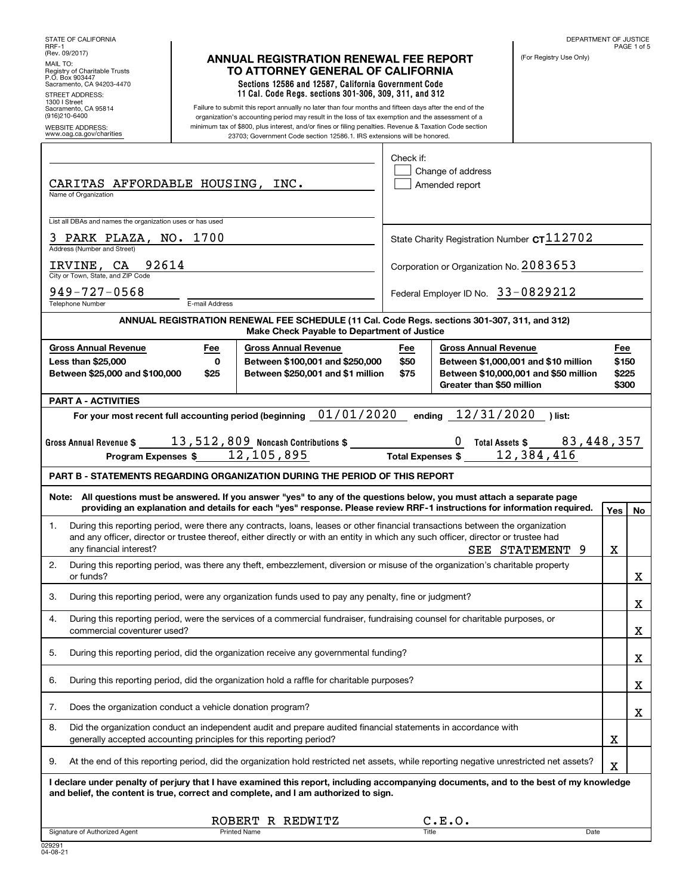| STATE OF CALIFORNIA                                                                                                                     |                  |                                                                                                                                                                                                                                                                                                                                                                                                 |                     |                                                          | DEPARTMENT OF JUSTICE                                                         |                                | PAGE 1 of 5 |
|-----------------------------------------------------------------------------------------------------------------------------------------|------------------|-------------------------------------------------------------------------------------------------------------------------------------------------------------------------------------------------------------------------------------------------------------------------------------------------------------------------------------------------------------------------------------------------|---------------------|----------------------------------------------------------|-------------------------------------------------------------------------------|--------------------------------|-------------|
| RRF-1<br>(Rev. 09/2017)<br>MAIL TO:<br>Registry of Charitable Trusts<br>P.O. Box 903447<br>Sacramento, CA 94203-4470<br>STREET ADDRESS: |                  | <b>ANNUAL REGISTRATION RENEWAL FEE REPORT</b><br>TO ATTORNEY GENERAL OF CALIFORNIA<br>Sections 12586 and 12587, California Government Code<br>11 Cal. Code Regs. sections 301-306, 309, 311, and 312                                                                                                                                                                                            |                     |                                                          | (For Registry Use Only)                                                       |                                |             |
| 1300   Street<br>Sacramento, CA 95814<br>(916)210-6400<br><b>WEBSITE ADDRESS:</b><br>www.oag.ca.gov/charities                           |                  | Failure to submit this report annually no later than four months and fifteen days after the end of the<br>organization's accounting period may result in the loss of tax exemption and the assessment of a<br>minimum tax of \$800, plus interest, and/or fines or filing penalties. Revenue & Taxation Code section<br>23703; Government Code section 12586.1. IRS extensions will be honored. |                     |                                                          |                                                                               |                                |             |
| CARITAS AFFORDABLE HOUSING, INC.<br>Name of Organization                                                                                |                  |                                                                                                                                                                                                                                                                                                                                                                                                 | Check if:           | Change of address<br>Amended report                      |                                                                               |                                |             |
| List all DBAs and names the organization uses or has used                                                                               |                  |                                                                                                                                                                                                                                                                                                                                                                                                 |                     |                                                          |                                                                               |                                |             |
| 3 PARK PLAZA, NO. 1700<br>Address (Number and Street)<br><b>IRVINE, CA 92614</b><br>City or Town, State, and ZIP Code                   |                  |                                                                                                                                                                                                                                                                                                                                                                                                 |                     | Corporation or Organization No. 2083653                  | State Charity Registration Number $c$ T $112702$                              |                                |             |
| $949 - 727 - 0568$<br><b>Telephone Number</b>                                                                                           | E-mail Address   |                                                                                                                                                                                                                                                                                                                                                                                                 |                     | Federal Employer ID No. 33-0829212                       |                                                                               |                                |             |
|                                                                                                                                         |                  | ANNUAL REGISTRATION RENEWAL FEE SCHEDULE (11 Cal. Code Regs. sections 301-307, 311, and 312)<br>Make Check Payable to Department of Justice                                                                                                                                                                                                                                                     |                     |                                                          |                                                                               |                                |             |
| <b>Gross Annual Revenue</b><br><b>Less than \$25,000</b><br>Between \$25,000 and \$100,000                                              | Fee<br>0<br>\$25 | <b>Gross Annual Revenue</b><br>Between \$100,001 and \$250,000<br>Between \$250,001 and \$1 million                                                                                                                                                                                                                                                                                             | Fee<br>\$50<br>\$75 | <b>Gross Annual Revenue</b><br>Greater than \$50 million | Between \$1,000,001 and \$10 million<br>Between \$10,000,001 and \$50 million | Fee<br>\$150<br>\$225<br>\$300 |             |
| <b>PART A - ACTIVITIES</b>                                                                                                              |                  |                                                                                                                                                                                                                                                                                                                                                                                                 |                     |                                                          |                                                                               |                                |             |
|                                                                                                                                         |                  | For your most recent full accounting period (beginning $01/01/2020$<br>Gross Annual Revenue $\frac{13,512,809}{\,}$ Noncash Contributions $\frac{2}{\,}$<br>Program Expenses \$12,105,895 Total Expenses \$12,384,416                                                                                                                                                                           |                     | ending 12/31/2020                                        | ) list:<br>0 Total Assets \$ _______ 83,448,357                               |                                |             |
|                                                                                                                                         |                  | <b>PART B - STATEMENTS REGARDING ORGANIZATION DURING THE PERIOD OF THIS REPORT</b>                                                                                                                                                                                                                                                                                                              |                     |                                                          |                                                                               |                                |             |
|                                                                                                                                         |                  | Note: All questions must be answered. If you answer "yes" to any of the questions below, you must attach a separate page<br>providing an explanation and details for each "yes" response. Please review RRF-1 instructions for information required.                                                                                                                                            |                     |                                                          |                                                                               | Yes                            | No          |
| 1.<br>any financial interest?                                                                                                           |                  | During this reporting period, were there any contracts, loans, leases or other financial transactions between the organization<br>and any officer, director or trustee thereof, either directly or with an entity in which any such officer, director or trustee had                                                                                                                            |                     |                                                          | SEE STATEMENT<br>9                                                            | X                              |             |
| 2.<br>or funds?                                                                                                                         |                  | During this reporting period, was there any theft, embezzlement, diversion or misuse of the organization's charitable property                                                                                                                                                                                                                                                                  |                     |                                                          |                                                                               |                                | х           |
| З.                                                                                                                                      |                  | During this reporting period, were any organization funds used to pay any penalty, fine or judgment?                                                                                                                                                                                                                                                                                            |                     |                                                          |                                                                               |                                | х           |
| 4.<br>commercial coventurer used?                                                                                                       |                  | During this reporting period, were the services of a commercial fundraiser, fundraising counsel for charitable purposes, or                                                                                                                                                                                                                                                                     |                     |                                                          |                                                                               |                                | х           |
| 5.                                                                                                                                      |                  | During this reporting period, did the organization receive any governmental funding?                                                                                                                                                                                                                                                                                                            |                     |                                                          |                                                                               |                                | х           |
| 6.                                                                                                                                      |                  | During this reporting period, did the organization hold a raffle for charitable purposes?                                                                                                                                                                                                                                                                                                       |                     |                                                          |                                                                               |                                | х           |
| 7.<br>Does the organization conduct a vehicle donation program?                                                                         |                  |                                                                                                                                                                                                                                                                                                                                                                                                 |                     |                                                          |                                                                               |                                | х           |
| 8.<br>generally accepted accounting principles for this reporting period?                                                               |                  | Did the organization conduct an independent audit and prepare audited financial statements in accordance with                                                                                                                                                                                                                                                                                   |                     |                                                          |                                                                               | х                              |             |
| 9.                                                                                                                                      |                  | At the end of this reporting period, did the organization hold restricted net assets, while reporting negative unrestricted net assets?                                                                                                                                                                                                                                                         |                     |                                                          |                                                                               | X                              |             |
|                                                                                                                                         |                  | I declare under penalty of perjury that I have examined this report, including accompanying documents, and to the best of my knowledge<br>and belief, the content is true, correct and complete, and I am authorized to sign.                                                                                                                                                                   |                     |                                                          |                                                                               |                                |             |
|                                                                                                                                         |                  |                                                                                                                                                                                                                                                                                                                                                                                                 |                     |                                                          |                                                                               |                                |             |